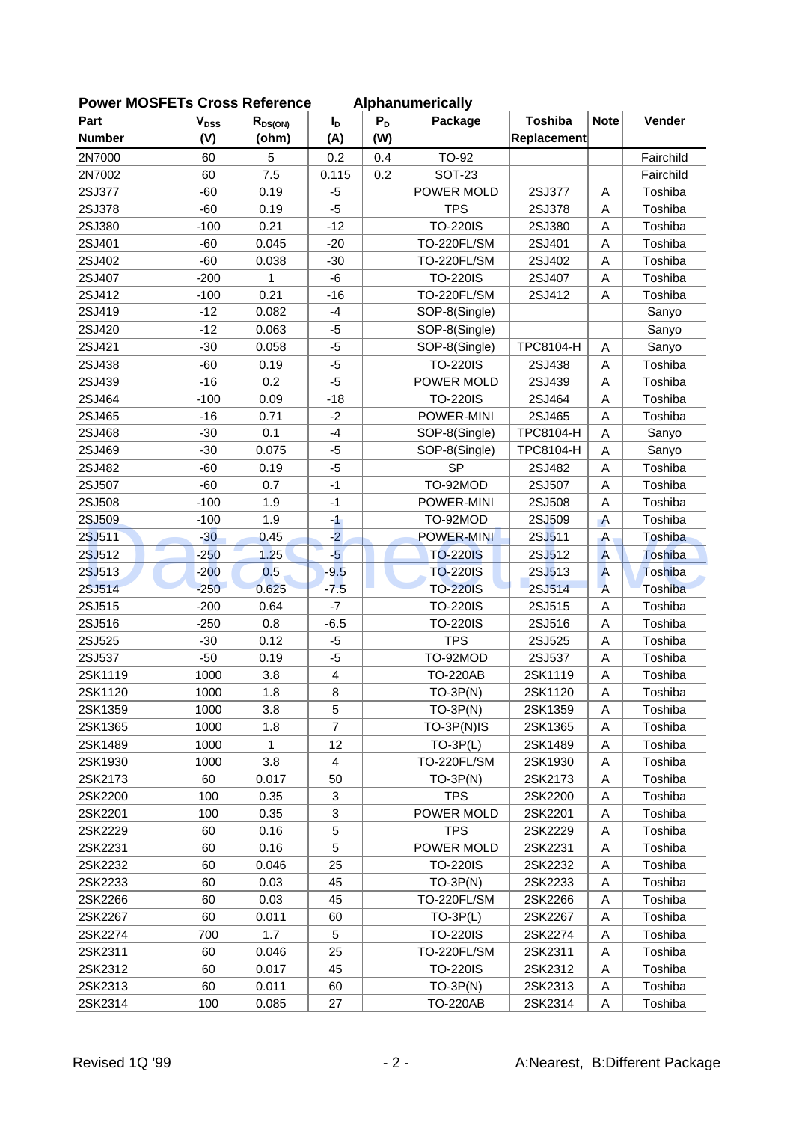| Part          | $V_{DSS}$ | $R_{DS(ON)}$ | $I_{\text{D}}$               | $P_D$ | Package         | <b>Toshiba</b>   | <b>Note</b>    | Vender    |
|---------------|-----------|--------------|------------------------------|-------|-----------------|------------------|----------------|-----------|
| <b>Number</b> | (V)       | (ohm)        | (A)                          | (W)   |                 | Replacement      |                |           |
| 2N7000        | 60        | 5            | 0.2                          | 0.4   | <b>TO-92</b>    |                  |                | Fairchild |
| 2N7002        | 60        | 7.5          | 0.115                        | 0.2   | <b>SOT-23</b>   |                  |                | Fairchild |
| 2SJ377        | $-60$     | 0.19         | -5                           |       | POWER MOLD      | 2SJ377           | A              | Toshiba   |
| 2SJ378        | $-60$     | 0.19         | $-5$                         |       | <b>TPS</b>      | 2SJ378           | A              | Toshiba   |
| 2SJ380        | $-100$    | 0.21         | $-12$                        |       | <b>TO-220IS</b> | 2SJ380           | A              | Toshiba   |
| 2SJ401        | $-60$     | 0.045        | $-20$                        |       | TO-220FL/SM     | 2SJ401           | A              | Toshiba   |
| 2SJ402        | $-60$     | 0.038        | $-30$                        |       | TO-220FL/SM     | 2SJ402           | A              | Toshiba   |
| 2SJ407        | $-200$    | 1            | -6                           |       | <b>TO-220IS</b> | 2SJ407           | A              | Toshiba   |
| 2SJ412        | $-100$    | 0.21         | $-16$                        |       | TO-220FL/SM     | 2SJ412           | A              | Toshiba   |
| 2SJ419        | $-12$     | 0.082        | $-4$                         |       | SOP-8(Single)   |                  |                | Sanyo     |
| 2SJ420        | $-12$     | 0.063        | -5                           |       | SOP-8(Single)   |                  |                | Sanyo     |
| 2SJ421        | $-30$     | 0.058        | -5                           |       | SOP-8(Single)   | <b>TPC8104-H</b> | Α              | Sanyo     |
| 2SJ438        | $-60$     | 0.19         | $-5$                         |       | <b>TO-220IS</b> | 2SJ438           | A              | Toshiba   |
| 2SJ439        | $-16$     | 0.2          | $-5$                         |       | POWER MOLD      | 2SJ439           | A              | Toshiba   |
| 2SJ464        | $-100$    | 0.09         | $-18$                        |       | <b>TO-220IS</b> | 2SJ464           | A              | Toshiba   |
| 2SJ465        | $-16$     | 0.71         | $-2$                         |       | POWER-MINI      | 2SJ465           | A              | Toshiba   |
| 2SJ468        | $-30$     | 0.1          | $-4$                         |       | SOP-8(Single)   | TPC8104-H        | A              | Sanyo     |
| 2SJ469        | $-30$     | 0.075        | -5                           |       | SOP-8(Single)   | <b>TPC8104-H</b> | A              | Sanyo     |
| 2SJ482        | $-60$     | 0.19         | $-5$                         |       | <b>SP</b>       | 2SJ482           | A              | Toshiba   |
| 2SJ507        | $-60$     | 0.7          | $-1$                         |       | TO-92MOD        | 2SJ507           | A              | Toshiba   |
| 2SJ508        | $-100$    | 1.9          | $-1$                         |       | POWER-MINI      | 2SJ508           | A              | Toshiba   |
| 2SJ509        | $-100$    | 1.9          | $\mathcal{A}$                |       | TO-92MOD        | 2SJ509           | $\overline{A}$ | Toshiba   |
| 2SJ511        | $-30$     | 0.45         | $-2$                         |       | POWER-MINI      | 2SJ511           | A              | Toshiba   |
| г.,<br>2SJ512 | -250      | 1.25         | $-5$                         |       | <b>TO-220IS</b> | 2SJ512           | $\overline{A}$ | Toshiba   |
| 2SJ513        | $-200$    | 0.5          | $-9.5$                       |       | <b>TO-220IS</b> | 2SJ513           | $\overline{A}$ | Toshiba   |
| 2SJ514        | $-250$    | 0.625        | $-7.5$                       | ш     | <b>TO-220IS</b> | 2SJ514           | $\overline{A}$ | Toshiba   |
| 2SJ515        | $-200$    | 0.64         | $-7$                         |       | <b>TO-220IS</b> | 2SJ515           | A              | Toshiba   |
| 2SJ516        | $-250$    | 0.8          | $-6.5$                       |       | <b>TO-220IS</b> | 2SJ516           | A              | Toshiba   |
| 2SJ525        | $-30$     | 0.12         | -5                           |       | <b>TPS</b>      | 2SJ525           | A              | Toshiba   |
| 2SJ537        | $-50$     | 0.19         | $-5$                         |       | TO-92MOD        | 2SJ537           | A              | Toshiba   |
| 2SK1119       | 1000      | 3.8          |                              |       | <b>TO-220AB</b> | 2SK1119          |                | Toshiba   |
| 2SK1120       | 1000      | 1.8          | $\overline{\mathbf{4}}$<br>8 |       | $TO-3P(N)$      | 2SK1120          | Α<br>A         | Toshiba   |
|               |           |              |                              |       |                 |                  |                | Toshiba   |
| 2SK1359       | 1000      | 3.8          | 5<br>$\overline{7}$          |       | $TO-3P(N)$      | 2SK1359          | Α              |           |
| 2SK1365       | 1000      | 1.8          |                              |       | TO-3P(N)IS      | 2SK1365          | A              | Toshiba   |
| 2SK1489       | 1000      | 1            | 12                           |       | $TO-3P(L)$      | 2SK1489          | A              | Toshiba   |
| 2SK1930       | 1000      | 3.8          | 4                            |       | TO-220FL/SM     | 2SK1930          | A              | Toshiba   |
| 2SK2173       | 60        | 0.017        | 50                           |       | $TO-3P(N)$      | 2SK2173          | Α              | Toshiba   |
| 2SK2200       | 100       | 0.35         | 3                            |       | <b>TPS</b>      | 2SK2200          | Α              | Toshiba   |
| 2SK2201       | 100       | 0.35         | $\ensuremath{\mathsf{3}}$    |       | POWER MOLD      | 2SK2201          | A              | Toshiba   |
| 2SK2229       | 60        | 0.16         | 5                            |       | <b>TPS</b>      | 2SK2229          | A              | Toshiba   |
| 2SK2231       | 60        | 0.16         | 5                            |       | POWER MOLD      | 2SK2231          | A              | Toshiba   |
| 2SK2232       | 60        | 0.046        | 25                           |       | <b>TO-220IS</b> | 2SK2232          | Α              | Toshiba   |
| 2SK2233       | 60        | 0.03         | 45                           |       | $TO-3P(N)$      | 2SK2233          | Α              | Toshiba   |
| 2SK2266       | 60        | 0.03         | 45                           |       | TO-220FL/SM     | 2SK2266          | Α              | Toshiba   |
| 2SK2267       | 60        | 0.011        | 60                           |       | $TO-3P(L)$      | 2SK2267          | A              | Toshiba   |
| 2SK2274       | 700       | 1.7          | 5                            |       | <b>TO-220IS</b> | 2SK2274          | Α              | Toshiba   |
| 2SK2311       | 60        | 0.046        | 25                           |       | TO-220FL/SM     | 2SK2311          | A              | Toshiba   |
| 2SK2312       | 60        | 0.017        | 45                           |       | <b>TO-220IS</b> | 2SK2312          | A              | Toshiba   |
| 2SK2313       | 60        | 0.011        | 60                           |       | $TO-3P(N)$      | 2SK2313          | Α              | Toshiba   |
| 2SK2314       | 100       | 0.085        | 27                           |       | <b>TO-220AB</b> | 2SK2314          | Α              | Toshiba   |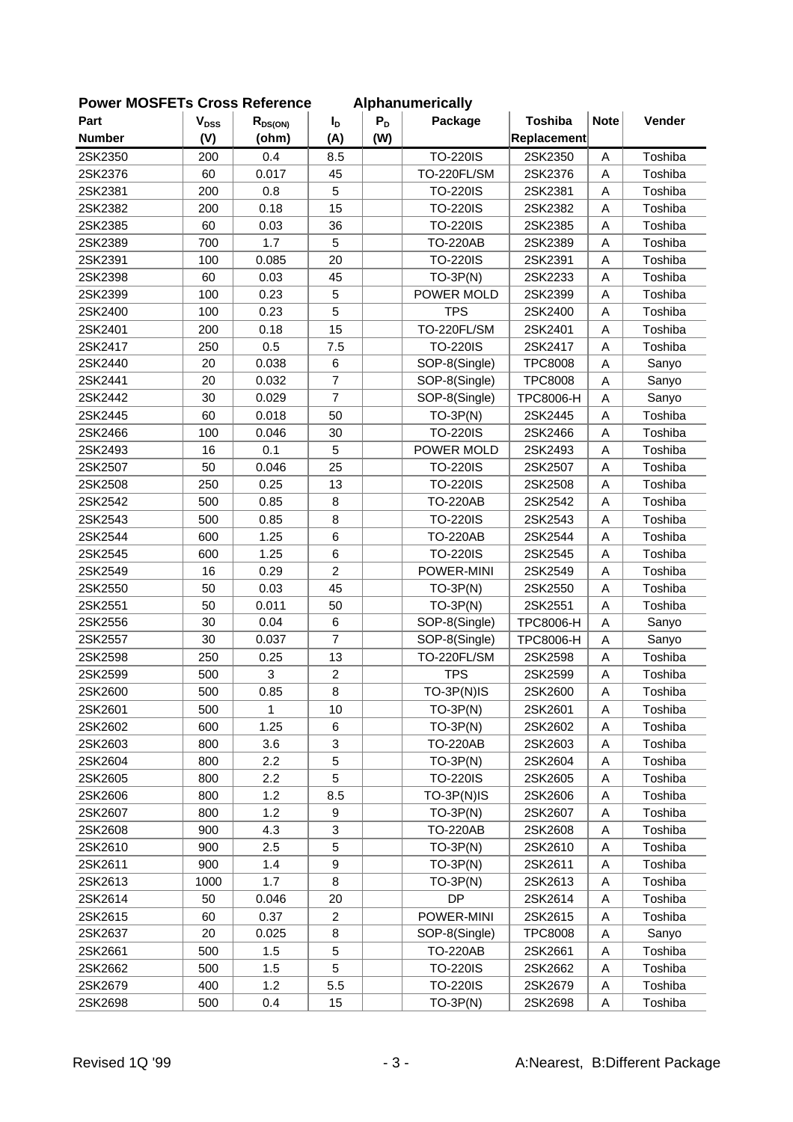| <b>OWEI INCOLLIS CIUSS NEIEIEILE</b> |           |              |                  |       | Alphanum chually |                  |             |         |
|--------------------------------------|-----------|--------------|------------------|-------|------------------|------------------|-------------|---------|
| Part                                 | $V_{DSS}$ | $R_{DS(ON)}$ | $I_{\text{D}}$   | $P_D$ | Package          | <b>Toshiba</b>   | <b>Note</b> | Vender  |
| <b>Number</b>                        | (V)       | (ohm)        | (A)              | (W)   |                  | Replacement      |             |         |
| 2SK2350                              | 200       | 0.4          | 8.5              |       | <b>TO-220IS</b>  | 2SK2350          | A           | Toshiba |
| 2SK2376                              | 60        | 0.017        | 45               |       | TO-220FL/SM      | 2SK2376          | A           | Toshiba |
| 2SK2381                              | 200       | 0.8          | 5                |       | <b>TO-220IS</b>  | 2SK2381          | A           | Toshiba |
| 2SK2382                              | 200       | 0.18         | 15               |       | <b>TO-220IS</b>  | 2SK2382          | A           | Toshiba |
| 2SK2385                              | 60        | 0.03         | 36               |       | <b>TO-220IS</b>  | 2SK2385          | A           | Toshiba |
| 2SK2389                              | 700       | 1.7          | 5                |       | <b>TO-220AB</b>  | 2SK2389          | A           | Toshiba |
| 2SK2391                              | 100       | 0.085        | 20               |       | <b>TO-220IS</b>  | 2SK2391          | A           | Toshiba |
| 2SK2398                              | 60        | 0.03         | 45               |       | $TO-3P(N)$       | 2SK2233          | A           | Toshiba |
| 2SK2399                              | 100       | 0.23         | 5                |       | POWER MOLD       | 2SK2399          | A           | Toshiba |
| 2SK2400                              | 100       | 0.23         | 5                |       | <b>TPS</b>       | 2SK2400          | A           | Toshiba |
| 2SK2401                              | 200       | 0.18         | 15               |       | TO-220FL/SM      | 2SK2401          | A           | Toshiba |
| 2SK2417                              | 250       | 0.5          | 7.5              |       | <b>TO-220IS</b>  | 2SK2417          | A           | Toshiba |
| 2SK2440                              | 20        | 0.038        | 6                |       | SOP-8(Single)    | <b>TPC8008</b>   | A           | Sanyo   |
| 2SK2441                              | 20        | 0.032        | $\overline{7}$   |       | SOP-8(Single)    | <b>TPC8008</b>   | A           | Sanyo   |
| 2SK2442                              | 30        | 0.029        | $\overline{7}$   |       | SOP-8(Single)    | <b>TPC8006-H</b> | A           | Sanyo   |
| 2SK2445                              | 60        | 0.018        | 50               |       | $TO-3P(N)$       | 2SK2445          | A           | Toshiba |
| 2SK2466                              | 100       | 0.046        | 30               |       | <b>TO-220IS</b>  | 2SK2466          | A           | Toshiba |
| 2SK2493                              | 16        | 0.1          | 5                |       | POWER MOLD       | 2SK2493          | A           | Toshiba |
| 2SK2507                              | 50        | 0.046        | 25               |       | <b>TO-220IS</b>  | 2SK2507          | Α           | Toshiba |
| 2SK2508                              | 250       | 0.25         | 13               |       | <b>TO-220IS</b>  | 2SK2508          | A           | Toshiba |
| 2SK2542                              | 500       | 0.85         | 8                |       | <b>TO-220AB</b>  | 2SK2542          | A           | Toshiba |
| 2SK2543                              | 500       | 0.85         | 8                |       | <b>TO-220IS</b>  | 2SK2543          | A           | Toshiba |
| 2SK2544                              | 600       | 1.25         | 6                |       | <b>TO-220AB</b>  | 2SK2544          | A           | Toshiba |
| 2SK2545                              | 600       | 1.25         | 6                |       | <b>TO-220IS</b>  | 2SK2545          | A           | Toshiba |
| 2SK2549                              | 16        | 0.29         | $\overline{c}$   |       | POWER-MINI       | 2SK2549          | Α           | Toshiba |
| 2SK2550                              | 50        | 0.03         | 45               |       | $TO-3P(N)$       | 2SK2550          | A           | Toshiba |
| 2SK2551                              | 50        | 0.011        | 50               |       | $TO-3P(N)$       | 2SK2551          | A           | Toshiba |
| 2SK2556                              | 30        | 0.04         | 6                |       | SOP-8(Single)    | <b>TPC8006-H</b> | A           | Sanyo   |
| 2SK2557                              | 30        | 0.037        | $\overline{7}$   |       | SOP-8(Single)    | TPC8006-H        | A           | Sanyo   |
| 2SK2598                              | 250       | 0.25         | 13               |       | TO-220FL/SM      | 2SK2598          | A           | Toshiba |
| 2SK2599                              | 500       | 3            | $\overline{c}$   |       | <b>TPS</b>       | 2SK2599          | Α           | Toshiba |
| 2SK2600                              | 500       | 0.85         | 8                |       | TO-3P(N)IS       | 2SK2600          | A           | Toshiba |
| 2SK2601                              | 500       | 1            | 10               |       | $TO-3P(N)$       | 2SK2601          | A           | Toshiba |
| 2SK2602                              | 600       | 1.25         | 6                |       | $TO-3P(N)$       | 2SK2602          | A           | Toshiba |
| 2SK2603                              | 800       | 3.6          | 3                |       | <b>TO-220AB</b>  | 2SK2603          | Α           | Toshiba |
| 2SK2604                              | 800       | 2.2          | 5                |       | $TO-3P(N)$       | 2SK2604          | Α           | Toshiba |
| 2SK2605                              | 800       | 2.2          | 5                |       | <b>TO-220IS</b>  | 2SK2605          | Α           | Toshiba |
| 2SK2606                              | 800       | 1.2          | 8.5              |       | TO-3P(N)IS       | 2SK2606          | Α           | Toshiba |
| 2SK2607                              | 800       | 1.2          | 9                |       | $TO-3P(N)$       | 2SK2607          | Α           | Toshiba |
| 2SK2608                              | 900       | 4.3          | 3                |       | <b>TO-220AB</b>  | 2SK2608          | Α           | Toshiba |
| 2SK2610                              | 900       | 2.5          | 5                |       | $TO-3P(N)$       | 2SK2610          | Α           | Toshiba |
| 2SK2611                              | 900       | 1.4          | 9                |       | $TO-3P(N)$       | 2SK2611          | Α           | Toshiba |
| 2SK2613                              | 1000      | 1.7          | 8                |       | $TO-3P(N)$       | 2SK2613          | Α           | Toshiba |
| 2SK2614                              | 50        | 0.046        | 20               |       | DP               | 2SK2614          | Α           | Toshiba |
| 2SK2615                              | 60        | 0.37         | $\boldsymbol{2}$ |       | POWER-MINI       | 2SK2615          | A           | Toshiba |
| 2SK2637                              | 20        | 0.025        | 8                |       | SOP-8(Single)    | <b>TPC8008</b>   | Α           | Sanyo   |
| 2SK2661                              | 500       | 1.5          | 5                |       | <b>TO-220AB</b>  | 2SK2661          | Α           | Toshiba |
| 2SK2662                              | 500       | 1.5          | 5                |       | <b>TO-220IS</b>  | 2SK2662          | A           | Toshiba |
| 2SK2679                              | 400       | 1.2          | 5.5              |       | <b>TO-220IS</b>  | 2SK2679          | A           | Toshiba |
| 2SK2698                              | 500       | 0.4          | 15               |       | $TO-3P(N)$       | 2SK2698          | Α           | Toshiba |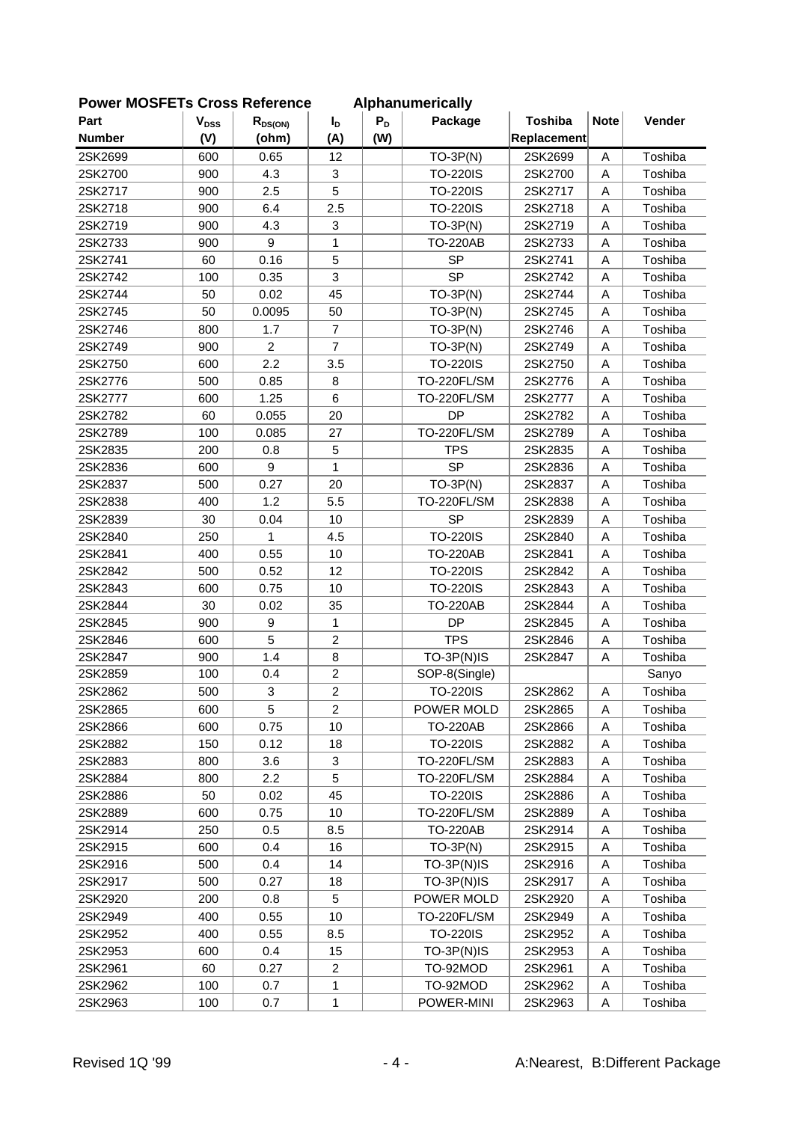| LOMEL MOOLLIS CLOSS VEIGLEICE |           |                |                |       | <b>Alphanumentally</b> |                |             |         |
|-------------------------------|-----------|----------------|----------------|-------|------------------------|----------------|-------------|---------|
| Part                          | $V_{DSS}$ | $R_{DS(ON)}$   | $I_{\text{D}}$ | $P_D$ | Package                | <b>Toshiba</b> | <b>Note</b> | Vender  |
| <b>Number</b>                 | (V)       | (ohm)          | (A)            | (W)   |                        | Replacement    |             |         |
| 2SK2699                       | 600       | 0.65           | 12             |       | $TO-3P(N)$             | 2SK2699        | A           | Toshiba |
| 2SK2700                       | 900       | 4.3            | 3              |       | <b>TO-220IS</b>        | 2SK2700        | A           | Toshiba |
| 2SK2717                       | 900       | 2.5            | 5              |       | <b>TO-220IS</b>        | 2SK2717        | A           | Toshiba |
| 2SK2718                       | 900       | 6.4            | 2.5            |       | <b>TO-220IS</b>        | 2SK2718        | A           | Toshiba |
| 2SK2719                       | 900       | 4.3            | 3              |       | $TO-3P(N)$             | 2SK2719        | A           | Toshiba |
| 2SK2733                       | 900       | 9              | 1              |       | <b>TO-220AB</b>        | 2SK2733        | A           | Toshiba |
| 2SK2741                       | 60        | 0.16           | 5              |       | <b>SP</b>              | 2SK2741        | A           | Toshiba |
| 2SK2742                       | 100       | 0.35           | 3              |       | <b>SP</b>              | 2SK2742        | A           | Toshiba |
| 2SK2744                       | 50        | 0.02           | 45             |       | $TO-3P(N)$             | 2SK2744        | A           | Toshiba |
| 2SK2745                       | 50        | 0.0095         | 50             |       | $TO-3P(N)$             | 2SK2745        | A           | Toshiba |
| 2SK2746                       | 800       | 1.7            | $\overline{7}$ |       | $TO-3P(N)$             | 2SK2746        | A           | Toshiba |
| 2SK2749                       | 900       | $\overline{c}$ | $\overline{7}$ |       | $TO-3P(N)$             | 2SK2749        | A           | Toshiba |
| 2SK2750                       | 600       | 2.2            | 3.5            |       | <b>TO-220IS</b>        | 2SK2750        | A           | Toshiba |
| 2SK2776                       | 500       | 0.85           | 8              |       | TO-220FL/SM            | 2SK2776        | A           | Toshiba |
| 2SK2777                       | 600       | 1.25           | $6\phantom{1}$ |       | TO-220FL/SM            | 2SK2777        | A           | Toshiba |
| 2SK2782                       | 60        | 0.055          | 20             |       | <b>DP</b>              | 2SK2782        | A           | Toshiba |
| 2SK2789                       | 100       | 0.085          | 27             |       | <b>TO-220FL/SM</b>     | 2SK2789        | A           | Toshiba |
| 2SK2835                       | 200       | 0.8            | 5              |       | <b>TPS</b>             | 2SK2835        | A           | Toshiba |
| 2SK2836                       | 600       | 9              | 1              |       | <b>SP</b>              | 2SK2836        | Α           | Toshiba |
| 2SK2837                       | 500       | 0.27           | 20             |       | $TO-3P(N)$             | 2SK2837        | A           | Toshiba |
| 2SK2838                       | 400       | 1.2            | 5.5            |       | TO-220FL/SM            | 2SK2838        | A           | Toshiba |
| 2SK2839                       | 30        | 0.04           | 10             |       | <b>SP</b>              | 2SK2839        | A           | Toshiba |
| 2SK2840                       | 250       | 1              | 4.5            |       | <b>TO-220IS</b>        | 2SK2840        | A           | Toshiba |
| 2SK2841                       | 400       | 0.55           | 10             |       | <b>TO-220AB</b>        | 2SK2841        | A           | Toshiba |
| 2SK2842                       | 500       | 0.52           | 12             |       | <b>TO-220IS</b>        | 2SK2842        | A           | Toshiba |
| 2SK2843                       | 600       | 0.75           | 10             |       | <b>TO-220IS</b>        | 2SK2843        | A           | Toshiba |
| 2SK2844                       | 30        | 0.02           | 35             |       | <b>TO-220AB</b>        | 2SK2844        | A           | Toshiba |
| 2SK2845                       | 900       | 9              | 1              |       | DP                     | 2SK2845        | A           | Toshiba |
| 2SK2846                       | 600       | 5              | $\overline{2}$ |       | <b>TPS</b>             | 2SK2846        | A           | Toshiba |
| 2SK2847                       | 900       | 1.4            | 8              |       | TO-3P(N)IS             | 2SK2847        | A           | Toshiba |
| 2SK2859                       | 100       | 0.4            | $\overline{c}$ |       | SOP-8(Single)          |                |             | Sanyo   |
| 2SK2862                       | 500       | 3              | $\overline{2}$ |       | <b>TO-220IS</b>        | 2SK2862        | Α           | Toshiba |
| 2SK2865                       | 600       | 5              | $\overline{c}$ |       | POWER MOLD             | 2SK2865        | A           | Toshiba |
| 2SK2866                       | 600       | 0.75           | 10             |       | <b>TO-220AB</b>        | 2SK2866        | A           | Toshiba |
| 2SK2882                       | 150       | 0.12           | 18             |       | <b>TO-220IS</b>        | 2SK2882        | Α           | Toshiba |
| 2SK2883                       | 800       | 3.6            | 3              |       | TO-220FL/SM            | 2SK2883        | Α           | Toshiba |
| 2SK2884                       | 800       | 2.2            | 5              |       | TO-220FL/SM            | 2SK2884        | Α           | Toshiba |
| 2SK2886                       | 50        | 0.02           | 45             |       | <b>TO-220IS</b>        | 2SK2886        | Α           | Toshiba |
| 2SK2889                       | 600       | 0.75           | 10             |       | <b>TO-220FL/SM</b>     | 2SK2889        | Α           | Toshiba |
| 2SK2914                       | 250       | 0.5            | 8.5            |       | <b>TO-220AB</b>        | 2SK2914        | Α           | Toshiba |
| 2SK2915                       | 600       | 0.4            | 16             |       | $TO-3P(N)$             | 2SK2915        | Α           | Toshiba |
| 2SK2916                       | 500       | 0.4            | 14             |       | $TO-3P(N)$ IS          | 2SK2916        | Α           | Toshiba |
| 2SK2917                       | 500       | 0.27           | 18             |       | $TO-3P(N)$ IS          | 2SK2917        | Α           | Toshiba |
| 2SK2920                       | 200       | 0.8            | 5              |       | POWER MOLD             | 2SK2920        | Α           | Toshiba |
| 2SK2949                       | 400       | 0.55           | 10             |       | TO-220FL/SM            | 2SK2949        | A           | Toshiba |
| 2SK2952                       | 400       | 0.55           | 8.5            |       | <b>TO-220IS</b>        | 2SK2952        | Α           | Toshiba |
| 2SK2953                       | 600       | 0.4            | 15             |       | $TO-3P(N)$ IS          | 2SK2953        | Α           | Toshiba |
| 2SK2961                       | 60        | 0.27           | $\overline{c}$ |       | TO-92MOD               | 2SK2961        | A           | Toshiba |
| 2SK2962                       | 100       | 0.7            | 1              |       | TO-92MOD               | 2SK2962        | A           | Toshiba |
| 2SK2963                       | 100       | 0.7            | 1              |       | POWER-MINI             | 2SK2963        | Α           | Toshiba |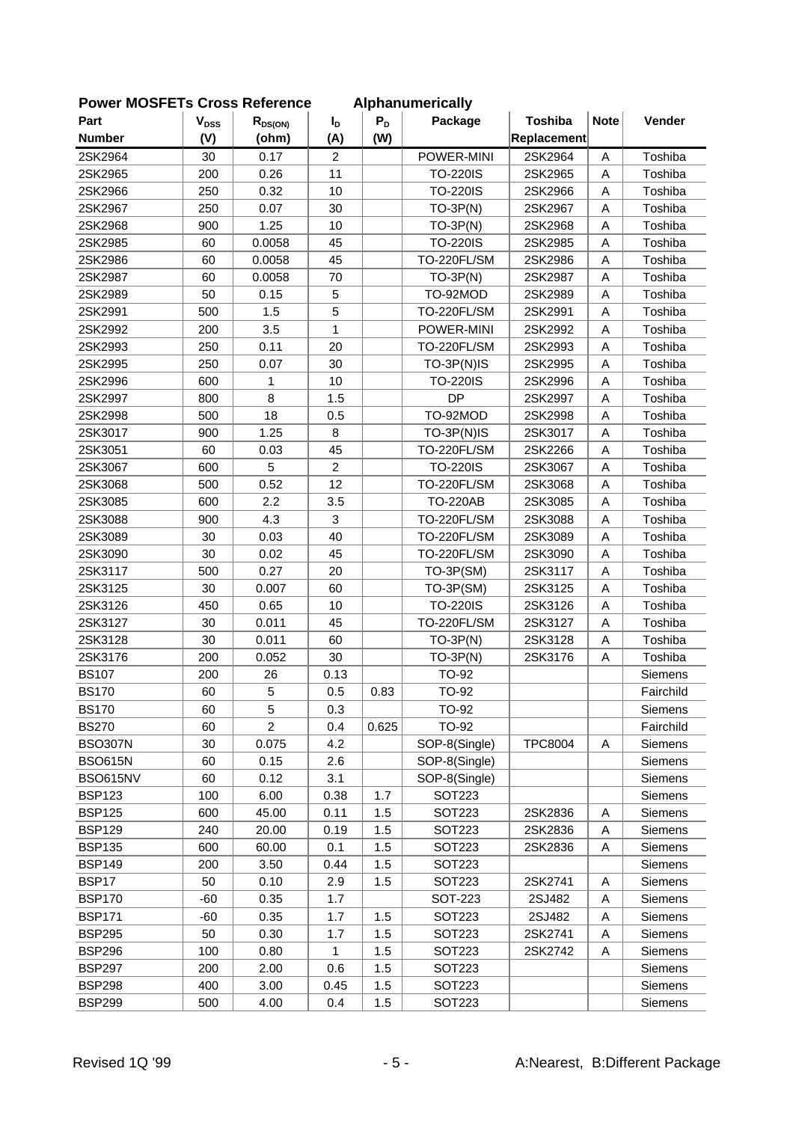| FUWEI MUJELIS UIUSS NEIEIEIIUE |           |                |                |       | <b>Alphanumencally</b> |                |             |           |
|--------------------------------|-----------|----------------|----------------|-------|------------------------|----------------|-------------|-----------|
| Part                           | $V_{DSS}$ | $R_{DS(ON)}$   | $I_{\text{D}}$ | $P_D$ | Package                | <b>Toshiba</b> | <b>Note</b> | Vender    |
| <b>Number</b>                  | (V)       | (ohm)          | (A)            | (W)   |                        | Replacement    |             |           |
| 2SK2964                        | 30        | 0.17           | $\overline{2}$ |       | POWER-MINI             | 2SK2964        | A           | Toshiba   |
| 2SK2965                        | 200       | 0.26           | 11             |       | <b>TO-220IS</b>        | 2SK2965        | A           | Toshiba   |
| 2SK2966                        | 250       | 0.32           | 10             |       | <b>TO-220IS</b>        | 2SK2966        | A           | Toshiba   |
| 2SK2967                        | 250       | 0.07           | 30             |       | $TO-3P(N)$             | 2SK2967        | A           | Toshiba   |
| 2SK2968                        | 900       | 1.25           | 10             |       | $TO-3P(N)$             | 2SK2968        | A           | Toshiba   |
| 2SK2985                        | 60        | 0.0058         | 45             |       | <b>TO-220IS</b>        | 2SK2985        | A           | Toshiba   |
| 2SK2986                        | 60        | 0.0058         | 45             |       | TO-220FL/SM            | 2SK2986        | A           | Toshiba   |
| 2SK2987                        | 60        | 0.0058         | 70             |       | $TO-3P(N)$             | 2SK2987        | A           | Toshiba   |
| 2SK2989                        | 50        | 0.15           | 5              |       | TO-92MOD               | 2SK2989        | A           | Toshiba   |
| 2SK2991                        | 500       | 1.5            | 5              |       | TO-220FL/SM            | 2SK2991        | A           | Toshiba   |
| 2SK2992                        | 200       | 3.5            | $\mathbf{1}$   |       | POWER-MINI             | 2SK2992        | A           | Toshiba   |
| 2SK2993                        | 250       | 0.11           | 20             |       | TO-220FL/SM            | 2SK2993        | A           | Toshiba   |
| 2SK2995                        | 250       | 0.07           | 30             |       | TO-3P(N)IS             | 2SK2995        | A           | Toshiba   |
| 2SK2996                        | 600       | 1              | 10             |       | <b>TO-220IS</b>        | 2SK2996        | A           | Toshiba   |
| 2SK2997                        | 800       | 8              | 1.5            |       | <b>DP</b>              | 2SK2997        | A           | Toshiba   |
| 2SK2998                        | 500       | 18             | 0.5            |       | TO-92MOD               | 2SK2998        | A           | Toshiba   |
| 2SK3017                        | 900       | 1.25           | 8              |       | TO-3P(N)IS             | 2SK3017        | A           | Toshiba   |
| 2SK3051                        | 60        | 0.03           | 45             |       | TO-220FL/SM            | 2SK2266        | A           | Toshiba   |
| 2SK3067                        | 600       | 5              | $\overline{c}$ |       | <b>TO-220IS</b>        | 2SK3067        | Α           | Toshiba   |
| 2SK3068                        | 500       | 0.52           | 12             |       | TO-220FL/SM            | 2SK3068        | A           | Toshiba   |
| 2SK3085                        | 600       | 2.2            | 3.5            |       | <b>TO-220AB</b>        | 2SK3085        | A           | Toshiba   |
| 2SK3088                        | 900       | 4.3            | 3              |       | TO-220FL/SM            | 2SK3088        | A           | Toshiba   |
| 2SK3089                        | 30        | 0.03           | 40             |       | TO-220FL/SM            | 2SK3089        | A           | Toshiba   |
| 2SK3090                        | 30        | 0.02           | 45             |       | TO-220FL/SM            | 2SK3090        | A           | Toshiba   |
| 2SK3117                        | 500       | 0.27           | 20             |       | TO-3P(SM)              | 2SK3117        | Α           | Toshiba   |
| 2SK3125                        | 30        | 0.007          | 60             |       | TO-3P(SM)              | 2SK3125        | A           | Toshiba   |
| 2SK3126                        | 450       | 0.65           | 10             |       | <b>TO-220IS</b>        | 2SK3126        | A           | Toshiba   |
| 2SK3127                        | 30        | 0.011          | 45             |       | TO-220FL/SM            | 2SK3127        | A           | Toshiba   |
| 2SK3128                        | 30        | 0.011          | 60             |       | $TO-3P(N)$             | 2SK3128        | A           | Toshiba   |
| 2SK3176                        | 200       | 0.052          | 30             |       | $TO-3P(N)$             | 2SK3176        | Α           | Toshiba   |
| <b>BS107</b>                   | 200       | 26             | 0.13           |       | TO-92                  |                |             | Siemens   |
| <b>BS170</b>                   | 60        | 5              | 0.5            | 0.83  | TO-92                  |                |             | Fairchild |
| <b>BS170</b>                   | 60        | 5              | 0.3            |       | TO-92                  |                |             | Siemens   |
| <b>BS270</b>                   | 60        | $\overline{2}$ | 0.4            | 0.625 | TO-92                  |                |             | Fairchild |
| <b>BSO307N</b>                 | 30        | 0.075          | 4.2            |       | SOP-8(Single)          | <b>TPC8004</b> | Α           | Siemens   |
| <b>BSO615N</b>                 | 60        | 0.15           | 2.6            |       | SOP-8(Single)          |                |             | Siemens   |
| BSO615NV                       | 60        | 0.12           | 3.1            |       | SOP-8(Single)          |                |             | Siemens   |
| <b>BSP123</b>                  | 100       | 6.00           | 0.38           | 1.7   | SOT223                 |                |             | Siemens   |
| <b>BSP125</b>                  | 600       | 45.00          | 0.11           | 1.5   | SOT223                 | 2SK2836        | Α           | Siemens   |
| <b>BSP129</b>                  | 240       | 20.00          | 0.19           | 1.5   | <b>SOT223</b>          | 2SK2836        | Α           | Siemens   |
| <b>BSP135</b>                  | 600       | 60.00          | 0.1            | 1.5   | <b>SOT223</b>          | 2SK2836        | Α           | Siemens   |
| <b>BSP149</b>                  | 200       | 3.50           | 0.44           | 1.5   | SOT223                 |                |             | Siemens   |
| BSP17                          | 50        | 0.10           | 2.9            | 1.5   | SOT223                 | 2SK2741        | Α           | Siemens   |
| <b>BSP170</b>                  | -60       | 0.35           | 1.7            |       | <b>SOT-223</b>         | 2SJ482         | Α           | Siemens   |
| <b>BSP171</b>                  | $-60$     | 0.35           | 1.7            | 1.5   | SOT223                 | 2SJ482         | A           | Siemens   |
| <b>BSP295</b>                  | 50        | 0.30           | 1.7            | 1.5   | SOT223                 | 2SK2741        | Α           | Siemens   |
| <b>BSP296</b>                  | 100       | 0.80           | 1              | 1.5   | SOT223                 | 2SK2742        | Α           | Siemens   |
| <b>BSP297</b>                  | 200       | 2.00           | 0.6            | 1.5   | SOT223                 |                |             | Siemens   |
| <b>BSP298</b>                  | 400       | 3.00           | 0.45           | 1.5   | <b>SOT223</b>          |                |             | Siemens   |
| <b>BSP299</b>                  | 500       | 4.00           | 0.4            | 1.5   | SOT223                 |                |             | Siemens   |
|                                |           |                |                |       |                        |                |             |           |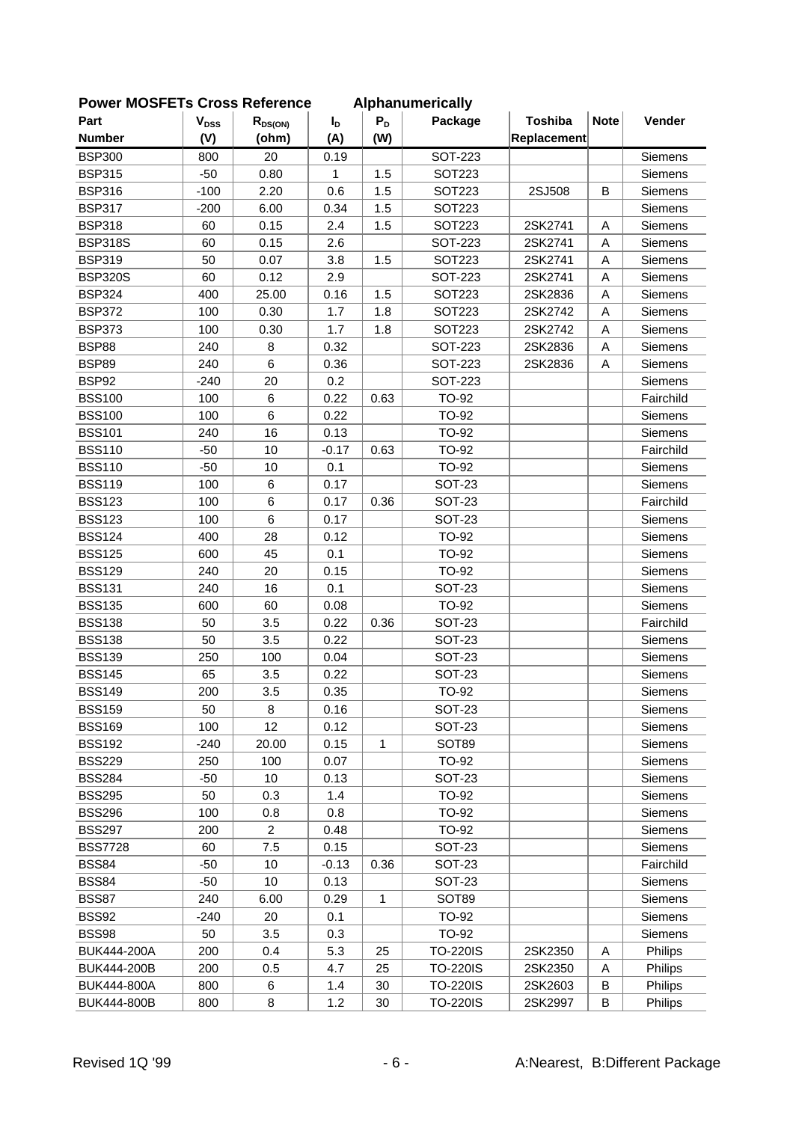| <b>FUWEI INCOFLIS CIUSS NEIEIEILE</b> |                           |                |             |              | <b>Alphanumencally</b> |                |             |                |
|---------------------------------------|---------------------------|----------------|-------------|--------------|------------------------|----------------|-------------|----------------|
| Part                                  | $\mathbf{V}_{\text{DSS}}$ | $R_{DS(ON)}$   | $I_{\rm D}$ | $P_D$        | Package                | <b>Toshiba</b> | <b>Note</b> | Vender         |
| <b>Number</b>                         | (V)                       | (ohm)          | (A)         | (W)          |                        | Replacement    |             |                |
| <b>BSP300</b>                         | 800                       | 20             | 0.19        |              | <b>SOT-223</b>         |                |             | Siemens        |
| <b>BSP315</b>                         | $-50$                     | 0.80           | 1           | 1.5          | <b>SOT223</b>          |                |             | Siemens        |
| <b>BSP316</b>                         | $-100$                    | 2.20           | 0.6         | 1.5          | <b>SOT223</b>          | 2SJ508         | B           | Siemens        |
| <b>BSP317</b>                         | $-200$                    | 6.00           | 0.34        | 1.5          | SOT223                 |                |             | Siemens        |
| <b>BSP318</b>                         | 60                        | 0.15           | 2.4         | 1.5          | SOT223                 | 2SK2741        | A           | Siemens        |
| <b>BSP318S</b>                        | 60                        | 0.15           | 2.6         |              | <b>SOT-223</b>         | 2SK2741        | A           | Siemens        |
| <b>BSP319</b>                         | 50                        | 0.07           | 3.8         | 1.5          | <b>SOT223</b>          | 2SK2741        | A           | Siemens        |
| <b>BSP320S</b>                        | 60                        | 0.12           | 2.9         |              | <b>SOT-223</b>         | 2SK2741        | A           | Siemens        |
| <b>BSP324</b>                         | 400                       | 25.00          | 0.16        | 1.5          | <b>SOT223</b>          | 2SK2836        | A           | Siemens        |
| <b>BSP372</b>                         | 100                       | 0.30           | 1.7         | 1.8          | SOT223                 | 2SK2742        | A           | Siemens        |
| <b>BSP373</b>                         | 100                       | 0.30           | 1.7         | 1.8          | SOT223                 | 2SK2742        | A           | Siemens        |
| <b>BSP88</b>                          | 240                       | $\bf 8$        | 0.32        |              | SOT-223                | 2SK2836        | Α           | Siemens        |
| <b>BSP89</b>                          | 240                       | 6              | 0.36        |              | <b>SOT-223</b>         | 2SK2836        | A           | Siemens        |
| BSP92                                 | $-240$                    | 20             | 0.2         |              | <b>SOT-223</b>         |                |             | Siemens        |
| <b>BSS100</b>                         | 100                       | 6              | 0.22        | 0.63         | <b>TO-92</b>           |                |             | Fairchild      |
| <b>BSS100</b>                         | 100                       | 6              | 0.22        |              | TO-92                  |                |             | Siemens        |
| <b>BSS101</b>                         | 240                       | 16             | 0.13        |              | TO-92                  |                |             | Siemens        |
| <b>BSS110</b>                         | $-50$                     | 10             | $-0.17$     | 0.63         | TO-92                  |                |             | Fairchild      |
| <b>BSS110</b>                         | $-50$                     | 10             | 0.1         |              | TO-92                  |                |             | Siemens        |
| <b>BSS119</b>                         | 100                       | 6              | 0.17        |              | <b>SOT-23</b>          |                |             | Siemens        |
| <b>BSS123</b>                         | 100                       | 6              | 0.17        | 0.36         | <b>SOT-23</b>          |                |             | Fairchild      |
| <b>BSS123</b>                         | 100                       | 6              | 0.17        |              | <b>SOT-23</b>          |                |             | Siemens        |
| <b>BSS124</b>                         | 400                       | 28             | 0.12        |              | TO-92                  |                |             | Siemens        |
| <b>BSS125</b>                         | 600                       | 45             | 0.1         |              | TO-92                  |                |             | Siemens        |
| <b>BSS129</b>                         | 240                       | 20             | 0.15        |              | TO-92                  |                |             | Siemens        |
| <b>BSS131</b>                         | 240                       | 16             | 0.1         |              | <b>SOT-23</b>          |                |             | Siemens        |
| <b>BSS135</b>                         | 600                       | 60             | 0.08        |              | TO-92                  |                |             | Siemens        |
| <b>BSS138</b>                         | 50                        | 3.5            | 0.22        | 0.36         | <b>SOT-23</b>          |                |             | Fairchild      |
| <b>BSS138</b>                         | 50                        | 3.5            | 0.22        |              | <b>SOT-23</b>          |                |             | Siemens        |
| <b>BSS139</b>                         | 250                       | 100            | 0.04        |              | <b>SOT-23</b>          |                |             | Siemens        |
| <b>BSS145</b>                         | 65                        | 3.5            | 0.22        |              | <b>SOT-23</b>          |                |             | Siemens        |
| <b>BSS149</b>                         | 200                       | 3.5            | 0.35        |              | TO-92                  |                |             | Siemens        |
| <b>BSS159</b>                         | 50                        | 8              | 0.16        |              | <b>SOT-23</b>          |                |             | Siemens        |
| <b>BSS169</b>                         | 100                       | 12             | 0.12        |              | <b>SOT-23</b>          |                |             | Siemens        |
| <b>BSS192</b>                         | $-240$                    | 20.00          | 0.15        | $\mathbf{1}$ | SOT89                  |                |             | Siemens        |
| <b>BSS229</b>                         | 250                       | 100            | 0.07        |              | TO-92                  |                |             | Siemens        |
| <b>BSS284</b>                         | -50                       | 10             | 0.13        |              | SOT-23                 |                |             | Siemens        |
| <b>BSS295</b>                         | 50                        | 0.3            | 1.4         |              | TO-92                  |                |             | Siemens        |
| <b>BSS296</b>                         | 100                       | 0.8            | 0.8         |              | TO-92                  |                |             | Siemens        |
| <b>BSS297</b>                         | 200                       | $\overline{2}$ | 0.48        |              | TO-92                  |                |             | Siemens        |
| <b>BSS7728</b>                        | 60                        | 7.5            | 0.15        |              | <b>SOT-23</b>          |                |             | Siemens        |
| <b>BSS84</b>                          | -50                       | 10             | $-0.13$     | 0.36         | <b>SOT-23</b>          |                |             | Fairchild      |
| <b>BSS84</b>                          | -50                       | 10             | 0.13        |              | SOT-23                 |                |             | Siemens        |
| <b>BSS87</b>                          | 240                       | 6.00           | 0.29        | $\mathbf{1}$ | SOT89                  |                |             | Siemens        |
| <b>BSS92</b>                          | $-240$                    | 20             | 0.1         |              | TO-92                  |                |             | Siemens        |
| <b>BSS98</b>                          |                           | 3.5            |             |              | TO-92                  |                |             |                |
|                                       | 50                        | 0.4            | 0.3         |              |                        |                |             | Siemens        |
| BUK444-200A                           | 200                       |                | 5.3         | 25           | <b>TO-220IS</b>        | 2SK2350        | Α           | <b>Philips</b> |
| BUK444-200B                           | 200                       | 0.5            | 4.7         | 25           | <b>TO-220IS</b>        | 2SK2350        | Α           | Philips        |
| BUK444-800A                           | 800                       | 6              | 1.4         | 30           | <b>TO-220IS</b>        | 2SK2603        | В           | Philips        |
| BUK444-800B                           | 800                       | 8              | 1.2         | 30           | <b>TO-220IS</b>        | 2SK2997        | B           | Philips        |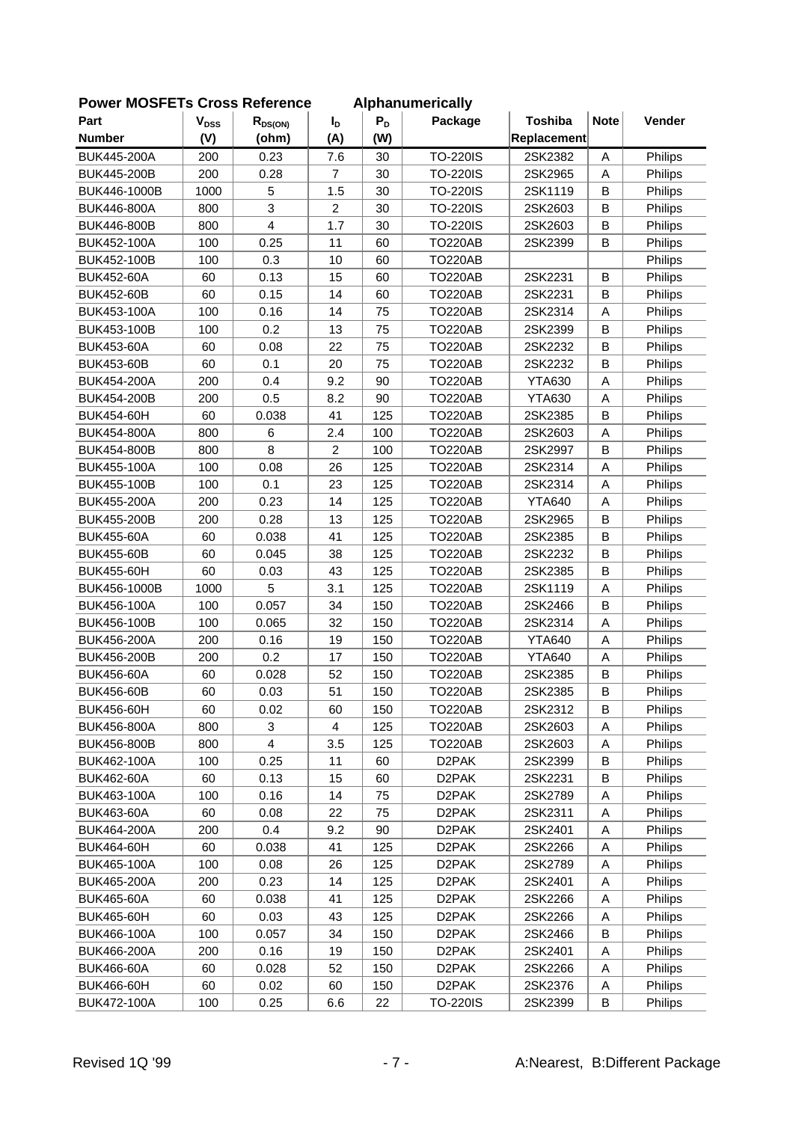| <b>OWEI INCOLLIS CIUSS REIEIEILE</b> |           |              |                |       | <b>Alphanumentally</b> |                |             |         |
|--------------------------------------|-----------|--------------|----------------|-------|------------------------|----------------|-------------|---------|
| Part                                 | $V_{DSS}$ | $R_{DS(ON)}$ | I <sub>D</sub> | $P_D$ | Package                | <b>Toshiba</b> | <b>Note</b> | Vender  |
| <b>Number</b>                        | (V)       | (ohm)        | (A)            | (W)   |                        | Replacement    |             |         |
| <b>BUK445-200A</b>                   | 200       | 0.23         | 7.6            | 30    | <b>TO-220IS</b>        | 2SK2382        | A           | Philips |
| BUK445-200B                          | 200       | 0.28         | $\overline{7}$ | 30    | <b>TO-220IS</b>        | 2SK2965        | A           | Philips |
| BUK446-1000B                         | 1000      | 5            | 1.5            | 30    | <b>TO-220IS</b>        | 2SK1119        | B           | Philips |
| BUK446-800A                          | 800       | 3            | $\overline{2}$ | 30    | <b>TO-220IS</b>        | 2SK2603        | B           | Philips |
| BUK446-800B                          | 800       | 4            | 1.7            | 30    | <b>TO-220IS</b>        | 2SK2603        | B           | Philips |
| BUK452-100A                          | 100       | 0.25         | 11             | 60    | <b>TO220AB</b>         | 2SK2399        | B           | Philips |
| BUK452-100B                          | 100       | 0.3          | 10             | 60    | <b>TO220AB</b>         |                |             | Philips |
| <b>BUK452-60A</b>                    | 60        | 0.13         | 15             | 60    | <b>TO220AB</b>         | 2SK2231        | B           | Philips |
| <b>BUK452-60B</b>                    | 60        | 0.15         | 14             | 60    | <b>TO220AB</b>         | 2SK2231        | B           | Philips |
| BUK453-100A                          | 100       | 0.16         | 14             | 75    | <b>TO220AB</b>         | 2SK2314        | Α           | Philips |
| BUK453-100B                          | 100       | 0.2          | 13             | 75    | <b>TO220AB</b>         | 2SK2399        | B           | Philips |
| <b>BUK453-60A</b>                    | 60        | 0.08         | 22             | 75    | <b>TO220AB</b>         | 2SK2232        | B           | Philips |
| <b>BUK453-60B</b>                    | 60        | 0.1          | 20             | 75    | <b>TO220AB</b>         | 2SK2232        | B           | Philips |
| BUK454-200A                          | 200       | 0.4          | 9.2            | 90    | <b>TO220AB</b>         | <b>YTA630</b>  | Α           | Philips |
| <b>BUK454-200B</b>                   | 200       | 0.5          | 8.2            | 90    | <b>TO220AB</b>         | <b>YTA630</b>  | Α           | Philips |
| <b>BUK454-60H</b>                    | 60        | 0.038        | 41             | 125   | <b>TO220AB</b>         | 2SK2385        | B           | Philips |
| BUK454-800A                          | 800       | 6            | 2.4            | 100   | <b>TO220AB</b>         | 2SK2603        | A           | Philips |
| BUK454-800B                          | 800       | 8            | $\overline{c}$ | 100   | <b>TO220AB</b>         | 2SK2997        | B           | Philips |
| BUK455-100A                          | 100       | 0.08         | 26             | 125   | <b>TO220AB</b>         | 2SK2314        | Α           | Philips |
| BUK455-100B                          | 100       | 0.1          | 23             | 125   | <b>TO220AB</b>         | 2SK2314        | Α           | Philips |
| <b>BUK455-200A</b>                   | 200       | 0.23         | 14             | 125   | <b>TO220AB</b>         | <b>YTA640</b>  | Α           | Philips |
| BUK455-200B                          | 200       | 0.28         | 13             | 125   | <b>TO220AB</b>         | 2SK2965        | B           | Philips |
| <b>BUK455-60A</b>                    | 60        | 0.038        | 41             | 125   | <b>TO220AB</b>         | 2SK2385        | B           | Philips |
| <b>BUK455-60B</b>                    | 60        | 0.045        | 38             | 125   | <b>TO220AB</b>         | 2SK2232        | B           | Philips |
| <b>BUK455-60H</b>                    | 60        | 0.03         | 43             | 125   | <b>TO220AB</b>         | 2SK2385        | B           | Philips |
| BUK456-1000B                         | 1000      | 5            | 3.1            | 125   | <b>TO220AB</b>         | 2SK1119        | Α           | Philips |
| BUK456-100A                          | 100       | 0.057        | 34             | 150   | <b>TO220AB</b>         | 2SK2466        | B           | Philips |
| BUK456-100B                          | 100       | 0.065        | 32             | 150   | <b>TO220AB</b>         | 2SK2314        | Α           | Philips |
| BUK456-200A                          | 200       | 0.16         | 19             | 150   | <b>TO220AB</b>         | <b>YTA640</b>  | A           | Philips |
| BUK456-200B                          | 200       | 0.2          | 17             | 150   | <b>TO220AB</b>         | <b>YTA640</b>  | Α           | Philips |
| <b>BUK456-60A</b>                    | 60        | 0.028        | 52             | 150   | <b>TO220AB</b>         | 2SK2385        | В           | Philips |
| <b>BUK456-60B</b>                    | 60        | 0.03         | 51             | 150   | <b>TO220AB</b>         | 2SK2385        | B           | Philips |
| BUK456-60H                           | 60        | 0.02         | 60             | 150   | <b>TO220AB</b>         | 2SK2312        | B           | Philips |
| BUK456-800A                          | 800       | 3            | 4              | 125   | <b>TO220AB</b>         | 2SK2603        | Α           | Philips |
| BUK456-800B                          | 800       | 4            | 3.5            | 125   | <b>TO220AB</b>         | 2SK2603        | Α           | Philips |
| BUK462-100A                          | 100       | 0.25         | 11             | 60    | D <sub>2</sub> PAK     | 2SK2399        | В           | Philips |
| <b>BUK462-60A</b>                    | 60        | 0.13         | 15             | 60    | D <sub>2</sub> PAK     | 2SK2231        | В           | Philips |
| BUK463-100A                          | 100       | 0.16         | 14             | 75    | D <sub>2</sub> PAK     | 2SK2789        | Α           | Philips |
| <b>BUK463-60A</b>                    | 60        | 0.08         | 22             | 75    | D <sub>2</sub> PAK     | 2SK2311        | А           | Philips |
| BUK464-200A                          | 200       | 0.4          | 9.2            | 90    | D <sub>2</sub> PAK     | 2SK2401        | Α           | Philips |
| <b>BUK464-60H</b>                    | 60        | 0.038        | 41             | 125   | D <sub>2</sub> PAK     | 2SK2266        | Α           | Philips |
| BUK465-100A                          | 100       | 0.08         | 26             | 125   | D <sub>2</sub> PAK     | 2SK2789        | Α           | Philips |
| BUK465-200A                          | 200       | 0.23         | 14             | 125   | D <sub>2</sub> PAK     | 2SK2401        | Α           | Philips |
| <b>BUK465-60A</b>                    | 60        | 0.038        | 41             | 125   | D <sub>2</sub> PAK     | 2SK2266        | Α           | Philips |
| <b>BUK465-60H</b>                    | 60        | 0.03         | 43             | 125   | D <sub>2</sub> PAK     | 2SK2266        | А           | Philips |
|                                      |           |              |                |       |                        |                |             |         |
| BUK466-100A                          | 100       | 0.057        | 34<br>19       | 150   | D <sub>2</sub> PAK     | 2SK2466        | В           | Philips |
| BUK466-200A                          | 200       | 0.16         |                | 150   | D <sub>2</sub> PAK     | 2SK2401        | Α           | Philips |
| <b>BUK466-60A</b>                    | 60        | 0.028        | 52             | 150   | D <sub>2</sub> PAK     | 2SK2266        | А           | Philips |
| <b>BUK466-60H</b>                    | 60        | 0.02         | 60             | 150   | D <sub>2</sub> PAK     | 2SK2376        | Α           | Philips |
| BUK472-100A                          | 100       | 0.25         | 6.6            | 22    | <b>TO-220IS</b>        | 2SK2399        | В           | Philips |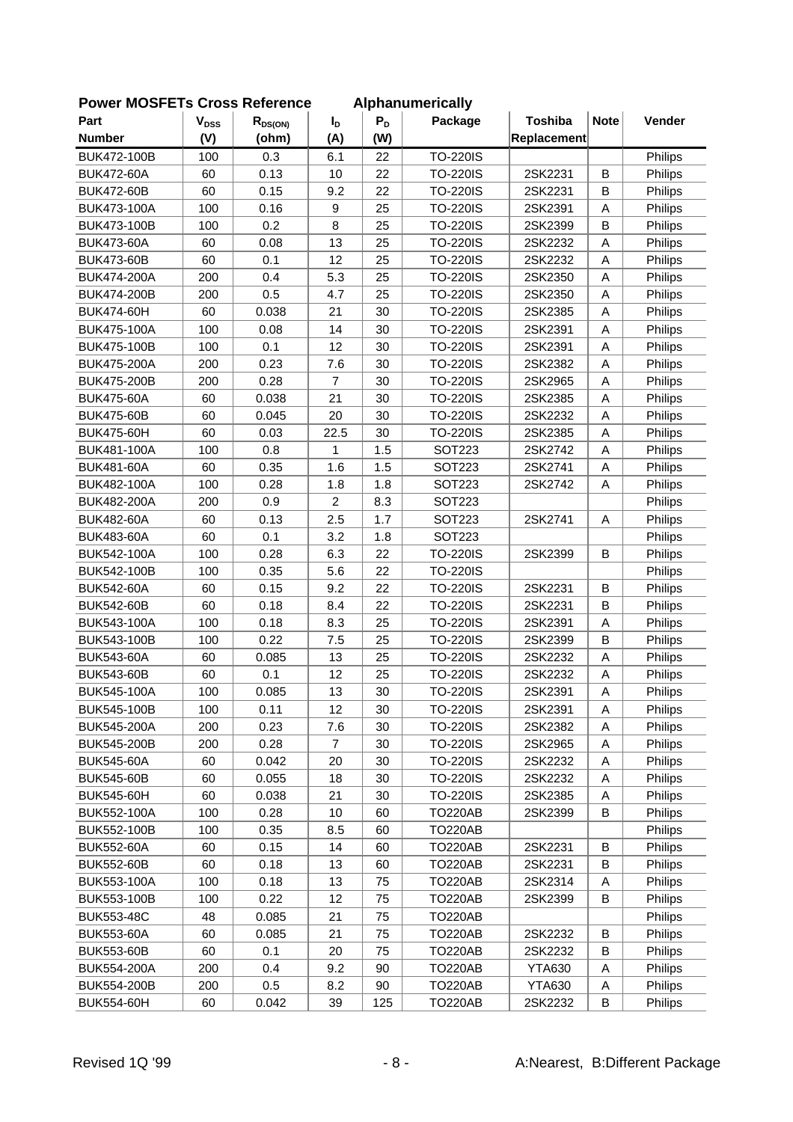| <b>Note</b><br><b>Toshiba</b><br>Vender<br>Part<br>$V_{DSS}$<br>$P_D$<br>Package<br>$R_{DS(ON)}$<br>I <sub>D</sub><br><b>Number</b><br>(V)<br>(ohm)<br>(A)<br>(W)<br>Replacement<br><b>BUK472-100B</b><br>100<br>0.3<br>6.1<br>22<br><b>TO-220IS</b><br>Philips<br>0.13<br>10<br><b>TO-220IS</b><br>B<br><b>BUK472-60A</b><br>60<br>22<br>2SK2231<br>Philips<br><b>TO-220IS</b><br><b>BUK472-60B</b><br>60<br>0.15<br>9.2<br>22<br>2SK2231<br>B<br>Philips<br>BUK473-100A<br>100<br>0.16<br>9<br>25<br><b>TO-220IS</b><br>2SK2391<br>Α<br>Philips<br>0.2<br>8<br>25<br>B<br>BUK473-100B<br>100<br><b>TO-220IS</b><br>2SK2399<br>Philips<br><b>BUK473-60A</b><br>60<br>0.08<br>13<br>25<br><b>TO-220IS</b><br>2SK2232<br>Philips<br>Α<br>0.1<br>12<br><b>BUK473-60B</b><br>60<br>25<br><b>TO-220IS</b><br>2SK2232<br>Philips<br>Α<br>0.4<br>5.3<br>BUK474-200A<br>200<br>25<br><b>TO-220IS</b><br>2SK2350<br>Α<br>Philips<br>0.5<br>200<br>4.7<br>25<br><b>TO-220IS</b><br>Α<br>Philips<br><b>BUK474-200B</b><br>2SK2350<br>60<br>0.038<br>21<br>30<br><b>TO-220IS</b><br>2SK2385<br>Α<br>Philips<br><b>BUK474-60H</b><br>BUK475-100A<br>100<br>0.08<br>14<br>30<br><b>TO-220IS</b><br>2SK2391<br>Α<br>Philips<br>12<br>BUK475-100B<br>100<br>0.1<br>30<br><b>TO-220IS</b><br>2SK2391<br>Philips<br>Α<br>0.23<br><b>BUK475-200A</b><br>200<br>7.6<br>30<br><b>TO-220IS</b><br>2SK2382<br>Α<br>Philips<br>0.28<br>$\overline{7}$<br>30<br><b>TO-220IS</b><br>BUK475-200B<br>200<br>2SK2965<br>Α<br>Philips<br>21<br><b>TO-220IS</b><br>60<br>0.038<br>30<br>2SK2385<br>Α<br>Philips<br><b>BUK475-60A</b><br>60<br>20<br><b>TO-220IS</b><br><b>BUK475-60B</b><br>0.045<br>30<br>2SK2232<br>Α<br>Philips<br>60<br><b>BUK475-60H</b><br>0.03<br>22.5<br>30<br><b>TO-220IS</b><br>2SK2385<br>Α<br>Philips<br>100<br>0.8<br>1.5<br><b>SOT223</b><br>2SK2742<br>Philips<br>BUK481-100A<br>Α<br>1<br><b>BUK481-60A</b><br>60<br>0.35<br>1.6<br>1.5<br><b>SOT223</b><br>2SK2741<br>Philips<br>Α<br>BUK482-100A<br>100<br>0.28<br>1.8<br>1.8<br><b>SOT223</b><br>2SK2742<br>Α<br>Philips<br>$\overline{2}$<br>200<br>0.9<br>8.3<br><b>SOT223</b><br>Philips<br>BUK482-200A<br>2.5<br>1.7<br><b>BUK482-60A</b><br>60<br>0.13<br><b>SOT223</b><br>2SK2741<br>Philips<br>Α<br>60<br>0.1<br><b>BUK483-60A</b><br>3.2<br>1.8<br>SOT223<br>Philips<br>2SK2399<br>100<br>0.28<br>6.3<br>22<br><b>TO-220IS</b><br>B<br>Philips<br>BUK542-100A<br>BUK542-100B<br>100<br>0.35<br>5.6<br>22<br><b>TO-220IS</b><br>Philips<br>0.15<br>22<br>B<br><b>BUK542-60A</b><br>60<br>9.2<br><b>TO-220IS</b><br>2SK2231<br>Philips<br>22<br><b>TO-220IS</b><br>B<br><b>BUK542-60B</b><br>60<br>0.18<br>8.4<br>2SK2231<br>Philips<br>BUK543-100A<br>100<br>0.18<br>8.3<br>25<br><b>TO-220IS</b><br>2SK2391<br>Philips<br>Α<br>0.22<br>B<br>BUK543-100B<br>100<br>7.5<br>25<br><b>TO-220IS</b><br>2SK2399<br>Philips<br>13<br>BUK543-60A<br>60<br>0.085<br>25<br><b>TO-220IS</b><br>2SK2232<br>Α<br>Philips<br><b>BUK543-60B</b><br>60<br>0.1<br>12<br>25<br>TO-220IS<br>2SK2232<br>Philips<br>Α<br>13<br>BUK545-100A<br>100<br>0.085<br>30<br><b>TO-220IS</b><br>2SK2391<br>Α<br>Philips<br>12<br>100<br>0.11<br>30<br><b>TO-220IS</b><br>2SK2391<br>Philips<br>BUK545-100B<br>A<br>BUK545-200A<br>200<br>0.23<br>7.6<br>30<br>TO-220IS<br>2SK2382<br>Α<br>Philips<br>0.28<br>BUK545-200B<br>200<br>$\overline{7}$<br>30<br><b>TO-220IS</b><br>2SK2965<br>А<br>Philips<br>30<br><b>BUK545-60A</b><br>60<br>0.042<br>20<br><b>TO-220IS</b><br>2SK2232<br>Philips<br>Α<br><b>BUK545-60B</b><br>60<br>0.055<br>18<br>30<br>TO-220IS<br>2SK2232<br>Philips<br>Α<br><b>BUK545-60H</b><br>60<br>0.038<br>21<br>30<br><b>TO-220IS</b><br>2SK2385<br>Philips<br>Α<br>0.28<br>10<br><b>BUK552-100A</b><br>100<br>60<br><b>TO220AB</b><br>2SK2399<br>В<br>Philips<br>0.35<br>8.5<br>60<br><b>TO220AB</b><br>BUK552-100B<br>100<br>Philips<br>60<br>0.15<br>14<br>2SK2231<br>В<br><b>BUK552-60A</b><br>60<br>TO220AB<br>Philips<br><b>BUK552-60B</b><br>60<br>0.18<br>13<br>60<br><b>TO220AB</b><br>2SK2231<br>B<br>Philips<br>100<br>0.18<br>13<br>75<br><b>TO220AB</b><br>2SK2314<br>BUK553-100A<br>Α<br>Philips<br>0.22<br>12<br>BUK553-100B<br>100<br>75<br><b>TO220AB</b><br>2SK2399<br>В<br>Philips<br>75<br><b>BUK553-48C</b><br>48<br>0.085<br>21<br><b>TO220AB</b><br>Philips<br><b>BUK553-60A</b><br>60<br>21<br>75<br><b>TO220AB</b><br>2SK2232<br>В<br>0.085<br>Philips<br>60<br><b>BUK553-60B</b><br>0.1<br>20<br>75<br><b>TO220AB</b><br>2SK2232<br>В<br>Philips | OMEI MOOFLIS CIUSS REIEIEIICE |     |     |     |    | <b>Alphanumentally</b> |               |   |         |
|-----------------------------------------------------------------------------------------------------------------------------------------------------------------------------------------------------------------------------------------------------------------------------------------------------------------------------------------------------------------------------------------------------------------------------------------------------------------------------------------------------------------------------------------------------------------------------------------------------------------------------------------------------------------------------------------------------------------------------------------------------------------------------------------------------------------------------------------------------------------------------------------------------------------------------------------------------------------------------------------------------------------------------------------------------------------------------------------------------------------------------------------------------------------------------------------------------------------------------------------------------------------------------------------------------------------------------------------------------------------------------------------------------------------------------------------------------------------------------------------------------------------------------------------------------------------------------------------------------------------------------------------------------------------------------------------------------------------------------------------------------------------------------------------------------------------------------------------------------------------------------------------------------------------------------------------------------------------------------------------------------------------------------------------------------------------------------------------------------------------------------------------------------------------------------------------------------------------------------------------------------------------------------------------------------------------------------------------------------------------------------------------------------------------------------------------------------------------------------------------------------------------------------------------------------------------------------------------------------------------------------------------------------------------------------------------------------------------------------------------------------------------------------------------------------------------------------------------------------------------------------------------------------------------------------------------------------------------------------------------------------------------------------------------------------------------------------------------------------------------------------------------------------------------------------------------------------------------------------------------------------------------------------------------------------------------------------------------------------------------------------------------------------------------------------------------------------------------------------------------------------------------------------------------------------------------------------------------------------------------------------------------------------------------------------------------------------------------------------------------------------------------------------------------------------------------------------------------------------------------------------------------------------------------------------------------------------------------------------------------------------------------------------------------------------------------------------------------------------------------------------------------------------------------------------------------------------------------------------------------------------------------------------------------------------------------------------------------------------------------------------------------------------------------------------------------------------------------------------------------------------------------------------------|-------------------------------|-----|-----|-----|----|------------------------|---------------|---|---------|
|                                                                                                                                                                                                                                                                                                                                                                                                                                                                                                                                                                                                                                                                                                                                                                                                                                                                                                                                                                                                                                                                                                                                                                                                                                                                                                                                                                                                                                                                                                                                                                                                                                                                                                                                                                                                                                                                                                                                                                                                                                                                                                                                                                                                                                                                                                                                                                                                                                                                                                                                                                                                                                                                                                                                                                                                                                                                                                                                                                                                                                                                                                                                                                                                                                                                                                                                                                                                                                                                                                                                                                                                                                                                                                                                                                                                                                                                                                                                                                                                                                                                                                                                                                                                                                                                                                                                                                                                                                                                                                                                   |                               |     |     |     |    |                        |               |   |         |
|                                                                                                                                                                                                                                                                                                                                                                                                                                                                                                                                                                                                                                                                                                                                                                                                                                                                                                                                                                                                                                                                                                                                                                                                                                                                                                                                                                                                                                                                                                                                                                                                                                                                                                                                                                                                                                                                                                                                                                                                                                                                                                                                                                                                                                                                                                                                                                                                                                                                                                                                                                                                                                                                                                                                                                                                                                                                                                                                                                                                                                                                                                                                                                                                                                                                                                                                                                                                                                                                                                                                                                                                                                                                                                                                                                                                                                                                                                                                                                                                                                                                                                                                                                                                                                                                                                                                                                                                                                                                                                                                   |                               |     |     |     |    |                        |               |   |         |
|                                                                                                                                                                                                                                                                                                                                                                                                                                                                                                                                                                                                                                                                                                                                                                                                                                                                                                                                                                                                                                                                                                                                                                                                                                                                                                                                                                                                                                                                                                                                                                                                                                                                                                                                                                                                                                                                                                                                                                                                                                                                                                                                                                                                                                                                                                                                                                                                                                                                                                                                                                                                                                                                                                                                                                                                                                                                                                                                                                                                                                                                                                                                                                                                                                                                                                                                                                                                                                                                                                                                                                                                                                                                                                                                                                                                                                                                                                                                                                                                                                                                                                                                                                                                                                                                                                                                                                                                                                                                                                                                   |                               |     |     |     |    |                        |               |   |         |
|                                                                                                                                                                                                                                                                                                                                                                                                                                                                                                                                                                                                                                                                                                                                                                                                                                                                                                                                                                                                                                                                                                                                                                                                                                                                                                                                                                                                                                                                                                                                                                                                                                                                                                                                                                                                                                                                                                                                                                                                                                                                                                                                                                                                                                                                                                                                                                                                                                                                                                                                                                                                                                                                                                                                                                                                                                                                                                                                                                                                                                                                                                                                                                                                                                                                                                                                                                                                                                                                                                                                                                                                                                                                                                                                                                                                                                                                                                                                                                                                                                                                                                                                                                                                                                                                                                                                                                                                                                                                                                                                   |                               |     |     |     |    |                        |               |   |         |
|                                                                                                                                                                                                                                                                                                                                                                                                                                                                                                                                                                                                                                                                                                                                                                                                                                                                                                                                                                                                                                                                                                                                                                                                                                                                                                                                                                                                                                                                                                                                                                                                                                                                                                                                                                                                                                                                                                                                                                                                                                                                                                                                                                                                                                                                                                                                                                                                                                                                                                                                                                                                                                                                                                                                                                                                                                                                                                                                                                                                                                                                                                                                                                                                                                                                                                                                                                                                                                                                                                                                                                                                                                                                                                                                                                                                                                                                                                                                                                                                                                                                                                                                                                                                                                                                                                                                                                                                                                                                                                                                   |                               |     |     |     |    |                        |               |   |         |
|                                                                                                                                                                                                                                                                                                                                                                                                                                                                                                                                                                                                                                                                                                                                                                                                                                                                                                                                                                                                                                                                                                                                                                                                                                                                                                                                                                                                                                                                                                                                                                                                                                                                                                                                                                                                                                                                                                                                                                                                                                                                                                                                                                                                                                                                                                                                                                                                                                                                                                                                                                                                                                                                                                                                                                                                                                                                                                                                                                                                                                                                                                                                                                                                                                                                                                                                                                                                                                                                                                                                                                                                                                                                                                                                                                                                                                                                                                                                                                                                                                                                                                                                                                                                                                                                                                                                                                                                                                                                                                                                   |                               |     |     |     |    |                        |               |   |         |
|                                                                                                                                                                                                                                                                                                                                                                                                                                                                                                                                                                                                                                                                                                                                                                                                                                                                                                                                                                                                                                                                                                                                                                                                                                                                                                                                                                                                                                                                                                                                                                                                                                                                                                                                                                                                                                                                                                                                                                                                                                                                                                                                                                                                                                                                                                                                                                                                                                                                                                                                                                                                                                                                                                                                                                                                                                                                                                                                                                                                                                                                                                                                                                                                                                                                                                                                                                                                                                                                                                                                                                                                                                                                                                                                                                                                                                                                                                                                                                                                                                                                                                                                                                                                                                                                                                                                                                                                                                                                                                                                   |                               |     |     |     |    |                        |               |   |         |
|                                                                                                                                                                                                                                                                                                                                                                                                                                                                                                                                                                                                                                                                                                                                                                                                                                                                                                                                                                                                                                                                                                                                                                                                                                                                                                                                                                                                                                                                                                                                                                                                                                                                                                                                                                                                                                                                                                                                                                                                                                                                                                                                                                                                                                                                                                                                                                                                                                                                                                                                                                                                                                                                                                                                                                                                                                                                                                                                                                                                                                                                                                                                                                                                                                                                                                                                                                                                                                                                                                                                                                                                                                                                                                                                                                                                                                                                                                                                                                                                                                                                                                                                                                                                                                                                                                                                                                                                                                                                                                                                   |                               |     |     |     |    |                        |               |   |         |
|                                                                                                                                                                                                                                                                                                                                                                                                                                                                                                                                                                                                                                                                                                                                                                                                                                                                                                                                                                                                                                                                                                                                                                                                                                                                                                                                                                                                                                                                                                                                                                                                                                                                                                                                                                                                                                                                                                                                                                                                                                                                                                                                                                                                                                                                                                                                                                                                                                                                                                                                                                                                                                                                                                                                                                                                                                                                                                                                                                                                                                                                                                                                                                                                                                                                                                                                                                                                                                                                                                                                                                                                                                                                                                                                                                                                                                                                                                                                                                                                                                                                                                                                                                                                                                                                                                                                                                                                                                                                                                                                   |                               |     |     |     |    |                        |               |   |         |
|                                                                                                                                                                                                                                                                                                                                                                                                                                                                                                                                                                                                                                                                                                                                                                                                                                                                                                                                                                                                                                                                                                                                                                                                                                                                                                                                                                                                                                                                                                                                                                                                                                                                                                                                                                                                                                                                                                                                                                                                                                                                                                                                                                                                                                                                                                                                                                                                                                                                                                                                                                                                                                                                                                                                                                                                                                                                                                                                                                                                                                                                                                                                                                                                                                                                                                                                                                                                                                                                                                                                                                                                                                                                                                                                                                                                                                                                                                                                                                                                                                                                                                                                                                                                                                                                                                                                                                                                                                                                                                                                   |                               |     |     |     |    |                        |               |   |         |
|                                                                                                                                                                                                                                                                                                                                                                                                                                                                                                                                                                                                                                                                                                                                                                                                                                                                                                                                                                                                                                                                                                                                                                                                                                                                                                                                                                                                                                                                                                                                                                                                                                                                                                                                                                                                                                                                                                                                                                                                                                                                                                                                                                                                                                                                                                                                                                                                                                                                                                                                                                                                                                                                                                                                                                                                                                                                                                                                                                                                                                                                                                                                                                                                                                                                                                                                                                                                                                                                                                                                                                                                                                                                                                                                                                                                                                                                                                                                                                                                                                                                                                                                                                                                                                                                                                                                                                                                                                                                                                                                   |                               |     |     |     |    |                        |               |   |         |
|                                                                                                                                                                                                                                                                                                                                                                                                                                                                                                                                                                                                                                                                                                                                                                                                                                                                                                                                                                                                                                                                                                                                                                                                                                                                                                                                                                                                                                                                                                                                                                                                                                                                                                                                                                                                                                                                                                                                                                                                                                                                                                                                                                                                                                                                                                                                                                                                                                                                                                                                                                                                                                                                                                                                                                                                                                                                                                                                                                                                                                                                                                                                                                                                                                                                                                                                                                                                                                                                                                                                                                                                                                                                                                                                                                                                                                                                                                                                                                                                                                                                                                                                                                                                                                                                                                                                                                                                                                                                                                                                   |                               |     |     |     |    |                        |               |   |         |
|                                                                                                                                                                                                                                                                                                                                                                                                                                                                                                                                                                                                                                                                                                                                                                                                                                                                                                                                                                                                                                                                                                                                                                                                                                                                                                                                                                                                                                                                                                                                                                                                                                                                                                                                                                                                                                                                                                                                                                                                                                                                                                                                                                                                                                                                                                                                                                                                                                                                                                                                                                                                                                                                                                                                                                                                                                                                                                                                                                                                                                                                                                                                                                                                                                                                                                                                                                                                                                                                                                                                                                                                                                                                                                                                                                                                                                                                                                                                                                                                                                                                                                                                                                                                                                                                                                                                                                                                                                                                                                                                   |                               |     |     |     |    |                        |               |   |         |
|                                                                                                                                                                                                                                                                                                                                                                                                                                                                                                                                                                                                                                                                                                                                                                                                                                                                                                                                                                                                                                                                                                                                                                                                                                                                                                                                                                                                                                                                                                                                                                                                                                                                                                                                                                                                                                                                                                                                                                                                                                                                                                                                                                                                                                                                                                                                                                                                                                                                                                                                                                                                                                                                                                                                                                                                                                                                                                                                                                                                                                                                                                                                                                                                                                                                                                                                                                                                                                                                                                                                                                                                                                                                                                                                                                                                                                                                                                                                                                                                                                                                                                                                                                                                                                                                                                                                                                                                                                                                                                                                   |                               |     |     |     |    |                        |               |   |         |
|                                                                                                                                                                                                                                                                                                                                                                                                                                                                                                                                                                                                                                                                                                                                                                                                                                                                                                                                                                                                                                                                                                                                                                                                                                                                                                                                                                                                                                                                                                                                                                                                                                                                                                                                                                                                                                                                                                                                                                                                                                                                                                                                                                                                                                                                                                                                                                                                                                                                                                                                                                                                                                                                                                                                                                                                                                                                                                                                                                                                                                                                                                                                                                                                                                                                                                                                                                                                                                                                                                                                                                                                                                                                                                                                                                                                                                                                                                                                                                                                                                                                                                                                                                                                                                                                                                                                                                                                                                                                                                                                   |                               |     |     |     |    |                        |               |   |         |
|                                                                                                                                                                                                                                                                                                                                                                                                                                                                                                                                                                                                                                                                                                                                                                                                                                                                                                                                                                                                                                                                                                                                                                                                                                                                                                                                                                                                                                                                                                                                                                                                                                                                                                                                                                                                                                                                                                                                                                                                                                                                                                                                                                                                                                                                                                                                                                                                                                                                                                                                                                                                                                                                                                                                                                                                                                                                                                                                                                                                                                                                                                                                                                                                                                                                                                                                                                                                                                                                                                                                                                                                                                                                                                                                                                                                                                                                                                                                                                                                                                                                                                                                                                                                                                                                                                                                                                                                                                                                                                                                   |                               |     |     |     |    |                        |               |   |         |
|                                                                                                                                                                                                                                                                                                                                                                                                                                                                                                                                                                                                                                                                                                                                                                                                                                                                                                                                                                                                                                                                                                                                                                                                                                                                                                                                                                                                                                                                                                                                                                                                                                                                                                                                                                                                                                                                                                                                                                                                                                                                                                                                                                                                                                                                                                                                                                                                                                                                                                                                                                                                                                                                                                                                                                                                                                                                                                                                                                                                                                                                                                                                                                                                                                                                                                                                                                                                                                                                                                                                                                                                                                                                                                                                                                                                                                                                                                                                                                                                                                                                                                                                                                                                                                                                                                                                                                                                                                                                                                                                   |                               |     |     |     |    |                        |               |   |         |
|                                                                                                                                                                                                                                                                                                                                                                                                                                                                                                                                                                                                                                                                                                                                                                                                                                                                                                                                                                                                                                                                                                                                                                                                                                                                                                                                                                                                                                                                                                                                                                                                                                                                                                                                                                                                                                                                                                                                                                                                                                                                                                                                                                                                                                                                                                                                                                                                                                                                                                                                                                                                                                                                                                                                                                                                                                                                                                                                                                                                                                                                                                                                                                                                                                                                                                                                                                                                                                                                                                                                                                                                                                                                                                                                                                                                                                                                                                                                                                                                                                                                                                                                                                                                                                                                                                                                                                                                                                                                                                                                   |                               |     |     |     |    |                        |               |   |         |
|                                                                                                                                                                                                                                                                                                                                                                                                                                                                                                                                                                                                                                                                                                                                                                                                                                                                                                                                                                                                                                                                                                                                                                                                                                                                                                                                                                                                                                                                                                                                                                                                                                                                                                                                                                                                                                                                                                                                                                                                                                                                                                                                                                                                                                                                                                                                                                                                                                                                                                                                                                                                                                                                                                                                                                                                                                                                                                                                                                                                                                                                                                                                                                                                                                                                                                                                                                                                                                                                                                                                                                                                                                                                                                                                                                                                                                                                                                                                                                                                                                                                                                                                                                                                                                                                                                                                                                                                                                                                                                                                   |                               |     |     |     |    |                        |               |   |         |
|                                                                                                                                                                                                                                                                                                                                                                                                                                                                                                                                                                                                                                                                                                                                                                                                                                                                                                                                                                                                                                                                                                                                                                                                                                                                                                                                                                                                                                                                                                                                                                                                                                                                                                                                                                                                                                                                                                                                                                                                                                                                                                                                                                                                                                                                                                                                                                                                                                                                                                                                                                                                                                                                                                                                                                                                                                                                                                                                                                                                                                                                                                                                                                                                                                                                                                                                                                                                                                                                                                                                                                                                                                                                                                                                                                                                                                                                                                                                                                                                                                                                                                                                                                                                                                                                                                                                                                                                                                                                                                                                   |                               |     |     |     |    |                        |               |   |         |
|                                                                                                                                                                                                                                                                                                                                                                                                                                                                                                                                                                                                                                                                                                                                                                                                                                                                                                                                                                                                                                                                                                                                                                                                                                                                                                                                                                                                                                                                                                                                                                                                                                                                                                                                                                                                                                                                                                                                                                                                                                                                                                                                                                                                                                                                                                                                                                                                                                                                                                                                                                                                                                                                                                                                                                                                                                                                                                                                                                                                                                                                                                                                                                                                                                                                                                                                                                                                                                                                                                                                                                                                                                                                                                                                                                                                                                                                                                                                                                                                                                                                                                                                                                                                                                                                                                                                                                                                                                                                                                                                   |                               |     |     |     |    |                        |               |   |         |
|                                                                                                                                                                                                                                                                                                                                                                                                                                                                                                                                                                                                                                                                                                                                                                                                                                                                                                                                                                                                                                                                                                                                                                                                                                                                                                                                                                                                                                                                                                                                                                                                                                                                                                                                                                                                                                                                                                                                                                                                                                                                                                                                                                                                                                                                                                                                                                                                                                                                                                                                                                                                                                                                                                                                                                                                                                                                                                                                                                                                                                                                                                                                                                                                                                                                                                                                                                                                                                                                                                                                                                                                                                                                                                                                                                                                                                                                                                                                                                                                                                                                                                                                                                                                                                                                                                                                                                                                                                                                                                                                   |                               |     |     |     |    |                        |               |   |         |
|                                                                                                                                                                                                                                                                                                                                                                                                                                                                                                                                                                                                                                                                                                                                                                                                                                                                                                                                                                                                                                                                                                                                                                                                                                                                                                                                                                                                                                                                                                                                                                                                                                                                                                                                                                                                                                                                                                                                                                                                                                                                                                                                                                                                                                                                                                                                                                                                                                                                                                                                                                                                                                                                                                                                                                                                                                                                                                                                                                                                                                                                                                                                                                                                                                                                                                                                                                                                                                                                                                                                                                                                                                                                                                                                                                                                                                                                                                                                                                                                                                                                                                                                                                                                                                                                                                                                                                                                                                                                                                                                   |                               |     |     |     |    |                        |               |   |         |
|                                                                                                                                                                                                                                                                                                                                                                                                                                                                                                                                                                                                                                                                                                                                                                                                                                                                                                                                                                                                                                                                                                                                                                                                                                                                                                                                                                                                                                                                                                                                                                                                                                                                                                                                                                                                                                                                                                                                                                                                                                                                                                                                                                                                                                                                                                                                                                                                                                                                                                                                                                                                                                                                                                                                                                                                                                                                                                                                                                                                                                                                                                                                                                                                                                                                                                                                                                                                                                                                                                                                                                                                                                                                                                                                                                                                                                                                                                                                                                                                                                                                                                                                                                                                                                                                                                                                                                                                                                                                                                                                   |                               |     |     |     |    |                        |               |   |         |
|                                                                                                                                                                                                                                                                                                                                                                                                                                                                                                                                                                                                                                                                                                                                                                                                                                                                                                                                                                                                                                                                                                                                                                                                                                                                                                                                                                                                                                                                                                                                                                                                                                                                                                                                                                                                                                                                                                                                                                                                                                                                                                                                                                                                                                                                                                                                                                                                                                                                                                                                                                                                                                                                                                                                                                                                                                                                                                                                                                                                                                                                                                                                                                                                                                                                                                                                                                                                                                                                                                                                                                                                                                                                                                                                                                                                                                                                                                                                                                                                                                                                                                                                                                                                                                                                                                                                                                                                                                                                                                                                   |                               |     |     |     |    |                        |               |   |         |
|                                                                                                                                                                                                                                                                                                                                                                                                                                                                                                                                                                                                                                                                                                                                                                                                                                                                                                                                                                                                                                                                                                                                                                                                                                                                                                                                                                                                                                                                                                                                                                                                                                                                                                                                                                                                                                                                                                                                                                                                                                                                                                                                                                                                                                                                                                                                                                                                                                                                                                                                                                                                                                                                                                                                                                                                                                                                                                                                                                                                                                                                                                                                                                                                                                                                                                                                                                                                                                                                                                                                                                                                                                                                                                                                                                                                                                                                                                                                                                                                                                                                                                                                                                                                                                                                                                                                                                                                                                                                                                                                   |                               |     |     |     |    |                        |               |   |         |
|                                                                                                                                                                                                                                                                                                                                                                                                                                                                                                                                                                                                                                                                                                                                                                                                                                                                                                                                                                                                                                                                                                                                                                                                                                                                                                                                                                                                                                                                                                                                                                                                                                                                                                                                                                                                                                                                                                                                                                                                                                                                                                                                                                                                                                                                                                                                                                                                                                                                                                                                                                                                                                                                                                                                                                                                                                                                                                                                                                                                                                                                                                                                                                                                                                                                                                                                                                                                                                                                                                                                                                                                                                                                                                                                                                                                                                                                                                                                                                                                                                                                                                                                                                                                                                                                                                                                                                                                                                                                                                                                   |                               |     |     |     |    |                        |               |   |         |
|                                                                                                                                                                                                                                                                                                                                                                                                                                                                                                                                                                                                                                                                                                                                                                                                                                                                                                                                                                                                                                                                                                                                                                                                                                                                                                                                                                                                                                                                                                                                                                                                                                                                                                                                                                                                                                                                                                                                                                                                                                                                                                                                                                                                                                                                                                                                                                                                                                                                                                                                                                                                                                                                                                                                                                                                                                                                                                                                                                                                                                                                                                                                                                                                                                                                                                                                                                                                                                                                                                                                                                                                                                                                                                                                                                                                                                                                                                                                                                                                                                                                                                                                                                                                                                                                                                                                                                                                                                                                                                                                   |                               |     |     |     |    |                        |               |   |         |
|                                                                                                                                                                                                                                                                                                                                                                                                                                                                                                                                                                                                                                                                                                                                                                                                                                                                                                                                                                                                                                                                                                                                                                                                                                                                                                                                                                                                                                                                                                                                                                                                                                                                                                                                                                                                                                                                                                                                                                                                                                                                                                                                                                                                                                                                                                                                                                                                                                                                                                                                                                                                                                                                                                                                                                                                                                                                                                                                                                                                                                                                                                                                                                                                                                                                                                                                                                                                                                                                                                                                                                                                                                                                                                                                                                                                                                                                                                                                                                                                                                                                                                                                                                                                                                                                                                                                                                                                                                                                                                                                   |                               |     |     |     |    |                        |               |   |         |
|                                                                                                                                                                                                                                                                                                                                                                                                                                                                                                                                                                                                                                                                                                                                                                                                                                                                                                                                                                                                                                                                                                                                                                                                                                                                                                                                                                                                                                                                                                                                                                                                                                                                                                                                                                                                                                                                                                                                                                                                                                                                                                                                                                                                                                                                                                                                                                                                                                                                                                                                                                                                                                                                                                                                                                                                                                                                                                                                                                                                                                                                                                                                                                                                                                                                                                                                                                                                                                                                                                                                                                                                                                                                                                                                                                                                                                                                                                                                                                                                                                                                                                                                                                                                                                                                                                                                                                                                                                                                                                                                   |                               |     |     |     |    |                        |               |   |         |
|                                                                                                                                                                                                                                                                                                                                                                                                                                                                                                                                                                                                                                                                                                                                                                                                                                                                                                                                                                                                                                                                                                                                                                                                                                                                                                                                                                                                                                                                                                                                                                                                                                                                                                                                                                                                                                                                                                                                                                                                                                                                                                                                                                                                                                                                                                                                                                                                                                                                                                                                                                                                                                                                                                                                                                                                                                                                                                                                                                                                                                                                                                                                                                                                                                                                                                                                                                                                                                                                                                                                                                                                                                                                                                                                                                                                                                                                                                                                                                                                                                                                                                                                                                                                                                                                                                                                                                                                                                                                                                                                   |                               |     |     |     |    |                        |               |   |         |
|                                                                                                                                                                                                                                                                                                                                                                                                                                                                                                                                                                                                                                                                                                                                                                                                                                                                                                                                                                                                                                                                                                                                                                                                                                                                                                                                                                                                                                                                                                                                                                                                                                                                                                                                                                                                                                                                                                                                                                                                                                                                                                                                                                                                                                                                                                                                                                                                                                                                                                                                                                                                                                                                                                                                                                                                                                                                                                                                                                                                                                                                                                                                                                                                                                                                                                                                                                                                                                                                                                                                                                                                                                                                                                                                                                                                                                                                                                                                                                                                                                                                                                                                                                                                                                                                                                                                                                                                                                                                                                                                   |                               |     |     |     |    |                        |               |   |         |
|                                                                                                                                                                                                                                                                                                                                                                                                                                                                                                                                                                                                                                                                                                                                                                                                                                                                                                                                                                                                                                                                                                                                                                                                                                                                                                                                                                                                                                                                                                                                                                                                                                                                                                                                                                                                                                                                                                                                                                                                                                                                                                                                                                                                                                                                                                                                                                                                                                                                                                                                                                                                                                                                                                                                                                                                                                                                                                                                                                                                                                                                                                                                                                                                                                                                                                                                                                                                                                                                                                                                                                                                                                                                                                                                                                                                                                                                                                                                                                                                                                                                                                                                                                                                                                                                                                                                                                                                                                                                                                                                   |                               |     |     |     |    |                        |               |   |         |
|                                                                                                                                                                                                                                                                                                                                                                                                                                                                                                                                                                                                                                                                                                                                                                                                                                                                                                                                                                                                                                                                                                                                                                                                                                                                                                                                                                                                                                                                                                                                                                                                                                                                                                                                                                                                                                                                                                                                                                                                                                                                                                                                                                                                                                                                                                                                                                                                                                                                                                                                                                                                                                                                                                                                                                                                                                                                                                                                                                                                                                                                                                                                                                                                                                                                                                                                                                                                                                                                                                                                                                                                                                                                                                                                                                                                                                                                                                                                                                                                                                                                                                                                                                                                                                                                                                                                                                                                                                                                                                                                   |                               |     |     |     |    |                        |               |   |         |
|                                                                                                                                                                                                                                                                                                                                                                                                                                                                                                                                                                                                                                                                                                                                                                                                                                                                                                                                                                                                                                                                                                                                                                                                                                                                                                                                                                                                                                                                                                                                                                                                                                                                                                                                                                                                                                                                                                                                                                                                                                                                                                                                                                                                                                                                                                                                                                                                                                                                                                                                                                                                                                                                                                                                                                                                                                                                                                                                                                                                                                                                                                                                                                                                                                                                                                                                                                                                                                                                                                                                                                                                                                                                                                                                                                                                                                                                                                                                                                                                                                                                                                                                                                                                                                                                                                                                                                                                                                                                                                                                   |                               |     |     |     |    |                        |               |   |         |
|                                                                                                                                                                                                                                                                                                                                                                                                                                                                                                                                                                                                                                                                                                                                                                                                                                                                                                                                                                                                                                                                                                                                                                                                                                                                                                                                                                                                                                                                                                                                                                                                                                                                                                                                                                                                                                                                                                                                                                                                                                                                                                                                                                                                                                                                                                                                                                                                                                                                                                                                                                                                                                                                                                                                                                                                                                                                                                                                                                                                                                                                                                                                                                                                                                                                                                                                                                                                                                                                                                                                                                                                                                                                                                                                                                                                                                                                                                                                                                                                                                                                                                                                                                                                                                                                                                                                                                                                                                                                                                                                   |                               |     |     |     |    |                        |               |   |         |
|                                                                                                                                                                                                                                                                                                                                                                                                                                                                                                                                                                                                                                                                                                                                                                                                                                                                                                                                                                                                                                                                                                                                                                                                                                                                                                                                                                                                                                                                                                                                                                                                                                                                                                                                                                                                                                                                                                                                                                                                                                                                                                                                                                                                                                                                                                                                                                                                                                                                                                                                                                                                                                                                                                                                                                                                                                                                                                                                                                                                                                                                                                                                                                                                                                                                                                                                                                                                                                                                                                                                                                                                                                                                                                                                                                                                                                                                                                                                                                                                                                                                                                                                                                                                                                                                                                                                                                                                                                                                                                                                   |                               |     |     |     |    |                        |               |   |         |
|                                                                                                                                                                                                                                                                                                                                                                                                                                                                                                                                                                                                                                                                                                                                                                                                                                                                                                                                                                                                                                                                                                                                                                                                                                                                                                                                                                                                                                                                                                                                                                                                                                                                                                                                                                                                                                                                                                                                                                                                                                                                                                                                                                                                                                                                                                                                                                                                                                                                                                                                                                                                                                                                                                                                                                                                                                                                                                                                                                                                                                                                                                                                                                                                                                                                                                                                                                                                                                                                                                                                                                                                                                                                                                                                                                                                                                                                                                                                                                                                                                                                                                                                                                                                                                                                                                                                                                                                                                                                                                                                   |                               |     |     |     |    |                        |               |   |         |
|                                                                                                                                                                                                                                                                                                                                                                                                                                                                                                                                                                                                                                                                                                                                                                                                                                                                                                                                                                                                                                                                                                                                                                                                                                                                                                                                                                                                                                                                                                                                                                                                                                                                                                                                                                                                                                                                                                                                                                                                                                                                                                                                                                                                                                                                                                                                                                                                                                                                                                                                                                                                                                                                                                                                                                                                                                                                                                                                                                                                                                                                                                                                                                                                                                                                                                                                                                                                                                                                                                                                                                                                                                                                                                                                                                                                                                                                                                                                                                                                                                                                                                                                                                                                                                                                                                                                                                                                                                                                                                                                   |                               |     |     |     |    |                        |               |   |         |
|                                                                                                                                                                                                                                                                                                                                                                                                                                                                                                                                                                                                                                                                                                                                                                                                                                                                                                                                                                                                                                                                                                                                                                                                                                                                                                                                                                                                                                                                                                                                                                                                                                                                                                                                                                                                                                                                                                                                                                                                                                                                                                                                                                                                                                                                                                                                                                                                                                                                                                                                                                                                                                                                                                                                                                                                                                                                                                                                                                                                                                                                                                                                                                                                                                                                                                                                                                                                                                                                                                                                                                                                                                                                                                                                                                                                                                                                                                                                                                                                                                                                                                                                                                                                                                                                                                                                                                                                                                                                                                                                   |                               |     |     |     |    |                        |               |   |         |
|                                                                                                                                                                                                                                                                                                                                                                                                                                                                                                                                                                                                                                                                                                                                                                                                                                                                                                                                                                                                                                                                                                                                                                                                                                                                                                                                                                                                                                                                                                                                                                                                                                                                                                                                                                                                                                                                                                                                                                                                                                                                                                                                                                                                                                                                                                                                                                                                                                                                                                                                                                                                                                                                                                                                                                                                                                                                                                                                                                                                                                                                                                                                                                                                                                                                                                                                                                                                                                                                                                                                                                                                                                                                                                                                                                                                                                                                                                                                                                                                                                                                                                                                                                                                                                                                                                                                                                                                                                                                                                                                   |                               |     |     |     |    |                        |               |   |         |
|                                                                                                                                                                                                                                                                                                                                                                                                                                                                                                                                                                                                                                                                                                                                                                                                                                                                                                                                                                                                                                                                                                                                                                                                                                                                                                                                                                                                                                                                                                                                                                                                                                                                                                                                                                                                                                                                                                                                                                                                                                                                                                                                                                                                                                                                                                                                                                                                                                                                                                                                                                                                                                                                                                                                                                                                                                                                                                                                                                                                                                                                                                                                                                                                                                                                                                                                                                                                                                                                                                                                                                                                                                                                                                                                                                                                                                                                                                                                                                                                                                                                                                                                                                                                                                                                                                                                                                                                                                                                                                                                   |                               |     |     |     |    |                        |               |   |         |
|                                                                                                                                                                                                                                                                                                                                                                                                                                                                                                                                                                                                                                                                                                                                                                                                                                                                                                                                                                                                                                                                                                                                                                                                                                                                                                                                                                                                                                                                                                                                                                                                                                                                                                                                                                                                                                                                                                                                                                                                                                                                                                                                                                                                                                                                                                                                                                                                                                                                                                                                                                                                                                                                                                                                                                                                                                                                                                                                                                                                                                                                                                                                                                                                                                                                                                                                                                                                                                                                                                                                                                                                                                                                                                                                                                                                                                                                                                                                                                                                                                                                                                                                                                                                                                                                                                                                                                                                                                                                                                                                   |                               |     |     |     |    |                        |               |   |         |
|                                                                                                                                                                                                                                                                                                                                                                                                                                                                                                                                                                                                                                                                                                                                                                                                                                                                                                                                                                                                                                                                                                                                                                                                                                                                                                                                                                                                                                                                                                                                                                                                                                                                                                                                                                                                                                                                                                                                                                                                                                                                                                                                                                                                                                                                                                                                                                                                                                                                                                                                                                                                                                                                                                                                                                                                                                                                                                                                                                                                                                                                                                                                                                                                                                                                                                                                                                                                                                                                                                                                                                                                                                                                                                                                                                                                                                                                                                                                                                                                                                                                                                                                                                                                                                                                                                                                                                                                                                                                                                                                   |                               |     |     |     |    |                        |               |   |         |
|                                                                                                                                                                                                                                                                                                                                                                                                                                                                                                                                                                                                                                                                                                                                                                                                                                                                                                                                                                                                                                                                                                                                                                                                                                                                                                                                                                                                                                                                                                                                                                                                                                                                                                                                                                                                                                                                                                                                                                                                                                                                                                                                                                                                                                                                                                                                                                                                                                                                                                                                                                                                                                                                                                                                                                                                                                                                                                                                                                                                                                                                                                                                                                                                                                                                                                                                                                                                                                                                                                                                                                                                                                                                                                                                                                                                                                                                                                                                                                                                                                                                                                                                                                                                                                                                                                                                                                                                                                                                                                                                   |                               |     |     |     |    |                        |               |   |         |
|                                                                                                                                                                                                                                                                                                                                                                                                                                                                                                                                                                                                                                                                                                                                                                                                                                                                                                                                                                                                                                                                                                                                                                                                                                                                                                                                                                                                                                                                                                                                                                                                                                                                                                                                                                                                                                                                                                                                                                                                                                                                                                                                                                                                                                                                                                                                                                                                                                                                                                                                                                                                                                                                                                                                                                                                                                                                                                                                                                                                                                                                                                                                                                                                                                                                                                                                                                                                                                                                                                                                                                                                                                                                                                                                                                                                                                                                                                                                                                                                                                                                                                                                                                                                                                                                                                                                                                                                                                                                                                                                   |                               |     |     |     |    |                        |               |   |         |
|                                                                                                                                                                                                                                                                                                                                                                                                                                                                                                                                                                                                                                                                                                                                                                                                                                                                                                                                                                                                                                                                                                                                                                                                                                                                                                                                                                                                                                                                                                                                                                                                                                                                                                                                                                                                                                                                                                                                                                                                                                                                                                                                                                                                                                                                                                                                                                                                                                                                                                                                                                                                                                                                                                                                                                                                                                                                                                                                                                                                                                                                                                                                                                                                                                                                                                                                                                                                                                                                                                                                                                                                                                                                                                                                                                                                                                                                                                                                                                                                                                                                                                                                                                                                                                                                                                                                                                                                                                                                                                                                   |                               |     |     |     |    |                        |               |   |         |
|                                                                                                                                                                                                                                                                                                                                                                                                                                                                                                                                                                                                                                                                                                                                                                                                                                                                                                                                                                                                                                                                                                                                                                                                                                                                                                                                                                                                                                                                                                                                                                                                                                                                                                                                                                                                                                                                                                                                                                                                                                                                                                                                                                                                                                                                                                                                                                                                                                                                                                                                                                                                                                                                                                                                                                                                                                                                                                                                                                                                                                                                                                                                                                                                                                                                                                                                                                                                                                                                                                                                                                                                                                                                                                                                                                                                                                                                                                                                                                                                                                                                                                                                                                                                                                                                                                                                                                                                                                                                                                                                   |                               |     |     |     |    |                        |               |   |         |
|                                                                                                                                                                                                                                                                                                                                                                                                                                                                                                                                                                                                                                                                                                                                                                                                                                                                                                                                                                                                                                                                                                                                                                                                                                                                                                                                                                                                                                                                                                                                                                                                                                                                                                                                                                                                                                                                                                                                                                                                                                                                                                                                                                                                                                                                                                                                                                                                                                                                                                                                                                                                                                                                                                                                                                                                                                                                                                                                                                                                                                                                                                                                                                                                                                                                                                                                                                                                                                                                                                                                                                                                                                                                                                                                                                                                                                                                                                                                                                                                                                                                                                                                                                                                                                                                                                                                                                                                                                                                                                                                   |                               |     |     |     |    |                        |               |   |         |
|                                                                                                                                                                                                                                                                                                                                                                                                                                                                                                                                                                                                                                                                                                                                                                                                                                                                                                                                                                                                                                                                                                                                                                                                                                                                                                                                                                                                                                                                                                                                                                                                                                                                                                                                                                                                                                                                                                                                                                                                                                                                                                                                                                                                                                                                                                                                                                                                                                                                                                                                                                                                                                                                                                                                                                                                                                                                                                                                                                                                                                                                                                                                                                                                                                                                                                                                                                                                                                                                                                                                                                                                                                                                                                                                                                                                                                                                                                                                                                                                                                                                                                                                                                                                                                                                                                                                                                                                                                                                                                                                   | <b>BUK554-200A</b>            | 200 | 0.4 | 9.2 | 90 | <b>TO220AB</b>         | <b>YTA630</b> | А | Philips |
| 0.5<br>BUK554-200B<br>8.2<br>90<br><b>TO220AB</b><br><b>YTA630</b><br>Philips<br>200<br>Α                                                                                                                                                                                                                                                                                                                                                                                                                                                                                                                                                                                                                                                                                                                                                                                                                                                                                                                                                                                                                                                                                                                                                                                                                                                                                                                                                                                                                                                                                                                                                                                                                                                                                                                                                                                                                                                                                                                                                                                                                                                                                                                                                                                                                                                                                                                                                                                                                                                                                                                                                                                                                                                                                                                                                                                                                                                                                                                                                                                                                                                                                                                                                                                                                                                                                                                                                                                                                                                                                                                                                                                                                                                                                                                                                                                                                                                                                                                                                                                                                                                                                                                                                                                                                                                                                                                                                                                                                                         |                               |     |     |     |    |                        |               |   |         |
| 39<br>125<br>B<br><b>BUK554-60H</b><br>60<br>0.042<br><b>TO220AB</b><br>2SK2232<br>Philips                                                                                                                                                                                                                                                                                                                                                                                                                                                                                                                                                                                                                                                                                                                                                                                                                                                                                                                                                                                                                                                                                                                                                                                                                                                                                                                                                                                                                                                                                                                                                                                                                                                                                                                                                                                                                                                                                                                                                                                                                                                                                                                                                                                                                                                                                                                                                                                                                                                                                                                                                                                                                                                                                                                                                                                                                                                                                                                                                                                                                                                                                                                                                                                                                                                                                                                                                                                                                                                                                                                                                                                                                                                                                                                                                                                                                                                                                                                                                                                                                                                                                                                                                                                                                                                                                                                                                                                                                                        |                               |     |     |     |    |                        |               |   |         |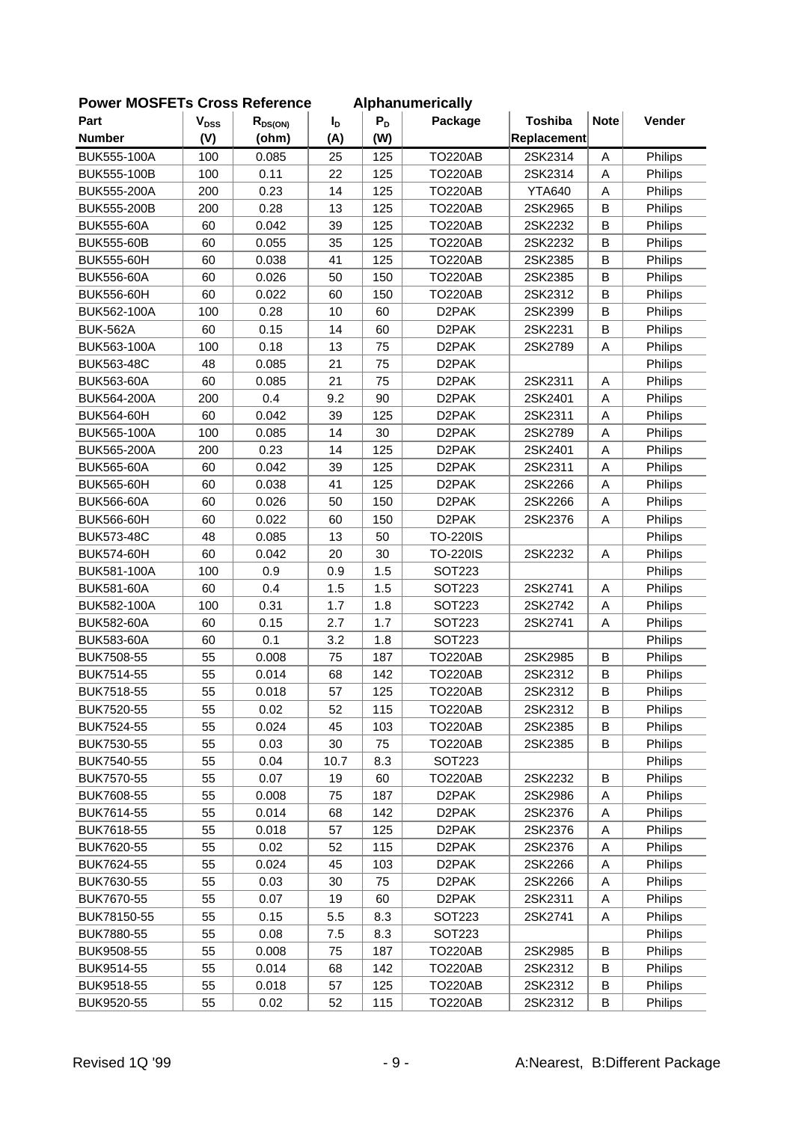| Part               | $V_{DSS}$ | $R_{DS(ON)}$ | I <sub>D</sub> | $P_D$ | Package            | <b>Toshiba</b> | <b>Note</b> | Vender             |
|--------------------|-----------|--------------|----------------|-------|--------------------|----------------|-------------|--------------------|
| <b>Number</b>      | (V)       | (ohm)        | (A)            | (W)   |                    | Replacement    |             |                    |
| BUK555-100A        | 100       | 0.085        | 25             | 125   | <b>TO220AB</b>     | 2SK2314        | Α           | Philips            |
| BUK555-100B        | 100       | 0.11         | 22             | 125   | <b>TO220AB</b>     | 2SK2314        | Α           | Philips            |
| <b>BUK555-200A</b> | 200       | 0.23         | 14             | 125   | <b>TO220AB</b>     | <b>YTA640</b>  | A           | Philips            |
| BUK555-200B        | 200       | 0.28         | 13             | 125   | <b>TO220AB</b>     | 2SK2965        | B           | Philips            |
| <b>BUK555-60A</b>  | 60        | 0.042        | 39             | 125   | <b>TO220AB</b>     | 2SK2232        | B           | Philips            |
| <b>BUK555-60B</b>  | 60        | 0.055        | 35             | 125   | <b>TO220AB</b>     | 2SK2232        | B           | Philips            |
| BUK555-60H         | 60        | 0.038        | 41             | 125   | <b>TO220AB</b>     | 2SK2385        | B           |                    |
| <b>BUK556-60A</b>  | 60        | 0.026        | 50             | 150   | <b>TO220AB</b>     | 2SK2385        | B           | Philips<br>Philips |
| <b>BUK556-60H</b>  | 60        | 0.022        | 60             | 150   | <b>TO220AB</b>     | 2SK2312        | B           | Philips            |
| BUK562-100A        | 100       | 0.28         | 10             | 60    | D <sub>2</sub> PAK | 2SK2399        | B           | Philips            |
| <b>BUK-562A</b>    | 60        | 0.15         | 14             | 60    | D <sub>2</sub> PAK | 2SK2231        | B           |                    |
|                    |           |              | 13             |       |                    |                |             | Philips            |
| BUK563-100A        | 100       | 0.18         |                | 75    | D <sub>2</sub> PAK | 2SK2789        | Α           | Philips            |
| <b>BUK563-48C</b>  | 48        | 0.085        | 21             | 75    | D <sub>2</sub> PAK |                |             | Philips            |
| <b>BUK563-60A</b>  | 60        | 0.085        | 21             | 75    | D <sub>2</sub> PAK | 2SK2311        | Α           | Philips            |
| BUK564-200A        | 200       | 0.4          | 9.2            | 90    | D <sub>2</sub> PAK | 2SK2401        | Α           | Philips            |
| <b>BUK564-60H</b>  | 60        | 0.042        | 39             | 125   | D <sub>2</sub> PAK | 2SK2311        | A           | Philips            |
| BUK565-100A        | 100       | 0.085        | 14             | 30    | D <sub>2</sub> PAK | 2SK2789        | Α           | Philips            |
| BUK565-200A        | 200       | 0.23         | 14             | 125   | D <sub>2</sub> PAK | 2SK2401        | Α           | Philips            |
| <b>BUK565-60A</b>  | 60        | 0.042        | 39             | 125   | D <sub>2</sub> PAK | 2SK2311        | Α           | Philips            |
| <b>BUK565-60H</b>  | 60        | 0.038        | 41             | 125   | D <sub>2</sub> PAK | 2SK2266        | Α           | Philips            |
| <b>BUK566-60A</b>  | 60        | 0.026        | 50             | 150   | D <sub>2</sub> PAK | 2SK2266        | Α           | Philips            |
| <b>BUK566-60H</b>  | 60        | 0.022        | 60             | 150   | D <sub>2</sub> PAK | 2SK2376        | Α           | Philips            |
| <b>BUK573-48C</b>  | 48        | 0.085        | 13             | 50    | <b>TO-220IS</b>    |                |             | Philips            |
| <b>BUK574-60H</b>  | 60        | 0.042        | 20             | 30    | <b>TO-220IS</b>    | 2SK2232        | Α           | Philips            |
| BUK581-100A        | 100       | 0.9          | 0.9            | 1.5   | SOT223             |                |             | Philips            |
| <b>BUK581-60A</b>  | 60        | 0.4          | 1.5            | 1.5   | SOT223             | 2SK2741        | Α           | Philips            |
| BUK582-100A        | 100       | 0.31         | 1.7            | 1.8   | <b>SOT223</b>      | 2SK2742        | Α           | Philips            |
| <b>BUK582-60A</b>  | 60        | 0.15         | 2.7            | 1.7   | SOT223             | 2SK2741        | Α           | Philips            |
| <b>BUK583-60A</b>  | 60        | 0.1          | 3.2            | 1.8   | SOT223             |                |             | Philips            |
| BUK7508-55         | 55        | 0.008        | 75             | 187   | <b>TO220AB</b>     | 2SK2985        | B           | Philips            |
| BUK7514-55         | 55        | 0.014        | 68             | 142   | <b>TO220AB</b>     | 2SK2312        | B           | Philips            |
| BUK7518-55         | 55        | 0.018        | 57             | 125   | <b>TO220AB</b>     | 2SK2312        | B           | Philips            |
| BUK7520-55         | 55        | 0.02         | 52             | 115   | <b>TO220AB</b>     | 2SK2312        | В           | Philips            |
| BUK7524-55         | 55        | 0.024        | 45             | 103   | <b>TO220AB</b>     | 2SK2385        | B           | Philips            |
| BUK7530-55         | 55        | 0.03         | 30             | 75    | <b>TO220AB</b>     | 2SK2385        | В           | Philips            |
| BUK7540-55         | 55        | 0.04         | 10.7           | 8.3   | SOT223             |                |             | Philips            |
| BUK7570-55         | 55        | 0.07         | 19             | 60    | <b>TO220AB</b>     | 2SK2232        | B           | Philips            |
| BUK7608-55         | 55        | 0.008        | 75             | 187   | D <sub>2</sub> PAK | 2SK2986        | Α           | Philips            |
| BUK7614-55         | 55        | 0.014        | 68             | 142   | D <sub>2</sub> PAK | 2SK2376        | Α           | Philips            |
| BUK7618-55         | 55        | 0.018        | 57             | 125   | D <sub>2</sub> PAK | 2SK2376        | А           | Philips            |
| BUK7620-55         | 55        | 0.02         | 52             | 115   | D <sub>2</sub> PAK | 2SK2376        | А           | Philips            |
| BUK7624-55         | 55        | 0.024        | 45             | 103   | D <sub>2</sub> PAK | 2SK2266        | Α           | <b>Philips</b>     |
| BUK7630-55         | 55        | 0.03         | 30             | 75    | D <sub>2</sub> PAK | 2SK2266        | А           | Philips            |
| BUK7670-55         | 55        | 0.07         | 19             | 60    | D <sub>2</sub> PAK | 2SK2311        | Α           | Philips            |
| BUK78150-55        | 55        | 0.15         | 5.5            | 8.3   | SOT <sub>223</sub> | 2SK2741        | Α           | Philips            |
| BUK7880-55         | 55        | 0.08         | 7.5            | 8.3   | <b>SOT223</b>      |                |             | Philips            |
| BUK9508-55         | 55        | 0.008        | 75             | 187   | <b>TO220AB</b>     | 2SK2985        | B           | Philips            |
| BUK9514-55         | 55        | 0.014        | 68             | 142   | <b>TO220AB</b>     | 2SK2312        | В           | Philips            |
| BUK9518-55         | 55        | 0.018        | 57             | 125   | <b>TO220AB</b>     | 2SK2312        | B           | Philips            |
| BUK9520-55         | 55        | 0.02         | 52             | 115   | <b>TO220AB</b>     | 2SK2312        | B           | Philips            |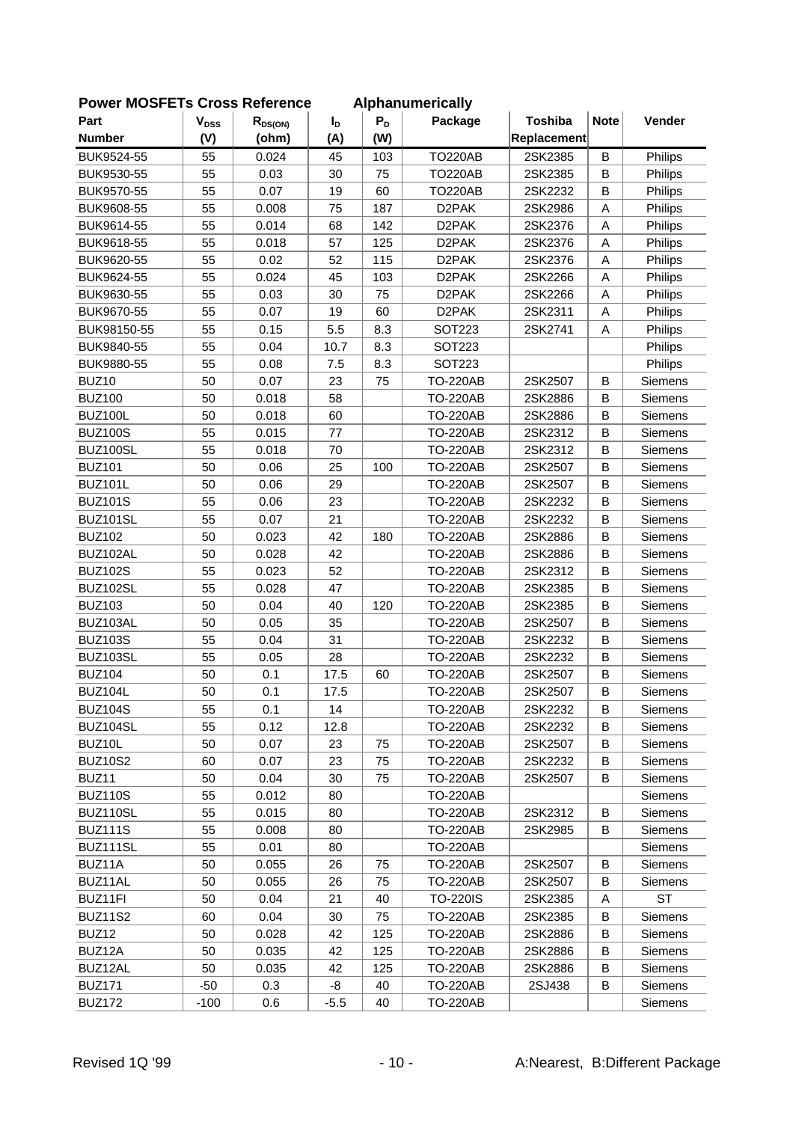| FUWEI MUSFETS CIUSS REIEIEILE |                           |              |                |       | Alphanumencally    |                |             |                |
|-------------------------------|---------------------------|--------------|----------------|-------|--------------------|----------------|-------------|----------------|
| Part                          | $\mathbf{V}_{\text{DSS}}$ | $R_{DS(ON)}$ | $I_{\text{D}}$ | $P_D$ | Package            | <b>Toshiba</b> | <b>Note</b> | Vender         |
| <b>Number</b>                 | (V)                       | (ohm)        | (A)            | (W)   |                    | Replacement    |             |                |
| BUK9524-55                    | 55                        | 0.024        | 45             | 103   | <b>TO220AB</b>     | 2SK2385        | B           | Philips        |
| BUK9530-55                    | 55                        | 0.03         | 30             | 75    | <b>TO220AB</b>     | 2SK2385        | B           | Philips        |
| BUK9570-55                    | 55                        | 0.07         | 19             | 60    | <b>TO220AB</b>     | 2SK2232        | B           | Philips        |
| BUK9608-55                    | 55                        | 0.008        | 75             | 187   | D <sub>2</sub> PAK | 2SK2986        | Α           | Philips        |
| BUK9614-55                    | 55                        | 0.014        | 68             | 142   | D <sub>2</sub> PAK | 2SK2376        | Α           | Philips        |
| BUK9618-55                    | 55                        | 0.018        | 57             | 125   | D <sub>2</sub> PAK | 2SK2376        | Α           | Philips        |
| BUK9620-55                    | 55                        | 0.02         | 52             | 115   | D <sub>2</sub> PAK | 2SK2376        | A           | Philips        |
| BUK9624-55                    | 55                        | 0.024        | 45             | 103   | D <sub>2</sub> PAK | 2SK2266        | Α           | Philips        |
| BUK9630-55                    | 55                        | 0.03         | 30             | 75    | D <sub>2</sub> PAK | 2SK2266        | Α           | Philips        |
| BUK9670-55                    | 55                        | 0.07         | 19             | 60    | D <sub>2</sub> PAK | 2SK2311        | A           | Philips        |
| BUK98150-55                   | 55                        | 0.15         | 5.5            | 8.3   | <b>SOT223</b>      | 2SK2741        | А           | Philips        |
| BUK9840-55                    | 55                        | 0.04         | 10.7           | 8.3   | <b>SOT223</b>      |                |             | Philips        |
| BUK9880-55                    | 55                        | 0.08         | 7.5            | 8.3   | SOT223             |                |             | Philips        |
| BUZ10                         | 50                        | 0.07         | 23             | 75    | <b>TO-220AB</b>    | 2SK2507        | B           | Siemens        |
| <b>BUZ100</b>                 | 50                        | 0.018        | 58             |       | <b>TO-220AB</b>    | 2SK2886        | B           | <b>Siemens</b> |
| <b>BUZ100L</b>                | 50                        | 0.018        | 60             |       | <b>TO-220AB</b>    | 2SK2886        | B           | Siemens        |
| <b>BUZ100S</b>                | 55                        | 0.015        | 77             |       | <b>TO-220AB</b>    | 2SK2312        | B           | Siemens        |
| BUZ100SL                      | 55                        | 0.018        | 70             |       | <b>TO-220AB</b>    | 2SK2312        | B           | Siemens        |
| <b>BUZ101</b>                 | 50                        | 0.06         | 25             | 100   | <b>TO-220AB</b>    | 2SK2507        | B           | Siemens        |
| <b>BUZ101L</b>                | 50                        | 0.06         | 29             |       | <b>TO-220AB</b>    | 2SK2507        | B           | Siemens        |
| <b>BUZ101S</b>                | 55                        | 0.06         | 23             |       | <b>TO-220AB</b>    | 2SK2232        | B           | Siemens        |
| BUZ101SL                      | 55                        | 0.07         | 21             |       | <b>TO-220AB</b>    | 2SK2232        | B           | Siemens        |
| <b>BUZ102</b>                 | 50                        | 0.023        | 42             | 180   | <b>TO-220AB</b>    | 2SK2886        | B           | Siemens        |
| BUZ102AL                      | 50                        | 0.028        | 42             |       | <b>TO-220AB</b>    | 2SK2886        | B           | Siemens        |
| <b>BUZ102S</b>                | 55                        | 0.023        | 52             |       | <b>TO-220AB</b>    | 2SK2312        | B           | Siemens        |
| BUZ102SL                      | 55                        | 0.028        | 47             |       | <b>TO-220AB</b>    | 2SK2385        | B           | Siemens        |
| <b>BUZ103</b>                 | 50                        | 0.04         | 40             | 120   | <b>TO-220AB</b>    | 2SK2385        | B           | Siemens        |
| BUZ103AL                      | 50                        | 0.05         | 35             |       | <b>TO-220AB</b>    | 2SK2507        | B           | Siemens        |
| <b>BUZ103S</b>                | 55                        | 0.04         | 31             |       | <b>TO-220AB</b>    | 2SK2232        | B           | Siemens        |
| BUZ103SL                      | 55                        | 0.05         | 28             |       | <b>TO-220AB</b>    | 2SK2232        | B           | Siemens        |
| <b>BUZ104</b>                 | 50                        | 0.1          | 17.5           | 60    | <b>TO-220AB</b>    | 2SK2507        | В           | Siemens        |
| <b>BUZ104L</b>                | 50                        | 0.1          | 17.5           |       | <b>TO-220AB</b>    | 2SK2507        | B           | Siemens        |
| <b>BUZ104S</b>                | 55                        | 0.1          | 14             |       | <b>TO-220AB</b>    | 2SK2232        | B           | Siemens        |
| BUZ104SL                      | 55                        | 0.12         | 12.8           |       | <b>TO-220AB</b>    | 2SK2232        | B           | Siemens        |
| BUZ10L                        | 50                        | 0.07         | 23             | 75    | <b>TO-220AB</b>    | 2SK2507        | В           | Siemens        |
| <b>BUZ10S2</b>                | 60                        | 0.07         | 23             | 75    | <b>TO-220AB</b>    | 2SK2232        | В           | Siemens        |
| BUZ11                         | 50                        | 0.04         | 30             | 75    | <b>TO-220AB</b>    | 2SK2507        | В           | <b>Siemens</b> |
| <b>BUZ110S</b>                | 55                        | 0.012        | 80             |       | <b>TO-220AB</b>    |                |             | <b>Siemens</b> |
| BUZ110SL                      | 55                        | 0.015        | 80             |       | <b>TO-220AB</b>    | 2SK2312        | В           | Siemens        |
| <b>BUZ111S</b>                | 55                        | 0.008        | 80             |       | <b>TO-220AB</b>    | 2SK2985        | B           | Siemens        |
| BUZ111SL                      | 55                        | 0.01         | 80             |       | <b>TO-220AB</b>    |                |             | Siemens        |
| BUZ11A                        | 50                        | 0.055        | 26             | 75    | <b>TO-220AB</b>    | 2SK2507        | B           | Siemens        |
| BUZ11AL                       | 50                        | 0.055        | 26             | 75    | <b>TO-220AB</b>    | 2SK2507        | В           | Siemens        |
| BUZ11FI                       | 50                        | 0.04         | 21             | 40    | <b>TO-220IS</b>    | 2SK2385        | Α           | <b>ST</b>      |
| <b>BUZ11S2</b>                | 60                        | 0.04         | 30             | 75    | <b>TO-220AB</b>    | 2SK2385        | В           | Siemens        |
| BUZ12                         | 50                        | 0.028        | 42             | 125   | <b>TO-220AB</b>    | 2SK2886        | В           | Siemens        |
| BUZ12A                        | 50                        | 0.035        | 42             | 125   | <b>TO-220AB</b>    | 2SK2886        | В           | Siemens        |
| BUZ12AL                       | 50                        | 0.035        | 42             | 125   | <b>TO-220AB</b>    | 2SK2886        | В           | Siemens        |
| <b>BUZ171</b>                 | $-50$                     | 0.3          | -8             | 40    | <b>TO-220AB</b>    | 2SJ438         | В           | Siemens        |
| <b>BUZ172</b>                 | $-100$                    | 0.6          | $-5.5$         | 40    | <b>TO-220AB</b>    |                |             | Siemens        |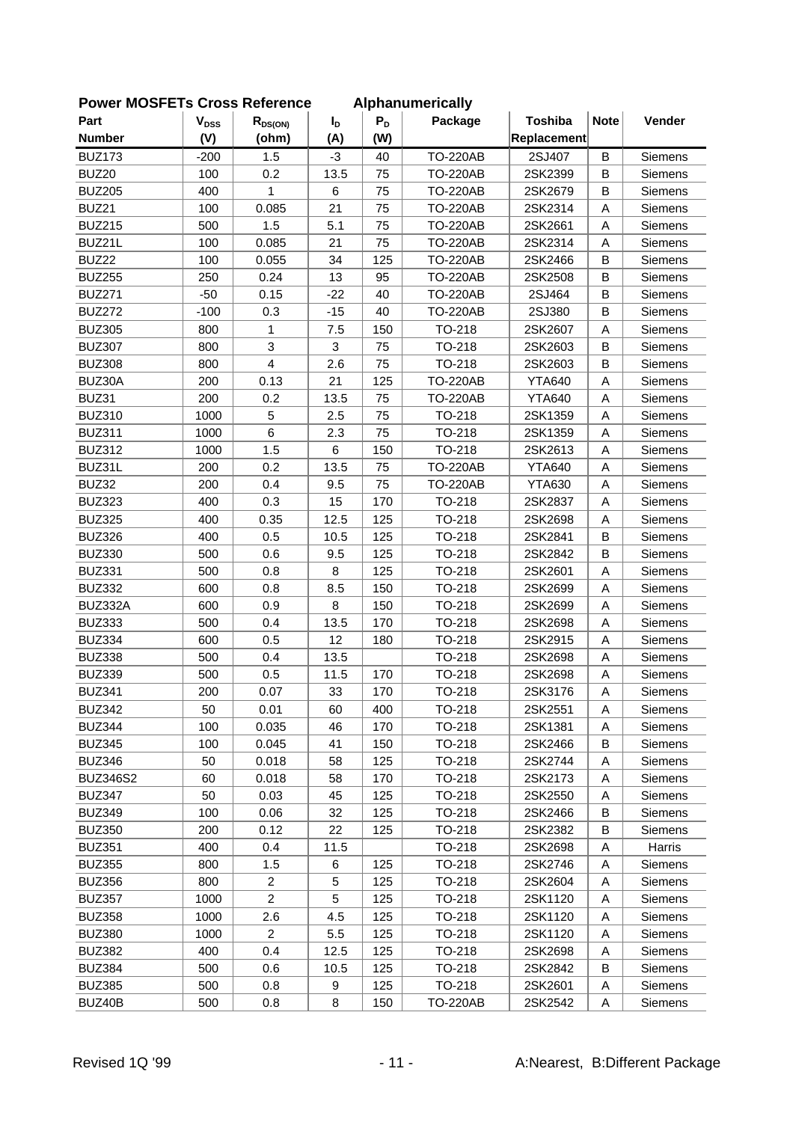| Part            | $V_{DSS}$ |                         |                       | $P_D$ | i iuliivi Ivuli y<br>Package | <b>Toshiba</b> | <b>Note</b> | Vender         |
|-----------------|-----------|-------------------------|-----------------------|-------|------------------------------|----------------|-------------|----------------|
| <b>Number</b>   | (V)       | $R_{DS(ON)}$<br>(ohm)   | $I_{\text{D}}$<br>(A) | (W)   |                              | Replacement    |             |                |
| <b>BUZ173</b>   |           |                         |                       |       |                              |                |             |                |
| BUZ20           | $-200$    | 1.5                     | -3                    | 40    | <b>TO-220AB</b>              | 2SJ407         | B           | Siemens        |
|                 | 100       | 0.2<br>1                | 13.5                  | 75    | <b>TO-220AB</b>              | 2SK2399        | B           | Siemens        |
| <b>BUZ205</b>   | 400       |                         | $\,6$                 | 75    | <b>TO-220AB</b>              | 2SK2679        | B           | <b>Siemens</b> |
| BUZ21           | 100       | 0.085                   | 21                    | 75    | <b>TO-220AB</b>              | 2SK2314        | A           | Siemens        |
| <b>BUZ215</b>   | 500       | 1.5                     | 5.1                   | 75    | <b>TO-220AB</b>              | 2SK2661        | A           | Siemens        |
| BUZ21L          | 100       | 0.085                   | 21                    | 75    | <b>TO-220AB</b>              | 2SK2314        | A           | Siemens        |
| BUZ22           | 100       | 0.055                   | 34                    | 125   | <b>TO-220AB</b>              | 2SK2466        | B           | Siemens        |
| <b>BUZ255</b>   | 250       | 0.24                    | 13                    | 95    | <b>TO-220AB</b>              | 2SK2508        | B           | Siemens        |
| <b>BUZ271</b>   | $-50$     | 0.15                    | $-22$                 | 40    | <b>TO-220AB</b>              | 2SJ464         | $\sf B$     | Siemens        |
| <b>BUZ272</b>   | $-100$    | 0.3                     | $-15$                 | 40    | <b>TO-220AB</b>              | 2SJ380         | B           | Siemens        |
| <b>BUZ305</b>   | 800       | 1                       | 7.5                   | 150   | TO-218                       | 2SK2607        | A           | Siemens        |
| <b>BUZ307</b>   | 800       | 3                       | 3                     | 75    | TO-218                       | 2SK2603        | B           | Siemens        |
| <b>BUZ308</b>   | 800       | $\overline{\mathbf{4}}$ | 2.6                   | 75    | TO-218                       | 2SK2603        | B           | Siemens        |
| BUZ30A          | 200       | 0.13                    | 21                    | 125   | <b>TO-220AB</b>              | <b>YTA640</b>  | A           | Siemens        |
| BUZ31           | 200       | 0.2                     | 13.5                  | 75    | <b>TO-220AB</b>              | <b>YTA640</b>  | A           | Siemens        |
| <b>BUZ310</b>   | 1000      | 5                       | 2.5                   | 75    | TO-218                       | 2SK1359        | A           | Siemens        |
| <b>BUZ311</b>   | 1000      | 6                       | 2.3                   | 75    | TO-218                       | 2SK1359        | A           | Siemens        |
| <b>BUZ312</b>   | 1000      | 1.5                     | 6                     | 150   | TO-218                       | 2SK2613        | A           | Siemens        |
| BUZ31L          | 200       | 0.2                     | 13.5                  | 75    | <b>TO-220AB</b>              | <b>YTA640</b>  | A           | Siemens        |
| BUZ32           | 200       | 0.4                     | 9.5                   | 75    | <b>TO-220AB</b>              | <b>YTA630</b>  | Α           | Siemens        |
| <b>BUZ323</b>   | 400       | 0.3                     | 15                    | 170   | TO-218                       | 2SK2837        | A           | Siemens        |
| <b>BUZ325</b>   | 400       | 0.35                    | 12.5                  | 125   | TO-218                       | 2SK2698        | A           | Siemens        |
| <b>BUZ326</b>   | 400       | 0.5                     | 10.5                  | 125   | TO-218                       | 2SK2841        | B           | Siemens        |
| <b>BUZ330</b>   | 500       | 0.6                     | 9.5                   | 125   | TO-218                       | 2SK2842        | B           | Siemens        |
| <b>BUZ331</b>   | 500       | 0.8                     | 8                     | 125   | TO-218                       | 2SK2601        | A           | Siemens        |
| <b>BUZ332</b>   | 600       | 0.8                     | 8.5                   | 150   | TO-218                       | 2SK2699        | Α           | Siemens        |
| BUZ332A         | 600       | 0.9                     | 8                     | 150   | TO-218                       | 2SK2699        | A           | Siemens        |
| <b>BUZ333</b>   | 500       | 0.4                     | 13.5                  | 170   | TO-218                       | 2SK2698        | A           | Siemens        |
| <b>BUZ334</b>   | 600       | 0.5                     | 12                    | 180   | TO-218                       | 2SK2915        | A           | Siemens        |
| <b>BUZ338</b>   | 500       | 0.4                     | 13.5                  |       | TO-218                       | 2SK2698        | A           | Siemens        |
| <b>BUZ339</b>   | 500       | 0.5                     | 11.5                  | 170   | TO-218                       | 2SK2698        | A           | Siemens        |
| <b>BUZ341</b>   | 200       | 0.07                    | 33                    | 170   | TO-218                       | 2SK3176        | A           | Siemens        |
| <b>BUZ342</b>   | 50        | 0.01                    | 60                    | 400   | TO-218                       | 2SK2551        | A           | Siemens        |
| <b>BUZ344</b>   | 100       | 0.035                   | 46                    | 170   | TO-218                       | 2SK1381        | Α           | Siemens        |
| <b>BUZ345</b>   | 100       | 0.045                   | 41                    | 150   | TO-218                       | 2SK2466        | В           | Siemens        |
| <b>BUZ346</b>   | 50        | 0.018                   | 58                    | 125   | TO-218                       | 2SK2744        | Α           | Siemens        |
| <b>BUZ346S2</b> | 60        | 0.018                   | 58                    | 170   | TO-218                       | 2SK2173        | Α           | Siemens        |
| <b>BUZ347</b>   | 50        | 0.03                    | 45                    | 125   | TO-218                       | 2SK2550        | A           | Siemens        |
| <b>BUZ349</b>   | 100       | 0.06                    | 32                    | 125   | TO-218                       | 2SK2466        | B           | <b>Siemens</b> |
| <b>BUZ350</b>   | 200       | 0.12                    | 22                    | 125   | TO-218                       | 2SK2382        | В           | Siemens        |
| <b>BUZ351</b>   | 400       | 0.4                     | 11.5                  |       | TO-218                       | 2SK2698        | A           | Harris         |
| <b>BUZ355</b>   | 800       | 1.5                     | 6                     | 125   | TO-218                       | 2SK2746        | Α           | Siemens        |
| <b>BUZ356</b>   | 800       | $\overline{c}$          | 5                     | 125   | TO-218                       | 2SK2604        | Α           | Siemens        |
| <b>BUZ357</b>   | 1000      | $\overline{c}$          | 5                     | 125   | TO-218                       | 2SK1120        | A           | Siemens        |
| <b>BUZ358</b>   | 1000      | 2.6                     | 4.5                   | 125   | TO-218                       | 2SK1120        | A           | Siemens        |
| <b>BUZ380</b>   | 1000      | $\overline{c}$          | 5.5                   | 125   | TO-218                       | 2SK1120        | Α           | <b>Siemens</b> |
| <b>BUZ382</b>   | 400       | 0.4                     | 12.5                  | 125   | TO-218                       | 2SK2698        | Α           | Siemens        |
| <b>BUZ384</b>   | 500       | 0.6                     | 10.5                  | 125   | TO-218                       | 2SK2842        | B           | Siemens        |
| <b>BUZ385</b>   | 500       | 0.8                     | 9                     | 125   | TO-218                       | 2SK2601        | A           | Siemens        |
|                 |           |                         |                       |       |                              |                |             |                |
| BUZ40B          | 500       | 0.8                     | 8                     | 150   | <b>TO-220AB</b>              | 2SK2542        | Α           | Siemens        |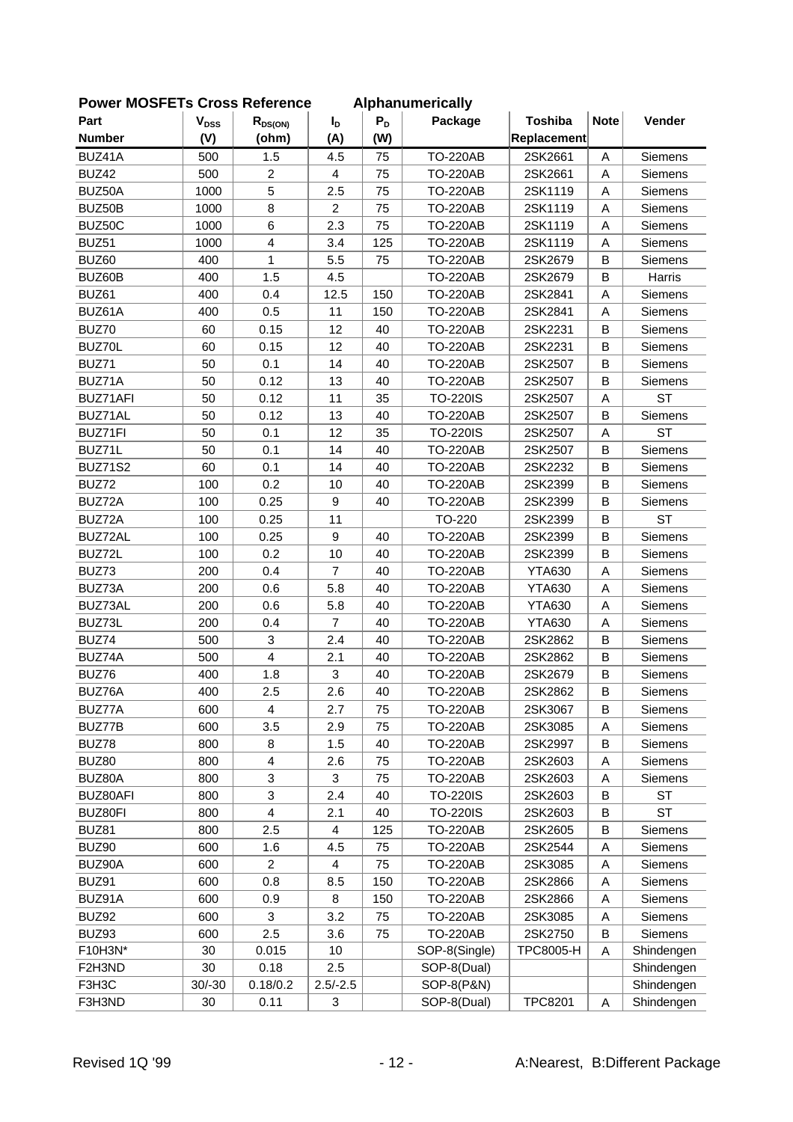| Part           | $V_{DSS}$ | $R_{DS(ON)}$            | $I_{\text{D}}$ | $P_D$ | Package         | <b>Toshiba</b>   | <b>Note</b> | Vender         |
|----------------|-----------|-------------------------|----------------|-------|-----------------|------------------|-------------|----------------|
| <b>Number</b>  | (V)       | (ohm)                   | (A)            | (W)   |                 | Replacement      |             |                |
| BUZ41A         | 500       | 1.5                     | 4.5            | 75    | <b>TO-220AB</b> | 2SK2661          | Α           | Siemens        |
| BUZ42          | 500       | $\overline{c}$          | $\overline{4}$ | 75    | <b>TO-220AB</b> | 2SK2661          | A           | Siemens        |
| BUZ50A         | 1000      | 5                       | 2.5            | 75    | <b>TO-220AB</b> | 2SK1119          | A           | Siemens        |
| BUZ50B         | 1000      | 8                       | $\overline{2}$ | 75    | <b>TO-220AB</b> | 2SK1119          | A           | Siemens        |
| BUZ50C         | 1000      | 6                       | 2.3            | 75    | <b>TO-220AB</b> | 2SK1119          | A           | Siemens        |
| BUZ51          | 1000      | $\overline{\mathbf{4}}$ | 3.4            | 125   | <b>TO-220AB</b> | 2SK1119          | A           | Siemens        |
|                |           |                         |                |       |                 |                  |             |                |
| BUZ60          | 400       | 1                       | 5.5            | 75    | <b>TO-220AB</b> | 2SK2679          | B           | <b>Siemens</b> |
| BUZ60B         | 400       | 1.5                     | 4.5            |       | <b>TO-220AB</b> | 2SK2679          | B           | Harris         |
| BUZ61          | 400       | 0.4                     | 12.5           | 150   | <b>TO-220AB</b> | 2SK2841          | A           | Siemens        |
| BUZ61A         | 400       | 0.5                     | 11             | 150   | <b>TO-220AB</b> | 2SK2841          | A           | Siemens        |
| BUZ70          | 60        | 0.15                    | 12             | 40    | <b>TO-220AB</b> | 2SK2231          | B           | Siemens        |
| BUZ70L         | 60        | 0.15                    | 12             | 40    | <b>TO-220AB</b> | 2SK2231          | B           | Siemens        |
| BUZ71          | 50        | 0.1                     | 14             | 40    | <b>TO-220AB</b> | 2SK2507          | B           | <b>Siemens</b> |
| BUZ71A         | 50        | 0.12                    | 13             | 40    | <b>TO-220AB</b> | 2SK2507          | В           | Siemens        |
| BUZ71AFI       | 50        | 0.12                    | 11             | 35    | <b>TO-220IS</b> | 2SK2507          | A           | <b>ST</b>      |
| BUZ71AL        | 50        | 0.12                    | 13             | 40    | <b>TO-220AB</b> | 2SK2507          | B           | Siemens        |
| BUZ71FI        | 50        | 0.1                     | 12             | 35    | <b>TO-220IS</b> | 2SK2507          | A           | ST             |
| BUZ71L         | 50        | 0.1                     | 14             | 40    | <b>TO-220AB</b> | 2SK2507          | B           | Siemens        |
| <b>BUZ71S2</b> | 60        | 0.1                     | 14             | 40    | <b>TO-220AB</b> | 2SK2232          | B           | Siemens        |
| BUZ72          | 100       | 0.2                     | 10             | 40    | <b>TO-220AB</b> | 2SK2399          | B           | Siemens        |
| BUZ72A         | 100       | 0.25                    | 9              | 40    | <b>TO-220AB</b> | 2SK2399          | B           | Siemens        |
| BUZ72A         | 100       | 0.25                    | 11             |       | TO-220          | 2SK2399          | B           | <b>ST</b>      |
| BUZ72AL        | 100       | 0.25                    | 9              | 40    | <b>TO-220AB</b> | 2SK2399          | B           | Siemens        |
| BUZ72L         | 100       | 0.2                     | 10             | 40    | <b>TO-220AB</b> | 2SK2399          | B           | Siemens        |
| BUZ73          | 200       | 0.4                     | $\overline{7}$ | 40    | <b>TO-220AB</b> | <b>YTA630</b>    | A           | Siemens        |
| BUZ73A         | 200       | 0.6                     | 5.8            | 40    | <b>TO-220AB</b> | <b>YTA630</b>    | Α           | Siemens        |
| BUZ73AL        | 200       | 0.6                     | 5.8            | 40    | <b>TO-220AB</b> | <b>YTA630</b>    | A           | Siemens        |
| BUZ73L         | 200       | 0.4                     | $\overline{7}$ | 40    | <b>TO-220AB</b> | <b>YTA630</b>    | A           | Siemens        |
| BUZ74          | 500       | 3                       | 2.4            | 40    | <b>TO-220AB</b> | 2SK2862          | B           | Siemens        |
| BUZ74A         | 500       | $\overline{\mathbf{4}}$ | 2.1            | 40    | <b>TO-220AB</b> | 2SK2862          | $\sf B$     | Siemens        |
| BUZ76          | 400       | 1.8                     | 3              | 40    | <b>TO-220AB</b> | 2SK2679          | B           | Siemens        |
| BUZ76A         | 400       | 2.5                     | 2.6            | 40    | <b>TO-220AB</b> | 2SK2862          | B           | Siemens        |
| BUZ77A         | 600       | 4                       | 2.7            | 75    | <b>TO-220AB</b> | 2SK3067          | В           | Siemens        |
| BUZ77B         | 600       | 3.5                     | 2.9            | 75    | <b>TO-220AB</b> | 2SK3085          | A           | Siemens        |
| BUZ78          | 800       | 8                       | 1.5            | 40    | <b>TO-220AB</b> | 2SK2997          | В           | Siemens        |
| BUZ80          | 800       | 4                       | 2.6            | 75    | <b>TO-220AB</b> | 2SK2603          | A           | Siemens        |
| BUZ80A         | 800       | 3                       | 3              | 75    | <b>TO-220AB</b> | 2SK2603          | A           | Siemens        |
| BUZ80AFI       | 800       | 3                       | 2.4            | 40    | <b>TO-220IS</b> | 2SK2603          | В           | <b>ST</b>      |
| BUZ80FI        | 800       | 4                       | 2.1            | 40    | <b>TO-220IS</b> | 2SK2603          | B           | <b>ST</b>      |
| BUZ81          | 800       | 2.5                     | 4              | 125   | <b>TO-220AB</b> | 2SK2605          | B           | Siemens        |
| BUZ90          | 600       | 1.6                     | 4.5            | 75    | <b>TO-220AB</b> | 2SK2544          | A           | Siemens        |
| BUZ90A         | 600       | $\overline{c}$          | 4              | 75    | <b>TO-220AB</b> | 2SK3085          | Α           | Siemens        |
| BUZ91          | 600       | 0.8                     | 8.5            | 150   | <b>TO-220AB</b> | 2SK2866          | A           | Siemens        |
| BUZ91A         | 600       | 0.9                     | 8              | 150   | <b>TO-220AB</b> | 2SK2866          | Α           | Siemens        |
| BUZ92          | 600       | 3                       | 3.2            | 75    | <b>TO-220AB</b> | 2SK3085          | Α           | Siemens        |
| BUZ93          | 600       | 2.5                     | 3.6            | 75    | <b>TO-220AB</b> | 2SK2750          | B           | Siemens        |
| F10H3N*        | 30        | 0.015                   | 10             |       | SOP-8(Single)   | <b>TPC8005-H</b> | A           | Shindengen     |
| F2H3ND         | 30        | 0.18                    | 2.5            |       | SOP-8(Dual)     |                  |             | Shindengen     |
| F3H3C          | $30/-30$  | 0.18/0.2                | $2.5/-2.5$     |       | SOP-8(P&N)      |                  |             | Shindengen     |
|                |           |                         |                |       |                 |                  |             |                |
| F3H3ND         | $30\,$    | 0.11                    | 3              |       | SOP-8(Dual)     | <b>TPC8201</b>   | A           | Shindengen     |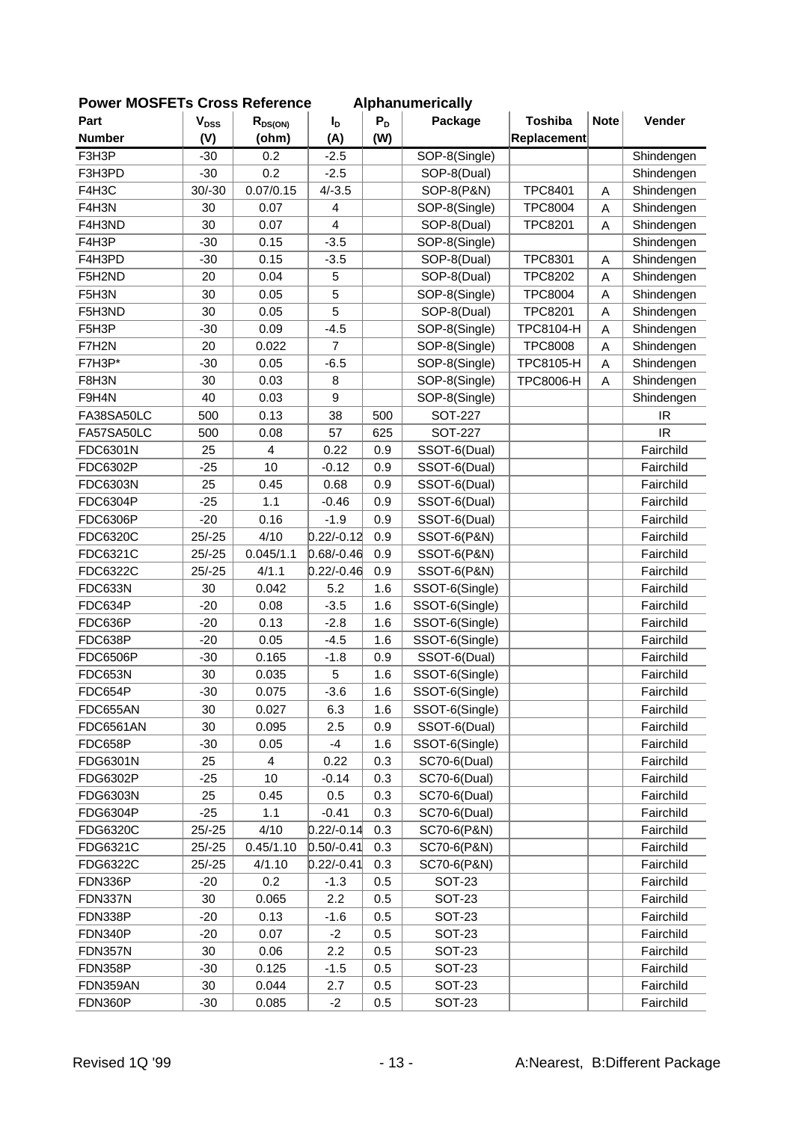| י <del>ט</del> ו ויוטטו בו |                        | <b>OLASS IVEIGLAINE</b> |                |       | Alphanum Filiamy    |                  |             |            |
|----------------------------|------------------------|-------------------------|----------------|-------|---------------------|------------------|-------------|------------|
| Part                       | <b>V<sub>DSS</sub></b> | $R_{DS(ON)}$            | I <sub>D</sub> | $P_D$ | Package             | <b>Toshiba</b>   | <b>Note</b> | Vender     |
| <b>Number</b>              | (V)                    | (ohm)                   | (A)            | (W)   |                     | Replacement      |             |            |
| F3H3P                      | $-30$                  | 0.2                     | $-2.5$         |       | SOP-8(Single)       |                  |             | Shindengen |
| F3H3PD                     | $-30$                  | 0.2                     | $-2.5$         |       | SOP-8(Dual)         |                  |             | Shindengen |
| F4H3C                      | $30/-30$               | 0.07/0.15               | $4/-3.5$       |       | SOP-8(P&N)          | <b>TPC8401</b>   | A           | Shindengen |
| F4H3N                      | 30                     | 0.07                    | 4              |       | SOP-8(Single)       | <b>TPC8004</b>   | A           | Shindengen |
| F4H3ND                     | 30                     | 0.07                    | 4              |       | SOP-8(Dual)         | <b>TPC8201</b>   | A           | Shindengen |
| F4H3P                      | $-30$                  | 0.15                    | $-3.5$         |       | SOP-8(Single)       |                  |             | Shindengen |
| F4H3PD                     | $-30$                  | 0.15                    | $-3.5$         |       | SOP-8(Dual)         | <b>TPC8301</b>   | A           | Shindengen |
| F5H2ND                     | 20                     | 0.04                    | 5              |       | SOP-8(Dual)         | <b>TPC8202</b>   | A           | Shindengen |
| F5H3N                      | 30                     | 0.05                    | 5              |       | SOP-8(Single)       | <b>TPC8004</b>   | A           | Shindengen |
| F5H3ND                     | 30                     | 0.05                    | 5              |       | SOP-8(Dual)         | <b>TPC8201</b>   | A           | Shindengen |
| F5H3P                      | $-30$                  | 0.09                    | $-4.5$         |       | SOP-8(Single)       | TPC8104-H        | A           | Shindengen |
| F7H2N                      | 20                     | 0.022                   | 7              |       | SOP-8(Single)       | <b>TPC8008</b>   | A           | Shindengen |
| F7H3P*                     | $-30$                  | 0.05                    | $-6.5$         |       | SOP-8(Single)       | TPC8105-H        | A           | Shindengen |
| F8H3N                      | 30                     | 0.03                    | 8              |       | SOP-8(Single)       | <b>TPC8006-H</b> | A           | Shindengen |
| F9H4N                      | 40                     | 0.03                    | 9              |       | SOP-8(Single)       |                  |             | Shindengen |
| FA38SA50LC                 | 500                    | 0.13                    | 38             | 500   | <b>SOT-227</b>      |                  |             | IR         |
| FA57SA50LC                 | 500                    | 0.08                    | 57             | 625   | <b>SOT-227</b>      |                  |             | <b>IR</b>  |
| FDC6301N                   | 25                     | $\overline{\mathbf{4}}$ | 0.22           | 0.9   | SSOT-6(Dual)        |                  |             | Fairchild  |
| <b>FDC6302P</b>            | $-25$                  | 10                      | $-0.12$        | 0.9   | SSOT-6(Dual)        |                  |             | Fairchild  |
| FDC6303N                   | 25                     | 0.45                    | 0.68           | 0.9   | SSOT-6(Dual)        |                  |             | Fairchild  |
| <b>FDC6304P</b>            | $-25$                  | 1.1                     | $-0.46$        | 0.9   | SSOT-6(Dual)        |                  |             | Fairchild  |
| <b>FDC6306P</b>            | $-20$                  | 0.16                    | $-1.9$         | 0.9   | SSOT-6(Dual)        |                  |             | Fairchild  |
| FDC6320C                   | $25/-25$               | 4/10                    | $0.22/-0.12$   | 0.9   | SSOT-6(P&N)         |                  |             | Fairchild  |
| FDC6321C                   | $25/-25$               | 0.045/1.1               | $0.68/-0.46$   | 0.9   | SSOT-6(P&N)         |                  |             | Fairchild  |
| FDC6322C                   | $25/-25$               | 4/1.1                   | $0.22/-0.46$   | 0.9   | SSOT-6(P&N)         |                  |             | Fairchild  |
| <b>FDC633N</b>             | 30                     | 0.042                   | 5.2            | 1.6   | SSOT-6(Single)      |                  |             | Fairchild  |
| FDC634P                    | $-20$                  | 0.08                    | $-3.5$         | 1.6   | SSOT-6(Single)      |                  |             | Fairchild  |
| FDC636P                    | $-20$                  | 0.13                    | $-2.8$         | 1.6   | SSOT-6(Single)      |                  |             | Fairchild  |
| FDC638P                    | $-20$                  | 0.05                    | $-4.5$         | 1.6   | SSOT-6(Single)      |                  |             | Fairchild  |
| <b>FDC6506P</b>            | $-30$                  | 0.165                   | $-1.8$         | 0.9   | SSOT-6(Dual)        |                  |             | Fairchild  |
| <b>FDC653N</b>             | 30                     | 0.035                   | 5              | 1.6   | SSOT-6(Single)      |                  |             | Fairchild  |
| FDC654P                    | $-30$                  | 0.075                   | $-3.6$         | 1.6   | SSOT-6(Single)      |                  |             | Fairchild  |
| FDC655AN                   | 30                     | 0.027                   | 6.3            | 1.6   | SSOT-6(Single)      |                  |             | Fairchild  |
| <b>FDC6561AN</b>           | 30                     | 0.095                   | 2.5            | 0.9   | SSOT-6(Dual)        |                  |             | Fairchild  |
| FDC658P                    | $-30$                  | 0.05                    | $-4$           | 1.6   | SSOT-6(Single)      |                  |             | Fairchild  |
| <b>FDG6301N</b>            | 25                     | 4                       | 0.22           | 0.3   | SC70-6(Dual)        |                  |             | Fairchild  |
| <b>FDG6302P</b>            | $-25$                  | 10                      | $-0.14$        | 0.3   | <b>SC70-6(Dual)</b> |                  |             | Fairchild  |
| FDG6303N                   | 25                     | 0.45                    | 0.5            | 0.3   | <b>SC70-6(Dual)</b> |                  |             | Fairchild  |
| <b>FDG6304P</b>            | $-25$                  | 1.1                     | $-0.41$        | 0.3   | <b>SC70-6(Dual)</b> |                  |             | Fairchild  |
| <b>FDG6320C</b>            | $25/-25$               | 4/10                    | $0.22/-0.14$   | 0.3   | SC70-6(P&N)         |                  |             | Fairchild  |
| FDG6321C                   | $25/-25$               | 0.45/1.10               | $0.50/-0.41$   | 0.3   | SC70-6(P&N)         |                  |             | Fairchild  |
| FDG6322C                   | $25/-25$               | 4/1.10                  | $0.22/-0.41$   | 0.3   | SC70-6(P&N)         |                  |             | Fairchild  |
| FDN336P                    | -20                    | 0.2                     | $-1.3$         | 0.5   | <b>SOT-23</b>       |                  |             | Fairchild  |
| FDN337N                    | 30                     | 0.065                   | 2.2            | 0.5   | <b>SOT-23</b>       |                  |             | Fairchild  |
| FDN338P                    | $-20$                  | 0.13                    | $-1.6$         | 0.5   | <b>SOT-23</b>       |                  |             | Fairchild  |
| FDN340P                    | $-20$                  | 0.07                    | $-2$           | 0.5   | <b>SOT-23</b>       |                  |             | Fairchild  |
| <b>FDN357N</b>             | 30                     | 0.06                    | 2.2            | 0.5   | <b>SOT-23</b>       |                  |             | Fairchild  |
| FDN358P                    | $-30$                  | 0.125                   | $-1.5$         | 0.5   | <b>SOT-23</b>       |                  |             | Fairchild  |
| FDN359AN                   | 30                     | 0.044                   | 2.7            | 0.5   | <b>SOT-23</b>       |                  |             | Fairchild  |
| FDN360P                    | $-30$                  | 0.085                   | $-2$           | 0.5   | <b>SOT-23</b>       |                  |             | Fairchild  |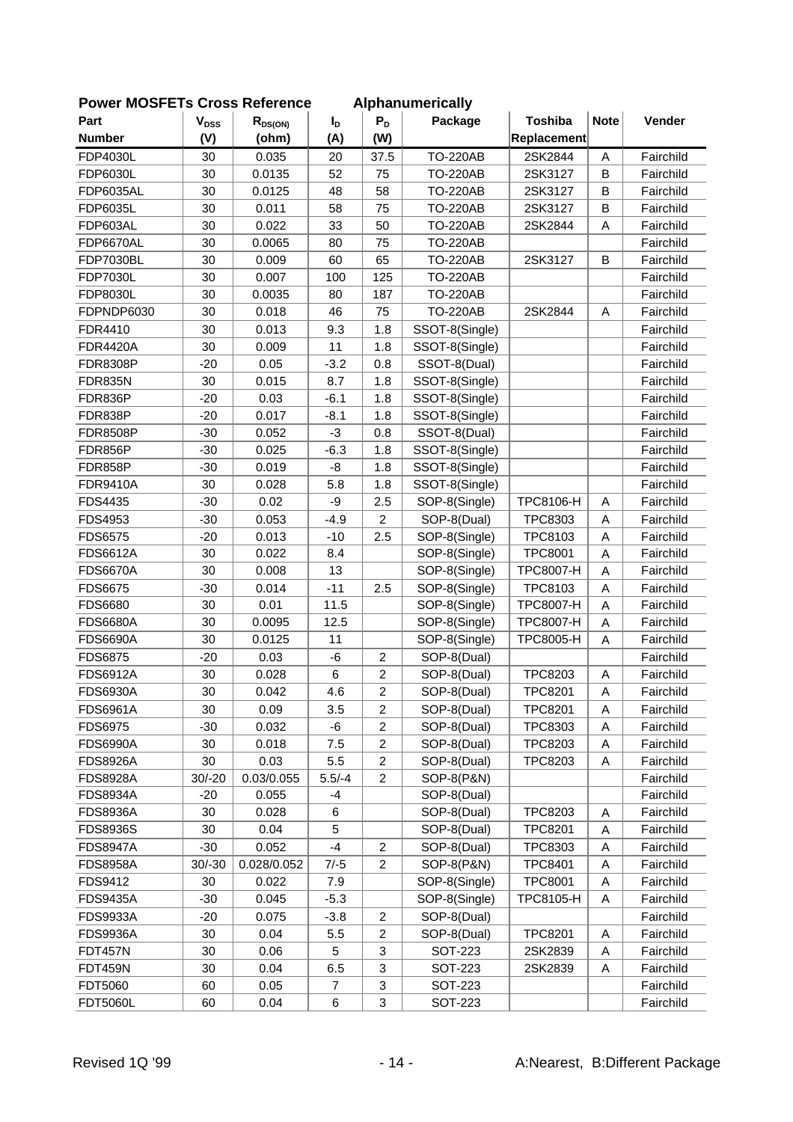| FUWEI MUSFLIS CIUSS NEIEIEILE |           |              |          |                           | Alphanumchually       |                  |                         |           |
|-------------------------------|-----------|--------------|----------|---------------------------|-----------------------|------------------|-------------------------|-----------|
| Part                          | $V_{DSS}$ | $R_{DS(ON)}$ | $I_D$    | $P_D$                     | Package               | <b>Toshiba</b>   | <b>Note</b>             | Vender    |
| <b>Number</b>                 | (V)       | (ohm)        | (A)      | (W)                       |                       | Replacement      |                         |           |
| <b>FDP4030L</b>               | 30        | 0.035        | 20       | 37.5                      | <b>TO-220AB</b>       | 2SK2844          | $\mathsf{A}$            | Fairchild |
| <b>FDP6030L</b>               | 30        | 0.0135       | 52       | 75                        | <b>TO-220AB</b>       | 2SK3127          | $\sf B$                 | Fairchild |
| <b>FDP6035AL</b>              | 30        | 0.0125       | 48       | 58                        | <b>TO-220AB</b>       | 2SK3127          | B                       | Fairchild |
| <b>FDP6035L</b>               | 30        | 0.011        | 58       | 75                        | <b>TO-220AB</b>       | 2SK3127          | B                       | Fairchild |
| FDP603AL                      | 30        | 0.022        | 33       | 50                        | <b>TO-220AB</b>       | 2SK2844          | A                       | Fairchild |
| FDP6670AL                     | 30        | 0.0065       | 80       | 75                        | <b>TO-220AB</b>       |                  |                         | Fairchild |
| <b>FDP7030BL</b>              | 30        | 0.009        | 60       | 65                        | <b>TO-220AB</b>       | 2SK3127          | B                       | Fairchild |
| <b>FDP7030L</b>               | 30        | 0.007        | 100      | 125                       | <b>TO-220AB</b>       |                  |                         | Fairchild |
| <b>FDP8030L</b>               | 30        | 0.0035       | 80       | 187                       | <b>TO-220AB</b>       |                  |                         | Fairchild |
| FDPNDP6030                    | 30        | 0.018        | 46       | 75                        | <b>TO-220AB</b>       | 2SK2844          | Α                       | Fairchild |
| FDR4410                       | 30        | 0.013        | 9.3      | 1.8                       | SSOT-8(Single)        |                  |                         | Fairchild |
| <b>FDR4420A</b>               | 30        | 0.009        | 11       | 1.8                       | SSOT-8(Single)        |                  |                         | Fairchild |
| <b>FDR8308P</b>               | $-20$     | 0.05         | $-3.2$   | 0.8                       | SSOT-8(Dual)          |                  |                         | Fairchild |
| <b>FDR835N</b>                | 30        | 0.015        | 8.7      | 1.8                       | SSOT-8(Single)        |                  |                         | Fairchild |
| FDR836P                       | $-20$     | 0.03         | $-6.1$   | 1.8                       | SSOT-8(Single)        |                  |                         | Fairchild |
| FDR838P                       | $-20$     | 0.017        | $-8.1$   | 1.8                       | SSOT-8(Single)        |                  |                         | Fairchild |
| <b>FDR8508P</b>               | $-30$     | 0.052        | $-3$     | 0.8                       | SSOT-8(Dual)          |                  |                         | Fairchild |
| <b>FDR856P</b>                | $-30$     | 0.025        | $-6.3$   | 1.8                       | SSOT-8(Single)        |                  |                         | Fairchild |
| FDR858P                       | $-30$     | 0.019        | -8       | 1.8                       | SSOT-8(Single)        |                  |                         | Fairchild |
| <b>FDR9410A</b>               | 30        | 0.028        | 5.8      | 1.8                       | SSOT-8(Single)        |                  |                         | Fairchild |
| FDS4435                       | $-30$     | 0.02         | -9       | 2.5                       | SOP-8(Single)         | <b>TPC8106-H</b> | Α                       | Fairchild |
| FDS4953                       | $-30$     | 0.053        | $-4.9$   | $\overline{c}$            | SOP-8(Dual)           | TPC8303          | A                       | Fairchild |
| <b>FDS6575</b>                | $-20$     | 0.013        | $-10$    | 2.5                       | SOP-8(Single)         | TPC8103          | A                       | Fairchild |
| <b>FDS6612A</b>               | 30        | 0.022        | 8.4      |                           | SOP-8(Single)         | <b>TPC8001</b>   | A                       | Fairchild |
| <b>FDS6670A</b>               | 30        | 0.008        | 13       |                           | SOP-8(Single)         | <b>TPC8007-H</b> | A                       | Fairchild |
| <b>FDS6675</b>                | $-30$     | 0.014        | $-11$    | 2.5                       | SOP-8(Single)         | TPC8103          | A                       | Fairchild |
| <b>FDS6680</b>                | 30        | 0.01         | 11.5     |                           | SOP-8(Single)         | <b>TPC8007-H</b> | $\overline{\mathsf{A}}$ | Fairchild |
| <b>FDS6680A</b>               | 30        | 0.0095       | 12.5     |                           | SOP-8(Single)         | <b>TPC8007-H</b> | A                       | Fairchild |
| <b>FDS6690A</b>               | 30        | 0.0125       | 11       |                           | SOP-8(Single)         | <b>TPC8005-H</b> | A                       | Fairchild |
| <b>FDS6875</b>                | $-20$     | 0.03         | $-6$     | $\overline{c}$            | SOP-8(Dual)           |                  |                         | Fairchild |
| <b>FDS6912A</b>               | 30        | 0.028        | 6        | $\overline{\mathbf{c}}$   | SOP-8(Dual)           | TPC8203          | Α                       | Fairchild |
| <b>FDS6930A</b>               | 30        | 0.042        | 4.6      | $\overline{2}$            | SOP-8(Dual)           | <b>TPC8201</b>   | A                       | Fairchild |
| <b>FDS6961A</b>               | 30        | 0.09         | 3.5      | $\overline{c}$            | SOP-8(Dual)           | <b>TPC8201</b>   | A                       | Fairchild |
| <b>FDS6975</b>                | $-30$     | 0.032        | -6       | $\overline{c}$            | SOP-8(Dual)           | TPC8303          | A                       | Fairchild |
| <b>FDS6990A</b>               | 30        | 0.018        | 7.5      | $\overline{c}$            | SOP-8(Dual)           | <b>TPC8203</b>   | A                       | Fairchild |
| <b>FDS8926A</b>               | 30        | 0.03         | 5.5      | $\boldsymbol{2}$          | SOP-8(Dual)           | TPC8203          | A                       | Fairchild |
| <b>FDS8928A</b>               | $30/-20$  | 0.03/0.055   | $5.5/-4$ | $\overline{c}$            | SOP-8(P&N)            |                  |                         | Fairchild |
| <b>FDS8934A</b>               | $-20$     | 0.055        | $-4$     |                           | SOP-8(Dual)           |                  |                         | Fairchild |
| <b>FDS8936A</b>               | 30        | 0.028        | $\,6$    |                           | SOP-8(Dual)           | <b>TPC8203</b>   | A                       | Fairchild |
| <b>FDS8936S</b>               | 30        | 0.04         | 5        |                           | SOP-8(Dual)           | TPC8201          | A                       | Fairchild |
| <b>FDS8947A</b>               | $-30$     | 0.052        | $-4$     | $\overline{c}$            | SOP-8(Dual)           | TPC8303          | A                       | Fairchild |
| <b>FDS8958A</b>               | $30/-30$  | 0.028/0.052  | $7/-5$   | $\overline{c}$            | <b>SOP-8(P&amp;N)</b> | TPC8401          | Α                       | Fairchild |
| FDS9412                       | 30        | 0.022        | 7.9      |                           | SOP-8(Single)         | TPC8001          | Α                       | Fairchild |
| <b>FDS9435A</b>               | $-30$     | 0.045        | $-5.3$   |                           | SOP-8(Single)         | TPC8105-H        | Α                       | Fairchild |
| <b>FDS9933A</b>               | $-20$     | 0.075        | $-3.8$   | $\sqrt{2}$                | SOP-8(Dual)           |                  |                         | Fairchild |
| <b>FDS9936A</b>               | 30        | 0.04         | 5.5      | $\overline{c}$            | SOP-8(Dual)           | TPC8201          | Α                       | Fairchild |
| <b>FDT457N</b>                | 30        | 0.06         | 5        | $\ensuremath{\mathsf{3}}$ | <b>SOT-223</b>        | 2SK2839          | A                       | Fairchild |
| <b>FDT459N</b>                | 30        | 0.04         | 6.5      | $\ensuremath{\mathsf{3}}$ | <b>SOT-223</b>        | 2SK2839          | A                       | Fairchild |
| FDT5060                       | 60        | 0.05         | 7        | 3                         | <b>SOT-223</b>        |                  |                         | Fairchild |
| <b>FDT5060L</b>               | 60        | 0.04         | $\,6$    | 3                         | <b>SOT-223</b>        |                  |                         | Fairchild |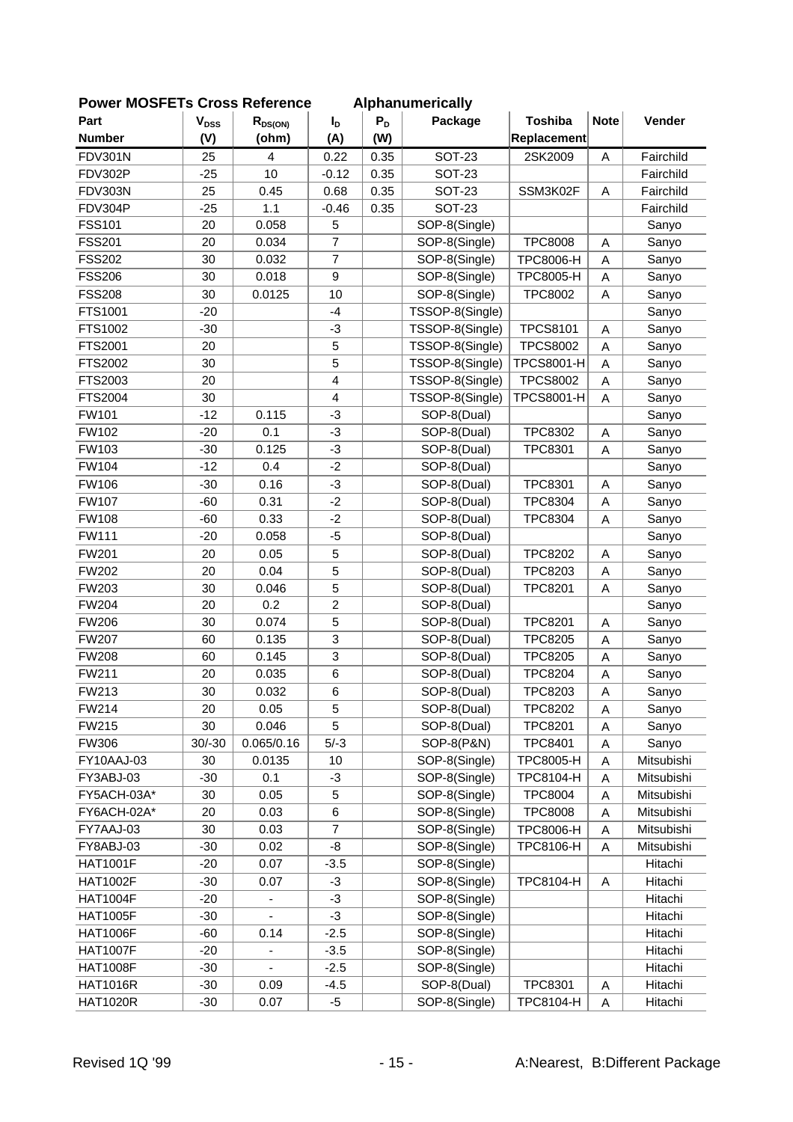| י <del>ט</del> ו ויוטטו בו |                        | <b>OLOSS IVEIGIGILG</b>      |                         |       | Alphanum chuany |                   |             |            |
|----------------------------|------------------------|------------------------------|-------------------------|-------|-----------------|-------------------|-------------|------------|
| Part                       | <b>V<sub>DSS</sub></b> | $R_{DS(ON)}$                 | I <sub>D</sub>          | $P_D$ | Package         | <b>Toshiba</b>    | <b>Note</b> | Vender     |
| <b>Number</b>              | (V)                    | (ohm)                        | (A)                     | (W)   |                 | Replacement       |             |            |
| <b>FDV301N</b>             | 25                     | 4                            | 0.22                    | 0.35  | <b>SOT-23</b>   | 2SK2009           | A           | Fairchild  |
| FDV302P                    | $-25$                  | 10                           | $-0.12$                 | 0.35  | <b>SOT-23</b>   |                   |             | Fairchild  |
| FDV303N                    | 25                     | 0.45                         | 0.68                    | 0.35  | <b>SOT-23</b>   | SSM3K02F          | A           | Fairchild  |
| FDV304P                    | $-25$                  | 1.1                          | $-0.46$                 | 0.35  | <b>SOT-23</b>   |                   |             | Fairchild  |
| <b>FSS101</b>              | 20                     | 0.058                        | 5                       |       | SOP-8(Single)   |                   |             | Sanyo      |
| <b>FSS201</b>              | 20                     | 0.034                        | $\overline{7}$          |       | SOP-8(Single)   | <b>TPC8008</b>    | Α           | Sanyo      |
| <b>FSS202</b>              | 30                     | 0.032                        | $\overline{7}$          |       | SOP-8(Single)   | <b>TPC8006-H</b>  | A           | Sanyo      |
| <b>FSS206</b>              | 30                     | 0.018                        | $\mathsf g$             |       | SOP-8(Single)   | <b>TPC8005-H</b>  | A           | Sanyo      |
| <b>FSS208</b>              | 30                     | 0.0125                       | 10                      |       | SOP-8(Single)   | <b>TPC8002</b>    | A           | Sanyo      |
| FTS1001                    | $-20$                  |                              | $-4$                    |       | TSSOP-8(Single) |                   |             | Sanyo      |
| FTS1002                    | $-30$                  |                              | $-3$                    |       | TSSOP-8(Single) | <b>TPCS8101</b>   | A           | Sanyo      |
| FTS2001                    | 20                     |                              | 5                       |       | TSSOP-8(Single) | <b>TPCS8002</b>   | A           | Sanyo      |
| FTS2002                    | 30                     |                              | 5                       |       | TSSOP-8(Single) | <b>TPCS8001-H</b> | Α           | Sanyo      |
| FTS2003                    | 20                     |                              | $\overline{\mathbf{4}}$ |       | TSSOP-8(Single) | <b>TPCS8002</b>   | A           | Sanyo      |
| <b>FTS2004</b>             | 30                     |                              | $\overline{4}$          |       | TSSOP-8(Single) | <b>TPCS8001-H</b> | A           | Sanyo      |
| <b>FW101</b>               | $-12$                  | 0.115                        | $-3$                    |       | SOP-8(Dual)     |                   |             | Sanyo      |
| FW102                      | $-20$                  | 0.1                          | $-3$                    |       | SOP-8(Dual)     | TPC8302           | A           | Sanyo      |
| FW103                      | $-30$                  | 0.125                        | $-3$                    |       | SOP-8(Dual)     | TPC8301           | A           | Sanyo      |
| FW104                      | $-12$                  | 0.4                          | $-2$                    |       | SOP-8(Dual)     |                   |             | Sanyo      |
| <b>FW106</b>               | $-30$                  | 0.16                         | $-3$                    |       | SOP-8(Dual)     | TPC8301           | Α           | Sanyo      |
| <b>FW107</b>               | $-60$                  | 0.31                         | $-2$                    |       | SOP-8(Dual)     | <b>TPC8304</b>    | A           | Sanyo      |
| <b>FW108</b>               | $-60$                  | 0.33                         | $-2$                    |       | SOP-8(Dual)     | <b>TPC8304</b>    | A           | Sanyo      |
| FW111                      | $-20$                  | 0.058                        | $-5$                    |       | SOP-8(Dual)     |                   |             | Sanyo      |
| <b>FW201</b>               | 20                     | 0.05                         | 5                       |       | SOP-8(Dual)     | <b>TPC8202</b>    | A           | Sanyo      |
| <b>FW202</b>               | 20                     | 0.04                         | 5                       |       | SOP-8(Dual)     | TPC8203           | A           | Sanyo      |
| FW203                      | 30                     | 0.046                        | 5                       |       | SOP-8(Dual)     | <b>TPC8201</b>    | A           | Sanyo      |
| <b>FW204</b>               | 20                     | 0.2                          | $\boldsymbol{2}$        |       | SOP-8(Dual)     |                   |             | Sanyo      |
| <b>FW206</b>               | 30                     | 0.074                        | 5                       |       | SOP-8(Dual)     | <b>TPC8201</b>    | A           | Sanyo      |
| <b>FW207</b>               | 60                     | 0.135                        | 3                       |       | SOP-8(Dual)     | <b>TPC8205</b>    | A           | Sanyo      |
| <b>FW208</b>               | 60                     | 0.145                        | 3                       |       | SOP-8(Dual)     | <b>TPC8205</b>    | A           | Sanyo      |
| FW211                      | 20                     | 0.035                        | $\,6$                   |       | SOP-8(Dual)     | <b>TPC8204</b>    | Α           | Sanyo      |
| FW213                      | 30                     | 0.032                        | $\,6$                   |       | SOP-8(Dual)     | TPC8203           | A           | Sanyo      |
| FW214                      | 20                     | 0.05                         | 5                       |       | SOP-8(Dual)     | <b>TPC8202</b>    | Α           | Sanyo      |
| FW215                      | 30                     | 0.046                        | 5                       |       | SOP-8(Dual)     | <b>TPC8201</b>    | A           | Sanyo      |
| <b>FW306</b>               | $30/-30$               | 0.065/0.16                   | $5/-3$                  |       | SOP-8(P&N)      | <b>TPC8401</b>    | A           | Sanyo      |
| FY10AAJ-03                 | 30                     | 0.0135                       | 10                      |       | SOP-8(Single)   | <b>TPC8005-H</b>  | A           | Mitsubishi |
| FY3ABJ-03                  | $-30$                  | 0.1                          | $-3$                    |       | SOP-8(Single)   | TPC8104-H         | A           | Mitsubishi |
| FY5ACH-03A*                | 30                     | 0.05                         | $\mathbf 5$             |       | SOP-8(Single)   | <b>TPC8004</b>    | A           | Mitsubishi |
| FY6ACH-02A*                | 20                     | 0.03                         | $6\phantom{1}6$         |       | SOP-8(Single)   | <b>TPC8008</b>    | A           | Mitsubishi |
| FY7AAJ-03                  | 30                     | 0.03                         | $\overline{7}$          |       | SOP-8(Single)   | <b>TPC8006-H</b>  | A           | Mitsubishi |
| FY8ABJ-03                  | $-30$                  | 0.02                         | $-8$                    |       | SOP-8(Single)   | TPC8106-H         | Α           | Mitsubishi |
| <b>HAT1001F</b>            | $-20$                  | 0.07                         | $-3.5$                  |       | SOP-8(Single)   |                   |             | Hitachi    |
| <b>HAT1002F</b>            | $-30$                  | 0.07                         | $-3$                    |       | SOP-8(Single)   | TPC8104-H         |             | Hitachi    |
|                            |                        |                              | $-3$                    |       |                 |                   | Α           |            |
| <b>HAT1004F</b>            | $-20$                  | $\qquad \qquad \blacksquare$ | $-3$                    |       | SOP-8(Single)   |                   |             | Hitachi    |
| <b>HAT1005F</b>            | $-30$                  | $\overline{a}$               |                         |       | SOP-8(Single)   |                   |             | Hitachi    |
| <b>HAT1006F</b>            | -60                    | 0.14                         | $-2.5$                  |       | SOP-8(Single)   |                   |             | Hitachi    |
| <b>HAT1007F</b>            | $-20$                  | $\frac{1}{2}$                | $-3.5$                  |       | SOP-8(Single)   |                   |             | Hitachi    |
| <b>HAT1008F</b>            | $-30$                  |                              | $-2.5$                  |       | SOP-8(Single)   |                   |             | Hitachi    |
| <b>HAT1016R</b>            | $-30$                  | 0.09                         | $-4.5$                  |       | SOP-8(Dual)     | <b>TPC8301</b>    | A           | Hitachi    |
| <b>HAT1020R</b>            | $-30$                  | 0.07                         | $-5$                    |       | SOP-8(Single)   | TPC8104-H         | A           | Hitachi    |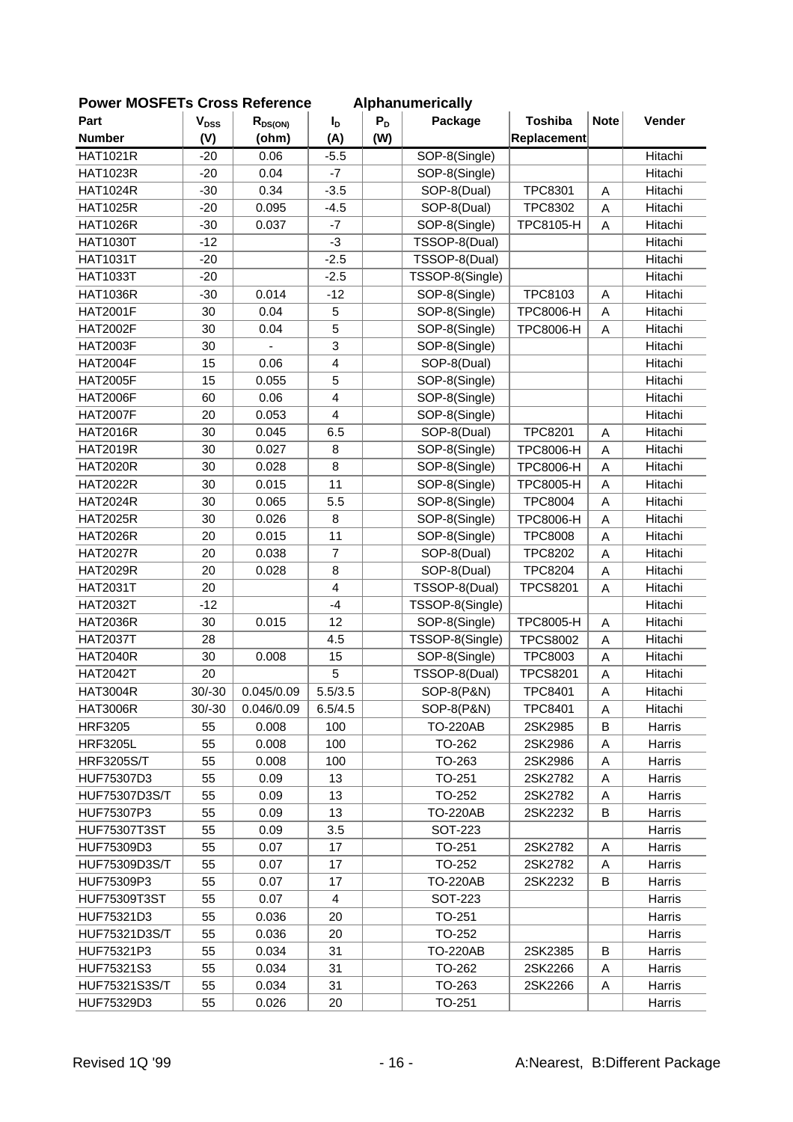| <b>FUWEI INIUSFETS UTUSS REIBIBILG</b> |                           |              |                         |       | Alphanumencally       |                  |             |               |
|----------------------------------------|---------------------------|--------------|-------------------------|-------|-----------------------|------------------|-------------|---------------|
| Part                                   | $\mathbf{V}_{\text{DSS}}$ | $R_{DS(ON)}$ | $I_D$                   | $P_D$ | Package               | <b>Toshiba</b>   | <b>Note</b> | Vender        |
| <b>Number</b>                          | (V)                       | (ohm)        | (A)                     | (W)   |                       | Replacement      |             |               |
| <b>HAT1021R</b>                        | $-20$                     | 0.06         | $-5.5$                  |       | SOP-8(Single)         |                  |             | Hitachi       |
| <b>HAT1023R</b>                        | $-20$                     | 0.04         | $-7$                    |       | SOP-8(Single)         |                  |             | Hitachi       |
| <b>HAT1024R</b>                        | $-30$                     | 0.34         | $-3.5$                  |       | SOP-8(Dual)           | <b>TPC8301</b>   | A           | Hitachi       |
| <b>HAT1025R</b>                        | $-20$                     | 0.095        | $-4.5$                  |       | SOP-8(Dual)           | <b>TPC8302</b>   | A           | Hitachi       |
| <b>HAT1026R</b>                        | $-30$                     | 0.037        | $-7$                    |       | SOP-8(Single)         | TPC8105-H        | A           | Hitachi       |
| <b>HAT1030T</b>                        | $-12$                     |              | $-3$                    |       | TSSOP-8(Dual)         |                  |             | Hitachi       |
| <b>HAT1031T</b>                        | $-20$                     |              | $-2.5$                  |       | TSSOP-8(Dual)         |                  |             | Hitachi       |
| <b>HAT1033T</b>                        | $-20$                     |              | $-2.5$                  |       | TSSOP-8(Single)       |                  |             | Hitachi       |
| <b>HAT1036R</b>                        | $-30$                     | 0.014        | $-12$                   |       | SOP-8(Single)         | TPC8103          | Α           | Hitachi       |
| <b>HAT2001F</b>                        | 30                        | 0.04         | 5                       |       | SOP-8(Single)         | <b>TPC8006-H</b> | Α           | Hitachi       |
| <b>HAT2002F</b>                        | 30                        | 0.04         | 5                       |       | SOP-8(Single)         | <b>TPC8006-H</b> | A           | Hitachi       |
| <b>HAT2003F</b>                        | 30                        |              | 3                       |       | SOP-8(Single)         |                  |             | Hitachi       |
| <b>HAT2004F</b>                        | 15                        | 0.06         | $\overline{\mathbf{4}}$ |       | SOP-8(Dual)           |                  |             | Hitachi       |
| <b>HAT2005F</b>                        | 15                        | 0.055        | 5                       |       | SOP-8(Single)         |                  |             | Hitachi       |
| <b>HAT2006F</b>                        | 60                        | 0.06         | $\overline{4}$          |       | SOP-8(Single)         |                  |             | Hitachi       |
| <b>HAT2007F</b>                        | 20                        | 0.053        | 4                       |       | SOP-8(Single)         |                  |             | Hitachi       |
| <b>HAT2016R</b>                        | 30                        | 0.045        | 6.5                     |       | SOP-8(Dual)           | <b>TPC8201</b>   | A           | Hitachi       |
| <b>HAT2019R</b>                        | 30                        | 0.027        | 8                       |       | SOP-8(Single)         | <b>TPC8006-H</b> | A           | Hitachi       |
| <b>HAT2020R</b>                        | 30                        | 0.028        | 8                       |       | SOP-8(Single)         | <b>TPC8006-H</b> | Α           | Hitachi       |
| <b>HAT2022R</b>                        | 30                        | 0.015        | 11                      |       | SOP-8(Single)         | <b>TPC8005-H</b> | A           | Hitachi       |
| <b>HAT2024R</b>                        | 30                        | 0.065        | 5.5                     |       | SOP-8(Single)         | <b>TPC8004</b>   | A           | Hitachi       |
| <b>HAT2025R</b>                        | 30                        | 0.026        | 8                       |       | SOP-8(Single)         | <b>TPC8006-H</b> | Α           | Hitachi       |
| <b>HAT2026R</b>                        | 20                        | 0.015        | 11                      |       | SOP-8(Single)         | <b>TPC8008</b>   | A           | Hitachi       |
| <b>HAT2027R</b>                        | 20                        | 0.038        | $\overline{7}$          |       | SOP-8(Dual)           | <b>TPC8202</b>   | A           | Hitachi       |
| <b>HAT2029R</b>                        | 20                        | 0.028        | 8                       |       | SOP-8(Dual)           | <b>TPC8204</b>   | A           | Hitachi       |
| <b>HAT2031T</b>                        | 20                        |              | $\overline{4}$          |       | TSSOP-8(Dual)         | <b>TPCS8201</b>  | A           | Hitachi       |
| <b>HAT2032T</b>                        | $-12$                     |              | $-4$                    |       | TSSOP-8(Single)       |                  |             | Hitachi       |
| <b>HAT2036R</b>                        | 30                        | 0.015        | 12                      |       | SOP-8(Single)         | <b>TPC8005-H</b> | A           | Hitachi       |
| <b>HAT2037T</b>                        | 28                        |              | 4.5                     |       | TSSOP-8(Single)       | <b>TPCS8002</b>  | Α           | Hitachi       |
| <b>HAT2040R</b>                        | 30                        | 0.008        | 15                      |       | SOP-8(Single)         | TPC8003          | Α           | Hitachi       |
| <b>HAT2042T</b>                        | 20                        |              | 5                       |       | TSSOP-8(Dual)         | <b>TPCS8201</b>  | Α           | Hitachi       |
| <b>HAT3004R</b>                        | $30/-30$                  | 0.045/0.09   | 5.5/3.5                 |       | <b>SOP-8(P&amp;N)</b> | <b>TPC8401</b>   | A           | Hitachi       |
| <b>HAT3006R</b>                        | $30/-30$                  | 0.046/0.09   | 6.5/4.5                 |       | SOP-8(P&N)            | TPC8401          | Α           | Hitachi       |
| <b>HRF3205</b>                         | 55                        | 0.008        | 100                     |       | <b>TO-220AB</b>       | 2SK2985          | B           | Harris        |
| <b>HRF3205L</b>                        | 55                        | 0.008        | 100                     |       | TO-262                | 2SK2986          | Α           | Harris        |
| <b>HRF3205S/T</b>                      | 55                        | 0.008        | 100                     |       | TO-263                | 2SK2986          | Α           | <b>Harris</b> |
| HUF75307D3                             | 55                        | 0.09         | 13                      |       | TO-251                | 2SK2782          | A           | Harris        |
| <b>HUF75307D3S/T</b>                   | 55                        | 0.09         | 13                      |       | TO-252                | 2SK2782          | Α           | Harris        |
| HUF75307P3                             | 55                        | 0.09         | 13                      |       | <b>TO-220AB</b>       | 2SK2232          | В           | Harris        |
| <b>HUF75307T3ST</b>                    | 55                        | 0.09         | 3.5                     |       | <b>SOT-223</b>        |                  |             | Harris        |
| HUF75309D3                             | 55                        | 0.07         | 17                      |       | TO-251                | 2SK2782          | Α           | Harris        |
| <b>HUF75309D3S/T</b>                   | 55                        | 0.07         | 17                      |       | TO-252                | 2SK2782          | A           | Harris        |
| HUF75309P3                             | 55                        | 0.07         | 17                      |       | TO-220AB              | 2SK2232          | B           | Harris        |
| <b>HUF75309T3ST</b>                    | 55                        | 0.07         | 4                       |       | SOT-223               |                  |             | Harris        |
| HUF75321D3                             | 55                        | 0.036        | 20                      |       | TO-251                |                  |             | Harris        |
| HUF75321D3S/T                          | 55                        | 0.036        | 20                      |       | TO-252                |                  |             | Harris        |
| HUF75321P3                             | 55                        | 0.034        | 31                      |       | <b>TO-220AB</b>       | 2SK2385          | B           | Harris        |
| HUF75321S3                             | 55                        | 0.034        | 31                      |       | TO-262                | 2SK2266          | Α           | Harris        |
| HUF75321S3S/T                          | 55                        | 0.034        | 31                      |       | TO-263                | 2SK2266          | A           | Harris        |
| HUF75329D3                             | 55                        | 0.026        | 20                      |       | TO-251                |                  |             | Harris        |
|                                        |                           |              |                         |       |                       |                  |             |               |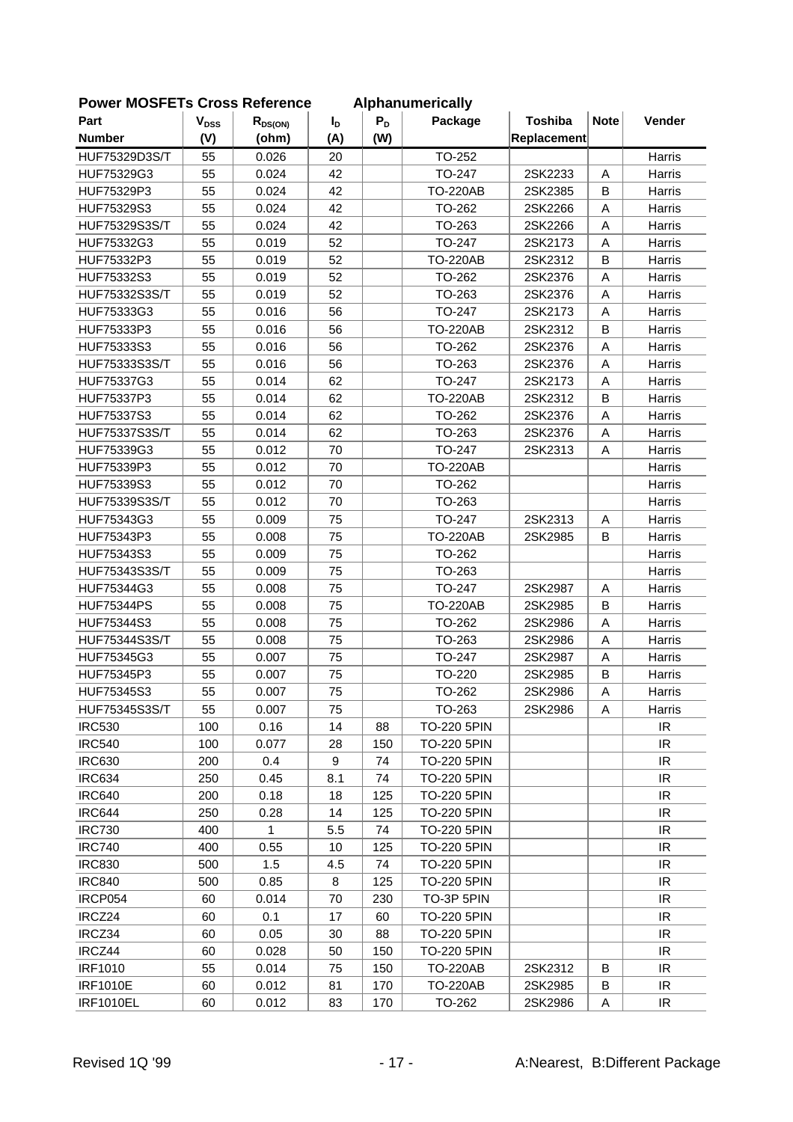| Part<br>$I_{\text{D}}$<br><b>Number</b><br>(V)<br>(A)<br>(W)<br>Replacement<br>(ohm)<br>TO-252<br>HUF75329D3S/T<br>55<br>0.026<br>20<br>Harris<br>42<br>TO-247<br>2SK2233<br>HUF75329G3<br>55<br>0.024<br>A<br>Harris<br>55<br>42<br>B<br>HUF75329P3<br>0.024<br><b>TO-220AB</b><br>2SK2385<br>Harris<br>42<br>TO-262<br>Harris<br>HUF75329S3<br>55<br>0.024<br>2SK2266<br>Α<br>TO-263<br>HUF75329S3S/T<br>55<br>0.024<br>42<br>2SK2266<br>A<br>Harris<br>55<br>52<br>TO-247<br>2SK2173<br>HUF75332G3<br>0.019<br>Α<br>Harris<br>55<br>0.019<br>52<br><b>TO-220AB</b><br>2SK2312<br>B<br>Harris<br>HUF75332P3<br>52<br>55<br>TO-262<br>HUF75332S3<br>0.019<br>2SK2376<br>Α<br>Harris<br>55<br>52<br>HUF75332S3S/T<br>TO-263<br>2SK2376<br>Α<br>0.019<br>Harris<br>56<br>HUF75333G3<br>55<br>0.016<br>TO-247<br>2SK2173<br>Α<br>Harris<br>HUF75333P3<br>55<br>56<br><b>TO-220AB</b><br>2SK2312<br>B<br>Harris<br>0.016<br>HUF75333S3<br>TO-262<br>2SK2376<br>55<br>0.016<br>56<br>A<br>Harris<br>55<br>56<br>TO-263<br>2SK2376<br>A<br>Harris<br>HUF75333S3S/T<br>0.016<br>HUF75337G3<br>55<br>62<br>TO-247<br>2SK2173<br>0.014<br>Α<br>Harris<br>62<br>55<br><b>TO-220AB</b><br>2SK2312<br>B<br>HUF75337P3<br>0.014<br>Harris<br>55<br>62<br>TO-262<br>A<br>HUF75337S3<br>0.014<br>2SK2376<br>Harris<br>62<br><b>HUF75337S3S/T</b><br>55<br>TO-263<br>2SK2376<br>Α<br>Harris<br>0.014<br>HUF75339G3<br>55<br>0.012<br>70<br>TO-247<br>2SK2313<br>Harris<br>A<br>55<br>70<br><b>TO-220AB</b><br>Harris<br>HUF75339P3<br>0.012<br>55<br>TO-262<br>HUF75339S3<br>0.012<br>70<br>Harris<br>HUF75339S3S/T<br>55<br>0.012<br>70<br>TO-263<br>Harris<br>55<br>75<br>TO-247<br>2SK2313<br>HUF75343G3<br>0.009<br>Harris<br>A<br>55<br>75<br>HUF75343P3<br>0.008<br><b>TO-220AB</b><br>2SK2985<br>B<br>Harris<br>HUF75343S3<br>55<br>0.009<br>75<br>TO-262<br>Harris<br>75<br>TO-263<br>HUF75343S3S/T<br>55<br>0.009<br>Harris<br>55<br>75<br>TO-247<br>2SK2987<br>A<br>HUF75344G3<br>0.008<br>Harris<br><b>TO-220AB</b><br>B<br><b>HUF75344PS</b><br>55<br>0.008<br>75<br>2SK2985<br>Harris<br>75<br>TO-262<br>HUF75344S3<br>55<br>0.008<br>2SK2986<br>A<br>Harris<br>55<br>75<br>TO-263<br><b>HUF75344S3S/T</b><br>0.008<br>2SK2986<br>Α<br>Harris<br>HUF75345G3<br>55<br>0.007<br>75<br>TO-247<br>2SK2987<br>Harris<br>Α<br>55<br>2SK2985<br>HUF75345P3<br>0.007<br>75<br>TO-220<br>B<br>Harris<br>55<br>75<br>TO-262<br>HUF75345S3<br>0.007<br>2SK2986<br>Α<br>Harris<br>HUF75345S3S/T<br>55<br>0.007<br>75<br>TO-263<br>2SK2986<br>Harris<br>A<br>14<br>IR<br><b>IRC530</b><br>100<br>0.16<br>TO-220 5PIN<br>88<br><b>IRC540</b><br>IR<br>100<br>0.077<br>28<br>150<br><b>TO-220 5PIN</b><br><b>IRC630</b><br>0.4<br><b>TO-220 5PIN</b><br>IR<br>200<br>9<br>74<br><b>IRC634</b><br>IR<br>250<br>0.45<br>74<br><b>TO-220 5PIN</b><br>8.1<br>IR<br><b>IRC640</b><br>200<br>0.18<br>18<br>125<br><b>TO-220 5PIN</b><br><b>IRC644</b><br>250<br>0.28<br>14<br>125<br><b>TO-220 5PIN</b><br>IR.<br><b>IRC730</b><br>400<br>1<br>5.5<br>74<br>IR<br><b>TO-220 5PIN</b><br>IR<br><b>IRC740</b><br>400<br>10<br><b>TO-220 5PIN</b><br>0.55<br>125<br><b>IRC830</b><br>1.5<br>IR.<br>500<br>4.5<br>74<br><b>TO-220 5PIN</b><br><b>IRC840</b><br>0.85<br>125<br><b>TO-220 5PIN</b><br>IR.<br>500<br>8<br>TO-3P 5PIN<br>IR<br>IRCP054<br>60<br>0.014<br>70<br>230<br>IR<br>IRCZ24<br>60<br>0.1<br>17<br><b>TO-220 5PIN</b><br>60<br>IRCZ34<br>60<br>0.05<br>30<br>88<br><b>TO-220 5PIN</b><br>IR.<br>IR<br>IRCZ44<br>60<br>0.028<br>50<br>150<br>TO-220 5PIN<br><b>IRF1010</b><br>55<br>150<br>IR<br>0.014<br>75<br>TO-220AB<br>2SK2312<br>B<br><b>IRF1010E</b><br>170<br><b>TO-220AB</b><br>2SK2985<br>IR<br>60<br>0.012<br>81<br>B<br>$\ensuremath{\mathsf{IR}}\xspace$<br><b>IRF1010EL</b><br>60<br>0.012<br>83<br>170<br>TO-262<br>2SK2986<br>Α | <b>FOWER INCOFFLIS CROSS REIGHEILGE</b> |                           |              |       | <b>Alphanumencally</b> |                |             |        |
|---------------------------------------------------------------------------------------------------------------------------------------------------------------------------------------------------------------------------------------------------------------------------------------------------------------------------------------------------------------------------------------------------------------------------------------------------------------------------------------------------------------------------------------------------------------------------------------------------------------------------------------------------------------------------------------------------------------------------------------------------------------------------------------------------------------------------------------------------------------------------------------------------------------------------------------------------------------------------------------------------------------------------------------------------------------------------------------------------------------------------------------------------------------------------------------------------------------------------------------------------------------------------------------------------------------------------------------------------------------------------------------------------------------------------------------------------------------------------------------------------------------------------------------------------------------------------------------------------------------------------------------------------------------------------------------------------------------------------------------------------------------------------------------------------------------------------------------------------------------------------------------------------------------------------------------------------------------------------------------------------------------------------------------------------------------------------------------------------------------------------------------------------------------------------------------------------------------------------------------------------------------------------------------------------------------------------------------------------------------------------------------------------------------------------------------------------------------------------------------------------------------------------------------------------------------------------------------------------------------------------------------------------------------------------------------------------------------------------------------------------------------------------------------------------------------------------------------------------------------------------------------------------------------------------------------------------------------------------------------------------------------------------------------------------------------------------------------------------------------------------------------------------------------------------------------------------------------------------------------------------------------------------------------------------------------------------------------------------------------------------------------------------------------------------------------------------------------------------------------------------------------------------------------------------------------------------------------------------------------------------------------------------------------------------------------------------------------------------------------------------------------------------------------------------------------------------------------|-----------------------------------------|---------------------------|--------------|-------|------------------------|----------------|-------------|--------|
|                                                                                                                                                                                                                                                                                                                                                                                                                                                                                                                                                                                                                                                                                                                                                                                                                                                                                                                                                                                                                                                                                                                                                                                                                                                                                                                                                                                                                                                                                                                                                                                                                                                                                                                                                                                                                                                                                                                                                                                                                                                                                                                                                                                                                                                                                                                                                                                                                                                                                                                                                                                                                                                                                                                                                                                                                                                                                                                                                                                                                                                                                                                                                                                                                                                                                                                                                                                                                                                                                                                                                                                                                                                                                                                                                                                                                                       |                                         | $\mathbf{V}_{\text{DSS}}$ | $R_{DS(ON)}$ | $P_D$ | Package                | <b>Toshiba</b> | <b>Note</b> | Vender |
|                                                                                                                                                                                                                                                                                                                                                                                                                                                                                                                                                                                                                                                                                                                                                                                                                                                                                                                                                                                                                                                                                                                                                                                                                                                                                                                                                                                                                                                                                                                                                                                                                                                                                                                                                                                                                                                                                                                                                                                                                                                                                                                                                                                                                                                                                                                                                                                                                                                                                                                                                                                                                                                                                                                                                                                                                                                                                                                                                                                                                                                                                                                                                                                                                                                                                                                                                                                                                                                                                                                                                                                                                                                                                                                                                                                                                                       |                                         |                           |              |       |                        |                |             |        |
|                                                                                                                                                                                                                                                                                                                                                                                                                                                                                                                                                                                                                                                                                                                                                                                                                                                                                                                                                                                                                                                                                                                                                                                                                                                                                                                                                                                                                                                                                                                                                                                                                                                                                                                                                                                                                                                                                                                                                                                                                                                                                                                                                                                                                                                                                                                                                                                                                                                                                                                                                                                                                                                                                                                                                                                                                                                                                                                                                                                                                                                                                                                                                                                                                                                                                                                                                                                                                                                                                                                                                                                                                                                                                                                                                                                                                                       |                                         |                           |              |       |                        |                |             |        |
|                                                                                                                                                                                                                                                                                                                                                                                                                                                                                                                                                                                                                                                                                                                                                                                                                                                                                                                                                                                                                                                                                                                                                                                                                                                                                                                                                                                                                                                                                                                                                                                                                                                                                                                                                                                                                                                                                                                                                                                                                                                                                                                                                                                                                                                                                                                                                                                                                                                                                                                                                                                                                                                                                                                                                                                                                                                                                                                                                                                                                                                                                                                                                                                                                                                                                                                                                                                                                                                                                                                                                                                                                                                                                                                                                                                                                                       |                                         |                           |              |       |                        |                |             |        |
|                                                                                                                                                                                                                                                                                                                                                                                                                                                                                                                                                                                                                                                                                                                                                                                                                                                                                                                                                                                                                                                                                                                                                                                                                                                                                                                                                                                                                                                                                                                                                                                                                                                                                                                                                                                                                                                                                                                                                                                                                                                                                                                                                                                                                                                                                                                                                                                                                                                                                                                                                                                                                                                                                                                                                                                                                                                                                                                                                                                                                                                                                                                                                                                                                                                                                                                                                                                                                                                                                                                                                                                                                                                                                                                                                                                                                                       |                                         |                           |              |       |                        |                |             |        |
|                                                                                                                                                                                                                                                                                                                                                                                                                                                                                                                                                                                                                                                                                                                                                                                                                                                                                                                                                                                                                                                                                                                                                                                                                                                                                                                                                                                                                                                                                                                                                                                                                                                                                                                                                                                                                                                                                                                                                                                                                                                                                                                                                                                                                                                                                                                                                                                                                                                                                                                                                                                                                                                                                                                                                                                                                                                                                                                                                                                                                                                                                                                                                                                                                                                                                                                                                                                                                                                                                                                                                                                                                                                                                                                                                                                                                                       |                                         |                           |              |       |                        |                |             |        |
|                                                                                                                                                                                                                                                                                                                                                                                                                                                                                                                                                                                                                                                                                                                                                                                                                                                                                                                                                                                                                                                                                                                                                                                                                                                                                                                                                                                                                                                                                                                                                                                                                                                                                                                                                                                                                                                                                                                                                                                                                                                                                                                                                                                                                                                                                                                                                                                                                                                                                                                                                                                                                                                                                                                                                                                                                                                                                                                                                                                                                                                                                                                                                                                                                                                                                                                                                                                                                                                                                                                                                                                                                                                                                                                                                                                                                                       |                                         |                           |              |       |                        |                |             |        |
|                                                                                                                                                                                                                                                                                                                                                                                                                                                                                                                                                                                                                                                                                                                                                                                                                                                                                                                                                                                                                                                                                                                                                                                                                                                                                                                                                                                                                                                                                                                                                                                                                                                                                                                                                                                                                                                                                                                                                                                                                                                                                                                                                                                                                                                                                                                                                                                                                                                                                                                                                                                                                                                                                                                                                                                                                                                                                                                                                                                                                                                                                                                                                                                                                                                                                                                                                                                                                                                                                                                                                                                                                                                                                                                                                                                                                                       |                                         |                           |              |       |                        |                |             |        |
|                                                                                                                                                                                                                                                                                                                                                                                                                                                                                                                                                                                                                                                                                                                                                                                                                                                                                                                                                                                                                                                                                                                                                                                                                                                                                                                                                                                                                                                                                                                                                                                                                                                                                                                                                                                                                                                                                                                                                                                                                                                                                                                                                                                                                                                                                                                                                                                                                                                                                                                                                                                                                                                                                                                                                                                                                                                                                                                                                                                                                                                                                                                                                                                                                                                                                                                                                                                                                                                                                                                                                                                                                                                                                                                                                                                                                                       |                                         |                           |              |       |                        |                |             |        |
|                                                                                                                                                                                                                                                                                                                                                                                                                                                                                                                                                                                                                                                                                                                                                                                                                                                                                                                                                                                                                                                                                                                                                                                                                                                                                                                                                                                                                                                                                                                                                                                                                                                                                                                                                                                                                                                                                                                                                                                                                                                                                                                                                                                                                                                                                                                                                                                                                                                                                                                                                                                                                                                                                                                                                                                                                                                                                                                                                                                                                                                                                                                                                                                                                                                                                                                                                                                                                                                                                                                                                                                                                                                                                                                                                                                                                                       |                                         |                           |              |       |                        |                |             |        |
|                                                                                                                                                                                                                                                                                                                                                                                                                                                                                                                                                                                                                                                                                                                                                                                                                                                                                                                                                                                                                                                                                                                                                                                                                                                                                                                                                                                                                                                                                                                                                                                                                                                                                                                                                                                                                                                                                                                                                                                                                                                                                                                                                                                                                                                                                                                                                                                                                                                                                                                                                                                                                                                                                                                                                                                                                                                                                                                                                                                                                                                                                                                                                                                                                                                                                                                                                                                                                                                                                                                                                                                                                                                                                                                                                                                                                                       |                                         |                           |              |       |                        |                |             |        |
|                                                                                                                                                                                                                                                                                                                                                                                                                                                                                                                                                                                                                                                                                                                                                                                                                                                                                                                                                                                                                                                                                                                                                                                                                                                                                                                                                                                                                                                                                                                                                                                                                                                                                                                                                                                                                                                                                                                                                                                                                                                                                                                                                                                                                                                                                                                                                                                                                                                                                                                                                                                                                                                                                                                                                                                                                                                                                                                                                                                                                                                                                                                                                                                                                                                                                                                                                                                                                                                                                                                                                                                                                                                                                                                                                                                                                                       |                                         |                           |              |       |                        |                |             |        |
|                                                                                                                                                                                                                                                                                                                                                                                                                                                                                                                                                                                                                                                                                                                                                                                                                                                                                                                                                                                                                                                                                                                                                                                                                                                                                                                                                                                                                                                                                                                                                                                                                                                                                                                                                                                                                                                                                                                                                                                                                                                                                                                                                                                                                                                                                                                                                                                                                                                                                                                                                                                                                                                                                                                                                                                                                                                                                                                                                                                                                                                                                                                                                                                                                                                                                                                                                                                                                                                                                                                                                                                                                                                                                                                                                                                                                                       |                                         |                           |              |       |                        |                |             |        |
|                                                                                                                                                                                                                                                                                                                                                                                                                                                                                                                                                                                                                                                                                                                                                                                                                                                                                                                                                                                                                                                                                                                                                                                                                                                                                                                                                                                                                                                                                                                                                                                                                                                                                                                                                                                                                                                                                                                                                                                                                                                                                                                                                                                                                                                                                                                                                                                                                                                                                                                                                                                                                                                                                                                                                                                                                                                                                                                                                                                                                                                                                                                                                                                                                                                                                                                                                                                                                                                                                                                                                                                                                                                                                                                                                                                                                                       |                                         |                           |              |       |                        |                |             |        |
|                                                                                                                                                                                                                                                                                                                                                                                                                                                                                                                                                                                                                                                                                                                                                                                                                                                                                                                                                                                                                                                                                                                                                                                                                                                                                                                                                                                                                                                                                                                                                                                                                                                                                                                                                                                                                                                                                                                                                                                                                                                                                                                                                                                                                                                                                                                                                                                                                                                                                                                                                                                                                                                                                                                                                                                                                                                                                                                                                                                                                                                                                                                                                                                                                                                                                                                                                                                                                                                                                                                                                                                                                                                                                                                                                                                                                                       |                                         |                           |              |       |                        |                |             |        |
|                                                                                                                                                                                                                                                                                                                                                                                                                                                                                                                                                                                                                                                                                                                                                                                                                                                                                                                                                                                                                                                                                                                                                                                                                                                                                                                                                                                                                                                                                                                                                                                                                                                                                                                                                                                                                                                                                                                                                                                                                                                                                                                                                                                                                                                                                                                                                                                                                                                                                                                                                                                                                                                                                                                                                                                                                                                                                                                                                                                                                                                                                                                                                                                                                                                                                                                                                                                                                                                                                                                                                                                                                                                                                                                                                                                                                                       |                                         |                           |              |       |                        |                |             |        |
|                                                                                                                                                                                                                                                                                                                                                                                                                                                                                                                                                                                                                                                                                                                                                                                                                                                                                                                                                                                                                                                                                                                                                                                                                                                                                                                                                                                                                                                                                                                                                                                                                                                                                                                                                                                                                                                                                                                                                                                                                                                                                                                                                                                                                                                                                                                                                                                                                                                                                                                                                                                                                                                                                                                                                                                                                                                                                                                                                                                                                                                                                                                                                                                                                                                                                                                                                                                                                                                                                                                                                                                                                                                                                                                                                                                                                                       |                                         |                           |              |       |                        |                |             |        |
|                                                                                                                                                                                                                                                                                                                                                                                                                                                                                                                                                                                                                                                                                                                                                                                                                                                                                                                                                                                                                                                                                                                                                                                                                                                                                                                                                                                                                                                                                                                                                                                                                                                                                                                                                                                                                                                                                                                                                                                                                                                                                                                                                                                                                                                                                                                                                                                                                                                                                                                                                                                                                                                                                                                                                                                                                                                                                                                                                                                                                                                                                                                                                                                                                                                                                                                                                                                                                                                                                                                                                                                                                                                                                                                                                                                                                                       |                                         |                           |              |       |                        |                |             |        |
|                                                                                                                                                                                                                                                                                                                                                                                                                                                                                                                                                                                                                                                                                                                                                                                                                                                                                                                                                                                                                                                                                                                                                                                                                                                                                                                                                                                                                                                                                                                                                                                                                                                                                                                                                                                                                                                                                                                                                                                                                                                                                                                                                                                                                                                                                                                                                                                                                                                                                                                                                                                                                                                                                                                                                                                                                                                                                                                                                                                                                                                                                                                                                                                                                                                                                                                                                                                                                                                                                                                                                                                                                                                                                                                                                                                                                                       |                                         |                           |              |       |                        |                |             |        |
|                                                                                                                                                                                                                                                                                                                                                                                                                                                                                                                                                                                                                                                                                                                                                                                                                                                                                                                                                                                                                                                                                                                                                                                                                                                                                                                                                                                                                                                                                                                                                                                                                                                                                                                                                                                                                                                                                                                                                                                                                                                                                                                                                                                                                                                                                                                                                                                                                                                                                                                                                                                                                                                                                                                                                                                                                                                                                                                                                                                                                                                                                                                                                                                                                                                                                                                                                                                                                                                                                                                                                                                                                                                                                                                                                                                                                                       |                                         |                           |              |       |                        |                |             |        |
|                                                                                                                                                                                                                                                                                                                                                                                                                                                                                                                                                                                                                                                                                                                                                                                                                                                                                                                                                                                                                                                                                                                                                                                                                                                                                                                                                                                                                                                                                                                                                                                                                                                                                                                                                                                                                                                                                                                                                                                                                                                                                                                                                                                                                                                                                                                                                                                                                                                                                                                                                                                                                                                                                                                                                                                                                                                                                                                                                                                                                                                                                                                                                                                                                                                                                                                                                                                                                                                                                                                                                                                                                                                                                                                                                                                                                                       |                                         |                           |              |       |                        |                |             |        |
|                                                                                                                                                                                                                                                                                                                                                                                                                                                                                                                                                                                                                                                                                                                                                                                                                                                                                                                                                                                                                                                                                                                                                                                                                                                                                                                                                                                                                                                                                                                                                                                                                                                                                                                                                                                                                                                                                                                                                                                                                                                                                                                                                                                                                                                                                                                                                                                                                                                                                                                                                                                                                                                                                                                                                                                                                                                                                                                                                                                                                                                                                                                                                                                                                                                                                                                                                                                                                                                                                                                                                                                                                                                                                                                                                                                                                                       |                                         |                           |              |       |                        |                |             |        |
|                                                                                                                                                                                                                                                                                                                                                                                                                                                                                                                                                                                                                                                                                                                                                                                                                                                                                                                                                                                                                                                                                                                                                                                                                                                                                                                                                                                                                                                                                                                                                                                                                                                                                                                                                                                                                                                                                                                                                                                                                                                                                                                                                                                                                                                                                                                                                                                                                                                                                                                                                                                                                                                                                                                                                                                                                                                                                                                                                                                                                                                                                                                                                                                                                                                                                                                                                                                                                                                                                                                                                                                                                                                                                                                                                                                                                                       |                                         |                           |              |       |                        |                |             |        |
|                                                                                                                                                                                                                                                                                                                                                                                                                                                                                                                                                                                                                                                                                                                                                                                                                                                                                                                                                                                                                                                                                                                                                                                                                                                                                                                                                                                                                                                                                                                                                                                                                                                                                                                                                                                                                                                                                                                                                                                                                                                                                                                                                                                                                                                                                                                                                                                                                                                                                                                                                                                                                                                                                                                                                                                                                                                                                                                                                                                                                                                                                                                                                                                                                                                                                                                                                                                                                                                                                                                                                                                                                                                                                                                                                                                                                                       |                                         |                           |              |       |                        |                |             |        |
|                                                                                                                                                                                                                                                                                                                                                                                                                                                                                                                                                                                                                                                                                                                                                                                                                                                                                                                                                                                                                                                                                                                                                                                                                                                                                                                                                                                                                                                                                                                                                                                                                                                                                                                                                                                                                                                                                                                                                                                                                                                                                                                                                                                                                                                                                                                                                                                                                                                                                                                                                                                                                                                                                                                                                                                                                                                                                                                                                                                                                                                                                                                                                                                                                                                                                                                                                                                                                                                                                                                                                                                                                                                                                                                                                                                                                                       |                                         |                           |              |       |                        |                |             |        |
|                                                                                                                                                                                                                                                                                                                                                                                                                                                                                                                                                                                                                                                                                                                                                                                                                                                                                                                                                                                                                                                                                                                                                                                                                                                                                                                                                                                                                                                                                                                                                                                                                                                                                                                                                                                                                                                                                                                                                                                                                                                                                                                                                                                                                                                                                                                                                                                                                                                                                                                                                                                                                                                                                                                                                                                                                                                                                                                                                                                                                                                                                                                                                                                                                                                                                                                                                                                                                                                                                                                                                                                                                                                                                                                                                                                                                                       |                                         |                           |              |       |                        |                |             |        |
|                                                                                                                                                                                                                                                                                                                                                                                                                                                                                                                                                                                                                                                                                                                                                                                                                                                                                                                                                                                                                                                                                                                                                                                                                                                                                                                                                                                                                                                                                                                                                                                                                                                                                                                                                                                                                                                                                                                                                                                                                                                                                                                                                                                                                                                                                                                                                                                                                                                                                                                                                                                                                                                                                                                                                                                                                                                                                                                                                                                                                                                                                                                                                                                                                                                                                                                                                                                                                                                                                                                                                                                                                                                                                                                                                                                                                                       |                                         |                           |              |       |                        |                |             |        |
|                                                                                                                                                                                                                                                                                                                                                                                                                                                                                                                                                                                                                                                                                                                                                                                                                                                                                                                                                                                                                                                                                                                                                                                                                                                                                                                                                                                                                                                                                                                                                                                                                                                                                                                                                                                                                                                                                                                                                                                                                                                                                                                                                                                                                                                                                                                                                                                                                                                                                                                                                                                                                                                                                                                                                                                                                                                                                                                                                                                                                                                                                                                                                                                                                                                                                                                                                                                                                                                                                                                                                                                                                                                                                                                                                                                                                                       |                                         |                           |              |       |                        |                |             |        |
|                                                                                                                                                                                                                                                                                                                                                                                                                                                                                                                                                                                                                                                                                                                                                                                                                                                                                                                                                                                                                                                                                                                                                                                                                                                                                                                                                                                                                                                                                                                                                                                                                                                                                                                                                                                                                                                                                                                                                                                                                                                                                                                                                                                                                                                                                                                                                                                                                                                                                                                                                                                                                                                                                                                                                                                                                                                                                                                                                                                                                                                                                                                                                                                                                                                                                                                                                                                                                                                                                                                                                                                                                                                                                                                                                                                                                                       |                                         |                           |              |       |                        |                |             |        |
|                                                                                                                                                                                                                                                                                                                                                                                                                                                                                                                                                                                                                                                                                                                                                                                                                                                                                                                                                                                                                                                                                                                                                                                                                                                                                                                                                                                                                                                                                                                                                                                                                                                                                                                                                                                                                                                                                                                                                                                                                                                                                                                                                                                                                                                                                                                                                                                                                                                                                                                                                                                                                                                                                                                                                                                                                                                                                                                                                                                                                                                                                                                                                                                                                                                                                                                                                                                                                                                                                                                                                                                                                                                                                                                                                                                                                                       |                                         |                           |              |       |                        |                |             |        |
|                                                                                                                                                                                                                                                                                                                                                                                                                                                                                                                                                                                                                                                                                                                                                                                                                                                                                                                                                                                                                                                                                                                                                                                                                                                                                                                                                                                                                                                                                                                                                                                                                                                                                                                                                                                                                                                                                                                                                                                                                                                                                                                                                                                                                                                                                                                                                                                                                                                                                                                                                                                                                                                                                                                                                                                                                                                                                                                                                                                                                                                                                                                                                                                                                                                                                                                                                                                                                                                                                                                                                                                                                                                                                                                                                                                                                                       |                                         |                           |              |       |                        |                |             |        |
|                                                                                                                                                                                                                                                                                                                                                                                                                                                                                                                                                                                                                                                                                                                                                                                                                                                                                                                                                                                                                                                                                                                                                                                                                                                                                                                                                                                                                                                                                                                                                                                                                                                                                                                                                                                                                                                                                                                                                                                                                                                                                                                                                                                                                                                                                                                                                                                                                                                                                                                                                                                                                                                                                                                                                                                                                                                                                                                                                                                                                                                                                                                                                                                                                                                                                                                                                                                                                                                                                                                                                                                                                                                                                                                                                                                                                                       |                                         |                           |              |       |                        |                |             |        |
|                                                                                                                                                                                                                                                                                                                                                                                                                                                                                                                                                                                                                                                                                                                                                                                                                                                                                                                                                                                                                                                                                                                                                                                                                                                                                                                                                                                                                                                                                                                                                                                                                                                                                                                                                                                                                                                                                                                                                                                                                                                                                                                                                                                                                                                                                                                                                                                                                                                                                                                                                                                                                                                                                                                                                                                                                                                                                                                                                                                                                                                                                                                                                                                                                                                                                                                                                                                                                                                                                                                                                                                                                                                                                                                                                                                                                                       |                                         |                           |              |       |                        |                |             |        |
|                                                                                                                                                                                                                                                                                                                                                                                                                                                                                                                                                                                                                                                                                                                                                                                                                                                                                                                                                                                                                                                                                                                                                                                                                                                                                                                                                                                                                                                                                                                                                                                                                                                                                                                                                                                                                                                                                                                                                                                                                                                                                                                                                                                                                                                                                                                                                                                                                                                                                                                                                                                                                                                                                                                                                                                                                                                                                                                                                                                                                                                                                                                                                                                                                                                                                                                                                                                                                                                                                                                                                                                                                                                                                                                                                                                                                                       |                                         |                           |              |       |                        |                |             |        |
|                                                                                                                                                                                                                                                                                                                                                                                                                                                                                                                                                                                                                                                                                                                                                                                                                                                                                                                                                                                                                                                                                                                                                                                                                                                                                                                                                                                                                                                                                                                                                                                                                                                                                                                                                                                                                                                                                                                                                                                                                                                                                                                                                                                                                                                                                                                                                                                                                                                                                                                                                                                                                                                                                                                                                                                                                                                                                                                                                                                                                                                                                                                                                                                                                                                                                                                                                                                                                                                                                                                                                                                                                                                                                                                                                                                                                                       |                                         |                           |              |       |                        |                |             |        |
|                                                                                                                                                                                                                                                                                                                                                                                                                                                                                                                                                                                                                                                                                                                                                                                                                                                                                                                                                                                                                                                                                                                                                                                                                                                                                                                                                                                                                                                                                                                                                                                                                                                                                                                                                                                                                                                                                                                                                                                                                                                                                                                                                                                                                                                                                                                                                                                                                                                                                                                                                                                                                                                                                                                                                                                                                                                                                                                                                                                                                                                                                                                                                                                                                                                                                                                                                                                                                                                                                                                                                                                                                                                                                                                                                                                                                                       |                                         |                           |              |       |                        |                |             |        |
|                                                                                                                                                                                                                                                                                                                                                                                                                                                                                                                                                                                                                                                                                                                                                                                                                                                                                                                                                                                                                                                                                                                                                                                                                                                                                                                                                                                                                                                                                                                                                                                                                                                                                                                                                                                                                                                                                                                                                                                                                                                                                                                                                                                                                                                                                                                                                                                                                                                                                                                                                                                                                                                                                                                                                                                                                                                                                                                                                                                                                                                                                                                                                                                                                                                                                                                                                                                                                                                                                                                                                                                                                                                                                                                                                                                                                                       |                                         |                           |              |       |                        |                |             |        |
|                                                                                                                                                                                                                                                                                                                                                                                                                                                                                                                                                                                                                                                                                                                                                                                                                                                                                                                                                                                                                                                                                                                                                                                                                                                                                                                                                                                                                                                                                                                                                                                                                                                                                                                                                                                                                                                                                                                                                                                                                                                                                                                                                                                                                                                                                                                                                                                                                                                                                                                                                                                                                                                                                                                                                                                                                                                                                                                                                                                                                                                                                                                                                                                                                                                                                                                                                                                                                                                                                                                                                                                                                                                                                                                                                                                                                                       |                                         |                           |              |       |                        |                |             |        |
|                                                                                                                                                                                                                                                                                                                                                                                                                                                                                                                                                                                                                                                                                                                                                                                                                                                                                                                                                                                                                                                                                                                                                                                                                                                                                                                                                                                                                                                                                                                                                                                                                                                                                                                                                                                                                                                                                                                                                                                                                                                                                                                                                                                                                                                                                                                                                                                                                                                                                                                                                                                                                                                                                                                                                                                                                                                                                                                                                                                                                                                                                                                                                                                                                                                                                                                                                                                                                                                                                                                                                                                                                                                                                                                                                                                                                                       |                                         |                           |              |       |                        |                |             |        |
|                                                                                                                                                                                                                                                                                                                                                                                                                                                                                                                                                                                                                                                                                                                                                                                                                                                                                                                                                                                                                                                                                                                                                                                                                                                                                                                                                                                                                                                                                                                                                                                                                                                                                                                                                                                                                                                                                                                                                                                                                                                                                                                                                                                                                                                                                                                                                                                                                                                                                                                                                                                                                                                                                                                                                                                                                                                                                                                                                                                                                                                                                                                                                                                                                                                                                                                                                                                                                                                                                                                                                                                                                                                                                                                                                                                                                                       |                                         |                           |              |       |                        |                |             |        |
|                                                                                                                                                                                                                                                                                                                                                                                                                                                                                                                                                                                                                                                                                                                                                                                                                                                                                                                                                                                                                                                                                                                                                                                                                                                                                                                                                                                                                                                                                                                                                                                                                                                                                                                                                                                                                                                                                                                                                                                                                                                                                                                                                                                                                                                                                                                                                                                                                                                                                                                                                                                                                                                                                                                                                                                                                                                                                                                                                                                                                                                                                                                                                                                                                                                                                                                                                                                                                                                                                                                                                                                                                                                                                                                                                                                                                                       |                                         |                           |              |       |                        |                |             |        |
|                                                                                                                                                                                                                                                                                                                                                                                                                                                                                                                                                                                                                                                                                                                                                                                                                                                                                                                                                                                                                                                                                                                                                                                                                                                                                                                                                                                                                                                                                                                                                                                                                                                                                                                                                                                                                                                                                                                                                                                                                                                                                                                                                                                                                                                                                                                                                                                                                                                                                                                                                                                                                                                                                                                                                                                                                                                                                                                                                                                                                                                                                                                                                                                                                                                                                                                                                                                                                                                                                                                                                                                                                                                                                                                                                                                                                                       |                                         |                           |              |       |                        |                |             |        |
|                                                                                                                                                                                                                                                                                                                                                                                                                                                                                                                                                                                                                                                                                                                                                                                                                                                                                                                                                                                                                                                                                                                                                                                                                                                                                                                                                                                                                                                                                                                                                                                                                                                                                                                                                                                                                                                                                                                                                                                                                                                                                                                                                                                                                                                                                                                                                                                                                                                                                                                                                                                                                                                                                                                                                                                                                                                                                                                                                                                                                                                                                                                                                                                                                                                                                                                                                                                                                                                                                                                                                                                                                                                                                                                                                                                                                                       |                                         |                           |              |       |                        |                |             |        |
|                                                                                                                                                                                                                                                                                                                                                                                                                                                                                                                                                                                                                                                                                                                                                                                                                                                                                                                                                                                                                                                                                                                                                                                                                                                                                                                                                                                                                                                                                                                                                                                                                                                                                                                                                                                                                                                                                                                                                                                                                                                                                                                                                                                                                                                                                                                                                                                                                                                                                                                                                                                                                                                                                                                                                                                                                                                                                                                                                                                                                                                                                                                                                                                                                                                                                                                                                                                                                                                                                                                                                                                                                                                                                                                                                                                                                                       |                                         |                           |              |       |                        |                |             |        |
|                                                                                                                                                                                                                                                                                                                                                                                                                                                                                                                                                                                                                                                                                                                                                                                                                                                                                                                                                                                                                                                                                                                                                                                                                                                                                                                                                                                                                                                                                                                                                                                                                                                                                                                                                                                                                                                                                                                                                                                                                                                                                                                                                                                                                                                                                                                                                                                                                                                                                                                                                                                                                                                                                                                                                                                                                                                                                                                                                                                                                                                                                                                                                                                                                                                                                                                                                                                                                                                                                                                                                                                                                                                                                                                                                                                                                                       |                                         |                           |              |       |                        |                |             |        |
|                                                                                                                                                                                                                                                                                                                                                                                                                                                                                                                                                                                                                                                                                                                                                                                                                                                                                                                                                                                                                                                                                                                                                                                                                                                                                                                                                                                                                                                                                                                                                                                                                                                                                                                                                                                                                                                                                                                                                                                                                                                                                                                                                                                                                                                                                                                                                                                                                                                                                                                                                                                                                                                                                                                                                                                                                                                                                                                                                                                                                                                                                                                                                                                                                                                                                                                                                                                                                                                                                                                                                                                                                                                                                                                                                                                                                                       |                                         |                           |              |       |                        |                |             |        |
|                                                                                                                                                                                                                                                                                                                                                                                                                                                                                                                                                                                                                                                                                                                                                                                                                                                                                                                                                                                                                                                                                                                                                                                                                                                                                                                                                                                                                                                                                                                                                                                                                                                                                                                                                                                                                                                                                                                                                                                                                                                                                                                                                                                                                                                                                                                                                                                                                                                                                                                                                                                                                                                                                                                                                                                                                                                                                                                                                                                                                                                                                                                                                                                                                                                                                                                                                                                                                                                                                                                                                                                                                                                                                                                                                                                                                                       |                                         |                           |              |       |                        |                |             |        |
|                                                                                                                                                                                                                                                                                                                                                                                                                                                                                                                                                                                                                                                                                                                                                                                                                                                                                                                                                                                                                                                                                                                                                                                                                                                                                                                                                                                                                                                                                                                                                                                                                                                                                                                                                                                                                                                                                                                                                                                                                                                                                                                                                                                                                                                                                                                                                                                                                                                                                                                                                                                                                                                                                                                                                                                                                                                                                                                                                                                                                                                                                                                                                                                                                                                                                                                                                                                                                                                                                                                                                                                                                                                                                                                                                                                                                                       |                                         |                           |              |       |                        |                |             |        |
|                                                                                                                                                                                                                                                                                                                                                                                                                                                                                                                                                                                                                                                                                                                                                                                                                                                                                                                                                                                                                                                                                                                                                                                                                                                                                                                                                                                                                                                                                                                                                                                                                                                                                                                                                                                                                                                                                                                                                                                                                                                                                                                                                                                                                                                                                                                                                                                                                                                                                                                                                                                                                                                                                                                                                                                                                                                                                                                                                                                                                                                                                                                                                                                                                                                                                                                                                                                                                                                                                                                                                                                                                                                                                                                                                                                                                                       |                                         |                           |              |       |                        |                |             |        |
|                                                                                                                                                                                                                                                                                                                                                                                                                                                                                                                                                                                                                                                                                                                                                                                                                                                                                                                                                                                                                                                                                                                                                                                                                                                                                                                                                                                                                                                                                                                                                                                                                                                                                                                                                                                                                                                                                                                                                                                                                                                                                                                                                                                                                                                                                                                                                                                                                                                                                                                                                                                                                                                                                                                                                                                                                                                                                                                                                                                                                                                                                                                                                                                                                                                                                                                                                                                                                                                                                                                                                                                                                                                                                                                                                                                                                                       |                                         |                           |              |       |                        |                |             |        |
|                                                                                                                                                                                                                                                                                                                                                                                                                                                                                                                                                                                                                                                                                                                                                                                                                                                                                                                                                                                                                                                                                                                                                                                                                                                                                                                                                                                                                                                                                                                                                                                                                                                                                                                                                                                                                                                                                                                                                                                                                                                                                                                                                                                                                                                                                                                                                                                                                                                                                                                                                                                                                                                                                                                                                                                                                                                                                                                                                                                                                                                                                                                                                                                                                                                                                                                                                                                                                                                                                                                                                                                                                                                                                                                                                                                                                                       |                                         |                           |              |       |                        |                |             |        |
|                                                                                                                                                                                                                                                                                                                                                                                                                                                                                                                                                                                                                                                                                                                                                                                                                                                                                                                                                                                                                                                                                                                                                                                                                                                                                                                                                                                                                                                                                                                                                                                                                                                                                                                                                                                                                                                                                                                                                                                                                                                                                                                                                                                                                                                                                                                                                                                                                                                                                                                                                                                                                                                                                                                                                                                                                                                                                                                                                                                                                                                                                                                                                                                                                                                                                                                                                                                                                                                                                                                                                                                                                                                                                                                                                                                                                                       |                                         |                           |              |       |                        |                |             |        |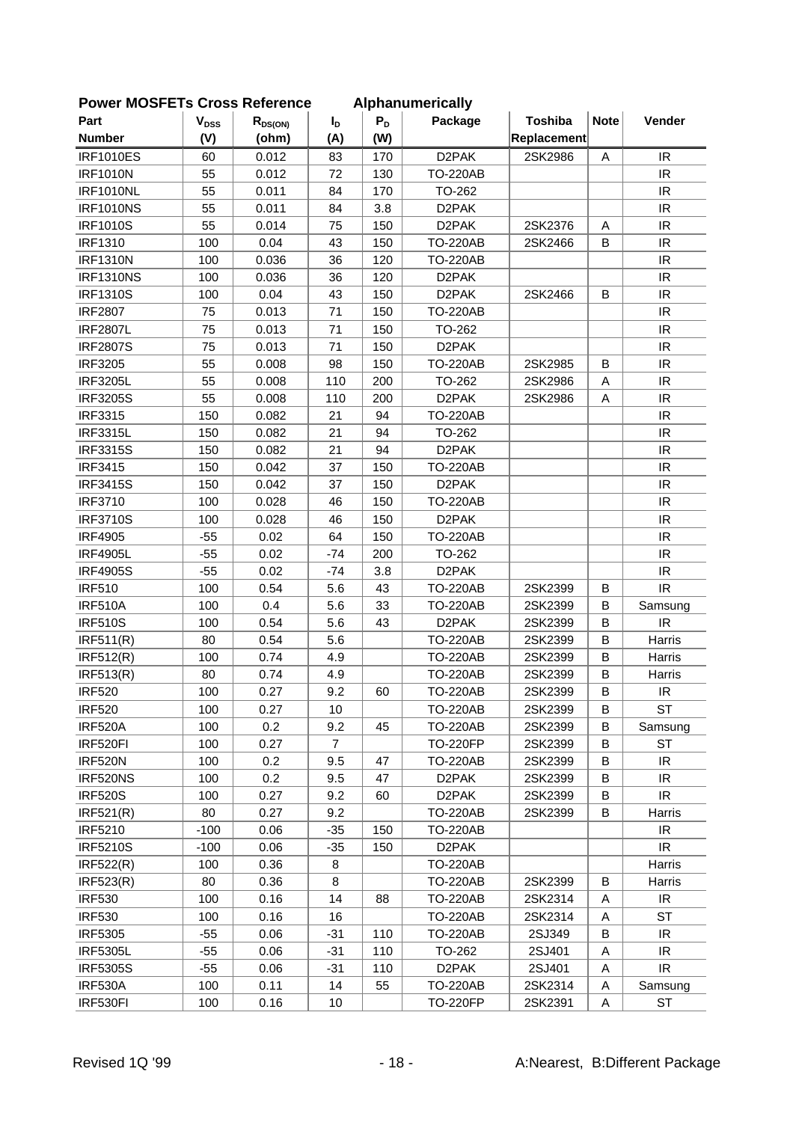| יים וטשווט       |                        | OLOSS TIGIGIGIUG |                |       | <b>Alphanumuluu</b> |                |             |                                   |
|------------------|------------------------|------------------|----------------|-------|---------------------|----------------|-------------|-----------------------------------|
| Part             | <b>V<sub>DSS</sub></b> | $R_{DS(ON)}$     | I <sub>D</sub> | $P_D$ | Package             | <b>Toshiba</b> | <b>Note</b> | Vender                            |
| <b>Number</b>    | (V)                    | (ohm)            | (A)            | (W)   |                     | Replacement    |             |                                   |
| <b>IRF1010ES</b> | 60                     | 0.012            | 83             | 170   | D <sub>2</sub> PAK  | 2SK2986        | Α           | IR                                |
| <b>IRF1010N</b>  | 55                     | 0.012            | 72             | 130   | <b>TO-220AB</b>     |                |             | IR                                |
| <b>IRF1010NL</b> | 55                     | 0.011            | 84             | 170   | TO-262              |                |             | IR.                               |
| <b>IRF1010NS</b> | 55                     | 0.011            | 84             | 3.8   | D <sub>2</sub> PAK  |                |             | IR                                |
| <b>IRF1010S</b>  | 55                     | 0.014            | 75             | 150   | D <sub>2</sub> PAK  | 2SK2376        | Α           | $\ensuremath{\mathsf{IR}}\xspace$ |
| <b>IRF1310</b>   | 100                    | 0.04             | 43             | 150   | <b>TO-220AB</b>     | 2SK2466        | B           | IR                                |
| <b>IRF1310N</b>  | 100                    | 0.036            | 36             | 120   | <b>TO-220AB</b>     |                |             | IR                                |
| <b>IRF1310NS</b> | 100                    | 0.036            | 36             | 120   | D <sub>2</sub> PAK  |                |             | IR                                |
| <b>IRF1310S</b>  | 100                    | 0.04             | 43             | 150   | D <sub>2</sub> PAK  | 2SK2466        | B           | IR                                |
| <b>IRF2807</b>   | 75                     | 0.013            | 71             | 150   | <b>TO-220AB</b>     |                |             | IR                                |
| <b>IRF2807L</b>  | 75                     | 0.013            | 71             | 150   | TO-262              |                |             | IR                                |
| <b>IRF2807S</b>  | 75                     | 0.013            | 71             | 150   | D <sub>2</sub> PAK  |                |             | $\ensuremath{\mathsf{IR}}\xspace$ |
| <b>IRF3205</b>   | 55                     | 0.008            | 98             | 150   | <b>TO-220AB</b>     | 2SK2985        | B           | IR                                |
| <b>IRF3205L</b>  | 55                     | 0.008            | 110            | 200   | TO-262              | 2SK2986        | Α           | IR                                |
| <b>IRF3205S</b>  | 55                     | 0.008            | 110            | 200   | D <sub>2</sub> PAK  | 2SK2986        | A           | IR                                |
| <b>IRF3315</b>   | 150                    | 0.082            | 21             | 94    | <b>TO-220AB</b>     |                |             | IR                                |
| <b>IRF3315L</b>  | 150                    | 0.082            | 21             | 94    | TO-262              |                |             | IR                                |
| <b>IRF3315S</b>  | 150                    | 0.082            | 21             | 94    | D <sub>2</sub> PAK  |                |             | IR                                |
| <b>IRF3415</b>   | 150                    | 0.042            | 37             | 150   | <b>TO-220AB</b>     |                |             | IR                                |
| <b>IRF3415S</b>  | 150                    | 0.042            | 37             | 150   | D <sub>2</sub> PAK  |                |             | IR                                |
| <b>IRF3710</b>   | 100                    | 0.028            | 46             | 150   | <b>TO-220AB</b>     |                |             | IR                                |
| <b>IRF3710S</b>  | 100                    | 0.028            | 46             | 150   | D <sub>2</sub> PAK  |                |             | IR                                |
| <b>IRF4905</b>   | $-55$                  | 0.02             | 64             | 150   | <b>TO-220AB</b>     |                |             | IR                                |
| <b>IRF4905L</b>  | $-55$                  | 0.02             | $-74$          | 200   | TO-262              |                |             | $\ensuremath{\mathsf{IR}}\xspace$ |
| <b>IRF4905S</b>  | $-55$                  | 0.02             | $-74$          | 3.8   | D <sub>2</sub> PAK  |                |             | IR                                |
| <b>IRF510</b>    | 100                    | 0.54             | 5.6            | 43    | <b>TO-220AB</b>     | 2SK2399        | B           | $\ensuremath{\mathsf{IR}}\xspace$ |
| <b>IRF510A</b>   | 100                    | 0.4              | 5.6            | 33    | <b>TO-220AB</b>     | 2SK2399        | B           | Samsung                           |
| <b>IRF510S</b>   | 100                    | 0.54             | 5.6            | 43    | D <sub>2</sub> PAK  | 2SK2399        | B           | IR                                |
| IRF511(R)        | 80                     | 0.54             | 5.6            |       | <b>TO-220AB</b>     | 2SK2399        | B           | Harris                            |
| IRF512(R)        | 100                    | 0.74             | 4.9            |       | <b>TO-220AB</b>     | 2SK2399        | B           | Harris                            |
| <b>IRF513(R)</b> | 80                     | 0.74             | 4.9            |       | <b>TO-220AB</b>     | 2SK2399        | B           | Harris                            |
| <b>IRF520</b>    | 100                    | 0.27             | 9.2            | 60    | <b>TO-220AB</b>     | 2SK2399        | B           | $\ensuremath{\mathsf{IR}}\xspace$ |
| <b>IRF520</b>    | 100                    | 0.27             | 10             |       | <b>TO-220AB</b>     | 2SK2399        | B           | <b>ST</b>                         |
| <b>IRF520A</b>   | 100                    | 0.2              | 9.2            | 45    | <b>TO-220AB</b>     | 2SK2399        | B           | Samsung                           |
| IRF520FI         | 100                    | 0.27             | $\overline{7}$ |       | <b>TO-220FP</b>     | 2SK2399        | B           | ST                                |
| <b>IRF520N</b>   | 100                    | 0.2              | 9.5            | 47    | <b>TO-220AB</b>     | 2SK2399        | B           | IR                                |
| IRF520NS         | 100                    | 0.2              | 9.5            | 47    | D <sub>2</sub> PAK  | 2SK2399        | В           | IR.                               |
| <b>IRF520S</b>   | 100                    | 0.27             | 9.2            | 60    | D <sub>2</sub> PAK  | 2SK2399        | В           | IR                                |
| IRF521(R)        | 80                     | 0.27             | 9.2            |       | <b>TO-220AB</b>     | 2SK2399        | В           | Harris                            |
| <b>IRF5210</b>   | $-100$                 | 0.06             | $-35$          | 150   | <b>TO-220AB</b>     |                |             | IR                                |
| <b>IRF5210S</b>  | $-100$                 | 0.06             | $-35$          | 150   | D <sub>2</sub> PAK  |                |             | IR                                |
| <b>IRF522(R)</b> | 100                    | 0.36             | 8              |       | <b>TO-220AB</b>     |                |             | Harris                            |
| <b>IRF523(R)</b> | 80                     | 0.36             | 8              |       | <b>TO-220AB</b>     | 2SK2399        | В           | Harris                            |
| <b>IRF530</b>    | 100                    | 0.16             | 14             | 88    | <b>TO-220AB</b>     | 2SK2314        | Α           | IR                                |
| <b>IRF530</b>    | 100                    | 0.16             | 16             |       | <b>TO-220AB</b>     | 2SK2314        | Α           | <b>ST</b>                         |
| <b>IRF5305</b>   | $-55$                  | 0.06             | $-31$          | 110   | <b>TO-220AB</b>     | 2SJ349         | B           | IR                                |
| <b>IRF5305L</b>  | $-55$                  | 0.06             | $-31$          | 110   | TO-262              | 2SJ401         | Α           | IR                                |
| <b>IRF5305S</b>  | $-55$                  | 0.06             | $-31$          | 110   | D <sub>2</sub> PAK  | 2SJ401         | Α           | IR.                               |
| <b>IRF530A</b>   | 100                    | 0.11             | 14             | 55    | <b>TO-220AB</b>     | 2SK2314        | Α           | Samsung                           |
| IRF530FI         | 100                    | 0.16             | 10             |       | <b>TO-220FP</b>     | 2SK2391        | Α           | <b>ST</b>                         |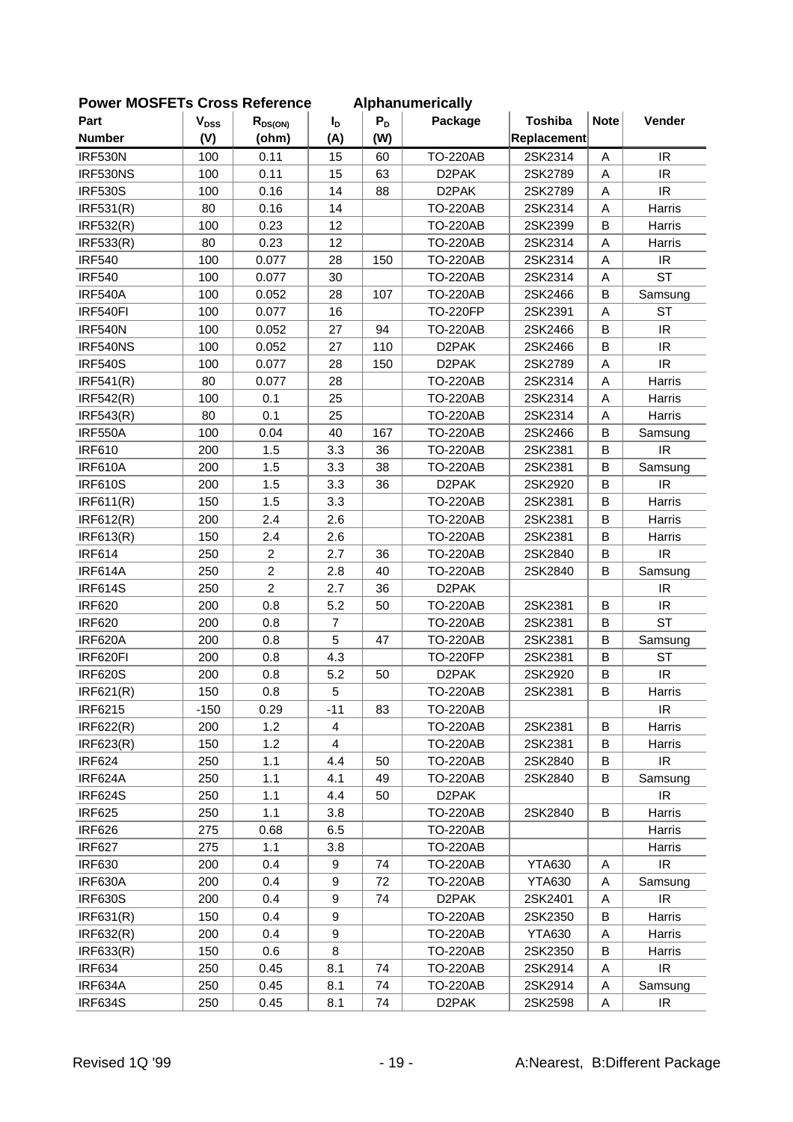| FUWEI MUSFLIS CIUSS NEIEIEILE |           |                |                |       | <b>Alphanumencally</b> |                |             |                                   |
|-------------------------------|-----------|----------------|----------------|-------|------------------------|----------------|-------------|-----------------------------------|
| Part                          | $V_{DSS}$ | $R_{DS(ON)}$   | $I_{\text{D}}$ | $P_D$ | Package                | <b>Toshiba</b> | <b>Note</b> | Vender                            |
| <b>Number</b>                 | (V)       | (ohm)          | (A)            | (W)   |                        | Replacement    |             |                                   |
| <b>IRF530N</b>                | 100       | 0.11           | 15             | 60    | <b>TO-220AB</b>        | 2SK2314        | A           | IR                                |
| IRF530NS                      | 100       | 0.11           | 15             | 63    | D <sub>2</sub> PAK     | 2SK2789        | A           | <b>IR</b>                         |
| <b>IRF530S</b>                | 100       | 0.16           | 14             | 88    | D <sub>2</sub> PAK     | 2SK2789        | Α           | IR                                |
| IRF531(R)                     | 80        | 0.16           | 14             |       | <b>TO-220AB</b>        | 2SK2314        | Α           | Harris                            |
| IRF532(R)                     | 100       | 0.23           | 12             |       | <b>TO-220AB</b>        | 2SK2399        | B           | Harris                            |
| <b>IRF533(R)</b>              | 80        | 0.23           | 12             |       | <b>TO-220AB</b>        | 2SK2314        | A           | Harris                            |
| <b>IRF540</b>                 | 100       | 0.077          | 28             | 150   | <b>TO-220AB</b>        | 2SK2314        | Α           | IR                                |
| <b>IRF540</b>                 | 100       | 0.077          | 30             |       | <b>TO-220AB</b>        | 2SK2314        | A           | <b>ST</b>                         |
| <b>IRF540A</b>                | 100       | 0.052          | 28             | 107   | <b>TO-220AB</b>        | 2SK2466        | B           | Samsung                           |
| IRF540FI                      | 100       | 0.077          | 16             |       | <b>TO-220FP</b>        | 2SK2391        | Α           | <b>ST</b>                         |
| <b>IRF540N</b>                | 100       | 0.052          | 27             | 94    | <b>TO-220AB</b>        | 2SK2466        | B           | IR                                |
| IRF540NS                      | 100       | 0.052          | 27             | 110   | D <sub>2</sub> PAK     | 2SK2466        | B           | IR                                |
| <b>IRF540S</b>                | 100       | 0.077          | 28             | 150   | D <sub>2</sub> PAK     | 2SK2789        | Α           | <b>IR</b>                         |
| IRF541(R)                     | 80        | 0.077          | 28             |       | <b>TO-220AB</b>        | 2SK2314        | A           | Harris                            |
| <b>IRF542(R)</b>              | 100       | 0.1            | 25             |       | <b>TO-220AB</b>        | 2SK2314        | Α           | Harris                            |
| <b>IRF543(R)</b>              | 80        | 0.1            | 25             |       | <b>TO-220AB</b>        | 2SK2314        | A           | Harris                            |
| <b>IRF550A</b>                | 100       | 0.04           | 40             | 167   | <b>TO-220AB</b>        | 2SK2466        | B           | Samsung                           |
| <b>IRF610</b>                 | 200       | 1.5            | 3.3            | 36    | <b>TO-220AB</b>        | 2SK2381        | B           | IR.                               |
| <b>IRF610A</b>                | 200       | 1.5            | 3.3            | 38    | <b>TO-220AB</b>        | 2SK2381        | B           | Samsung                           |
| <b>IRF610S</b>                | 200       | 1.5            | 3.3            | 36    | D <sub>2</sub> PAK     | 2SK2920        | B           | IR                                |
| IRF611(R)                     | 150       | 1.5            | 3.3            |       | <b>TO-220AB</b>        | 2SK2381        | В           | Harris                            |
| IRF612(R)                     | 200       | 2.4            | 2.6            |       | <b>TO-220AB</b>        | 2SK2381        | B           | Harris                            |
| IRF613(R)                     | 150       | 2.4            | 2.6            |       | <b>TO-220AB</b>        | 2SK2381        | B           | Harris                            |
| <b>IRF614</b>                 | 250       | $\overline{c}$ | 2.7            | 36    | <b>TO-220AB</b>        | 2SK2840        | B           | IR                                |
| IRF614A                       | 250       | $\overline{c}$ | 2.8            | 40    | <b>TO-220AB</b>        | 2SK2840        | B           | Samsung                           |
| <b>IRF614S</b>                | 250       | $\overline{2}$ | 2.7            | 36    | D <sub>2</sub> PAK     |                |             | IR                                |
| <b>IRF620</b>                 | 200       | 0.8            | 5.2            | 50    | <b>TO-220AB</b>        | 2SK2381        | B           | IR                                |
| <b>IRF620</b>                 | 200       | 0.8            | $\overline{7}$ |       | <b>TO-220AB</b>        | 2SK2381        | B           | <b>ST</b>                         |
| <b>IRF620A</b>                | 200       | 0.8            | 5              | 47    | <b>TO-220AB</b>        | 2SK2381        | B           | Samsung                           |
| IRF620FI                      | 200       | 0.8            | 4.3            |       | <b>TO-220FP</b>        | 2SK2381        | B           | <b>ST</b>                         |
| <b>IRF620S</b>                | 200       | 0.8            | 5.2            | 50    | D <sub>2</sub> PAK     | 2SK2920        | В           | IR                                |
| IRF621(R)                     | 150       | 0.8            | 5              |       | <b>TO-220AB</b>        | 2SK2381        | B           | Harris                            |
| IRF6215                       | $-150$    | 0.29           | $-11$          | 83    | <b>TO-220AB</b>        |                |             | IR                                |
| IRF622(R)                     | 200       | 1.2            | 4              |       | <b>TO-220AB</b>        | 2SK2381        | B           | Harris                            |
| IRF623(R)                     | 150       | 1.2            | 4              |       | <b>TO-220AB</b>        | 2SK2381        | B           | Harris                            |
| <b>IRF624</b>                 | 250       | 1.1            | 4.4            | 50    | <b>TO-220AB</b>        | 2SK2840        | В           | $\ensuremath{\mathsf{IR}}\xspace$ |
| IRF624A                       | 250       | 1.1            | 4.1            | 49    | <b>TO-220AB</b>        | 2SK2840        | B           | Samsung                           |
| <b>IRF624S</b>                | 250       | 1.1            | 4.4            | 50    | D <sub>2</sub> PAK     |                |             | IR.                               |
| <b>IRF625</b>                 | 250       | 1.1            | 3.8            |       | <b>TO-220AB</b>        | 2SK2840        | В           | Harris                            |
| <b>IRF626</b>                 | 275       | 0.68           | 6.5            |       | <b>TO-220AB</b>        |                |             | Harris                            |
| <b>IRF627</b>                 | 275       | 1.1            | 3.8            |       | <b>TO-220AB</b>        |                |             | Harris                            |
| <b>IRF630</b>                 | 200       | 0.4            | 9              | 74    | <b>TO-220AB</b>        | <b>YTA630</b>  | A           | $\ensuremath{\mathsf{IR}}\xspace$ |
| <b>IRF630A</b>                | 200       | 0.4            | 9              | 72    | <b>TO-220AB</b>        | <b>YTA630</b>  | A           | Samsung                           |
| <b>IRF630S</b>                | 200       | 0.4            | 9              | 74    | D <sub>2</sub> PAK     | 2SK2401        | Α           | $\ensuremath{\mathsf{IR}}\xspace$ |
| IRF631(R)                     | 150       | 0.4            | 9              |       | <b>TO-220AB</b>        | 2SK2350        | B           | Harris                            |
| IRF632(R)                     | 200       | 0.4            | 9              |       | <b>TO-220AB</b>        | <b>YTA630</b>  | Α           | Harris                            |
| IRF633(R)                     | 150       | 0.6            | 8              |       | <b>TO-220AB</b>        | 2SK2350        | В           | Harris                            |
| <b>IRF634</b>                 | 250       | 0.45           | 8.1            | 74    | <b>TO-220AB</b>        | 2SK2914        | Α           | $\ensuremath{\mathsf{IR}}\xspace$ |
| IRF634A                       | 250       | 0.45           | 8.1            | 74    | <b>TO-220AB</b>        | 2SK2914        | A           | Samsung                           |
| <b>IRF634S</b>                | 250       | 0.45           | 8.1            | 74    | D <sub>2</sub> PAK     | 2SK2598        | A           | $\ensuremath{\mathsf{IR}}\xspace$ |
|                               |           |                |                |       |                        |                |             |                                   |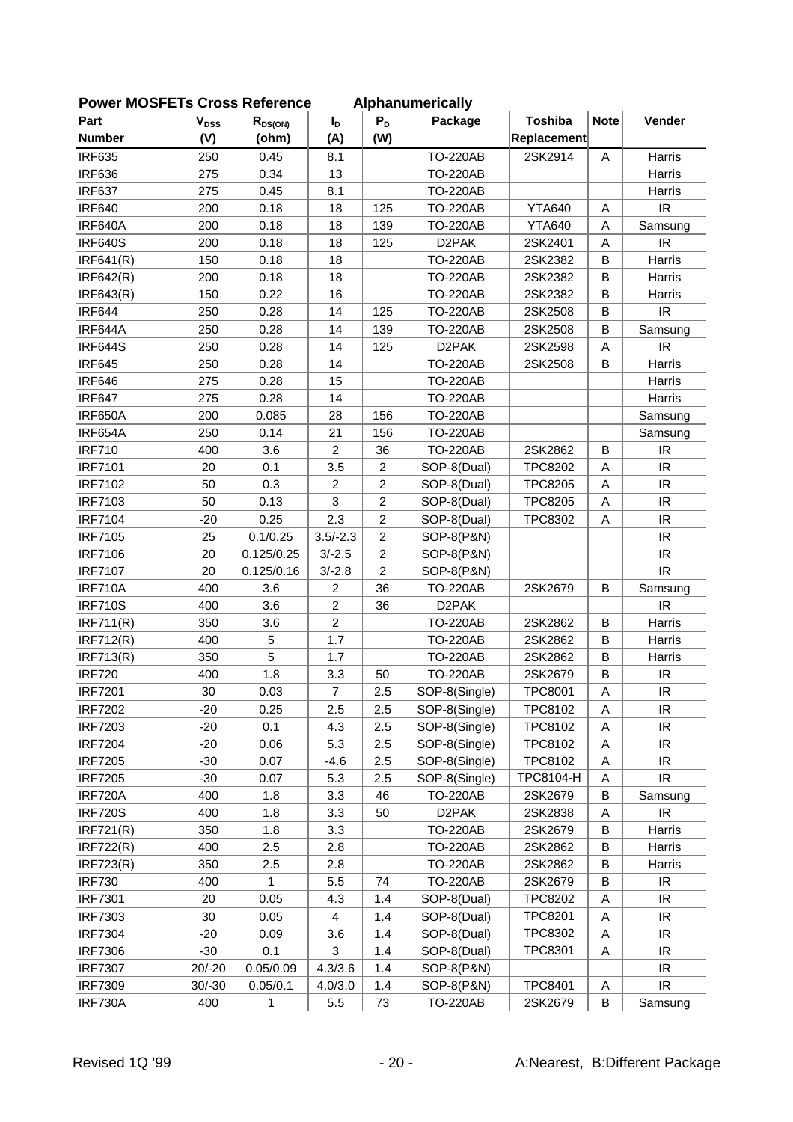| FUWEI MUSFETS CIUSS REIEIEILE |                           |              |                |                  | Alphanumencally    |                |             |                                   |
|-------------------------------|---------------------------|--------------|----------------|------------------|--------------------|----------------|-------------|-----------------------------------|
| Part                          | $\mathbf{V}_{\text{DSS}}$ | $R_{DS(ON)}$ | $I_{\text{D}}$ | $P_D$            | Package            | <b>Toshiba</b> | <b>Note</b> | Vender                            |
| <b>Number</b>                 | (V)                       | (ohm)        | (A)            | (W)              |                    | Replacement    |             |                                   |
| <b>IRF635</b>                 | 250                       | 0.45         | 8.1            |                  | <b>TO-220AB</b>    | 2SK2914        | A           | Harris                            |
| <b>IRF636</b>                 | 275                       | 0.34         | 13             |                  | <b>TO-220AB</b>    |                |             | Harris                            |
| <b>IRF637</b>                 | 275                       | 0.45         | 8.1            |                  | <b>TO-220AB</b>    |                |             | Harris                            |
| <b>IRF640</b>                 | 200                       | 0.18         | 18             | 125              | <b>TO-220AB</b>    | <b>YTA640</b>  | Α           | IR                                |
| IRF640A                       | 200                       | 0.18         | 18             | 139              | <b>TO-220AB</b>    | <b>YTA640</b>  | Α           | Samsung                           |
| <b>IRF640S</b>                | 200                       | 0.18         | 18             | 125              | D <sub>2</sub> PAK | 2SK2401        | Α           | IR                                |
| IRF641(R)                     | 150                       | 0.18         | 18             |                  | <b>TO-220AB</b>    | 2SK2382        | B           | Harris                            |
| IRF642(R)                     | 200                       | 0.18         | 18             |                  | <b>TO-220AB</b>    | 2SK2382        | B           | Harris                            |
| IRF643(R)                     | 150                       | 0.22         | 16             |                  | <b>TO-220AB</b>    | 2SK2382        | B           | Harris                            |
| <b>IRF644</b>                 | 250                       | 0.28         | 14             | 125              | <b>TO-220AB</b>    | 2SK2508        | B           | IR                                |
| IRF644A                       | 250                       | 0.28         | 14             | 139              | <b>TO-220AB</b>    | 2SK2508        | B           | Samsung                           |
| <b>IRF644S</b>                | 250                       | 0.28         | 14             | 125              | D <sub>2</sub> PAK | 2SK2598        | Α           | IR                                |
| <b>IRF645</b>                 | 250                       | 0.28         | 14             |                  | <b>TO-220AB</b>    | 2SK2508        | B           | Harris                            |
| <b>IRF646</b>                 | 275                       | 0.28         | 15             |                  | <b>TO-220AB</b>    |                |             | Harris                            |
| <b>IRF647</b>                 | 275                       | 0.28         | 14             |                  | <b>TO-220AB</b>    |                |             | Harris                            |
| <b>IRF650A</b>                | 200                       | 0.085        | 28             | 156              | <b>TO-220AB</b>    |                |             | Samsung                           |
| IRF654A                       | 250                       | 0.14         | 21             | 156              | <b>TO-220AB</b>    |                |             | Samsung                           |
| <b>IRF710</b>                 | 400                       | 3.6          | $\overline{c}$ | 36               | <b>TO-220AB</b>    | 2SK2862        | B           | IR                                |
| <b>IRF7101</b>                | 20                        | 0.1          | 3.5            | $\overline{c}$   | SOP-8(Dual)        | <b>TPC8202</b> | Α           | IR                                |
| <b>IRF7102</b>                | 50                        | 0.3          | $\overline{c}$ | $\boldsymbol{2}$ | SOP-8(Dual)        | <b>TPC8205</b> | Α           | IR                                |
| <b>IRF7103</b>                | 50                        | 0.13         | 3              | $\overline{c}$   | SOP-8(Dual)        | <b>TPC8205</b> | Α           | IR                                |
| <b>IRF7104</b>                | $-20$                     | 0.25         | 2.3            | $\overline{c}$   | SOP-8(Dual)        | <b>TPC8302</b> | Α           | IR                                |
| <b>IRF7105</b>                | 25                        | 0.1/0.25     | $3.5/-2.3$     | $\boldsymbol{2}$ | SOP-8(P&N)         |                |             | IR                                |
| <b>IRF7106</b>                | 20                        | 0.125/0.25   | $3/-2.5$       | $\overline{c}$   | SOP-8(P&N)         |                |             | IR                                |
| <b>IRF7107</b>                | 20                        | 0.125/0.16   | $3/-2.8$       | $\overline{c}$   | SOP-8(P&N)         |                |             | IR                                |
| <b>IRF710A</b>                | 400                       | 3.6          | $\overline{c}$ | 36               | <b>TO-220AB</b>    | 2SK2679        | B           | Samsung                           |
| <b>IRF710S</b>                | 400                       | 3.6          | $\overline{2}$ | 36               | D <sub>2</sub> PAK |                |             | IR.                               |
| IRF711(R)                     | 350                       | 3.6          | $\overline{2}$ |                  | <b>TO-220AB</b>    | 2SK2862        | B           | Harris                            |
| <b>IRF712(R)</b>              | 400                       | 5            | 1.7            |                  | <b>TO-220AB</b>    | 2SK2862        | B           | Harris                            |
| <b>IRF713(R)</b>              | 350                       | 5            | 1.7            |                  | <b>TO-220AB</b>    | 2SK2862        | В           | Harris                            |
| <b>IRF720</b>                 | 400                       | 1.8          | 3.3            | 50               | <b>TO-220AB</b>    | 2SK2679        | В           | $\ensuremath{\mathsf{IR}}\xspace$ |
| <b>IRF7201</b>                | 30                        | 0.03         | $\overline{7}$ | 2.5              | SOP-8(Single)      | <b>TPC8001</b> | Α           | IR                                |
| <b>IRF7202</b>                | $-20$                     | 0.25         | 2.5            | 2.5              | SOP-8(Single)      | TPC8102        | Α           | IR                                |
| <b>IRF7203</b>                | $-20$                     | 0.1          | 4.3            | 2.5              | SOP-8(Single)      | TPC8102        | Α           | IR                                |
| <b>IRF7204</b>                | $-20$                     | 0.06         | 5.3            | 2.5              | SOP-8(Single)      | TPC8102        | А           | IR                                |
| <b>IRF7205</b>                | $-30$                     | 0.07         | $-4.6$         | 2.5              | SOP-8(Single)      | TPC8102        | Α           | IR.                               |
| <b>IRF7205</b>                | $-30$                     | 0.07         | 5.3            | 2.5              | SOP-8(Single)      | TPC8104-H      | Α           | IR                                |
| <b>IRF720A</b>                | 400                       | 1.8          | 3.3            | 46               | <b>TO-220AB</b>    | 2SK2679        | В           | Samsung                           |
| <b>IRF720S</b>                | 400                       | 1.8          | 3.3            | 50               | D <sub>2</sub> PAK | 2SK2838        | А           | IR                                |
| IRF721(R)                     | 350                       | 1.8          | 3.3            |                  | <b>TO-220AB</b>    | 2SK2679        | В           | Harris                            |
| <b>IRF722(R)</b>              | 400                       | 2.5          | 2.8            |                  | <b>TO-220AB</b>    | 2SK2862        | В           | Harris                            |
| <b>IRF723(R)</b>              | 350                       | 2.5          | 2.8            |                  | <b>TO-220AB</b>    | 2SK2862        | В           | Harris                            |
| <b>IRF730</b>                 | 400                       | 1            | 5.5            | 74               | <b>TO-220AB</b>    | 2SK2679        | В           | IR                                |
| <b>IRF7301</b>                | 20                        | 0.05         | 4.3            | 1.4              | SOP-8(Dual)        | <b>TPC8202</b> | Α           | IR                                |
| <b>IRF7303</b>                | 30                        | 0.05         | 4              | 1.4              | SOP-8(Dual)        | <b>TPC8201</b> | A           | IR                                |
| <b>IRF7304</b>                | $-20$                     | 0.09         | 3.6            | 1.4              | SOP-8(Dual)        | <b>TPC8302</b> | A           | IR                                |
| <b>IRF7306</b>                | $-30$                     | 0.1          | 3              | 1.4              | SOP-8(Dual)        | <b>TPC8301</b> | Α           | IR                                |
| <b>IRF7307</b>                | $20/-20$                  | 0.05/0.09    | 4.3/3.6        | 1.4              | SOP-8(P&N)         |                |             | $\ensuremath{\mathsf{IR}}\xspace$ |
| <b>IRF7309</b>                | $30/-30$                  | 0.05/0.1     | 4.0/3.0        | 1.4              | SOP-8(P&N)         | <b>TPC8401</b> | Α           | $\ensuremath{\mathsf{IR}}\xspace$ |
| IRF730A                       | 400                       | 1            | 5.5            | 73               | <b>TO-220AB</b>    | 2SK2679        | В           | Samsung                           |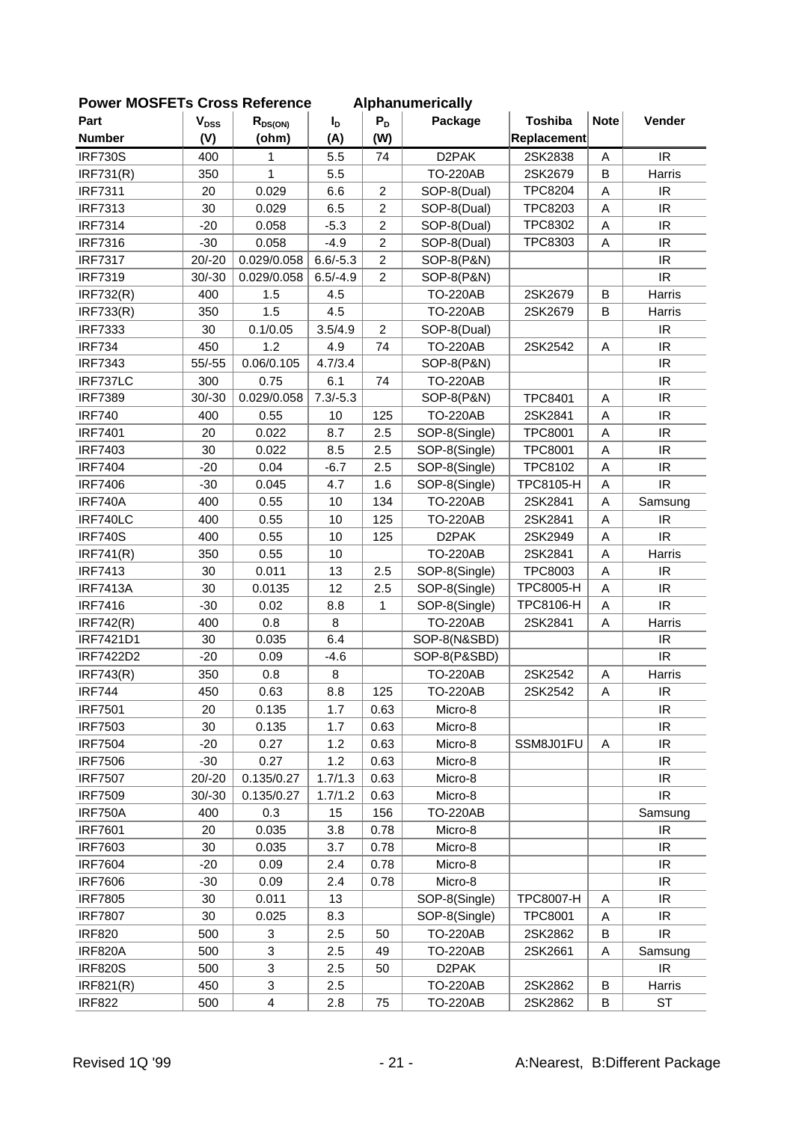| Part             | $V_{DSS}$ | $R_{DS(ON)}$            | I <sub>D</sub> | $P_D$          | <b>AINIKHUHUHUUU</b><br>Package | <b>Toshiba</b>   | <b>Note</b> | Vender                            |
|------------------|-----------|-------------------------|----------------|----------------|---------------------------------|------------------|-------------|-----------------------------------|
| <b>Number</b>    | (V)       | (ohm)                   | (A)            | (W)            |                                 | Replacement      |             |                                   |
| <b>IRF730S</b>   | 400       | 1                       | 5.5            | 74             | D <sub>2</sub> PAK              | 2SK2838          | Α           | IR                                |
| <b>IRF731(R)</b> | 350       | 1                       | 5.5            |                | <b>TO-220AB</b>                 | 2SK2679          | B           | Harris                            |
| <b>IRF7311</b>   | 20        | 0.029                   | 6.6            | $\overline{c}$ | SOP-8(Dual)                     | <b>TPC8204</b>   | A           | IR                                |
| <b>IRF7313</b>   | 30        | 0.029                   | 6.5            | $\overline{c}$ | SOP-8(Dual)                     | <b>TPC8203</b>   | A           | IR                                |
| <b>IRF7314</b>   | $-20$     | 0.058                   | $-5.3$         | $\overline{c}$ | SOP-8(Dual)                     | TPC8302          | A           | $\ensuremath{\mathsf{IR}}\xspace$ |
| <b>IRF7316</b>   | $-30$     | 0.058                   | $-4.9$         | $\overline{c}$ | SOP-8(Dual)                     | TPC8303          | A           | IR                                |
| <b>IRF7317</b>   | $20/-20$  | 0.029/0.058             | $6.6/-5.3$     | $\overline{c}$ | SOP-8(P&N)                      |                  |             | IR                                |
| <b>IRF7319</b>   | $30/-30$  | 0.029/0.058             | $6.5/-4.9$     | $\overline{c}$ | SOP-8(P&N)                      |                  |             | IR                                |
|                  | 400       | 1.5                     | 4.5            |                | <b>TO-220AB</b>                 | 2SK2679          | B           | Harris                            |
| <b>IRF732(R)</b> | 350       | 1.5                     | 4.5            |                | <b>TO-220AB</b>                 | 2SK2679          | B           |                                   |
| <b>IRF733(R)</b> | 30        | 0.1/0.05                | 3.5/4.9        | $\overline{c}$ |                                 |                  |             | Harris<br>IR                      |
| <b>IRF7333</b>   |           |                         |                |                | SOP-8(Dual)                     |                  |             | IR                                |
| <b>IRF734</b>    | 450       | 1.2<br>0.06/0.105       | 4.9<br>4.7/3.4 | 74             | <b>TO-220AB</b>                 | 2SK2542          | Α           | IR                                |
| <b>IRF7343</b>   | $55/-55$  |                         |                |                | SOP-8(P&N)                      |                  |             |                                   |
| IRF737LC         | 300       | 0.75                    | 6.1            | 74             | <b>TO-220AB</b>                 |                  |             | IR                                |
| <b>IRF7389</b>   | $30/-30$  | 0.029/0.058             | $7.3/-5.3$     |                | SOP-8(P&N)                      | <b>TPC8401</b>   | A           | IR                                |
| <b>IRF740</b>    | 400       | 0.55                    | 10             | 125            | <b>TO-220AB</b>                 | 2SK2841          | A           | IR                                |
| <b>IRF7401</b>   | 20        | 0.022                   | 8.7            | 2.5            | SOP-8(Single)                   | <b>TPC8001</b>   | A           | IR                                |
| <b>IRF7403</b>   | 30        | 0.022                   | 8.5            | 2.5            | SOP-8(Single)                   | <b>TPC8001</b>   | A           | $\ensuremath{\mathsf{IR}}\xspace$ |
| <b>IRF7404</b>   | $-20$     | 0.04                    | $-6.7$         | 2.5            | SOP-8(Single)                   | <b>TPC8102</b>   | Α           | IR                                |
| <b>IRF7406</b>   | $-30$     | 0.045                   | 4.7            | 1.6            | SOP-8(Single)                   | <b>TPC8105-H</b> | Α           | IR                                |
| <b>IRF740A</b>   | 400       | 0.55                    | 10             | 134            | <b>TO-220AB</b>                 | 2SK2841          | Α           | Samsung                           |
| IRF740LC         | 400       | 0.55                    | 10             | 125            | <b>TO-220AB</b>                 | 2SK2841          | Α           | IR.                               |
| <b>IRF740S</b>   | 400       | 0.55                    | 10             | 125            | D <sub>2</sub> PAK              | 2SK2949          | Α           | IR                                |
| IRF741(R)        | 350       | 0.55                    | 10             |                | <b>TO-220AB</b>                 | 2SK2841          | A           | Harris                            |
| <b>IRF7413</b>   | 30        | 0.011                   | 13             | 2.5            | SOP-8(Single)                   | TPC8003          | Α           | IR                                |
| <b>IRF7413A</b>  | 30        | 0.0135                  | 12             | 2.5            | SOP-8(Single)                   | <b>TPC8005-H</b> | Α           | IR.                               |
| <b>IRF7416</b>   | $-30$     | 0.02                    | 8.8            | 1              | SOP-8(Single)                   | TPC8106-H        | Α           | IR                                |
| <b>IRF742(R)</b> | 400       | 0.8                     | 8              |                | <b>TO-220AB</b>                 | 2SK2841          | A           | Harris                            |
| IRF7421D1        | 30        | 0.035                   | 6.4            |                | SOP-8(N&SBD)                    |                  |             | IR                                |
| <b>IRF7422D2</b> | $-20$     | 0.09                    | $-4.6$         |                | SOP-8(P&SBD)                    |                  |             | IR                                |
| <b>IRF743(R)</b> | 350       | 0.8                     | 8              |                | <b>TO-220AB</b>                 | 2SK2542          | Α           | Harris                            |
| <b>IRF744</b>    | 450       | 0.63                    | 8.8            | 125            | <b>TO-220AB</b>                 | 2SK2542          | A           | $\ensuremath{\mathsf{IR}}\xspace$ |
| <b>IRF7501</b>   | 20        | 0.135                   | 1.7            | 0.63           | Micro-8                         |                  |             | IR                                |
| <b>IRF7503</b>   | 30        | 0.135                   | 1.7            | 0.63           | Micro-8                         |                  |             | IR                                |
| <b>IRF7504</b>   | $-20$     | 0.27                    | 1.2            | 0.63           | Micro-8                         | SSM8J01FU        | A           | IR                                |
| <b>IRF7506</b>   | $-30$     | 0.27                    | 1.2            | 0.63           | Micro-8                         |                  |             | IR                                |
| <b>IRF7507</b>   | $20/-20$  | 0.135/0.27              | 1.7/1.3        | 0.63           | Micro-8                         |                  |             | $\ensuremath{\mathsf{IR}}\xspace$ |
| <b>IRF7509</b>   | $30/-30$  | 0.135/0.27              | 1.7/1.2        | 0.63           | Micro-8                         |                  |             | IR.                               |
| <b>IRF750A</b>   | 400       | 0.3                     | 15             | 156            | <b>TO-220AB</b>                 |                  |             | Samsung                           |
| <b>IRF7601</b>   | 20        | 0.035                   | 3.8            | 0.78           | Micro-8                         |                  |             | IR                                |
| <b>IRF7603</b>   | 30        | 0.035                   | 3.7            | 0.78           | Micro-8                         |                  |             | IR                                |
| <b>IRF7604</b>   | $-20$     | 0.09                    | 2.4            | 0.78           | Micro-8                         |                  |             | IR                                |
| <b>IRF7606</b>   | $-30$     | 0.09                    | 2.4            | 0.78           | Micro-8                         |                  |             | $\ensuremath{\mathsf{IR}}\xspace$ |
| <b>IRF7805</b>   | 30        | 0.011                   | 13             |                | SOP-8(Single)                   | <b>TPC8007-H</b> | A           | $\ensuremath{\mathsf{IR}}\xspace$ |
| <b>IRF7807</b>   | 30        | 0.025                   | 8.3            |                | SOP-8(Single)                   | <b>TPC8001</b>   | Α           | IR                                |
| <b>IRF820</b>    | 500       | 3                       | 2.5            | 50             | <b>TO-220AB</b>                 | 2SK2862          | B           | $\ensuremath{\mathsf{IR}}\xspace$ |
| <b>IRF820A</b>   | 500       | 3                       | 2.5            | 49             | <b>TO-220AB</b>                 | 2SK2661          | Α           | Samsung                           |
| <b>IRF820S</b>   | 500       | 3                       | 2.5            | 50             | D <sub>2</sub> PAK              |                  |             | IR                                |
| IRF821(R)        | 450       | 3                       | 2.5            |                | <b>TO-220AB</b>                 | 2SK2862          | B           | Harris                            |
| <b>IRF822</b>    | 500       | $\overline{\mathbf{4}}$ | 2.8            | 75             | <b>TO-220AB</b>                 | 2SK2862          | В           | ST                                |
|                  |           |                         |                |                |                                 |                  |             |                                   |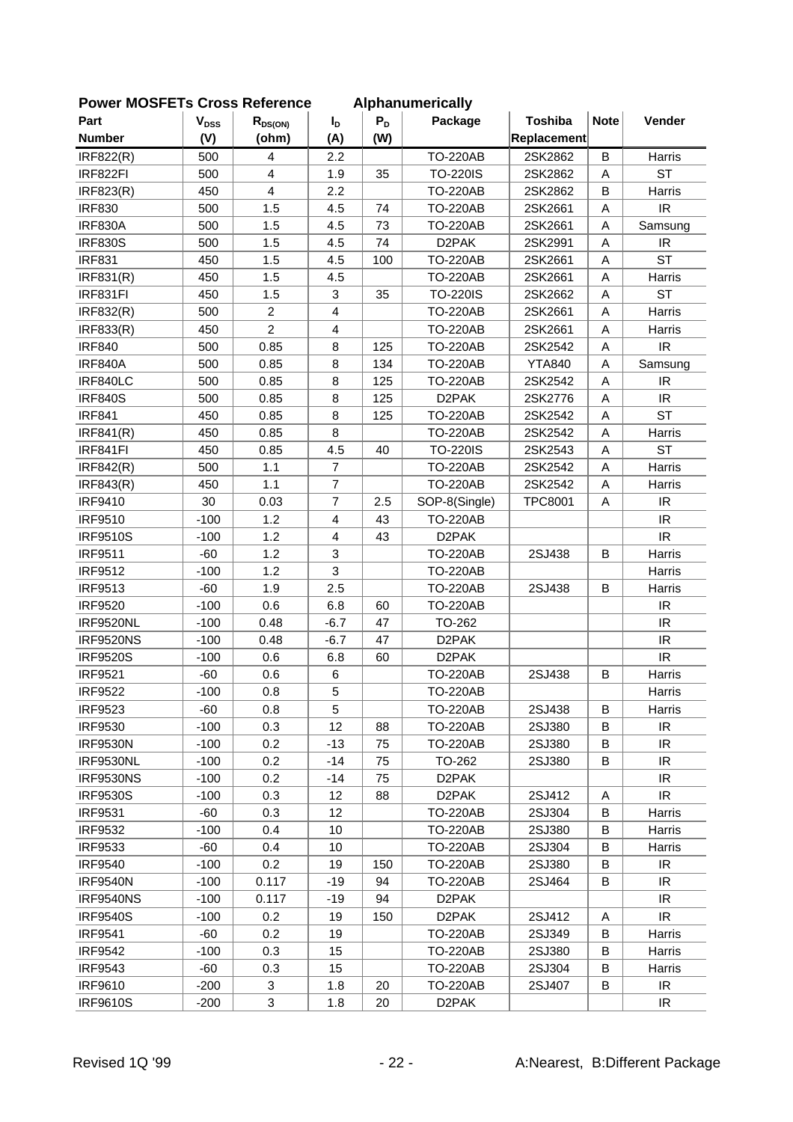| 이 삐 이니 느 ! ㅎ     |                        | טו טסט ו ויטופו פווטכ   |                |       | Alphanumuruumy     | <b>Toshiba</b> | <b>Note</b> |                                   |
|------------------|------------------------|-------------------------|----------------|-------|--------------------|----------------|-------------|-----------------------------------|
| Part             | <b>V<sub>DSS</sub></b> | $R_{DS(ON)}$            | I <sub>D</sub> | $P_D$ | Package            |                |             | Vender                            |
| <b>Number</b>    | (V)                    | (ohm)                   | (A)            | (W)   |                    | Replacement    |             |                                   |
| <b>IRF822(R)</b> | 500                    | 4                       | 2.2            |       | <b>TO-220AB</b>    | 2SK2862        | B           | Harris                            |
| IRF822FI         | 500                    | $\overline{4}$          | 1.9            | 35    | <b>TO-220IS</b>    | 2SK2862        | A           | <b>ST</b>                         |
| IRF823(R)        | 450                    | $\overline{\mathbf{4}}$ | 2.2            |       | <b>TO-220AB</b>    | 2SK2862        | B           | Harris                            |
| <b>IRF830</b>    | 500                    | 1.5                     | 4.5            | 74    | <b>TO-220AB</b>    | 2SK2661        | Α           | IR                                |
| <b>IRF830A</b>   | 500                    | 1.5                     | 4.5            | 73    | <b>TO-220AB</b>    | 2SK2661        | A           | Samsung                           |
| <b>IRF830S</b>   | 500                    | 1.5                     | 4.5            | 74    | D <sub>2</sub> PAK | 2SK2991        | Α           | IR                                |
| <b>IRF831</b>    | 450                    | 1.5                     | 4.5            | 100   | <b>TO-220AB</b>    | 2SK2661        | Α           | <b>ST</b>                         |
| <b>IRF831(R)</b> | 450                    | 1.5                     | 4.5            |       | <b>TO-220AB</b>    | 2SK2661        | Α           | Harris                            |
| IRF831FI         | 450                    | 1.5                     | 3              | 35    | <b>TO-220IS</b>    | 2SK2662        | A           | <b>ST</b>                         |
| IRF832(R)        | 500                    | $\overline{2}$          | $\overline{4}$ |       | <b>TO-220AB</b>    | 2SK2661        | Α           | Harris                            |
| IRF833(R)        | 450                    | $\overline{2}$          | $\overline{4}$ |       | <b>TO-220AB</b>    | 2SK2661        | Α           | Harris                            |
| <b>IRF840</b>    | 500                    | 0.85                    | 8              | 125   | <b>TO-220AB</b>    | 2SK2542        | Α           | IR                                |
| <b>IRF840A</b>   | 500                    | 0.85                    | 8              | 134   | <b>TO-220AB</b>    | <b>YTA840</b>  | Α           | Samsung                           |
| IRF840LC         | 500                    | 0.85                    | 8              | 125   | <b>TO-220AB</b>    | 2SK2542        | A           | IR                                |
| <b>IRF840S</b>   | 500                    | 0.85                    | 8              | 125   | D <sub>2</sub> PAK | 2SK2776        | A           | IR                                |
| <b>IRF841</b>    | 450                    | 0.85                    | 8              | 125   | <b>TO-220AB</b>    | 2SK2542        | A           | <b>ST</b>                         |
| IRF841(R)        | 450                    | 0.85                    | 8              |       | <b>TO-220AB</b>    | 2SK2542        | Α           | Harris                            |
| IRF841FI         | 450                    | 0.85                    | 4.5            | 40    | <b>TO-220IS</b>    | 2SK2543        | А           | <b>ST</b>                         |
| <b>IRF842(R)</b> | 500                    | 1.1                     | $\overline{7}$ |       | <b>TO-220AB</b>    | 2SK2542        | Α           | Harris                            |
|                  |                        |                         |                |       |                    |                |             |                                   |
| IRF843(R)        | 450                    | 1.1                     | $\overline{7}$ |       | <b>TO-220AB</b>    | 2SK2542        | Α           | Harris                            |
| <b>IRF9410</b>   | 30                     | 0.03                    | $\overline{7}$ | 2.5   | SOP-8(Single)      | <b>TPC8001</b> | A           | IR                                |
| <b>IRF9510</b>   | $-100$                 | 1.2                     | $\overline{4}$ | 43    | <b>TO-220AB</b>    |                |             | IR.                               |
| <b>IRF9510S</b>  | $-100$                 | 1.2                     | $\overline{4}$ | 43    | D <sub>2</sub> PAK |                |             | IR                                |
| <b>IRF9511</b>   | $-60$                  | 1.2                     | 3              |       | <b>TO-220AB</b>    | 2SJ438         | B           | Harris                            |
| <b>IRF9512</b>   | $-100$                 | 1.2                     | 3              |       | <b>TO-220AB</b>    |                |             | Harris                            |
| <b>IRF9513</b>   | $-60$                  | 1.9                     | 2.5            |       | <b>TO-220AB</b>    | 2SJ438         | B           | Harris                            |
| <b>IRF9520</b>   | $-100$                 | 0.6                     | 6.8            | 60    | <b>TO-220AB</b>    |                |             | IR                                |
| <b>IRF9520NL</b> | $-100$                 | 0.48                    | $-6.7$         | 47    | TO-262             |                |             | IR                                |
| <b>IRF9520NS</b> | $-100$                 | 0.48                    | $-6.7$         | 47    | D <sub>2</sub> PAK |                |             | IR                                |
| <b>IRF9520S</b>  | $-100$                 | 0.6                     | 6.8            | 60    | D <sub>2</sub> PAK |                |             | $\ensuremath{\mathsf{IR}}\xspace$ |
| <b>IRF9521</b>   | $-60$                  | 0.6                     | 6              |       | <b>TO-220AB</b>    | 2SJ438         | B           | Harris                            |
| <b>IRF9522</b>   | $-100$                 | 0.8                     | 5              |       | <b>TO-220AB</b>    |                |             | Harris                            |
| <b>IRF9523</b>   | -60                    | 0.8                     | 5              |       | <b>TO-220AB</b>    | 2SJ438         | В           | Harris                            |
| <b>IRF9530</b>   | $-100$                 | 0.3                     | 12             | 88    | <b>TO-220AB</b>    | 2SJ380         | B           | IR.                               |
| <b>IRF9530N</b>  | $-100$                 | 0.2                     | $-13$          | 75    | <b>TO-220AB</b>    | 2SJ380         | B           | IR                                |
| <b>IRF9530NL</b> | $-100$                 | 0.2                     | $-14$          | 75    | TO-262             | 2SJ380         | B           | IR                                |
| <b>IRF9530NS</b> | $-100$                 | 0.2                     | $-14$          | 75    | D <sub>2</sub> PAK |                |             | IR                                |
| <b>IRF9530S</b>  | $-100$                 | 0.3                     | 12             | 88    | D2PAK              | 2SJ412         | Α           | IR                                |
| <b>IRF9531</b>   | -60                    | 0.3                     | 12             |       | <b>TO-220AB</b>    | 2SJ304         | В           | Harris                            |
| <b>IRF9532</b>   | $-100$                 | 0.4                     | 10             |       | <b>TO-220AB</b>    | 2SJ380         | В           | Harris                            |
| <b>IRF9533</b>   | -60                    | 0.4                     | 10             |       | <b>TO-220AB</b>    | 2SJ304         | В           | Harris                            |
| <b>IRF9540</b>   | $-100$                 | 0.2                     | 19             | 150   | <b>TO-220AB</b>    | 2SJ380         | B           | IR.                               |
| <b>IRF9540N</b>  | $-100$                 | 0.117                   | $-19$          | 94    | <b>TO-220AB</b>    | 2SJ464         | В           | IR                                |
| <b>IRF9540NS</b> | $-100$                 | 0.117                   | -19            | 94    | D2PAK              |                |             | IR                                |
| <b>IRF9540S</b>  | $-100$                 | 0.2                     | 19             | 150   | D <sub>2</sub> PAK | 2SJ412         | Α           | IR.                               |
| <b>IRF9541</b>   | -60                    | 0.2                     | 19             |       | <b>TO-220AB</b>    | 2SJ349         | В           | Harris                            |
| <b>IRF9542</b>   | $-100$                 | 0.3                     | 15             |       | <b>TO-220AB</b>    | 2SJ380         | В           | Harris                            |
|                  |                        |                         | 15             |       |                    |                |             |                                   |
| <b>IRF9543</b>   | -60                    | 0.3                     |                |       | <b>TO-220AB</b>    | 2SJ304         | В           | Harris                            |
| <b>IRF9610</b>   | $-200$                 | 3                       | 1.8            | 20    | <b>TO-220AB</b>    | 2SJ407         | В           | IR                                |
| <b>IRF9610S</b>  | $-200$                 | 3                       | 1.8            | 20    | D2PAK              |                |             | IR.                               |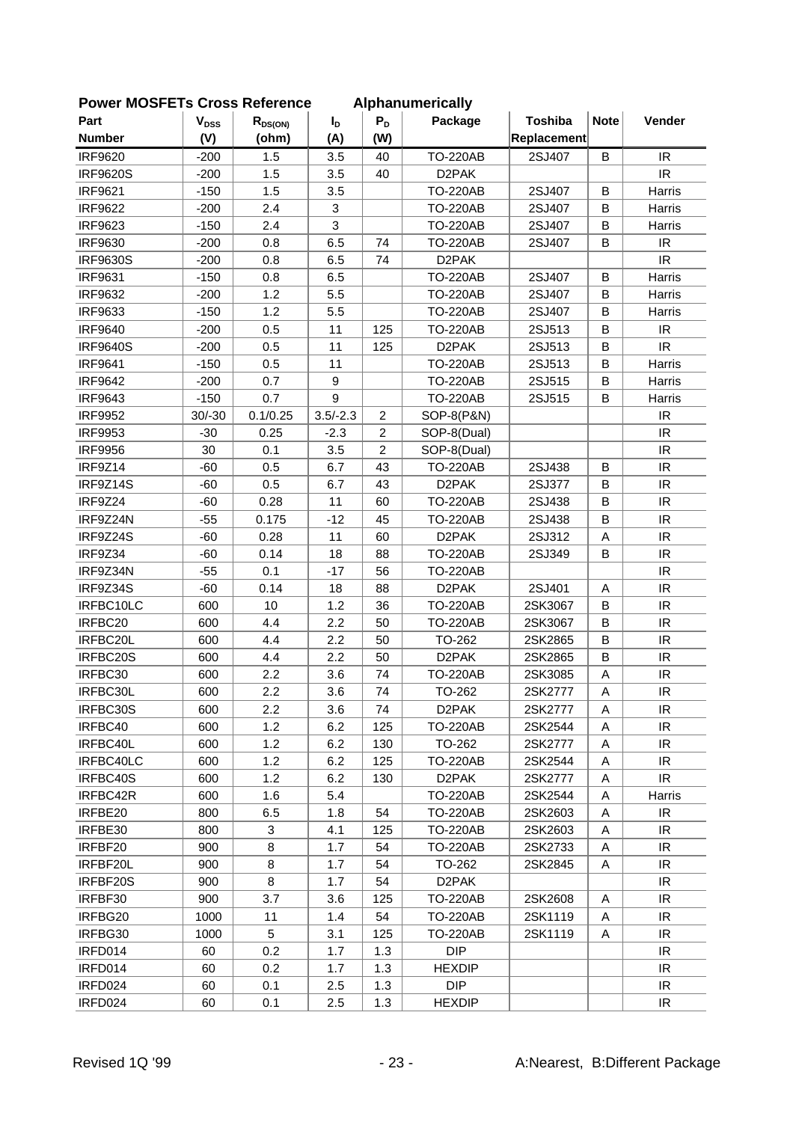| <b>FUWEI INIUSFETS CIUSS REIEIEIICE</b> |                           |              |                  |                | Alphanumencally    |                |             |                                   |
|-----------------------------------------|---------------------------|--------------|------------------|----------------|--------------------|----------------|-------------|-----------------------------------|
| Part                                    | $\mathbf{V}_{\text{DSS}}$ | $R_{DS(ON)}$ | I <sub>D</sub>   | $P_D$          | Package            | <b>Toshiba</b> | <b>Note</b> | Vender                            |
| <b>Number</b>                           | (V)                       | (ohm)        | (A)              | (W)            |                    | Replacement    |             |                                   |
| <b>IRF9620</b>                          | $-200$                    | 1.5          | 3.5              | 40             | <b>TO-220AB</b>    | 2SJ407         | B           | IR                                |
| <b>IRF9620S</b>                         | $-200$                    | 1.5          | 3.5              | 40             | D <sub>2</sub> PAK |                |             | IR.                               |
| <b>IRF9621</b>                          | $-150$                    | 1.5          | 3.5              |                | <b>TO-220AB</b>    | 2SJ407         | B           | Harris                            |
| <b>IRF9622</b>                          | $-200$                    | 2.4          | 3                |                | <b>TO-220AB</b>    | 2SJ407         | B           | Harris                            |
| <b>IRF9623</b>                          | $-150$                    | 2.4          | 3                |                | <b>TO-220AB</b>    | 2SJ407         | B           | Harris                            |
| IRF9630                                 | $-200$                    | 0.8          | 6.5              | 74             | <b>TO-220AB</b>    | 2SJ407         | B           | $\ensuremath{\mathsf{IR}}\xspace$ |
| <b>IRF9630S</b>                         | $-200$                    | 0.8          | 6.5              | 74             | D <sub>2</sub> PAK |                |             | <b>IR</b>                         |
| <b>IRF9631</b>                          | $-150$                    | 0.8          | 6.5              |                | <b>TO-220AB</b>    | 2SJ407         | B           | Harris                            |
| <b>IRF9632</b>                          | $-200$                    | 1.2          | 5.5              |                | <b>TO-220AB</b>    | 2SJ407         | B           | Harris                            |
| <b>IRF9633</b>                          | $-150$                    | 1.2          | 5.5              |                | <b>TO-220AB</b>    | 2SJ407         | B           | Harris                            |
| <b>IRF9640</b>                          | $-200$                    | 0.5          | 11               | 125            | <b>TO-220AB</b>    | 2SJ513         | B           | IR                                |
| <b>IRF9640S</b>                         | $-200$                    | 0.5          | 11               | 125            | D <sub>2</sub> PAK | 2SJ513         | В           | IR                                |
| <b>IRF9641</b>                          | $-150$                    | 0.5          | 11               |                | <b>TO-220AB</b>    | 2SJ513         | B           | Harris                            |
| <b>IRF9642</b>                          | $-200$                    | 0.7          | $\boldsymbol{9}$ |                | <b>TO-220AB</b>    | 2SJ515         | B           | Harris                            |
| <b>IRF9643</b>                          | $-150$                    | 0.7          | 9                |                | <b>TO-220AB</b>    | 2SJ515         | B           | Harris                            |
| <b>IRF9952</b>                          | $30/-30$                  | 0.1/0.25     | $3.5/-2.3$       | 2              | SOP-8(P&N)         |                |             | IR                                |
| <b>IRF9953</b>                          | $-30$                     | 0.25         | $-2.3$           | $\overline{c}$ | SOP-8(Dual)        |                |             | IR                                |
| <b>IRF9956</b>                          | 30                        | 0.1          | 3.5              | $\overline{c}$ | SOP-8(Dual)        |                |             | IR                                |
| IRF9Z14                                 | $-60$                     | 0.5          | 6.7              | 43             | <b>TO-220AB</b>    | 2SJ438         | B           | IR                                |
| IRF9Z14S                                | $-60$                     | 0.5          | 6.7              | 43             | D <sub>2</sub> PAK | 2SJ377         | B           | IR                                |
| IRF9Z24                                 | $-60$                     | 0.28         | 11               | 60             | <b>TO-220AB</b>    | 2SJ438         | B           | IR                                |
| IRF9Z24N                                | $-55$                     | 0.175        | $-12$            | 45             | <b>TO-220AB</b>    | 2SJ438         | B           | IR                                |
| IRF9Z24S                                | $-60$                     | 0.28         | 11               | 60             | D <sub>2</sub> PAK | 2SJ312         | А           | $\ensuremath{\mathsf{IR}}\xspace$ |
| IRF9Z34                                 | $-60$                     | 0.14         | 18               | 88             | <b>TO-220AB</b>    | 2SJ349         | B           | IR                                |
| IRF9Z34N                                | $-55$                     | 0.1          | $-17$            | 56             | <b>TO-220AB</b>    |                |             | IR                                |
| IRF9Z34S                                | $-60$                     | 0.14         | 18               | 88             | D <sub>2</sub> PAK | 2SJ401         | A           | IR                                |
| IRFBC10LC                               | 600                       | 10           | 1.2              | 36             | <b>TO-220AB</b>    | 2SK3067        | B           | IR                                |
| IRFBC20                                 | 600                       | 4.4          | 2.2              | 50             | <b>TO-220AB</b>    | 2SK3067        | B           | IR                                |
| IRFBC20L                                | 600                       | 4.4          | 2.2              | 50             | TO-262             | 2SK2865        | B           | $\ensuremath{\mathsf{IR}}\xspace$ |
| IRFBC20S                                | 600                       | 4.4          | 2.2              | 50             | D <sub>2</sub> PAK | 2SK2865        | B           | IR                                |
| IRFBC30                                 | 600                       | 2.2          | 3.6              | 74             | <b>TO-220AB</b>    | 2SK3085        | Α           | $\ensuremath{\mathsf{IR}}\xspace$ |
| IRFBC30L                                | 600                       | 2.2          | 3.6              | 74             | TO-262             | 2SK2777        | A           | IR                                |
| IRFBC30S                                | 600                       | 2.2          | 3.6              | 74             | D2PAK              | 2SK2777        | A           | IR.                               |
| IRFBC40                                 | 600                       | 1.2          | 6.2              | 125            | <b>TO-220AB</b>    | 2SK2544        | Α           | IR                                |
| IRFBC40L                                | 600                       | 1.2          | 6.2              | 130            | TO-262             | 2SK2777        | Α           | IR.                               |
| IRFBC40LC                               | 600                       | 1.2          | 6.2              | 125            | TO-220AB           | 2SK2544        | A           | IR                                |
| IRFBC40S                                | 600                       | 1.2          | 6.2              | 130            | D <sub>2</sub> PAK | 2SK2777        | A           | IR                                |
| IRFBC42R                                | 600                       | 1.6          | 5.4              |                | <b>TO-220AB</b>    | 2SK2544        | Α           | Harris                            |
| IRFBE20                                 | 800                       | 6.5          | 1.8              | 54             | <b>TO-220AB</b>    | 2SK2603        | Α           | IR.                               |
| IRFBE30                                 | 800                       | 3            | 4.1              | 125            | <b>TO-220AB</b>    | 2SK2603        | Α           | IR.                               |
| IRFBF20                                 | 900                       | 8            | 1.7              | 54             | <b>TO-220AB</b>    | 2SK2733        | Α           | IR.                               |
| IRFBF20L                                | 900                       | 8            | 1.7              | 54             | TO-262             | 2SK2845        | Α           | IR                                |
| IRFBF20S                                | 900                       | 8            | 1.7              | 54             | D <sub>2</sub> PAK |                |             | IR                                |
| IRFBF30                                 | 900                       | 3.7          | 3.6              | 125            | <b>TO-220AB</b>    | 2SK2608        | Α           | IR.                               |
| IRFBG20                                 | 1000                      | 11           | 1.4              | 54             | <b>TO-220AB</b>    | 2SK1119        | A           | IR                                |
| IRFBG30                                 | 1000                      | 5            | 3.1              | 125            | <b>TO-220AB</b>    | 2SK1119        | Α           | IR                                |
| IRFD014                                 | 60                        | 0.2          | 1.7              | 1.3            | <b>DIP</b>         |                |             | IR                                |
| IRFD014                                 | 60                        | 0.2          | 1.7              | 1.3            | <b>HEXDIP</b>      |                |             | IR.                               |
| IRFD024                                 | 60                        | 0.1          | 2.5              | 1.3            | <b>DIP</b>         |                |             | IR                                |
| IRFD024                                 | 60                        | 0.1          | 2.5              | 1.3            | <b>HEXDIP</b>      |                |             | IR.                               |
|                                         |                           |              |                  |                |                    |                |             |                                   |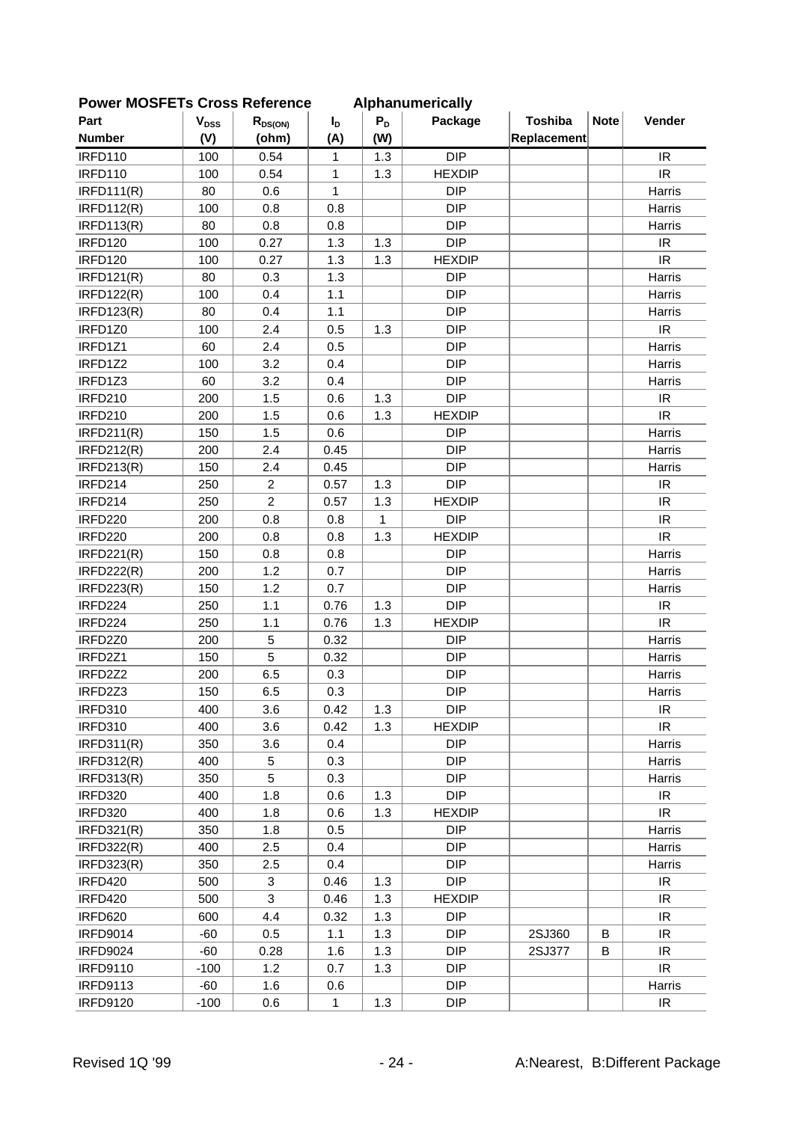| סטווס ואפט ובו א טועס איז ווסט |                        |                |                |              | Alphanum Filiamy |             |             |                                   |
|--------------------------------|------------------------|----------------|----------------|--------------|------------------|-------------|-------------|-----------------------------------|
| Part                           | <b>V<sub>DSS</sub></b> | $R_{DS(ON)}$   | I <sub>D</sub> | $P_D$        | Package          | Toshiba     | <b>Note</b> | Vender                            |
| <b>Number</b>                  | (V)                    | (ohm)          | (A)            | (W)          |                  | Replacement |             |                                   |
| <b>IRFD110</b>                 | 100                    | 0.54           | 1              | 1.3          | <b>DIP</b>       |             |             | IR                                |
| <b>IRFD110</b>                 | 100                    | 0.54           | 1              | 1.3          | <b>HEXDIP</b>    |             |             | <b>IR</b>                         |
| IRFD111(R)                     | 80                     | 0.6            | $\mathbf{1}$   |              | <b>DIP</b>       |             |             | Harris                            |
| <b>IRFD112(R)</b>              | 100                    | 0.8            | 0.8            |              | <b>DIP</b>       |             |             | Harris                            |
| <b>IRFD113(R)</b>              | 80                     | 0.8            | 0.8            |              | <b>DIP</b>       |             |             | Harris                            |
| IRFD120                        | 100                    | 0.27           | 1.3            | 1.3          | <b>DIP</b>       |             |             | IR                                |
| <b>IRFD120</b>                 | 100                    | 0.27           | 1.3            | 1.3          | <b>HEXDIP</b>    |             |             | IR                                |
| <b>IRFD121(R)</b>              | 80                     | 0.3            | 1.3            |              | <b>DIP</b>       |             |             | Harris                            |
| <b>IRFD122(R)</b>              | 100                    | 0.4            | 1.1            |              | <b>DIP</b>       |             |             | Harris                            |
| <b>IRFD123(R)</b>              | 80                     | 0.4            | 1.1            |              | <b>DIP</b>       |             |             | Harris                            |
| IRFD1Z0                        | 100                    | 2.4            | 0.5            | 1.3          | <b>DIP</b>       |             |             | IR                                |
| IRFD1Z1                        | 60                     | 2.4            | 0.5            |              | <b>DIP</b>       |             |             | Harris                            |
| IRFD1Z2                        | 100                    | 3.2            | 0.4            |              | <b>DIP</b>       |             |             | Harris                            |
| IRFD1Z3                        | 60                     | 3.2            | 0.4            |              | <b>DIP</b>       |             |             | Harris                            |
| <b>IRFD210</b>                 | 200                    | 1.5            | 0.6            | 1.3          | <b>DIP</b>       |             |             | <b>IR</b>                         |
| <b>IRFD210</b>                 | 200                    | 1.5            | 0.6            | 1.3          | <b>HEXDIP</b>    |             |             | IR                                |
| IRFD211(R)                     | 150                    | 1.5            | 0.6            |              | <b>DIP</b>       |             |             | Harris                            |
| <b>IRFD212(R)</b>              | 200                    | 2.4            | 0.45           |              | <b>DIP</b>       |             |             | Harris                            |
| <b>IRFD213(R)</b>              | 150                    | 2.4            | 0.45           |              | <b>DIP</b>       |             |             | Harris                            |
| IRFD214                        | 250                    | $\overline{2}$ | 0.57           | 1.3          | <b>DIP</b>       |             |             | IR                                |
| IRFD214                        | 250                    | $\overline{2}$ | 0.57           | 1.3          | <b>HEXDIP</b>    |             |             | IR                                |
| IRFD220                        | 200                    | 0.8            | 0.8            | $\mathbf{1}$ | <b>DIP</b>       |             |             | IR                                |
| <b>IRFD220</b>                 | 200                    | 0.8            | 0.8            | 1.3          | <b>HEXDIP</b>    |             |             | IR                                |
| <b>IRFD221(R)</b>              | 150                    | 0.8            | 0.8            |              | <b>DIP</b>       |             |             | Harris                            |
| <b>IRFD222(R)</b>              | 200                    | 1.2            | 0.7            |              | <b>DIP</b>       |             |             | Harris                            |
| <b>IRFD223(R)</b>              | 150                    | 1.2            | 0.7            |              | <b>DIP</b>       |             |             | Harris                            |
| IRFD224                        | 250                    | 1.1            | 0.76           | 1.3          | <b>DIP</b>       |             |             | IR                                |
| IRFD224                        | 250                    | 1.1            | 0.76           | 1.3          | <b>HEXDIP</b>    |             |             | $\ensuremath{\mathsf{IR}}\xspace$ |
| IRFD2Z0                        | 200                    | 5              | 0.32           |              | <b>DIP</b>       |             |             | Harris                            |
| IRFD2Z1                        | 150                    | 5              | 0.32           |              | <b>DIP</b>       |             |             | Harris                            |
| IRFD2Z2                        | 200                    | 6.5            | 0.3            |              | <b>DIP</b>       |             |             | Harris                            |
| IRFD2Z3                        | 150                    | 6.5            | 0.3            |              | <b>DIP</b>       |             |             | Harris                            |
| <b>IRFD310</b>                 | 400                    | 3.6            | 0.42           | 1.3          | <b>DIP</b>       |             |             | IR.                               |
| <b>IRFD310</b>                 | 400                    | 3.6            | 0.42           | 1.3          | <b>HEXDIP</b>    |             |             | IR.                               |
| IRFD311(R)                     | 350                    | 3.6            | 0.4            |              | <b>DIP</b>       |             |             | Harris                            |
| <b>IRFD312(R)</b>              | 400                    | 5              | 0.3            |              | <b>DIP</b>       |             |             | Harris                            |
| <b>IRFD313(R)</b>              | 350                    | 5              | 0.3            |              | <b>DIP</b>       |             |             | Harris                            |
| IRFD320                        | 400                    | 1.8            | 0.6            | 1.3          | <b>DIP</b>       |             |             | IR                                |
| <b>IRFD320</b>                 | 400                    | 1.8            | 0.6            | 1.3          | <b>HEXDIP</b>    |             |             | IR                                |
| <b>IRFD321(R)</b>              | 350                    | 1.8            | 0.5            |              | <b>DIP</b>       |             |             | Harris                            |
| <b>IRFD322(R)</b>              | 400                    | 2.5            | 0.4            |              | <b>DIP</b>       |             |             | Harris                            |
| <b>IRFD323(R)</b>              | 350                    | 2.5            | 0.4            |              | <b>DIP</b>       |             |             | Harris                            |
| IRFD420                        | 500                    | 3              | 0.46           | 1.3          | <b>DIP</b>       |             |             | IR.                               |
| IRFD420                        | 500                    | 3              | 0.46           | 1.3          | <b>HEXDIP</b>    |             |             | IR.                               |
| IRFD620                        | 600                    | 4.4            | 0.32           | 1.3          | <b>DIP</b>       |             |             | IR                                |
|                                |                        |                |                |              | <b>DIP</b>       |             |             |                                   |
| <b>IRFD9014</b>                | $-60$                  | 0.5            | 1.1            | 1.3          |                  | 2SJ360      | B           | IR.                               |
| <b>IRFD9024</b>                | $-60$                  | 0.28           | 1.6            | 1.3          | <b>DIP</b>       | 2SJ377      | B           | IR.                               |
| <b>IRFD9110</b>                | $-100$                 | 1.2            | 0.7            | 1.3          | <b>DIP</b>       |             |             | IR                                |
| <b>IRFD9113</b>                | -60                    | 1.6            | 0.6            |              | <b>DIP</b>       |             |             | Harris                            |
| <b>IRFD9120</b>                | $-100$                 | 0.6            | 1              | 1.3          | <b>DIP</b>       |             |             | $\ensuremath{\mathsf{IR}}\xspace$ |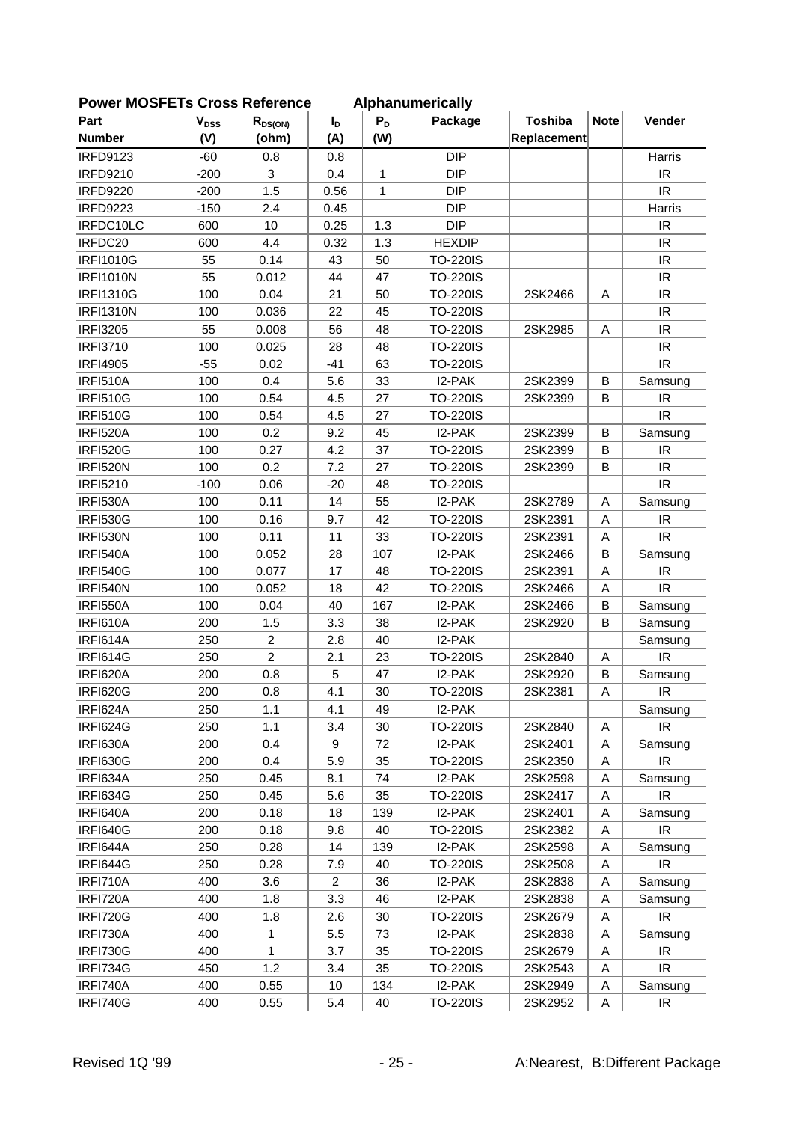| <b>OWEI INCOLL IS CIOSS NEIGHTICE</b> |                        |                   |                |       | <b>Alphanumencally</b> |                |             |                                              |
|---------------------------------------|------------------------|-------------------|----------------|-------|------------------------|----------------|-------------|----------------------------------------------|
| Part                                  | <b>V<sub>DSS</sub></b> | $R_{DS(ON)}$      | $I_D$          | $P_D$ | Package                | <b>Toshiba</b> | <b>Note</b> | Vender                                       |
| <b>Number</b>                         | (V)                    | (ohm)             | (A)            | (W)   |                        | Replacement    |             |                                              |
| <b>IRFD9123</b>                       | $-60$                  | 0.8               | 0.8            |       | <b>DIP</b>             |                |             | Harris                                       |
| <b>IRFD9210</b>                       | $-200$                 | 3                 | 0.4            | 1     | <b>DIP</b>             |                |             | IR.                                          |
| <b>IRFD9220</b>                       | $-200$                 | 1.5               | 0.56           | 1     | <b>DIP</b>             |                |             | IR.                                          |
| <b>IRFD9223</b>                       | $-150$                 | 2.4               | 0.45           |       | <b>DIP</b>             |                |             | Harris                                       |
| IRFDC10LC                             | 600                    | 10                | 0.25           | 1.3   | <b>DIP</b>             |                |             | $\ensuremath{\mathsf{IR}}\xspace$            |
| IRFDC20                               | 600                    | 4.4               | 0.32           | 1.3   | <b>HEXDIP</b>          |                |             | IR                                           |
| <b>IRFI1010G</b>                      | 55                     | 0.14              | 43             | 50    | <b>TO-220IS</b>        |                |             | IR                                           |
| <b>IRFI1010N</b>                      | 55                     | 0.012             | 44             | 47    | <b>TO-220IS</b>        |                |             | IR                                           |
| <b>IRFI1310G</b>                      | 100                    | 0.04              | 21             | 50    | <b>TO-220IS</b>        | 2SK2466        | Α           | IR                                           |
| <b>IRFI1310N</b>                      | 100                    | 0.036             | 22             | 45    | <b>TO-220IS</b>        |                |             | IR                                           |
| <b>IRFI3205</b>                       | 55                     | 0.008             | 56             | 48    | <b>TO-220IS</b>        | 2SK2985        | Α           | IR                                           |
| <b>IRFI3710</b>                       | 100                    | 0.025             | 28             | 48    | <b>TO-220IS</b>        |                |             | IR                                           |
| <b>IRFI4905</b>                       | $-55$                  | 0.02              | $-41$          | 63    | <b>TO-220IS</b>        |                |             | IR                                           |
| <b>IRFI510A</b>                       | 100                    | 0.4               | 5.6            | 33    | I2-PAK                 | 2SK2399        | B           | Samsung                                      |
| <b>IRFI510G</b>                       | 100                    | 0.54              | 4.5            | 27    | <b>TO-220IS</b>        | 2SK2399        | B           | IR                                           |
| <b>IRFI510G</b>                       | 100                    | 0.54              | 4.5            | 27    | <b>TO-220IS</b>        |                |             | IR                                           |
| <b>IRFI520A</b>                       | 100                    | 0.2               | 9.2            | 45    | I2-PAK                 | 2SK2399        | B           | Samsung                                      |
| <b>IRFI520G</b>                       | 100                    | 0.27              | 4.2            | 37    | <b>TO-220IS</b>        | 2SK2399        | B           | IR.                                          |
| <b>IRFI520N</b>                       | 100                    | 0.2               | 7.2            | 27    | <b>TO-220IS</b>        | 2SK2399        | B           | IR                                           |
| <b>IRFI5210</b>                       | $-100$                 | 0.06              | $-20$          | 48    | <b>TO-220IS</b>        |                |             | IR                                           |
| <b>IRFI530A</b>                       | 100                    | 0.11              | 14             | 55    | I2-PAK                 | 2SK2789        | Α           | Samsung                                      |
| <b>IRFI530G</b>                       | 100                    | 0.16              | 9.7            | 42    | <b>TO-220IS</b>        | 2SK2391        | A           | IR                                           |
| <b>IRFI530N</b>                       | 100                    | 0.11              | 11             | 33    | <b>TO-220IS</b>        | 2SK2391        | Α           | IR                                           |
| IRFI540A                              | 100                    | 0.052             | 28             | 107   | I2-PAK                 | 2SK2466        | B           | Samsung                                      |
| <b>IRFI540G</b>                       | 100                    | 0.077             | 17             | 48    | <b>TO-220IS</b>        | 2SK2391        | Α           | IR                                           |
| IRFI540N                              | 100                    | 0.052             | 18             | 42    | <b>TO-220IS</b>        | 2SK2466        | A           | <b>IR</b>                                    |
| <b>IRFI550A</b>                       | 100                    | 0.04              | 40             | 167   | I2-PAK                 | 2SK2466        | B           | Samsung                                      |
| <b>IRFI610A</b>                       | 200                    | 1.5               | 3.3            | 38    | I2-PAK                 | 2SK2920        | B           | Samsung                                      |
| IRFI614A                              | 250                    | $\overline{2}$    | 2.8            | 40    | I2-PAK                 |                |             | Samsung                                      |
| <b>IRFI614G</b>                       | 250                    | $\overline{2}$    | 2.1            | 23    | <b>TO-220IS</b>        | 2SK2840        | Α           | IR                                           |
| IRFI620A                              | 200                    | 0.8               | 5              | 47    | I2-PAK                 | 2SK2920        | B           | Samsung                                      |
| <b>IRFI620G</b>                       | 200                    | 0.8               | 4.1            | 30    | <b>TO-220IS</b>        | 2SK2381        | Α           | IR                                           |
| IRFI624A                              | 250                    | 1.1               | 4.1            | 49    | I2-PAK                 |                |             | Samsung                                      |
| <b>IRFI624G</b>                       | 250                    | 1.1               | 3.4            | 30    | <b>TO-220IS</b>        | 2SK2840        | A           | IR                                           |
| IRFI630A                              | 200                    | 0.4               | 9              | 72    | I2-PAK                 | 2SK2401        | Α           | Samsung                                      |
| <b>IRFI630G</b>                       | 200                    | 0.4               | 5.9            | 35    | <b>TO-220IS</b>        | 2SK2350        | Α           | $\ensuremath{\mathsf{IR}}\xspace$            |
| IRFI634A                              | 250                    | 0.45              | 8.1            | 74    | I2-PAK                 | 2SK2598        | A           | Samsung                                      |
| <b>IRFI634G</b>                       | 250                    | 0.45              | 5.6            | 35    | <b>TO-220IS</b>        | 2SK2417        | Α           | IR.                                          |
| IRFI640A                              | 200                    | 0.18              | 18             | 139   | I2-PAK                 | 2SK2401        | Α           | Samsung                                      |
| IRFI640G                              | 200                    | 0.18              | 9.8            | 40    | <b>TO-220IS</b>        | 2SK2382        | Α           | IR                                           |
| IRFI644A                              | 250                    | 0.28              | 14             | 139   | I2-PAK                 | 2SK2598        | Α           | Samsung                                      |
| IRFI644G                              | 250                    | 0.28              | 7.9            | 40    | <b>TO-220IS</b>        | 2SK2508        | Α           | $\ensuremath{\mathsf{IR}}\xspace$            |
| IRFI710A                              | 400                    | 3.6               | $\overline{c}$ | 36    | I2-PAK                 | 2SK2838        | A           | Samsung                                      |
| IRFI720A                              | 400                    | 1.8               |                | 46    | I2-PAK                 | 2SK2838        | Α           |                                              |
|                                       |                        |                   | 3.3            |       |                        |                |             | Samsung<br>$\ensuremath{\mathsf{IR}}\xspace$ |
| <b>IRFI720G</b>                       | 400                    | 1.8               | 2.6            | 30    | <b>TO-220IS</b>        | 2SK2679        | Α           |                                              |
| IRFI730A                              | 400                    | 1<br>$\mathbf{1}$ | 5.5            | 73    | I2-PAK                 | 2SK2838        | Α           | Samsung                                      |
| <b>IRFI730G</b>                       | 400                    |                   | 3.7            | 35    | <b>TO-220IS</b>        | 2SK2679        | Α           | IR                                           |
| IRFI734G                              | 450                    | 1.2               | 3.4            | 35    | <b>TO-220IS</b>        | 2SK2543        | Α           | $\ensuremath{\mathsf{IR}}\xspace$            |
| IRFI740A                              | 400                    | 0.55              | 10             | 134   | I2-PAK                 | 2SK2949        | A           | Samsung                                      |
| IRFI740G                              | 400                    | 0.55              | 5.4            | 40    | <b>TO-220IS</b>        | 2SK2952        | Α           | $\ensuremath{\mathsf{IR}}\xspace$            |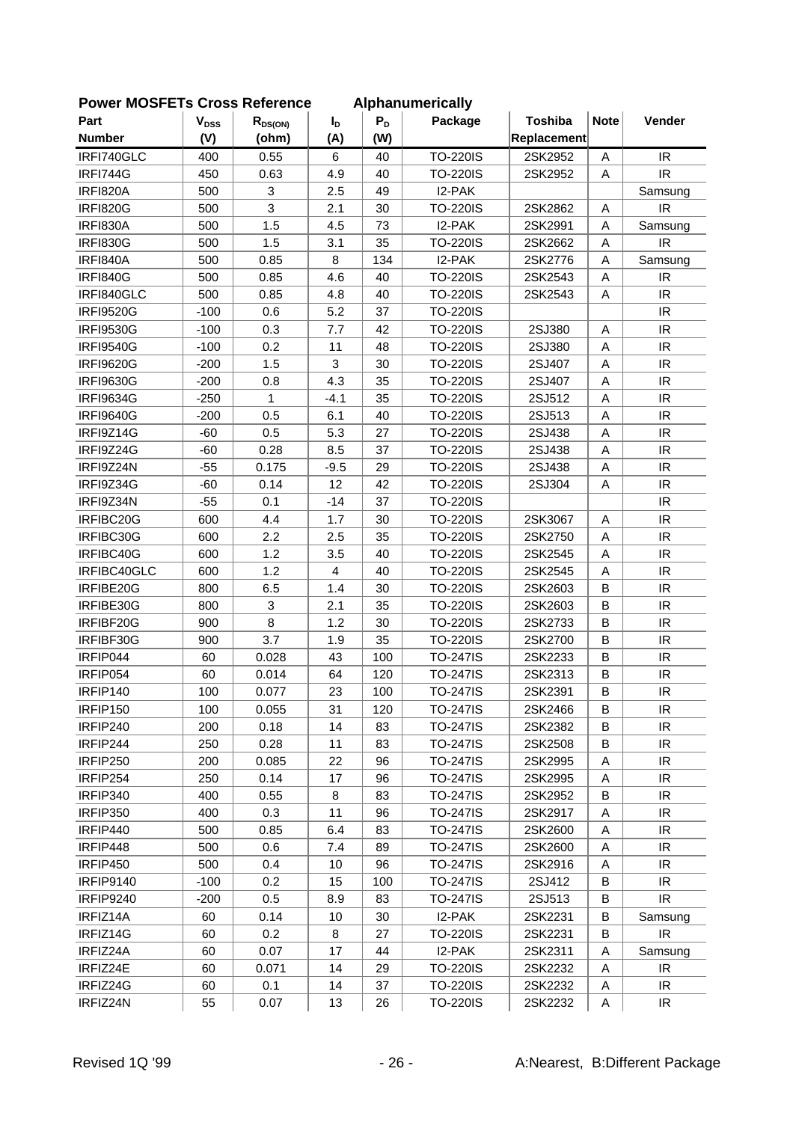| <b>FUWEI INUSFETS UTUSS REIEIEIICE</b> |                           |              |                |       | Alphanumencally |                |             |                                   |
|----------------------------------------|---------------------------|--------------|----------------|-------|-----------------|----------------|-------------|-----------------------------------|
| Part                                   | $\mathbf{V}_{\text{DSS}}$ | $R_{DS(ON)}$ | $I_{D}$        | $P_D$ | Package         | <b>Toshiba</b> | <b>Note</b> | Vender                            |
| <b>Number</b>                          | (V)                       | (ohm)        | (A)            | (W)   |                 | Replacement    |             |                                   |
| IRFI740GLC                             | 400                       | 0.55         | 6              | 40    | <b>TO-220IS</b> | 2SK2952        | A           | IR                                |
| <b>IRFI744G</b>                        | 450                       | 0.63         | 4.9            | 40    | <b>TO-220IS</b> | 2SK2952        | Α           | IR                                |
| <b>IRFI820A</b>                        | 500                       | 3            | 2.5            | 49    | I2-PAK          |                |             | Samsung                           |
| <b>IRFI820G</b>                        | 500                       | 3            | 2.1            | 30    | <b>TO-220IS</b> | 2SK2862        | Α           | <b>IR</b>                         |
| <b>IRFI830A</b>                        | 500                       | 1.5          | 4.5            | 73    | I2-PAK          | 2SK2991        | Α           | Samsung                           |
| <b>IRFI830G</b>                        | 500                       | 1.5          | 3.1            | 35    | <b>TO-220IS</b> | 2SK2662        | A           | IR                                |
| IRFI840A                               | 500                       | 0.85         | 8              | 134   | I2-PAK          | 2SK2776        | Α           | Samsung                           |
| <b>IRFI840G</b>                        | 500                       | 0.85         | 4.6            | 40    | <b>TO-220IS</b> | 2SK2543        | Α           | IR.                               |
| IRFI840GLC                             | 500                       | 0.85         | 4.8            | 40    | <b>TO-220IS</b> | 2SK2543        | Α           | IR                                |
| <b>IRFI9520G</b>                       | $-100$                    | 0.6          | 5.2            | 37    | <b>TO-220IS</b> |                |             | IR                                |
| <b>IRFI9530G</b>                       | $-100$                    | 0.3          | 7.7            | 42    | <b>TO-220IS</b> | 2SJ380         | Α           | $\ensuremath{\mathsf{IR}}\xspace$ |
| <b>IRFI9540G</b>                       | $-100$                    | 0.2          | 11             | 48    | <b>TO-220IS</b> | 2SJ380         | A           | IR                                |
| <b>IRFI9620G</b>                       | $-200$                    | 1.5          | 3              | 30    | <b>TO-220IS</b> | 2SJ407         | A           | IR                                |
| <b>IRFI9630G</b>                       | $-200$                    | 0.8          | 4.3            | 35    | <b>TO-220IS</b> | 2SJ407         | A           | <b>IR</b>                         |
| <b>IRFI9634G</b>                       | $-250$                    | 1            | $-4.1$         | 35    | <b>TO-220IS</b> | 2SJ512         | Α           | IR                                |
| <b>IRFI9640G</b>                       | $-200$                    | 0.5          | 6.1            | 40    | <b>TO-220IS</b> | 2SJ513         | A           | $\ensuremath{\mathsf{IR}}\xspace$ |
| IRFI9Z14G                              | $-60$                     | 0.5          | 5.3            | 27    | <b>TO-220IS</b> | 2SJ438         | Α           | IR                                |
| IRFI9Z24G                              | $-60$                     | 0.28         | 8.5            | 37    | <b>TO-220IS</b> | 2SJ438         | Α           | IR                                |
| IRFI9Z24N                              | $-55$                     | 0.175        | $-9.5$         | 29    | <b>TO-220IS</b> | 2SJ438         | A           | IR                                |
| IRFI9Z34G                              | $-60$                     | 0.14         | 12             | 42    | <b>TO-220IS</b> | 2SJ304         | Α           | IR                                |
| IRFI9Z34N                              | $-55$                     | 0.1          | $-14$          | 37    | <b>TO-220IS</b> |                |             | IR                                |
| IRFIBC20G                              | 600                       | 4.4          | 1.7            | 30    | <b>TO-220IS</b> | 2SK3067        | Α           | IR                                |
| IRFIBC30G                              | 600                       | 2.2          | 2.5            | 35    | <b>TO-220IS</b> | 2SK2750        | Α           | $\ensuremath{\mathsf{IR}}\xspace$ |
| IRFIBC40G                              | 600                       | 1.2          | 3.5            | 40    | <b>TO-220IS</b> | 2SK2545        | Α           | IR                                |
| IRFIBC40GLC                            | 600                       | 1.2          | $\overline{4}$ | 40    | <b>TO-220IS</b> | 2SK2545        | Α           | IR                                |
| IRFIBE20G                              | 800                       | 6.5          | 1.4            | 30    | <b>TO-220IS</b> | 2SK2603        | B           | IR                                |
| IRFIBE30G                              | 800                       | 3            | 2.1            | 35    | <b>TO-220IS</b> | 2SK2603        | B           | IR                                |
| IRFIBF20G                              | 900                       | 8            | 1.2            | 30    | <b>TO-220IS</b> | 2SK2733        | B           | IR                                |
| IRFIBF30G                              | 900                       | 3.7          | 1.9            | 35    | <b>TO-220IS</b> | 2SK2700        | B           | $\ensuremath{\mathsf{IR}}\xspace$ |
| IRFIP044                               | 60                        | 0.028        | 43             | 100   | <b>TO-247IS</b> | 2SK2233        | B           | IR                                |
| IRFIP054                               | 60                        | 0.014        | 64             | 120   | <b>TO-247IS</b> | 2SK2313        | B           | $\ensuremath{\mathsf{IR}}\xspace$ |
| IRFIP140                               | 100                       | 0.077        | 23             | 100   | <b>TO-247IS</b> | 2SK2391        | B           | IR                                |
| IRFIP150                               | 100                       | 0.055        | 31             | 120   | <b>TO-247IS</b> | 2SK2466        | B           | IR.                               |
| IRFIP240                               | 200                       | 0.18         | 14             | 83    | TO-247IS        | 2SK2382        | B           | IR                                |
| IRFIP244                               | 250                       | 0.28         | 11             | 83    | <b>TO-247IS</b> | 2SK2508        | В           | IR                                |
| IRFIP250                               | 200                       | 0.085        | 22             | 96    | TO-247IS        | 2SK2995        | Α           | IR.                               |
| IRFIP254                               | 250                       | 0.14         | 17             | 96    | <b>TO-247IS</b> | 2SK2995        | Α           | IR.                               |
| IRFIP340                               | 400                       | 0.55         | 8              | 83    | <b>TO-247IS</b> | 2SK2952        | B           | IR                                |
| IRFIP350                               | 400                       | 0.3          | 11             | 96    | <b>TO-247IS</b> | 2SK2917        | Α           | IR                                |
| IRFIP440                               | 500                       | 0.85         | 6.4            | 83    | TO-247IS        | 2SK2600        | Α           | IR.                               |
| IRFIP448                               | 500                       | 0.6          | 7.4            | 89    | <b>TO-247IS</b> | 2SK2600        | Α           | IR                                |
| IRFIP450                               | 500                       | 0.4          | 10             | 96    | TO-247IS        | 2SK2916        | Α           | IR.                               |
| <b>IRFIP9140</b>                       | $-100$                    | 0.2          | 15             | 100   | <b>TO-247IS</b> | 2SJ412         | B           | IR                                |
| <b>IRFIP9240</b>                       | $-200$                    | 0.5          | 8.9            | 83    | <b>TO-247IS</b> | 2SJ513         | B           | IR.                               |
| IRFIZ14A                               | 60                        | 0.14         | 10             | 30    | I2-PAK          | 2SK2231        | B           | Samsung                           |
| IRFIZ14G                               | 60                        | 0.2          | 8              | 27    | <b>TO-220IS</b> | 2SK2231        | B           | IR.                               |
| IRFIZ24A                               | 60                        | 0.07         | 17             | 44    | I2-PAK          | 2SK2311        | Α           | Samsung                           |
| IRFIZ24E                               | 60                        | 0.071        | 14             | 29    | <b>TO-220IS</b> | 2SK2232        | A           | IR                                |
| IRFIZ24G                               | 60                        | 0.1          | 14             | 37    | TO-220IS        | 2SK2232        | A           | IR                                |
| IRFIZ24N                               | 55                        | 0.07         | 13             | 26    | <b>TO-220IS</b> | 2SK2232        | Α           | $\ensuremath{\mathsf{IR}}\xspace$ |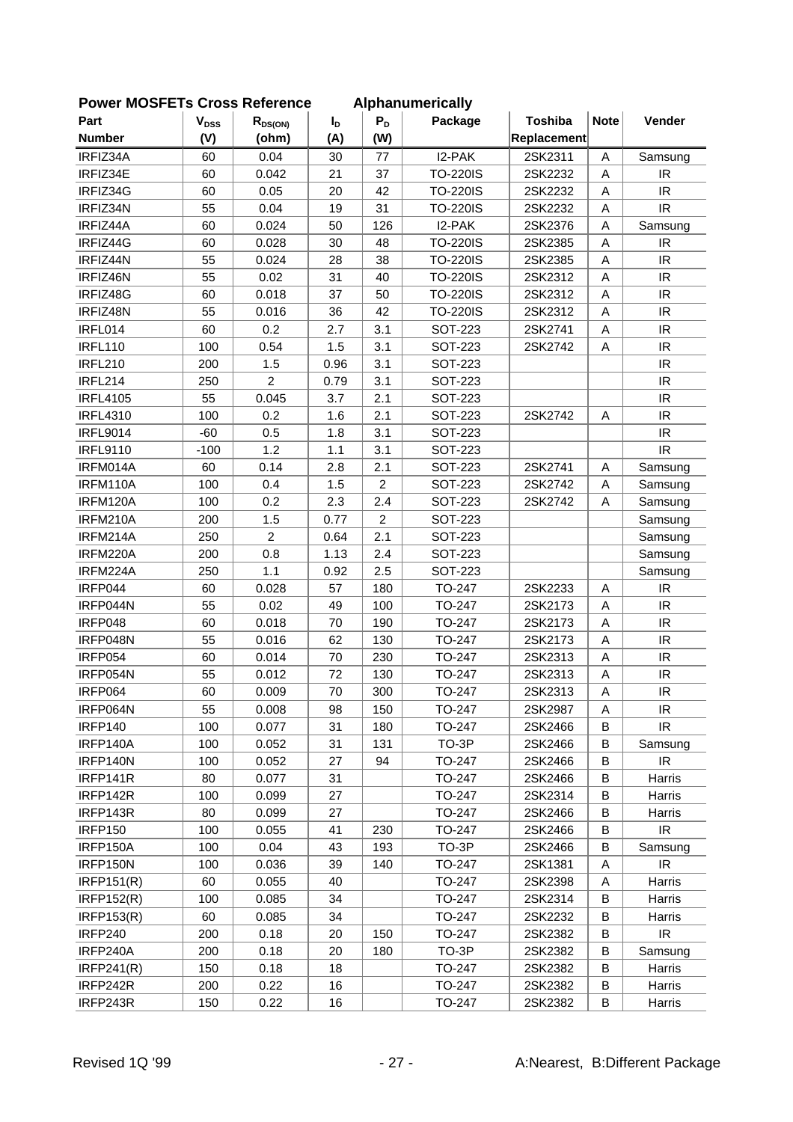| FOWEI MOSFETS CIOSS REIGIGILE |                           |                |                |                | Alphanumencally |                |             |                                   |
|-------------------------------|---------------------------|----------------|----------------|----------------|-----------------|----------------|-------------|-----------------------------------|
| Part                          | $\mathbf{V}_{\text{DSS}}$ | $R_{DS(ON)}$   | $I_{\text{D}}$ | $P_D$          | Package         | <b>Toshiba</b> | <b>Note</b> | Vender                            |
| <b>Number</b>                 | (V)                       | (ohm)          | (A)            | (W)            |                 | Replacement    |             |                                   |
| IRFIZ34A                      | 60                        | 0.04           | 30             | 77             | I2-PAK          | 2SK2311        | A           | Samsung                           |
| IRFIZ34E                      | 60                        | 0.042          | 21             | 37             | <b>TO-220IS</b> | 2SK2232        | A           | IR                                |
| IRFIZ34G                      | 60                        | 0.05           | 20             | 42             | <b>TO-220IS</b> | 2SK2232        | Α           | IR                                |
| IRFIZ34N                      | 55                        | 0.04           | 19             | 31             | <b>TO-220IS</b> | 2SK2232        | A           | IR                                |
| IRFIZ44A                      | 60                        | 0.024          | 50             | 126            | I2-PAK          | 2SK2376        | A           | Samsung                           |
| IRFIZ44G                      | 60                        | 0.028          | 30             | 48             | <b>TO-220IS</b> | 2SK2385        | A           | IR                                |
| IRFIZ44N                      | 55                        | 0.024          | 28             | 38             | <b>TO-220IS</b> | 2SK2385        | A           | IR                                |
| IRFIZ46N                      | 55                        | 0.02           | 31             | 40             | <b>TO-220IS</b> | 2SK2312        | Α           | IR.                               |
| IRFIZ48G                      | 60                        | 0.018          | 37             | 50             | <b>TO-220IS</b> | 2SK2312        | Α           | IR                                |
| IRFIZ48N                      | 55                        | 0.016          | 36             | 42             | <b>TO-220IS</b> | 2SK2312        | Α           | $\ensuremath{\mathsf{IR}}\xspace$ |
| IRFL014                       | 60                        | 0.2            | 2.7            | 3.1            | <b>SOT-223</b>  | 2SK2741        | Α           | IR                                |
| <b>IRFL110</b>                | 100                       | 0.54           | 1.5            | 3.1            | SOT-223         | 2SK2742        | Α           | IR                                |
| <b>IRFL210</b>                | 200                       | 1.5            | 0.96           | 3.1            | <b>SOT-223</b>  |                |             | IR                                |
| <b>IRFL214</b>                | 250                       | $\overline{2}$ | 0.79           | 3.1            | <b>SOT-223</b>  |                |             | IR.                               |
| <b>IRFL4105</b>               | 55                        | 0.045          | 3.7            | 2.1            | SOT-223         |                |             | IR                                |
| <b>IRFL4310</b>               | 100                       | 0.2            | 1.6            | 2.1            | <b>SOT-223</b>  | 2SK2742        | A           | IR                                |
| <b>IRFL9014</b>               | $-60$                     | 0.5            | 1.8            | 3.1            | <b>SOT-223</b>  |                |             | $\ensuremath{\mathsf{IR}}\xspace$ |
| <b>IRFL9110</b>               | $-100$                    | 1.2            | 1.1            | 3.1            | SOT-223         |                |             | IR                                |
| IRFM014A                      | 60                        | 0.14           | 2.8            | 2.1            | <b>SOT-223</b>  | 2SK2741        | Α           | Samsung                           |
| IRFM110A                      | 100                       | 0.4            | 1.5            | $\overline{c}$ | <b>SOT-223</b>  | 2SK2742        | Α           | Samsung                           |
| IRFM120A                      | 100                       | 0.2            | 2.3            | 2.4            | SOT-223         | 2SK2742        | Α           | Samsung                           |
| IRFM210A                      | 200                       | 1.5            | 0.77           | $\overline{c}$ | <b>SOT-223</b>  |                |             | Samsung                           |
| IRFM214A                      | 250                       | $\overline{c}$ | 0.64           | 2.1            | <b>SOT-223</b>  |                |             | Samsung                           |
| IRFM220A                      | 200                       | 0.8            | 1.13           | 2.4            | SOT-223         |                |             | Samsung                           |
| IRFM224A                      | 250                       | 1.1            | 0.92           | 2.5            | <b>SOT-223</b>  |                |             | Samsung                           |
| IRFP044                       | 60                        | 0.028          | 57             | 180            | TO-247          | 2SK2233        | A           | IR                                |
| IRFP044N                      | 55                        | 0.02           | 49             | 100            | TO-247          | 2SK2173        | A           | IR.                               |
| IRFP048                       | 60                        | 0.018          | 70             | 190            | TO-247          | 2SK2173        | A           | IR                                |
| IRFP048N                      | 55                        | 0.016          | 62             | 130            | TO-247          | 2SK2173        | A           | $\ensuremath{\mathsf{IR}}\xspace$ |
| IRFP054                       | 60                        | 0.014          | 70             | 230            | TO-247          | 2SK2313        | Α           | IR.                               |
| IRFP054N                      | 55                        | 0.012          | 72             | 130            | TO-247          | 2SK2313        | Α           | $\ensuremath{\mathsf{IR}}\xspace$ |
| IRFP064                       | 60                        | 0.009          | 70             | 300            | TO-247          | 2SK2313        | A           | IR                                |
| IRFP064N                      | 55                        | 0.008          | 98             | 150            | TO-247          | 2SK2987        | Α           | IR.                               |
| IRFP140                       | 100                       | 0.077          | 31             | 180            | TO-247          | 2SK2466        | B           | IR                                |
| IRFP140A                      | 100                       | 0.052          | 31             | 131            | TO-3P           | 2SK2466        | B           | Samsung                           |
| IRFP140N                      | 100                       | 0.052          | 27             | 94             | TO-247          | 2SK2466        | В           | IR.                               |
| IRFP141R                      | 80                        | 0.077          | 31             |                | TO-247          | 2SK2466        | В           | Harris                            |
| IRFP142R                      | 100                       | 0.099          | 27             |                | TO-247          | 2SK2314        | В           | Harris                            |
| IRFP143R                      | 80                        | 0.099          | 27             |                | TO-247          | 2SK2466        | В           | Harris                            |
| IRFP150                       | 100                       | 0.055          | 41             | 230            | TO-247          | 2SK2466        | В           | IR                                |
| IRFP150A                      | 100                       | 0.04           | 43             | 193            | TO-3P           | 2SK2466        | В           | Samsung                           |
| IRFP150N                      | 100                       | 0.036          | 39             | 140            | TO-247          | 2SK1381        | Α           | IR                                |
| <b>IRFP151(R)</b>             | 60                        | 0.055          | 40             |                | TO-247          | 2SK2398        | Α           | Harris                            |
| <b>IRFP152(R)</b>             | 100                       | 0.085          | 34             |                | TO-247          | 2SK2314        | В           | Harris                            |
|                               | 60                        | 0.085          | 34             |                | TO-247          | 2SK2232        | B           | Harris                            |
| <b>IRFP153(R)</b>             |                           |                |                |                |                 |                |             | IR                                |
| <b>IRFP240</b>                | 200                       | 0.18           | 20             | 150            | TO-247          | 2SK2382        | В           |                                   |
| IRFP240A                      | 200                       | 0.18           | 20             | 180            | TO-3P           | 2SK2382        | В           | Samsung                           |
| <b>IRFP241(R)</b>             | 150                       | 0.18           | 18             |                | TO-247          | 2SK2382        | В           | Harris                            |
| IRFP242R                      | 200                       | 0.22           | 16             |                | TO-247          | 2SK2382        | В           | Harris                            |
| IRFP243R                      | 150                       | 0.22           | 16             |                | TO-247          | 2SK2382        | В           | Harris                            |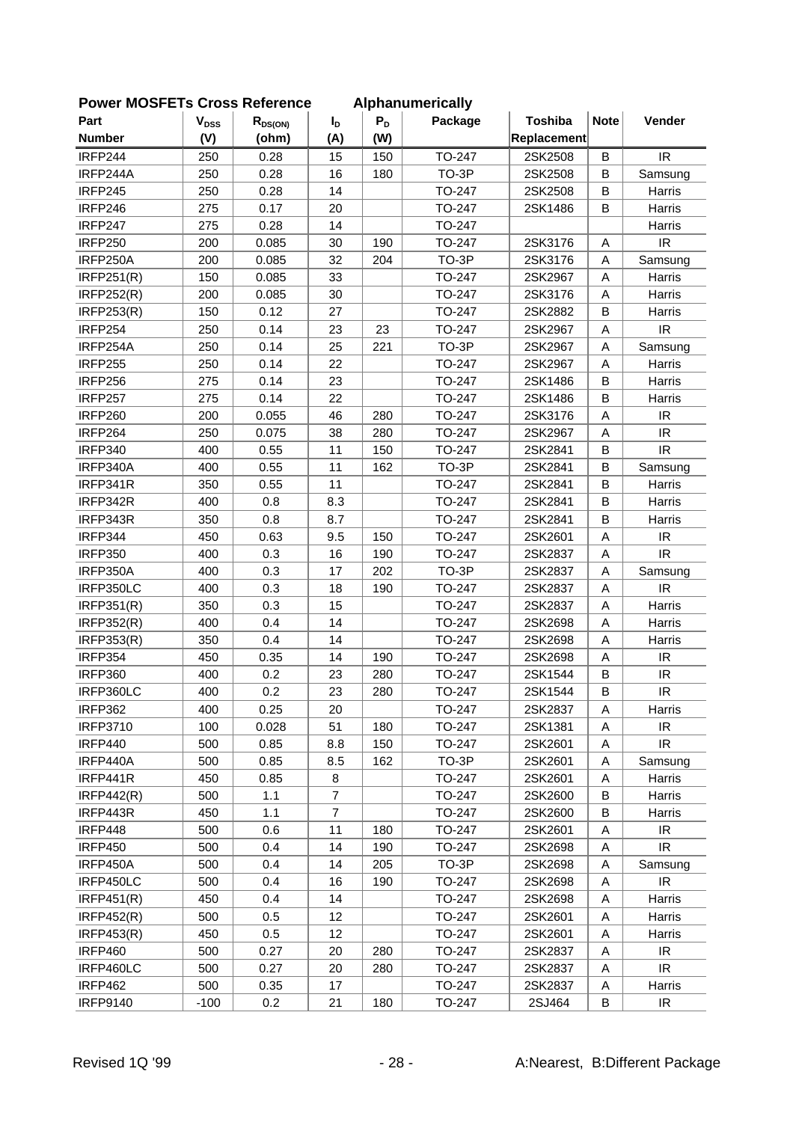| FUWEI MUSFLIS CIUSS NEIEIEILE |           |              |                |       | Alphanum Chuany |                |             |                                   |
|-------------------------------|-----------|--------------|----------------|-------|-----------------|----------------|-------------|-----------------------------------|
| Part                          | $V_{DSS}$ | $R_{DS(ON)}$ | $I_{D}$        | $P_D$ | Package         | <b>Toshiba</b> | <b>Note</b> | Vender                            |
| <b>Number</b>                 | (V)       | (ohm)        | (A)            | (W)   |                 | Replacement    |             |                                   |
| IRFP244                       | 250       | 0.28         | 15             | 150   | TO-247          | 2SK2508        | B           | <b>IR</b>                         |
| IRFP244A                      | 250       | 0.28         | 16             | 180   | TO-3P           | 2SK2508        | $\sf B$     | Samsung                           |
| <b>IRFP245</b>                | 250       | 0.28         | 14             |       | TO-247          | 2SK2508        | В           | Harris                            |
| <b>IRFP246</b>                | 275       | 0.17         | 20             |       | TO-247          | 2SK1486        | B           | Harris                            |
| <b>IRFP247</b>                | 275       | 0.28         | 14             |       | TO-247          |                |             | Harris                            |
| <b>IRFP250</b>                | 200       | 0.085        | 30             | 190   | TO-247          | 2SK3176        | A           | IR                                |
| IRFP250A                      | 200       | 0.085        | 32             | 204   | TO-3P           | 2SK3176        | A           | Samsung                           |
| <b>IRFP251(R)</b>             | 150       | 0.085        | 33             |       | TO-247          | 2SK2967        | A           | Harris                            |
| <b>IRFP252(R)</b>             | 200       | 0.085        | 30             |       | TO-247          | 2SK3176        | A           | Harris                            |
| <b>IRFP253(R)</b>             | 150       | 0.12         | 27             |       | TO-247          | 2SK2882        | $\sf B$     | Harris                            |
| <b>IRFP254</b>                | 250       | 0.14         | 23             | 23    | TO-247          | 2SK2967        | A           | <b>IR</b>                         |
| IRFP254A                      | 250       | 0.14         | 25             | 221   | TO-3P           | 2SK2967        | A           | Samsung                           |
| <b>IRFP255</b>                | 250       | 0.14         | 22             |       | TO-247          | 2SK2967        | A           | Harris                            |
| <b>IRFP256</b>                | 275       | 0.14         | 23             |       | TO-247          | 2SK1486        | $\sf B$     | Harris                            |
| <b>IRFP257</b>                | 275       | 0.14         | 22             |       | TO-247          | 2SK1486        | B           | Harris                            |
| <b>IRFP260</b>                | 200       | 0.055        | 46             | 280   | TO-247          | 2SK3176        | A           | <b>IR</b>                         |
| IRFP264                       | 250       | 0.075        | 38             | 280   | TO-247          | 2SK2967        | A           | $\ensuremath{\mathsf{IR}}\xspace$ |
| <b>IRFP340</b>                | 400       | 0.55         | 11             | 150   | TO-247          | 2SK2841        | B           | IR                                |
| IRFP340A                      | 400       | 0.55         | 11             | 162   | TO-3P           | 2SK2841        | B           | Samsung                           |
| IRFP341R                      | 350       | 0.55         | 11             |       | TO-247          | 2SK2841        | B           | Harris                            |
| IRFP342R                      | 400       | 0.8          | 8.3            |       | TO-247          | 2SK2841        | B           | Harris                            |
| IRFP343R                      | 350       | 0.8          | 8.7            |       | TO-247          | 2SK2841        | B           | Harris                            |
| IRFP344                       | 450       | 0.63         | 9.5            | 150   | TO-247          | 2SK2601        | A           | <b>IR</b>                         |
| <b>IRFP350</b>                | 400       | 0.3          | 16             | 190   | TO-247          | 2SK2837        | A           | IR                                |
| IRFP350A                      | 400       | 0.3          | 17             | 202   | TO-3P           | 2SK2837        | Α           | Samsung                           |
| IRFP350LC                     | 400       | 0.3          | 18             | 190   | TO-247          | 2SK2837        | A           | <b>IR</b>                         |
| IRFP351(R)                    | 350       | 0.3          | 15             |       | TO-247          | 2SK2837        | A           | Harris                            |
| <b>IRFP352(R)</b>             | 400       | 0.4          | 14             |       | TO-247          | 2SK2698        | A           | Harris                            |
| <b>IRFP353(R)</b>             | 350       | 0.4          | 14             |       | TO-247          | 2SK2698        | A           | Harris                            |
| <b>IRFP354</b>                | 450       | 0.35         | 14             | 190   | TO-247          | 2SK2698        | A           | IR                                |
| <b>IRFP360</b>                | 400       | 0.2          | 23             | 280   | TO-247          | 2SK1544        | В           | IR                                |
| IRFP360LC                     | 400       | 0.2          | 23             | 280   | <b>TO-247</b>   | 2SK1544        | B           | IR                                |
| <b>IRFP362</b>                | 400       | 0.25         | 20             |       | TO-247          | 2SK2837        | A           | Harris                            |
| <b>IRFP3710</b>               | 100       | 0.028        | 51             | 180   | TO-247          | 2SK1381        | A           | IR                                |
| IRFP440                       | 500       | 0.85         | 8.8            | 150   | TO-247          | 2SK2601        | A           | IR                                |
| IRFP440A                      | 500       | 0.85         | 8.5            | 162   | TO-3P           | 2SK2601        | Α           | Samsung                           |
| IRFP441R                      | 450       | 0.85         | 8              |       | TO-247          | 2SK2601        | Α           | Harris                            |
| IRFP442(R)                    | 500       | 1.1          | $\overline{7}$ |       | TO-247          | 2SK2600        | B           | Harris                            |
| IRFP443R                      | 450       | 1.1          | $\overline{7}$ |       | TO-247          | 2SK2600        | В           | Harris                            |
| IRFP448                       | 500       | 0.6          | 11             | 180   | TO-247          | 2SK2601        | Α           | IR                                |
| <b>IRFP450</b>                | 500       | 0.4          | 14             | 190   | TO-247          | 2SK2698        | A           | IR                                |
| IRFP450A                      | 500       | 0.4          | 14             | 205   | TO-3P           | 2SK2698        | Α           | Samsung                           |
| IRFP450LC                     | 500       | 0.4          | 16             | 190   | TO-247          | 2SK2698        | Α           | IR                                |
| IRFP451(R)                    | 450       | 0.4          | 14             |       | TO-247          | 2SK2698        |             |                                   |
| <b>IRFP452(R)</b>             | 500       | 0.5          | 12             |       | TO-247          | 2SK2601        | Α<br>Α      | Harris<br>Harris                  |
|                               |           | 0.5          | 12             |       |                 |                |             |                                   |
| <b>IRFP453(R)</b>             | 450       |              |                |       | TO-247          | 2SK2601        | Α           | Harris                            |
| <b>IRFP460</b>                | 500       | 0.27         | 20             | 280   | TO-247          | 2SK2837        | Α           | IR                                |
| IRFP460LC                     | 500       | 0.27         | 20             | 280   | TO-247          | 2SK2837        | Α           | $\ensuremath{\mathsf{IR}}\xspace$ |
| <b>IRFP462</b>                | 500       | 0.35         | 17             |       | TO-247          | 2SK2837        | A           | Harris                            |
| <b>IRFP9140</b>               | $-100$    | 0.2          | 21             | 180   | TO-247          | 2SJ464         | B           | IR.                               |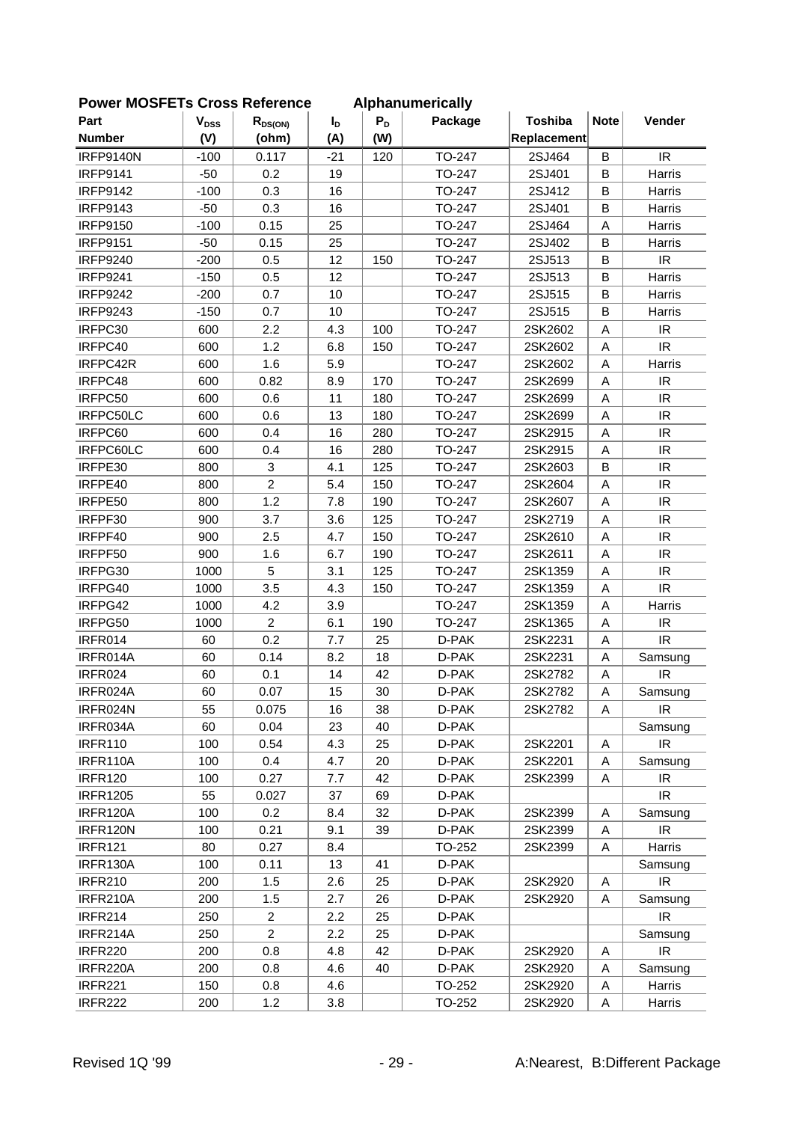| <b>FUWEI INUSFETS CIUSS REIEIEIICE</b> |                           |                |                  |       | Alphanumentally |                |             |                                   |
|----------------------------------------|---------------------------|----------------|------------------|-------|-----------------|----------------|-------------|-----------------------------------|
| Part                                   | $\mathbf{V}_{\text{DSS}}$ | $R_{DS(ON)}$   | $I_{\mathsf{D}}$ | $P_D$ | Package         | <b>Toshiba</b> | <b>Note</b> | Vender                            |
| <b>Number</b>                          | (V)                       | (ohm)          | (A)              | (W)   |                 | Replacement    |             |                                   |
| <b>IRFP9140N</b>                       | $-100$                    | 0.117          | $-21$            | 120   | TO-247          | 2SJ464         | B           | IR                                |
| <b>IRFP9141</b>                        | $-50$                     | 0.2            | 19               |       | TO-247          | 2SJ401         | B           | Harris                            |
| <b>IRFP9142</b>                        | $-100$                    | 0.3            | 16               |       | TO-247          | 2SJ412         | B           | Harris                            |
| <b>IRFP9143</b>                        | $-50$                     | 0.3            | 16               |       | TO-247          | 2SJ401         | B           | Harris                            |
| <b>IRFP9150</b>                        | $-100$                    | 0.15           | 25               |       | TO-247          | 2SJ464         | Α           | Harris                            |
| <b>IRFP9151</b>                        | $-50$                     | 0.15           | 25               |       | TO-247          | 2SJ402         | B           | Harris                            |
| <b>IRFP9240</b>                        | $-200$                    | 0.5            | 12               | 150   | TO-247          | 2SJ513         | B           | IR                                |
| <b>IRFP9241</b>                        | $-150$                    | 0.5            | 12               |       | TO-247          | 2SJ513         | B           | Harris                            |
| <b>IRFP9242</b>                        | $-200$                    | 0.7            | 10               |       | TO-247          | 2SJ515         | B           | Harris                            |
| <b>IRFP9243</b>                        | $-150$                    | 0.7            | 10               |       | TO-247          | 2SJ515         | B           | Harris                            |
| IRFPC30                                | 600                       | 2.2            | 4.3              | 100   | TO-247          | 2SK2602        | Α           | IR                                |
| IRFPC40                                | 600                       | 1.2            | 6.8              | 150   | TO-247          | 2SK2602        | Α           | IR                                |
| IRFPC42R                               | 600                       | 1.6            | 5.9              |       | TO-247          | 2SK2602        | A           | Harris                            |
| IRFPC48                                | 600                       | 0.82           | 8.9              | 170   | TO-247          | 2SK2699        | A           | IR.                               |
| IRFPC50                                | 600                       | 0.6            | 11               | 180   | TO-247          | 2SK2699        | A           | IR                                |
| IRFPC50LC                              | 600                       | 0.6            | 13               | 180   | TO-247          | 2SK2699        | A           | $\ensuremath{\mathsf{IR}}\xspace$ |
| IRFPC60                                | 600                       | 0.4            | 16               | 280   | TO-247          | 2SK2915        | A           | IR                                |
| IRFPC60LC                              | 600                       | 0.4            | 16               | 280   | TO-247          | 2SK2915        | A           | IR                                |
| IRFPE30                                | 800                       | 3              | 4.1              | 125   | TO-247          | 2SK2603        | B           | IR                                |
| IRFPE40                                | 800                       | $\overline{a}$ | 5.4              | 150   | TO-247          | 2SK2604        | Α           | IR                                |
| IRFPE50                                | 800                       | 1.2            | 7.8              | 190   | TO-247          | 2SK2607        | Α           | IR                                |
| IRFPF30                                | 900                       | 3.7            | 3.6              | 125   | TO-247          | 2SK2719        | Α           | IR                                |
| IRFPF40                                | 900                       | 2.5            | 4.7              | 150   | TO-247          | 2SK2610        | А           | IR                                |
| IRFPF50                                | 900                       | 1.6            | 6.7              | 190   | TO-247          | 2SK2611        | Α           | IR                                |
| IRFPG30                                | 1000                      | 5              | 3.1              | 125   | TO-247          | 2SK1359        | Α           | IR                                |
| IRFPG40                                | 1000                      | 3.5            | 4.3              | 150   | TO-247          | 2SK1359        | A           | IR                                |
| IRFPG42                                | 1000                      | 4.2            | 3.9              |       | TO-247          | 2SK1359        | Α           | Harris                            |
| IRFPG50                                | 1000                      | $\overline{a}$ | 6.1              | 190   | TO-247          | 2SK1365        | A           | IR                                |
| IRFR014                                | 60                        | 0.2            | 7.7              | 25    | D-PAK           | 2SK2231        | Α           | IR                                |
| IRFR014A                               | 60                        | 0.14           | 8.2              | 18    | D-PAK           | 2SK2231        | Α           | Samsung                           |
| IRFR024                                | 60                        | 0.1            | 14               | 42    | D-PAK           | 2SK2782        | Α           | IR                                |
| IRFR024A                               | 60                        | 0.07           | 15               | 30    | D-PAK           | 2SK2782        | Α           | Samsung                           |
| IRFR024N                               | 55                        | 0.075          | 16               | 38    | D-PAK           | 2SK2782        | A           | IR                                |
| IRFR034A                               | 60                        | 0.04           | 23               | 40    | D-PAK           |                |             | Samsung                           |
| <b>IRFR110</b>                         | 100                       | 0.54           | 4.3              | 25    | D-PAK           | 2SK2201        | Α           | IR                                |
| IRFR110A                               | 100                       | 0.4            | 4.7              | 20    | D-PAK           | 2SK2201        | A           | Samsung                           |
| <b>IRFR120</b>                         | 100                       | 0.27           | 7.7              | 42    | D-PAK           | 2SK2399        | Α           | IR                                |
| <b>IRFR1205</b>                        | 55                        | 0.027          | 37               | 69    | D-PAK           |                |             | IR.                               |
| IRFR120A                               | 100                       | 0.2            | 8.4              | 32    | D-PAK           | 2SK2399        | Α           | Samsung                           |
| IRFR120N                               | 100                       | 0.21           | 9.1              | 39    | D-PAK           | 2SK2399        | Α           | IR                                |
| <b>IRFR121</b>                         | 80                        | 0.27           | 8.4              |       | TO-252          | 2SK2399        | Α           | Harris                            |
| IRFR130A                               | 100                       | 0.11           | 13               | 41    | D-PAK           |                |             | Samsung                           |
| <b>IRFR210</b>                         | 200                       | 1.5            | 2.6              | 25    | D-PAK           | 2SK2920        | A           | IR                                |
| IRFR210A                               | 200                       | 1.5            | 2.7              | 26    | D-PAK           | 2SK2920        | Α           | Samsung                           |
| <b>IRFR214</b>                         | 250                       | $\overline{a}$ | 2.2              | 25    | D-PAK           |                |             | IR                                |
| IRFR214A                               | 250                       | $\overline{c}$ | 2.2              | 25    | D-PAK           |                |             | Samsung                           |
| <b>IRFR220</b>                         | 200                       | 0.8            | 4.8              | 42    | D-PAK           | 2SK2920        | Α           | IR.                               |
| IRFR220A                               | 200                       | 0.8            | 4.6              | 40    | D-PAK           | 2SK2920        | Α           | Samsung                           |
| <b>IRFR221</b>                         | 150                       | 0.8            | 4.6              |       | TO-252          | 2SK2920        | Α           | Harris                            |
| <b>IRFR222</b>                         | 200                       | 1.2            | 3.8              |       | TO-252          | 2SK2920        | Α           | Harris                            |
|                                        |                           |                |                  |       |                 |                |             |                                   |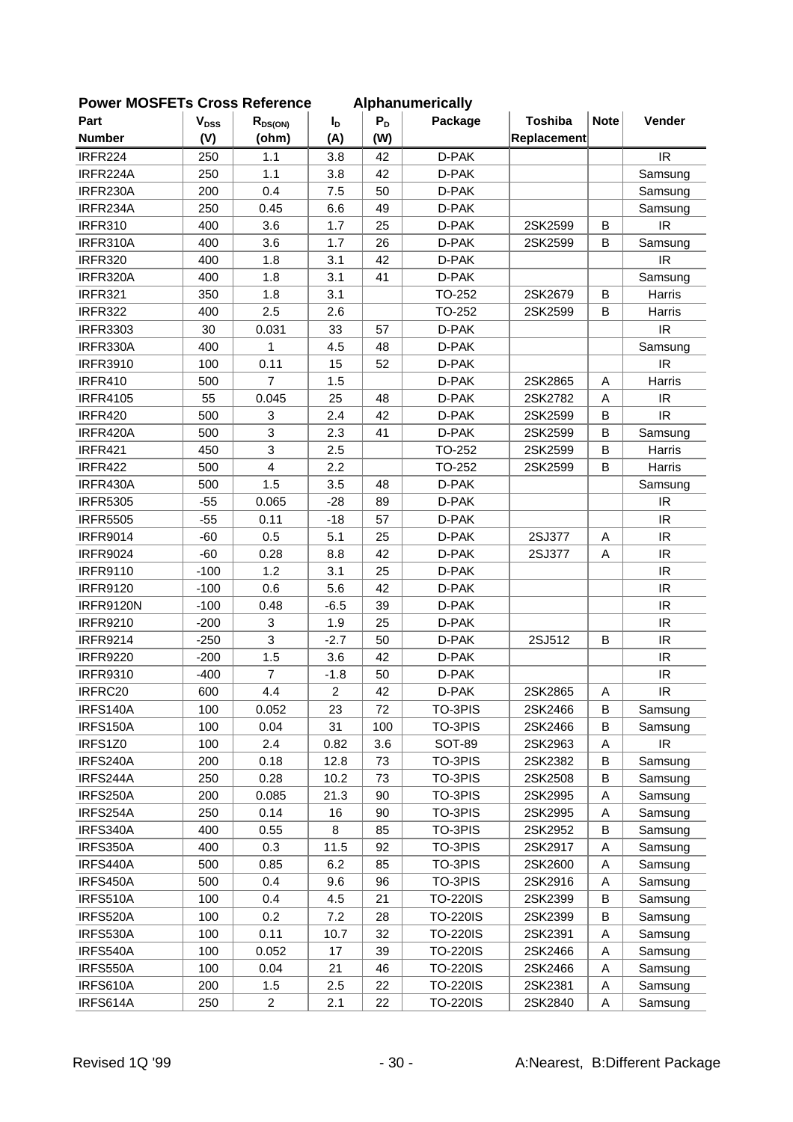| 이 삐 이니 느 ! ㅎ     | וסרו ככשוש                | 9911919        |                  |       | Alphanumu Ivaliy |                |             |                                   |
|------------------|---------------------------|----------------|------------------|-------|------------------|----------------|-------------|-----------------------------------|
| Part             | $\mathbf{V}_{\text{DSS}}$ | $R_{DS(ON)}$   | $I_{\mathsf{D}}$ | $P_D$ | Package          | <b>Toshiba</b> | <b>Note</b> | Vender                            |
| <b>Number</b>    | (V)                       | (ohm)          | (A)              | (W)   |                  | Replacement    |             |                                   |
| IRFR224          | 250                       | 1.1            | 3.8              | 42    | D-PAK            |                |             | IR                                |
| IRFR224A         | 250                       | 1.1            | 3.8              | 42    | D-PAK            |                |             | Samsung                           |
| IRFR230A         | 200                       | 0.4            | 7.5              | 50    | D-PAK            |                |             | Samsung                           |
| IRFR234A         | 250                       | 0.45           | 6.6              | 49    | D-PAK            |                |             | Samsung                           |
| <b>IRFR310</b>   | 400                       | 3.6            | 1.7              | 25    | D-PAK            | 2SK2599        | B           | <b>IR</b>                         |
| IRFR310A         | 400                       | 3.6            | 1.7              | 26    | D-PAK            | 2SK2599        | B           | Samsung                           |
| <b>IRFR320</b>   | 400                       | 1.8            | 3.1              | 42    | D-PAK            |                |             | IR                                |
| IRFR320A         | 400                       | 1.8            | 3.1              | 41    | D-PAK            |                |             | Samsung                           |
| <b>IRFR321</b>   | 350                       | 1.8            | 3.1              |       | TO-252           | 2SK2679        | B           | Harris                            |
| <b>IRFR322</b>   | 400                       | 2.5            | 2.6              |       | TO-252           | 2SK2599        | В           | Harris                            |
| <b>IRFR3303</b>  | 30                        | 0.031          | 33               | 57    | D-PAK            |                |             | <b>IR</b>                         |
| IRFR330A         | 400                       | 1              | 4.5              | 48    | D-PAK            |                |             | Samsung                           |
| <b>IRFR3910</b>  | 100                       | 0.11           | 15               | 52    | D-PAK            |                |             | <b>IR</b>                         |
| <b>IRFR410</b>   | 500                       | $\overline{7}$ | 1.5              |       | D-PAK            | 2SK2865        | Α           | Harris                            |
| <b>IRFR4105</b>  | 55                        | 0.045          | 25               | 48    | D-PAK            | 2SK2782        | $\mathsf A$ | <b>IR</b>                         |
| <b>IRFR420</b>   | 500                       | 3              | 2.4              | 42    | D-PAK            | 2SK2599        | B           | $\ensuremath{\mathsf{IR}}\xspace$ |
| IRFR420A         | 500                       | 3              | 2.3              | 41    | D-PAK            | 2SK2599        | $\sf B$     | Samsung                           |
| <b>IRFR421</b>   | 450                       | 3              | 2.5              |       | TO-252           | 2SK2599        | B           | Harris                            |
| <b>IRFR422</b>   | 500                       | 4              | 2.2              |       | TO-252           | 2SK2599        | B           | Harris                            |
| IRFR430A         | 500                       | 1.5            | 3.5              | 48    | D-PAK            |                |             | Samsung                           |
| <b>IRFR5305</b>  | $-55$                     | 0.065          | $-28$            | 89    | D-PAK            |                |             | <b>IR</b>                         |
| <b>IRFR5505</b>  | $-55$                     | 0.11           | $-18$            | 57    | D-PAK            |                |             | IR                                |
| <b>IRFR9014</b>  | $-60$                     | 0.5            | 5.1              | 25    | D-PAK            | 2SJ377         | A           | $\ensuremath{\mathsf{IR}}\xspace$ |
| <b>IRFR9024</b>  | $-60$                     | 0.28           | 8.8              | 42    | D-PAK            | 2SJ377         | A           | $\ensuremath{\mathsf{IR}}\xspace$ |
| <b>IRFR9110</b>  | $-100$                    | 1.2            | 3.1              | 25    | D-PAK            |                |             | IR                                |
| <b>IRFR9120</b>  | $-100$                    | 0.6            | 5.6              | 42    | D-PAK            |                |             | $\ensuremath{\mathsf{IR}}\xspace$ |
| <b>IRFR9120N</b> | $-100$                    | 0.48           | $-6.5$           | 39    | D-PAK            |                |             | <b>IR</b>                         |
| <b>IRFR9210</b>  | $-200$                    | 3              | 1.9              | 25    | D-PAK            |                |             | IR                                |
| <b>IRFR9214</b>  | $-250$                    | 3              | $-2.7$           | 50    | D-PAK            | 2SJ512         | B           | IR                                |
| <b>IRFR9220</b>  | $-200$                    | 1.5            | 3.6              | 42    | D-PAK            |                |             | $\ensuremath{\mathsf{IR}}\xspace$ |
| <b>IRFR9310</b>  | $-400$                    | $\overline{7}$ | $-1.8$           | 50    | D-PAK            |                |             | IR                                |
| IRFRC20          | 600                       | 4.4            | $\overline{2}$   | 42    | D-PAK            | 2SK2865        | Α           | IR                                |
| IRFS140A         | 100                       | 0.052          | 23               | 72    | TO-3PIS          | 2SK2466        | B           | Samsung                           |
| IRFS150A         | 100                       | 0.04           | 31               | 100   | TO-3PIS          | 2SK2466        | B           | Samsung                           |
| IRFS1Z0          | 100                       | 2.4            | 0.82             | 3.6   | <b>SOT-89</b>    | 2SK2963        | Α           | IR.                               |
| IRFS240A         | 200                       | 0.18           | 12.8             | 73    | TO-3PIS          | 2SK2382        | В           | Samsung                           |
| IRFS244A         | 250                       | 0.28           | 10.2             | 73    | TO-3PIS          | 2SK2508        | B           | Samsung                           |
| IRFS250A         | 200                       | 0.085          | 21.3             | 90    | TO-3PIS          | 2SK2995        | Α           | Samsung                           |
| IRFS254A         | 250                       | 0.14           | 16               | 90    | TO-3PIS          | 2SK2995        | Α           | Samsung                           |
| IRFS340A         | 400                       | 0.55           | 8                | 85    | TO-3PIS          | 2SK2952        | B           | Samsung                           |
| IRFS350A         | 400                       | 0.3            | 11.5             | 92    | TO-3PIS          | 2SK2917        | Α           | Samsung                           |
| IRFS440A         | 500                       | 0.85           | 6.2              | 85    | TO-3PIS          | 2SK2600        | Α           | Samsung                           |
| IRFS450A         | 500                       | 0.4            | 9.6              | 96    | TO-3PIS          | 2SK2916        | Α           | Samsung                           |
| IRFS510A         | 100                       | 0.4            | 4.5              | 21    | <b>TO-220IS</b>  | 2SK2399        | В           | Samsung                           |
| IRFS520A         | 100                       | 0.2            | 7.2              | 28    | <b>TO-220IS</b>  | 2SK2399        | B           | Samsung                           |
| IRFS530A         | 100                       | 0.11           | 10.7             | 32    | <b>TO-220IS</b>  | 2SK2391        | Α           | Samsung                           |
| IRFS540A         | 100                       | 0.052          | 17               | 39    | <b>TO-220IS</b>  | 2SK2466        | A           | Samsung                           |
| IRFS550A         | 100                       | 0.04           | 21               | 46    | <b>TO-220IS</b>  | 2SK2466        | Α           | Samsung                           |
| IRFS610A         | 200                       | 1.5            | 2.5              | 22    | <b>TO-220IS</b>  | 2SK2381        | Α           | Samsung                           |
| IRFS614A         | 250                       | $\overline{a}$ | 2.1              | 22    | <b>TO-220IS</b>  | 2SK2840        | A           | Samsung                           |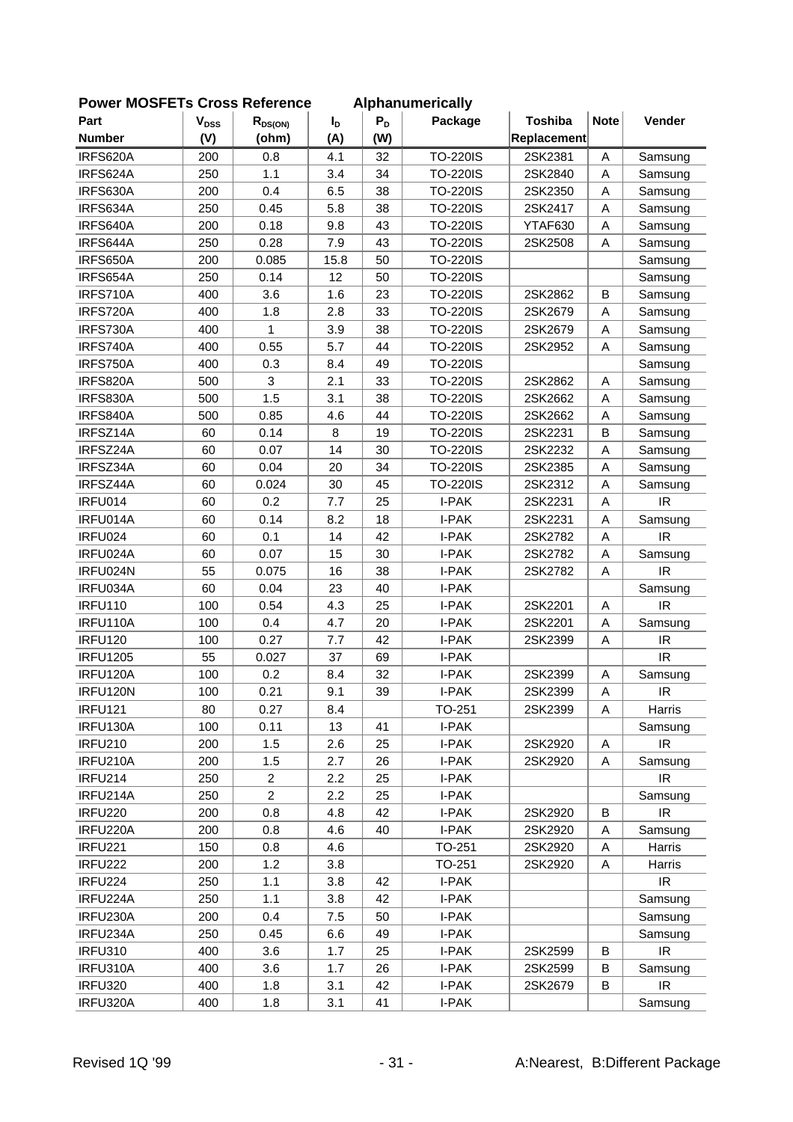| OWEI INCOLLED CIOSS NEIGICILIC |           |                |                |       | <b>Alphanumencally</b> |                |             |                                   |
|--------------------------------|-----------|----------------|----------------|-------|------------------------|----------------|-------------|-----------------------------------|
| Part                           | $V_{DSS}$ | $R_{DS(ON)}$   | $I_{\text{D}}$ | $P_D$ | Package                | <b>Toshiba</b> | <b>Note</b> | Vender                            |
| <b>Number</b>                  | (V)       | (ohm)          | (A)            | (W)   |                        | Replacement    |             |                                   |
| IRFS620A                       | 200       | 0.8            | 4.1            | 32    | <b>TO-220IS</b>        | 2SK2381        | A           | Samsung                           |
| IRFS624A                       | 250       | 1.1            | 3.4            | 34    | <b>TO-220IS</b>        | 2SK2840        | A           | Samsung                           |
| IRFS630A                       | 200       | 0.4            | 6.5            | 38    | <b>TO-220IS</b>        | 2SK2350        | A           | Samsung                           |
| IRFS634A                       | 250       | 0.45           | 5.8            | 38    | <b>TO-220IS</b>        | 2SK2417        | A           | Samsung                           |
| IRFS640A                       | 200       | 0.18           | 9.8            | 43    | <b>TO-220IS</b>        | YTAF630        | Α           | Samsung                           |
| IRFS644A                       | 250       | 0.28           | 7.9            | 43    | <b>TO-220IS</b>        | 2SK2508        | A           | Samsung                           |
| IRFS650A                       | 200       | 0.085          | 15.8           | 50    | <b>TO-220IS</b>        |                |             | Samsung                           |
| IRFS654A                       | 250       | 0.14           | 12             | 50    | <b>TO-220IS</b>        |                |             | Samsung                           |
| IRFS710A                       | 400       | 3.6            | 1.6            | 23    | <b>TO-220IS</b>        | 2SK2862        | В           | Samsung                           |
| IRFS720A                       | 400       | 1.8            | 2.8            | 33    | <b>TO-220IS</b>        | 2SK2679        | A           | Samsung                           |
| IRFS730A                       | 400       | 1              | 3.9            | 38    | <b>TO-220IS</b>        | 2SK2679        | Α           | Samsung                           |
| IRFS740A                       | 400       | 0.55           | 5.7            | 44    | <b>TO-220IS</b>        | 2SK2952        | A           | Samsung                           |
| IRFS750A                       | 400       | 0.3            | 8.4            | 49    | <b>TO-220IS</b>        |                |             | Samsung                           |
| IRFS820A                       | 500       | 3              | 2.1            | 33    | <b>TO-220IS</b>        | 2SK2862        | A           | Samsung                           |
| IRFS830A                       | 500       | 1.5            | 3.1            | 38    | <b>TO-220IS</b>        | 2SK2662        | A           | Samsung                           |
| IRFS840A                       | 500       | 0.85           | 4.6            | 44    | <b>TO-220IS</b>        | 2SK2662        | A           | Samsung                           |
| IRFSZ14A                       | 60        | 0.14           | 8              | 19    | <b>TO-220IS</b>        | 2SK2231        | B           | Samsung                           |
| IRFSZ24A                       | 60        | 0.07           | 14             | 30    | <b>TO-220IS</b>        | 2SK2232        | Α           | Samsung                           |
| IRFSZ34A                       | 60        | 0.04           | 20             | 34    | <b>TO-220IS</b>        | 2SK2385        | Α           | Samsung                           |
| IRFSZ44A                       | 60        | 0.024          | 30             | 45    | <b>TO-220IS</b>        | 2SK2312        | A           | Samsung                           |
| IRFU014                        | 60        | 0.2            | 7.7            | 25    | I-PAK                  | 2SK2231        | A           | <b>IR</b>                         |
| IRFU014A                       | 60        | 0.14           | 8.2            | 18    | I-PAK                  | 2SK2231        | Α           | Samsung                           |
| IRFU024                        | 60        | 0.1            | 14             | 42    | I-PAK                  | 2SK2782        | A           | <b>IR</b>                         |
| IRFU024A                       | 60        | 0.07           | 15             | 30    | I-PAK                  | 2SK2782        | Α           | Samsung                           |
| IRFU024N                       | 55        | 0.075          | 16             | 38    | I-PAK                  | 2SK2782        | A           | IR                                |
| IRFU034A                       | 60        | 0.04           | 23             | 40    | I-PAK                  |                |             | Samsung                           |
| <b>IRFU110</b>                 | 100       | 0.54           | 4.3            | 25    | I-PAK                  | 2SK2201        | A           | IR.                               |
| IRFU110A                       | 100       | 0.4            | 4.7            | 20    | I-PAK                  | 2SK2201        | Α           | Samsung                           |
| <b>IRFU120</b>                 | 100       | 0.27           | 7.7            | 42    | I-PAK                  | 2SK2399        | A           | <b>IR</b>                         |
| <b>IRFU1205</b>                | 55        | 0.027          | 37             | 69    | I-PAK                  |                |             | IR                                |
| IRFU120A                       | 100       | 0.2            | 8.4            | 32    | I-PAK                  | 2SK2399        | A           | Samsung                           |
| IRFU120N                       | 100       | 0.21           | 9.1            | 39    | I-PAK                  | 2SK2399        | A           | <b>IR</b>                         |
| <b>IRFU121</b>                 | 80        | 0.27           | 8.4            |       | TO-251                 | 2SK2399        | A           | Harris                            |
| IRFU130A                       | 100       | 0.11           | 13             | 41    | I-PAK                  |                |             | Samsung                           |
| <b>IRFU210</b>                 | 200       | 1.5            | 2.6            | 25    | I-PAK                  | 2SK2920        | Α           | IR                                |
| IRFU210A                       | 200       | 1.5            | 2.7            | 26    | I-PAK                  | 2SK2920        | Α           | Samsung                           |
| IRFU214                        | 250       | $\overline{a}$ | 2.2            | 25    | I-PAK                  |                |             | IR.                               |
| IRFU214A                       | 250       | $\overline{2}$ | 2.2            | 25    | I-PAK                  |                |             | Samsung                           |
| <b>IRFU220</b>                 | 200       | 0.8            | 4.8            | 42    | I-PAK                  | 2SK2920        | B           | $\ensuremath{\mathsf{IR}}\xspace$ |
| IRFU220A                       | 200       | 0.8            | 4.6            | 40    | I-PAK                  | 2SK2920        | A           | Samsung                           |
| <b>IRFU221</b>                 | 150       | 0.8            | 4.6            |       | TO-251                 | 2SK2920        | A           | Harris                            |
| <b>IRFU222</b>                 | 200       | 1.2            | 3.8            |       | TO-251                 | 2SK2920        | Α           | Harris                            |
| <b>IRFU224</b>                 | 250       | 1.1            | 3.8            | 42    | I-PAK                  |                |             | $\ensuremath{\mathsf{IR}}\xspace$ |
| IRFU224A                       | 250       | 1.1            | 3.8            | 42    | I-PAK                  |                |             | Samsung                           |
| IRFU230A                       | 200       | 0.4            | 7.5            | 50    | I-PAK                  |                |             | Samsung                           |
| IRFU234A                       | 250       | 0.45           | 6.6            | 49    | I-PAK                  |                |             | Samsung                           |
| <b>IRFU310</b>                 | 400       | 3.6            | 1.7            | 25    | I-PAK                  | 2SK2599        | B           | IR.                               |
| IRFU310A                       | 400       | 3.6            | 1.7            | 26    | I-PAK                  | 2SK2599        | В           | Samsung                           |
| <b>IRFU320</b>                 | 400       | 1.8            | 3.1            | 42    | I-PAK                  | 2SK2679        | В           | IR                                |
| IRFU320A                       | 400       | 1.8            | 3.1            | 41    | I-PAK                  |                |             | Samsung                           |
|                                |           |                |                |       |                        |                |             |                                   |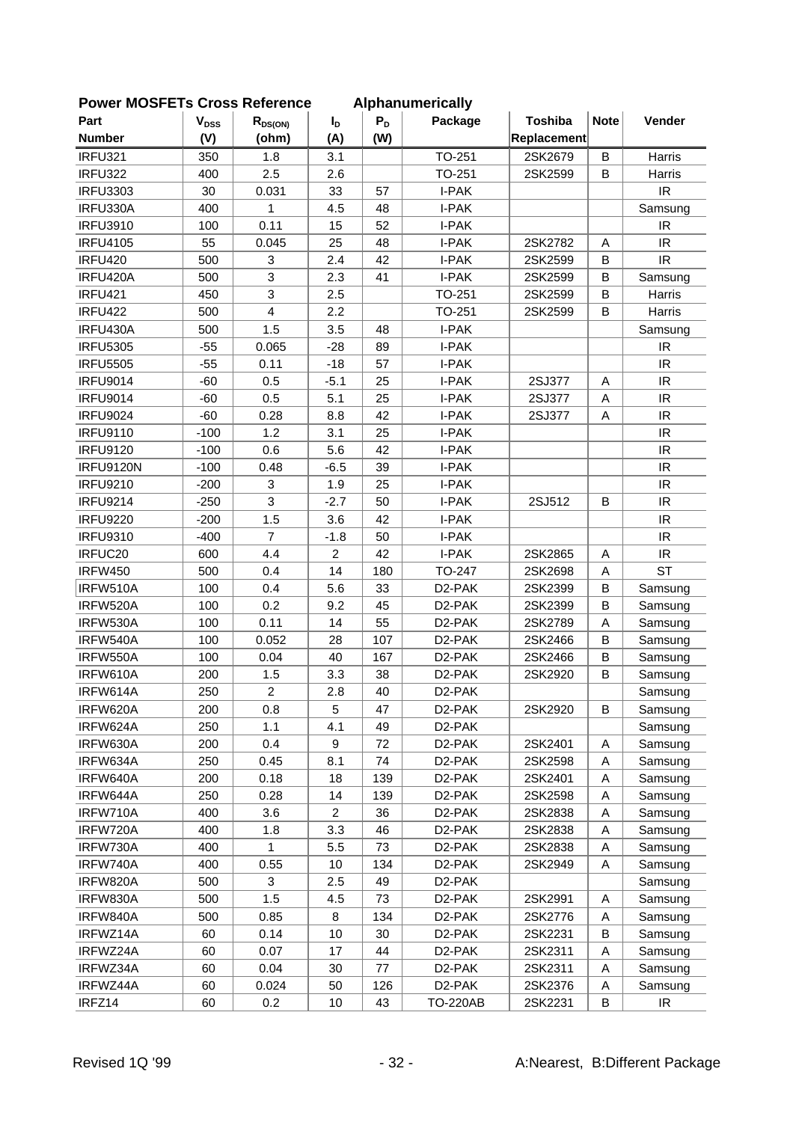| FUWEI MUSFLIS CIUSS NEIEIEILE |           |                         |                |       | Alphanum Chuany     |                |              |                                   |
|-------------------------------|-----------|-------------------------|----------------|-------|---------------------|----------------|--------------|-----------------------------------|
| Part                          | $V_{DSS}$ | $R_{DS(ON)}$            | $I_D$          | $P_D$ | Package             | <b>Toshiba</b> | <b>Note</b>  | Vender                            |
| <b>Number</b>                 | (V)       | (ohm)                   | (A)            | (W)   |                     | Replacement    |              |                                   |
| <b>IRFU321</b>                | 350       | 1.8                     | 3.1            |       | TO-251              | 2SK2679        | $\mathsf B$  | Harris                            |
| <b>IRFU322</b>                | 400       | 2.5                     | 2.6            |       | TO-251              | 2SK2599        | B            | Harris                            |
| <b>IRFU3303</b>               | 30        | 0.031                   | 33             | 57    | I-PAK               |                |              | IR                                |
| IRFU330A                      | 400       | 1                       | 4.5            | 48    | I-PAK               |                |              | Samsung                           |
| <b>IRFU3910</b>               | 100       | 0.11                    | 15             | 52    | I-PAK               |                |              | IR                                |
| <b>IRFU4105</b>               | 55        | 0.045                   | 25             | 48    | I-PAK               | 2SK2782        | Α            | IR                                |
| <b>IRFU420</b>                | 500       | 3                       | 2.4            | 42    | I-PAK               | 2SK2599        | B            | IR                                |
| IRFU420A                      | 500       | 3                       | 2.3            | 41    | I-PAK               | 2SK2599        | B            | Samsung                           |
| <b>IRFU421</b>                | 450       | 3                       | 2.5            |       | TO-251              | 2SK2599        | B            | Harris                            |
| <b>IRFU422</b>                | 500       | $\overline{\mathbf{4}}$ | 2.2            |       | TO-251              | 2SK2599        | B            | Harris                            |
| IRFU430A                      | 500       | 1.5                     | 3.5            | 48    | I-PAK               |                |              | Samsung                           |
| <b>IRFU5305</b>               | $-55$     | 0.065                   | $-28$          | 89    | I-PAK               |                |              | IR                                |
| <b>IRFU5505</b>               | $-55$     | 0.11                    | $-18$          | 57    | I-PAK               |                |              | IR                                |
| <b>IRFU9014</b>               | $-60$     | 0.5                     | $-5.1$         | 25    | I-PAK               | 2SJ377         | $\mathsf{A}$ | <b>IR</b>                         |
| <b>IRFU9014</b>               | $-60$     | 0.5                     | 5.1            | 25    | I-PAK               | 2SJ377         | A            | $\ensuremath{\mathsf{IR}}\xspace$ |
| <b>IRFU9024</b>               | $-60$     | 0.28                    | 8.8            | 42    | I-PAK               | 2SJ377         | A            | $\ensuremath{\mathsf{IR}}\xspace$ |
| <b>IRFU9110</b>               | $-100$    | 1.2                     | 3.1            | 25    | I-PAK               |                |              | $\ensuremath{\mathsf{IR}}\xspace$ |
| <b>IRFU9120</b>               | $-100$    | 0.6                     | 5.6            | 42    | I-PAK               |                |              | IR                                |
| <b>IRFU9120N</b>              | $-100$    | 0.48                    | $-6.5$         | 39    | I-PAK               |                |              | IR                                |
| <b>IRFU9210</b>               | $-200$    | 3                       | 1.9            | 25    | I-PAK               |                |              | <b>IR</b>                         |
| <b>IRFU9214</b>               | $-250$    | 3                       | $-2.7$         | 50    | I-PAK               | 2SJ512         | B            | IR                                |
| <b>IRFU9220</b>               | $-200$    | 1.5                     | 3.6            | 42    | I-PAK               |                |              | $\ensuremath{\mathsf{IR}}\xspace$ |
| <b>IRFU9310</b>               | $-400$    | $\overline{7}$          | $-1.8$         | 50    | I-PAK               |                |              | $\ensuremath{\mathsf{IR}}\xspace$ |
| IRFUC20                       | 600       | 4.4                     | $\overline{2}$ | 42    | I-PAK               | 2SK2865        | A            | $\ensuremath{\mathsf{IR}}\xspace$ |
| <b>IRFW450</b>                | 500       | 0.4                     | 14             | 180   | TO-247              | 2SK2698        | Α            | <b>ST</b>                         |
| IRFW510A                      | 100       | 0.4                     | 5.6            | 33    | D2-PAK              | 2SK2399        | B            | Samsung                           |
| IRFW520A                      | 100       | 0.2                     | 9.2            | 45    | D <sub>2</sub> -PAK | 2SK2399        | $\mathsf B$  | Samsung                           |
| IRFW530A                      | 100       | 0.11                    | 14             | 55    | D <sub>2</sub> -PAK | 2SK2789        | A            | Samsung                           |
| IRFW540A                      | 100       | 0.052                   | 28             | 107   | D <sub>2</sub> -PAK | 2SK2466        | B            | Samsung                           |
| IRFW550A                      | 100       | 0.04                    | 40             | 167   | D <sub>2</sub> -PAK | 2SK2466        | $\sf B$      | Samsung                           |
| IRFW610A                      | 200       | 1.5                     | 3.3            | 38    | D <sub>2</sub> -PAK | 2SK2920        | B            | Samsung                           |
| IRFW614A                      | 250       | $\overline{2}$          | 2.8            | 40    | D <sub>2</sub> -PAK |                |              | Samsung                           |
| IRFW620A                      | 200       | 0.8                     | 5              | 47    | D <sub>2</sub> -PAK | 2SK2920        | B            | Samsung                           |
| IRFW624A                      | 250       | 1.1                     | 4.1            | 49    | D <sub>2</sub> -PAK |                |              | Samsung                           |
| IRFW630A                      | 200       | 0.4                     | 9              | 72    | D <sub>2</sub> -PAK | 2SK2401        | Α            | Samsung                           |
| IRFW634A                      | 250       | 0.45                    | 8.1            | 74    | D <sub>2</sub> -PAK | 2SK2598        | Α            | Samsung                           |
| IRFW640A                      | 200       | 0.18                    | 18             | 139   | D <sub>2</sub> -PAK | 2SK2401        | Α            | Samsung                           |
| IRFW644A                      | 250       | 0.28                    | 14             | 139   | D <sub>2</sub> -PAK | 2SK2598        | Α            | Samsung                           |
| IRFW710A                      | 400       | 3.6                     | $\overline{2}$ | 36    | D <sub>2</sub> -PAK | 2SK2838        | Α            | Samsung                           |
| IRFW720A                      | 400       | 1.8                     | 3.3            | 46    | D <sub>2</sub> -PAK | 2SK2838        | A            | Samsung                           |
| IRFW730A                      | 400       | 1                       | 5.5            | 73    | D <sub>2</sub> -PAK | 2SK2838        | Α            | Samsung                           |
| IRFW740A                      | 400       | 0.55                    | 10             | 134   | D <sub>2</sub> -PAK | 2SK2949        | Α            | Samsung                           |
| IRFW820A                      | 500       | 3                       | 2.5            | 49    | D <sub>2</sub> -PAK |                |              | Samsung                           |
| IRFW830A                      | 500       | 1.5                     | 4.5            | 73    | D <sub>2</sub> -PAK | 2SK2991        | Α            | Samsung                           |
| IRFW840A                      | 500       | 0.85                    | 8              | 134   | D <sub>2</sub> -PAK | 2SK2776        | Α            |                                   |
|                               |           |                         |                |       |                     |                |              | Samsung                           |
| IRFWZ14A                      | 60        | 0.14                    | 10             | 30    | D <sub>2</sub> -PAK | 2SK2231        | B            | Samsung                           |
| IRFWZ24A                      | 60        | 0.07                    | 17             | 44    | D <sub>2</sub> -PAK | 2SK2311        | Α            | Samsung                           |
| IRFWZ34A                      | 60        | 0.04                    | 30             | 77    | D <sub>2</sub> -PAK | 2SK2311        | Α            | Samsung                           |
| IRFWZ44A                      | 60        | 0.024                   | 50             | 126   | D2-PAK              | 2SK2376        | A            | Samsung                           |
| IRFZ14                        | 60        | 0.2                     | 10             | 43    | <b>TO-220AB</b>     | 2SK2231        | В            | IR                                |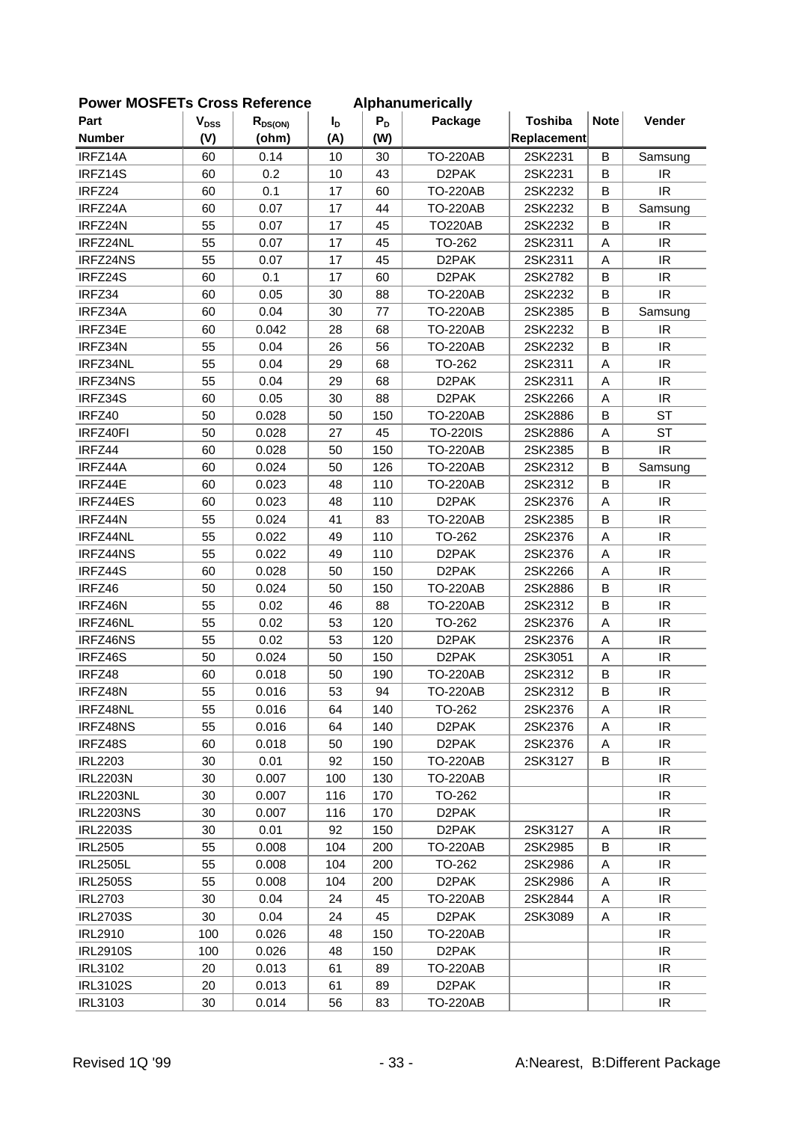| LOMEL MOOLLIS CLOSS VEIGLEICE |           |              |             |       | <b>Alphanumencally</b> |                |             |                                   |
|-------------------------------|-----------|--------------|-------------|-------|------------------------|----------------|-------------|-----------------------------------|
| Part                          | $V_{DSS}$ | $R_{DS(ON)}$ | $I_{\rm D}$ | $P_D$ | Package                | <b>Toshiba</b> | <b>Note</b> | Vender                            |
| <b>Number</b>                 | (V)       | (ohm)        | (A)         | (W)   |                        | Replacement    |             |                                   |
| IRFZ14A                       | 60        | 0.14         | 10          | 30    | <b>TO-220AB</b>        | 2SK2231        | B           | Samsung                           |
| IRFZ14S                       | 60        | 0.2          | 10          | 43    | D <sub>2</sub> PAK     | 2SK2231        | B           | IR.                               |
| IRFZ24                        | 60        | 0.1          | 17          | 60    | <b>TO-220AB</b>        | 2SK2232        | B           | IR                                |
| IRFZ24A                       | 60        | 0.07         | 17          | 44    | <b>TO-220AB</b>        | 2SK2232        | B           | Samsung                           |
| IRFZ24N                       | 55        | 0.07         | 17          | 45    | <b>TO220AB</b>         | 2SK2232        | B           | IR                                |
| IRFZ24NL                      | 55        | 0.07         | 17          | 45    | TO-262                 | 2SK2311        | A           | IR                                |
| IRFZ24NS                      | 55        | 0.07         | 17          | 45    | D <sub>2</sub> PAK     | 2SK2311        | A           | IR                                |
| IRFZ24S                       | 60        | 0.1          | 17          | 60    | D <sub>2</sub> PAK     | 2SK2782        | B           | $\ensuremath{\mathsf{IR}}\xspace$ |
| IRFZ34                        | 60        | 0.05         | 30          | 88    | <b>TO-220AB</b>        | 2SK2232        | B           | IR                                |
| IRFZ34A                       | 60        | 0.04         | 30          | 77    | <b>TO-220AB</b>        | 2SK2385        | B           | Samsung                           |
| IRFZ34E                       | 60        | 0.042        | 28          | 68    | <b>TO-220AB</b>        | 2SK2232        | B           | IR                                |
| IRFZ34N                       | 55        | 0.04         | 26          | 56    | <b>TO-220AB</b>        | 2SK2232        | B           | IR                                |
| IRFZ34NL                      | 55        | 0.04         | 29          | 68    | TO-262                 | 2SK2311        | A           | IR                                |
| IRFZ34NS                      | 55        | 0.04         | 29          | 68    | D <sub>2</sub> PAK     | 2SK2311        | A           | IR                                |
| IRFZ34S                       | 60        | 0.05         | 30          | 88    | D <sub>2</sub> PAK     | 2SK2266        | A           | IR.                               |
| IRFZ40                        | 50        | 0.028        | 50          | 150   | <b>TO-220AB</b>        | 2SK2886        | B           | <b>ST</b>                         |
| IRFZ40FI                      | 50        | 0.028        | 27          | 45    | <b>TO-220IS</b>        | 2SK2886        | Α           | <b>ST</b>                         |
| IRFZ44                        | 60        | 0.028        | 50          | 150   | <b>TO-220AB</b>        | 2SK2385        | B           | IR.                               |
| IRFZ44A                       | 60        | 0.024        | 50          | 126   | <b>TO-220AB</b>        | 2SK2312        | B           | Samsung                           |
| IRFZ44E                       | 60        | 0.023        | 48          | 110   | <b>TO-220AB</b>        | 2SK2312        | B           | IR                                |
| IRFZ44ES                      | 60        | 0.023        | 48          | 110   | D <sub>2</sub> PAK     | 2SK2376        | A           | IR                                |
| IRFZ44N                       | 55        | 0.024        | 41          | 83    | <b>TO-220AB</b>        | 2SK2385        | B           | IR                                |
| IRFZ44NL                      | 55        | 0.022        | 49          | 110   | TO-262                 | 2SK2376        | Α           | $\ensuremath{\mathsf{IR}}\xspace$ |
| IRFZ44NS                      | 55        | 0.022        | 49          | 110   | D <sub>2</sub> PAK     | 2SK2376        | Α           | IR                                |
| IRFZ44S                       | 60        | 0.028        | 50          | 150   | D <sub>2</sub> PAK     | 2SK2266        | A           | IR                                |
| IRFZ46                        | 50        | 0.024        | 50          | 150   | <b>TO-220AB</b>        | 2SK2886        | B           | IR                                |
| IRFZ46N                       | 55        | 0.02         | 46          | 88    | <b>TO-220AB</b>        | 2SK2312        | B           | IR                                |
| IRFZ46NL                      | 55        | 0.02         | 53          | 120   | TO-262                 | 2SK2376        | Α           | IR                                |
| IRFZ46NS                      | 55        | 0.02         | 53          | 120   | D <sub>2</sub> PAK     | 2SK2376        | Α           | $\ensuremath{\mathsf{IR}}\xspace$ |
| IRFZ46S                       | 50        | 0.024        | 50          | 150   | D <sub>2</sub> PAK     | 2SK3051        | Α           | IR                                |
| IRFZ48                        | 60        | 0.018        | 50          | 190   | <b>TO-220AB</b>        | 2SK2312        | В           | IR                                |
| IRFZ48N                       | 55        | 0.016        | 53          | 94    | <b>TO-220AB</b>        | 2SK2312        | B           | IR                                |
| IRFZ48NL                      | 55        | 0.016        | 64          | 140   | TO-262                 | 2SK2376        | A           | IR.                               |
| IRFZ48NS                      | 55        | 0.016        | 64          | 140   | D <sub>2</sub> PAK     | 2SK2376        | A           | IR                                |
| IRFZ48S                       | 60        | 0.018        | 50          | 190   | D <sub>2</sub> PAK     | 2SK2376        | Α           | IR                                |
| <b>IRL2203</b>                | 30        | 0.01         | 92          | 150   | <b>TO-220AB</b>        | 2SK3127        | B           | IR                                |
| <b>IRL2203N</b>               | 30        | 0.007        | 100         | 130   | <b>TO-220AB</b>        |                |             | IR                                |
| <b>IRL2203NL</b>              | 30        | 0.007        | 116         | 170   | TO-262                 |                |             | IR                                |
| <b>IRL2203NS</b>              | 30        | 0.007        | 116         | 170   | D <sub>2</sub> PAK     |                |             | IR                                |
| <b>IRL2203S</b>               | 30        | 0.01         | 92          |       | D <sub>2</sub> PAK     | 2SK3127        | Α           | IR                                |
|                               |           |              |             | 150   | <b>TO-220AB</b>        |                | B           | IR                                |
| <b>IRL2505</b>                | 55        | 0.008        | 104         | 200   |                        | 2SK2985        |             |                                   |
| <b>IRL2505L</b>               | 55        | 0.008        | 104         | 200   | TO-262                 | 2SK2986        | Α           | IR.                               |
| <b>IRL2505S</b>               | 55        | 0.008        | 104         | 200   | D <sub>2</sub> PAK     | 2SK2986        | A           | IR                                |
| <b>IRL2703</b>                | 30        | 0.04         | 24          | 45    | <b>TO-220AB</b>        | 2SK2844        | Α           | IR.                               |
| <b>IRL2703S</b>               | 30        | 0.04         | 24          | 45    | D <sub>2</sub> PAK     | 2SK3089        | Α           | IR                                |
| <b>IRL2910</b>                | 100       | 0.026        | 48          | 150   | <b>TO-220AB</b>        |                |             | IR.                               |
| <b>IRL2910S</b>               | 100       | 0.026        | 48          | 150   | D <sub>2</sub> PAK     |                |             | IR                                |
| <b>IRL3102</b>                | 20        | 0.013        | 61          | 89    | <b>TO-220AB</b>        |                |             | IR                                |
| <b>IRL3102S</b>               | 20        | 0.013        | 61          | 89    | D <sub>2</sub> PAK     |                |             | IR                                |
| <b>IRL3103</b>                | 30        | 0.014        | 56          | 83    | <b>TO-220AB</b>        |                |             | IR.                               |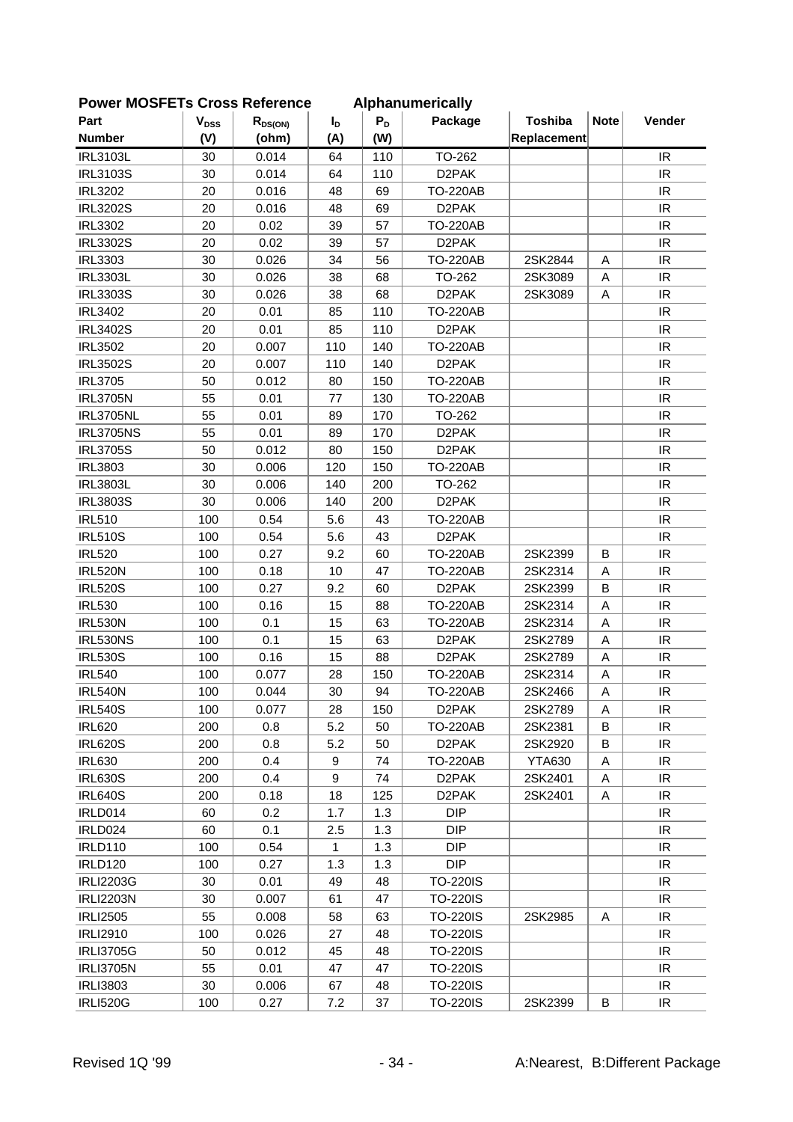| <b>FUWEI INIUSFETS CIUSS REIEIEIICE</b> |           |              |                |       | Alphanumencally    |                |             |                                   |
|-----------------------------------------|-----------|--------------|----------------|-------|--------------------|----------------|-------------|-----------------------------------|
| Part                                    | $V_{DSS}$ | $R_{DS(ON)}$ | $I_{\text{D}}$ | $P_D$ | Package            | <b>Toshiba</b> | <b>Note</b> | Vender                            |
| <b>Number</b>                           | (V)       | (ohm)        | (A)            | (W)   |                    | Replacement    |             |                                   |
| <b>IRL3103L</b>                         | 30        | 0.014        | 64             | 110   | TO-262             |                |             | IR                                |
| <b>IRL3103S</b>                         | 30        | 0.014        | 64             | 110   | D <sub>2</sub> PAK |                |             | IR.                               |
| <b>IRL3202</b>                          | 20        | 0.016        | 48             | 69    | <b>TO-220AB</b>    |                |             | $\ensuremath{\mathsf{IR}}\xspace$ |
| <b>IRL3202S</b>                         | 20        | 0.016        | 48             | 69    | D <sub>2</sub> PAK |                |             | IR                                |
| <b>IRL3302</b>                          | 20        | 0.02         | 39             | 57    | <b>TO-220AB</b>    |                |             | IR                                |
| <b>IRL3302S</b>                         | 20        | 0.02         | 39             | 57    | D <sub>2</sub> PAK |                |             | IR                                |
| <b>IRL3303</b>                          | 30        | 0.026        | 34             | 56    | <b>TO-220AB</b>    | 2SK2844        | A           | IR                                |
| <b>IRL3303L</b>                         | 30        | 0.026        | 38             | 68    | TO-262             | 2SK3089        | A           | <b>IR</b>                         |
| <b>IRL3303S</b>                         | 30        | 0.026        | 38             | 68    | D <sub>2</sub> PAK | 2SK3089        | A           | IR                                |
| <b>IRL3402</b>                          | 20        | 0.01         | 85             | 110   | <b>TO-220AB</b>    |                |             | IR                                |
| <b>IRL3402S</b>                         | 20        | 0.01         | 85             | 110   | D <sub>2</sub> PAK |                |             | IR                                |
| <b>IRL3502</b>                          | 20        | 0.007        | 110            | 140   | <b>TO-220AB</b>    |                |             | IR                                |
| <b>IRL3502S</b>                         | 20        | 0.007        | 110            | 140   | D <sub>2</sub> PAK |                |             | <b>IR</b>                         |
| <b>IRL3705</b>                          | 50        | 0.012        | 80             | 150   | <b>TO-220AB</b>    |                |             | IR                                |
| <b>IRL3705N</b>                         | 55        | 0.01         | 77             | 130   | <b>TO-220AB</b>    |                |             | IR                                |
| <b>IRL3705NL</b>                        | 55        | 0.01         | 89             | 170   | TO-262             |                |             | IR                                |
| <b>IRL3705NS</b>                        | 55        | 0.01         | 89             | 170   | D <sub>2</sub> PAK |                |             | IR                                |
| <b>IRL3705S</b>                         | 50        | 0.012        | 80             | 150   | D <sub>2</sub> PAK |                |             | IR                                |
| <b>IRL3803</b>                          | 30        | 0.006        | 120            | 150   | <b>TO-220AB</b>    |                |             | IR                                |
| <b>IRL3803L</b>                         | 30        | 0.006        | 140            | 200   | TO-262             |                |             | IR                                |
| <b>IRL3803S</b>                         | 30        | 0.006        | 140            | 200   | D <sub>2</sub> PAK |                |             | IR                                |
| <b>IRL510</b>                           | 100       | 0.54         | 5.6            | 43    | <b>TO-220AB</b>    |                |             | IR                                |
| <b>IRL510S</b>                          | 100       | 0.54         | 5.6            | 43    | D <sub>2</sub> PAK |                |             | IR                                |
| <b>IRL520</b>                           | 100       | 0.27         | 9.2            | 60    | <b>TO-220AB</b>    | 2SK2399        | B           | IR                                |
| <b>IRL520N</b>                          | 100       | 0.18         | 10             | 47    | <b>TO-220AB</b>    | 2SK2314        | A           | IR                                |
| <b>IRL520S</b>                          | 100       | 0.27         | 9.2            | 60    | D <sub>2</sub> PAK | 2SK2399        | $\sf B$     | IR                                |
| <b>IRL530</b>                           | 100       | 0.16         | 15             | 88    | <b>TO-220AB</b>    | 2SK2314        | A           | IR                                |
| <b>IRL530N</b>                          | 100       | 0.1          | 15             | 63    | <b>TO-220AB</b>    | 2SK2314        | A           | $\ensuremath{\mathsf{IR}}\xspace$ |
| IRL530NS                                | 100       | 0.1          | 15             | 63    | D <sub>2</sub> PAK | 2SK2789        | A           | $\ensuremath{\mathsf{IR}}\xspace$ |
| <b>IRL530S</b>                          | 100       | 0.16         | 15             | 88    | D <sub>2</sub> PAK | 2SK2789        | A           | IR                                |
| <b>IRL540</b>                           | 100       | 0.077        | 28             | 150   | <b>TO-220AB</b>    | 2SK2314        | A           | $\ensuremath{\mathsf{IR}}\xspace$ |
| <b>IRL540N</b>                          | 100       | 0.044        | 30             | 94    | <b>TO-220AB</b>    | 2SK2466        | A           | IR                                |
| <b>IRL540S</b>                          | 100       | 0.077        | 28             | 150   | D <sub>2</sub> PAK | 2SK2789        | A           | IR.                               |
| <b>IRL620</b>                           | 200       | 0.8          | 5.2            | 50    | <b>TO-220AB</b>    | 2SK2381        | B           | IR.                               |
| <b>IRL620S</b>                          | 200       | 0.8          | 5.2            | 50    | D <sub>2</sub> PAK | 2SK2920        | B           | IR                                |
| <b>IRL630</b>                           | 200       | 0.4          | 9              | 74    | <b>TO-220AB</b>    | <b>YTA630</b>  | A           | IR.                               |
| <b>IRL630S</b>                          | 200       | 0.4          | 9              | 74    | D <sub>2</sub> PAK | 2SK2401        | A           | IR                                |
| <b>IRL640S</b>                          | 200       | 0.18         | 18             | 125   | D <sub>2</sub> PAK | 2SK2401        | A           | IR                                |
| IRLD014                                 | 60        | 0.2          | 1.7            | 1.3   | <b>DIP</b>         |                |             | IR                                |
| IRLD024                                 | 60        | 0.1          | 2.5            | 1.3   | <b>DIP</b>         |                |             | IR.                               |
| <b>IRLD110</b>                          | 100       | 0.54         | 1              | 1.3   | <b>DIP</b>         |                |             | IR                                |
| <b>IRLD120</b>                          | 100       | 0.27         | 1.3            | 1.3   | <b>DIP</b>         |                |             | IR                                |
| <b>IRLI2203G</b>                        | 30        | 0.01         | 49             | 48    | TO-220IS           |                |             | IR.                               |
| <b>IRLI2203N</b>                        | 30        | 0.007        | 61             | 47    | <b>TO-220IS</b>    |                |             | IR.                               |
| <b>IRLI2505</b>                         | 55        | 0.008        | 58             | 63    | <b>TO-220IS</b>    | 2SK2985        | A           | IR                                |
| <b>IRLI2910</b>                         | 100       | 0.026        | 27             | 48    | <b>TO-220IS</b>    |                |             | IR                                |
| <b>IRLI3705G</b>                        | 50        | 0.012        | 45             | 48    | <b>TO-220IS</b>    |                |             | IR                                |
| <b>IRLI3705N</b>                        | 55        | 0.01         | 47             | 47    | <b>TO-220IS</b>    |                |             | IR                                |
| <b>IRLI3803</b>                         | 30        | 0.006        | 67             | 48    | <b>TO-220IS</b>    |                |             | IR                                |
| <b>IRLI520G</b>                         | 100       | 0.27         | 7.2            | 37    | <b>TO-220IS</b>    | 2SK2399        | B           | IR                                |
|                                         |           |              |                |       |                    |                |             |                                   |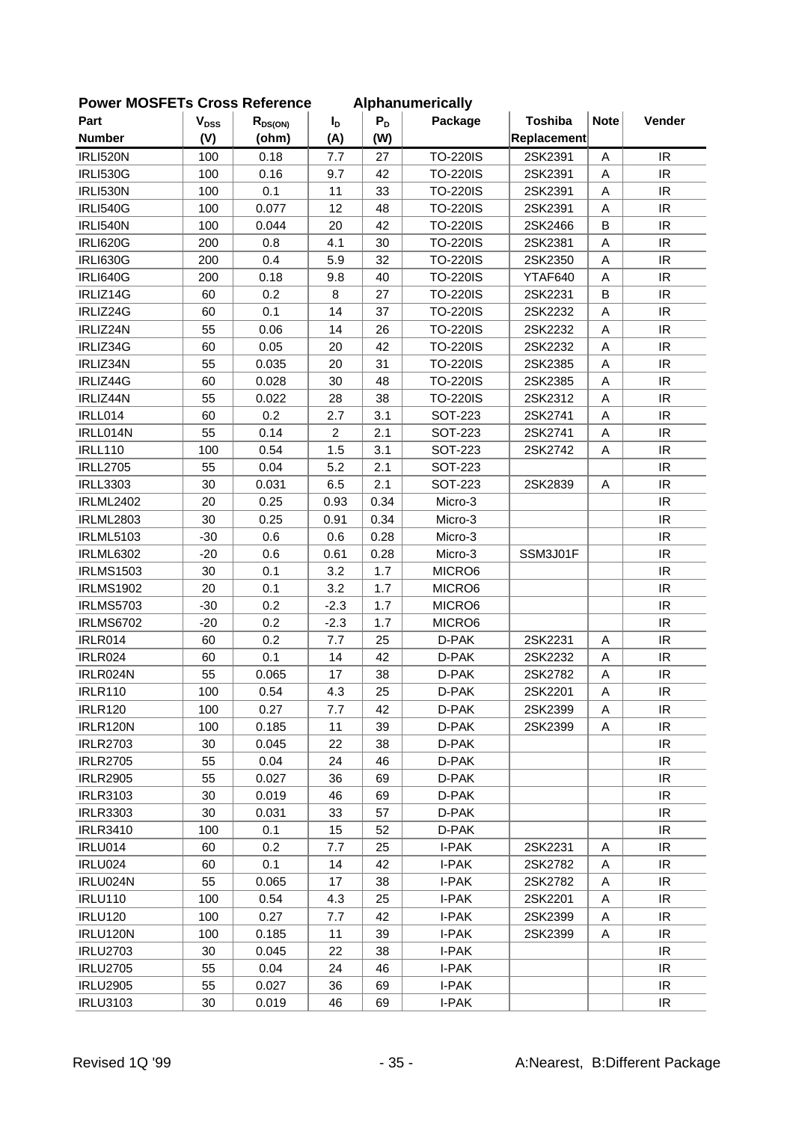| <b>FUWEI INCOFLIS CIUSS NEIEIEILE</b> |           |              |                  |       | <b>Alphanumencally</b> |                |             |                                   |
|---------------------------------------|-----------|--------------|------------------|-------|------------------------|----------------|-------------|-----------------------------------|
| Part                                  | $V_{DSS}$ | $R_{DS(ON)}$ | $I_{\mathsf{D}}$ | $P_D$ | Package                | <b>Toshiba</b> | <b>Note</b> | Vender                            |
| <b>Number</b>                         | (V)       | (ohm)        | (A)              | (W)   |                        | Replacement    |             |                                   |
| <b>IRLI520N</b>                       | 100       | 0.18         | 7.7              | 27    | <b>TO-220IS</b>        | 2SK2391        | A           | IR                                |
| <b>IRLI530G</b>                       | 100       | 0.16         | 9.7              | 42    | <b>TO-220IS</b>        | 2SK2391        | A           | <b>IR</b>                         |
| <b>IRLI530N</b>                       | 100       | 0.1          | 11               | 33    | <b>TO-220IS</b>        | 2SK2391        | Α           | IR                                |
| <b>IRLI540G</b>                       | 100       | 0.077        | 12               | 48    | <b>TO-220IS</b>        | 2SK2391        | Α           | $\ensuremath{\mathsf{IR}}\xspace$ |
| IRLI540N                              | 100       | 0.044        | 20               | 42    | <b>TO-220IS</b>        | 2SK2466        | B           | $\ensuremath{\mathsf{IR}}\xspace$ |
| IRLI620G                              | 200       | 0.8          | 4.1              | 30    | <b>TO-220IS</b>        | 2SK2381        | A           | IR                                |
| <b>IRLI630G</b>                       | 200       | 0.4          | 5.9              | 32    | <b>TO-220IS</b>        | 2SK2350        | Α           | IR                                |
| IRLI640G                              | 200       | 0.18         | 9.8              | 40    | <b>TO-220IS</b>        | YTAF640        | A           | IR                                |
| IRLIZ14G                              | 60        | 0.2          | 8                | 27    | <b>TO-220IS</b>        | 2SK2231        | B           | IR                                |
| IRLIZ24G                              | 60        | 0.1          | 14               | 37    | <b>TO-220IS</b>        | 2SK2232        | Α           | IR                                |
| IRLIZ24N                              | 55        | 0.06         | 14               | 26    | <b>TO-220IS</b>        | 2SK2232        | А           | $\ensuremath{\mathsf{IR}}\xspace$ |
| IRLIZ34G                              | 60        | 0.05         | 20               | 42    | <b>TO-220IS</b>        | 2SK2232        | Α           | IR                                |
| IRLIZ34N                              | 55        | 0.035        | 20               | 31    | <b>TO-220IS</b>        | 2SK2385        | Α           | IR                                |
| IRLIZ44G                              | 60        | 0.028        | 30               | 48    | <b>TO-220IS</b>        | 2SK2385        | A           | IR                                |
| IRLIZ44N                              | 55        | 0.022        | 28               | 38    | <b>TO-220IS</b>        | 2SK2312        | A           | IR                                |
| IRLL014                               | 60        | 0.2          | 2.7              | 3.1   | <b>SOT-223</b>         | 2SK2741        | A           | IR                                |
| IRLL014N                              | 55        | 0.14         | $\overline{c}$   | 2.1   | <b>SOT-223</b>         | 2SK2741        | Α           | $\ensuremath{\mathsf{IR}}\xspace$ |
| <b>IRLL110</b>                        | 100       | 0.54         | 1.5              | 3.1   | <b>SOT-223</b>         | 2SK2742        | Α           | IR                                |
| <b>IRLL2705</b>                       | 55        | 0.04         | 5.2              | 2.1   | <b>SOT-223</b>         |                |             | IR                                |
| <b>IRLL3303</b>                       | 30        | 0.031        | 6.5              | 2.1   | <b>SOT-223</b>         | 2SK2839        | Α           | IR                                |
| <b>IRLML2402</b>                      | 20        | 0.25         | 0.93             | 0.34  | Micro-3                |                |             | IR                                |
| <b>IRLML2803</b>                      | 30        | 0.25         | 0.91             | 0.34  | Micro-3                |                |             | IR                                |
| <b>IRLML5103</b>                      | $-30$     | 0.6          | 0.6              | 0.28  | Micro-3                |                |             | $\ensuremath{\mathsf{IR}}\xspace$ |
| <b>IRLML6302</b>                      | $-20$     | 0.6          | 0.61             | 0.28  | Micro-3                | SSM3J01F       |             | IR                                |
| <b>IRLMS1503</b>                      | 30        | 0.1          | 3.2              | 1.7   | MICRO6                 |                |             | IR                                |
| <b>IRLMS1902</b>                      | 20        | 0.1          | 3.2              | 1.7   | MICRO6                 |                |             | IR                                |
| <b>IRLMS5703</b>                      | $-30$     | 0.2          | $-2.3$           | 1.7   | MICRO6                 |                |             | <b>IR</b>                         |
| <b>IRLMS6702</b>                      | $-20$     | 0.2          | $-2.3$           | 1.7   | MICRO6                 |                |             | IR                                |
| IRLR014                               | 60        | 0.2          | 7.7              | 25    | D-PAK                  | 2SK2231        | Α           | $\ensuremath{\mathsf{IR}}\xspace$ |
| IRLR024                               | 60        | 0.1          | 14               | 42    | D-PAK                  | 2SK2232        | A           | $\ensuremath{\mathsf{IR}}\xspace$ |
| IRLR024N                              | 55        | 0.065        | 17               | 38    | D-PAK                  | 2SK2782        | Α           | IR                                |
| <b>IRLR110</b>                        | 100       | 0.54         | 4.3              | 25    | D-PAK                  | 2SK2201        | Α           | IR                                |
| <b>IRLR120</b>                        | 100       | 0.27         | 7.7              | 42    | D-PAK                  | 2SK2399        | A           | IR                                |
| IRLR120N                              | 100       | 0.185        | 11               | 39    | D-PAK                  | 2SK2399        | Α           | IR                                |
| <b>IRLR2703</b>                       | 30        | 0.045        | 22               | 38    | D-PAK                  |                |             | IR                                |
| <b>IRLR2705</b>                       | 55        | 0.04         | 24               | 46    | D-PAK                  |                |             | IR                                |
| <b>IRLR2905</b>                       | 55        | 0.027        | 36               | 69    | D-PAK                  |                |             | IR                                |
| <b>IRLR3103</b>                       | 30        | 0.019        | 46               | 69    | D-PAK                  |                |             | IR                                |
| <b>IRLR3303</b>                       | 30        | 0.031        | 33               | 57    | D-PAK                  |                |             | IR                                |
| <b>IRLR3410</b>                       | 100       | 0.1          | 15               | 52    | D-PAK                  |                |             | IR                                |
| IRLU014                               | 60        | 0.2          | 7.7              | 25    | I-PAK                  | 2SK2231        | Α           | IR                                |
| IRLU024                               | 60        | 0.1          | 14               | 42    | I-PAK                  | 2SK2782        | Α           | IR                                |
| IRLU024N                              | 55        | 0.065        | 17               | 38    | I-PAK                  | 2SK2782        | A           | IR.                               |
| <b>IRLU110</b>                        | 100       | 0.54         | 4.3              | 25    | I-PAK                  | 2SK2201        | Α           | IR.                               |
| <b>IRLU120</b>                        | 100       | 0.27         | 7.7              | 42    | I-PAK                  | 2SK2399        | Α           | IR                                |
| IRLU120N                              | 100       | 0.185        | 11               | 39    | I-PAK                  | 2SK2399        | Α           | IR                                |
| <b>IRLU2703</b>                       | 30        | 0.045        | 22               | 38    | I-PAK                  |                |             | IR                                |
| <b>IRLU2705</b>                       | 55        | 0.04         | 24               | 46    | I-PAK                  |                |             | IR                                |
|                                       |           |              |                  |       |                        |                |             |                                   |
| <b>IRLU2905</b>                       | 55        | 0.027        | 36               | 69    | I-PAK                  |                |             | IR                                |
| <b>IRLU3103</b>                       | 30        | 0.019        | 46               | 69    | I-PAK                  |                |             | $\ensuremath{\mathsf{IR}}\xspace$ |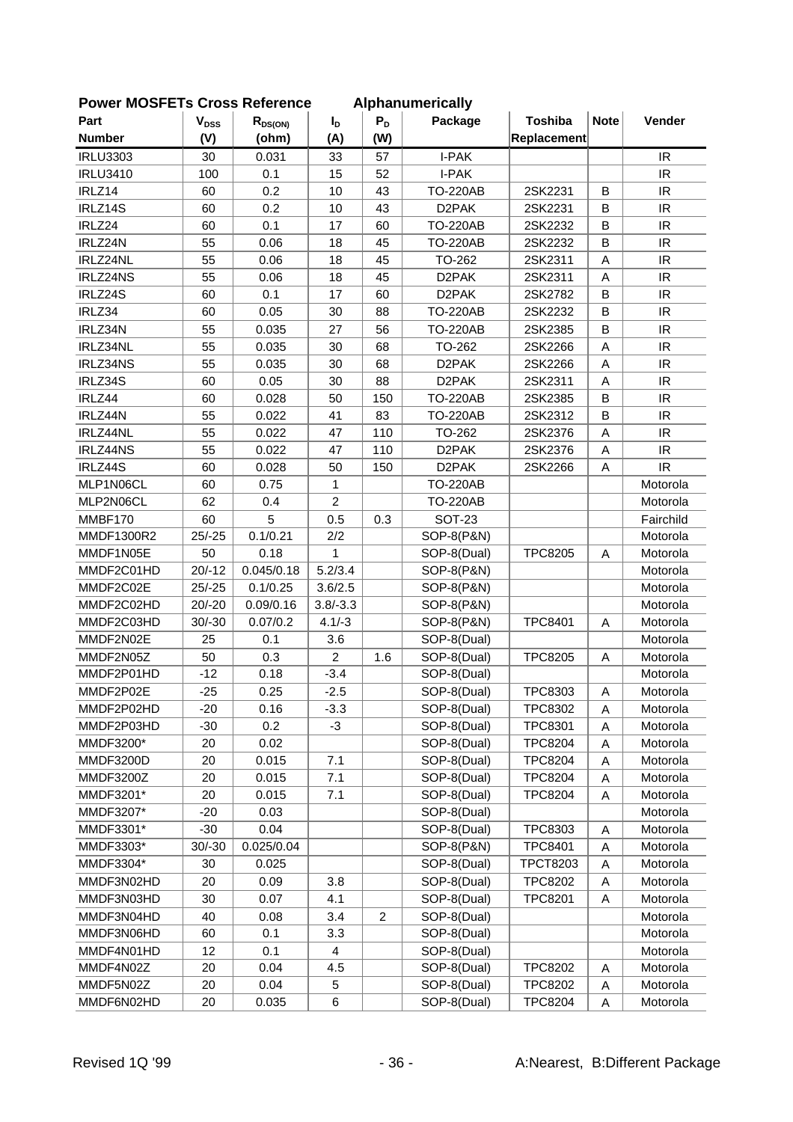| <b>PEI INCOLLIS CIUSS INCICICILLE</b> |                        |              |                |                | Alphanum Chually   |                 |             |                                   |
|---------------------------------------|------------------------|--------------|----------------|----------------|--------------------|-----------------|-------------|-----------------------------------|
| Part                                  | <b>V<sub>DSS</sub></b> | $R_{DS(ON)}$ | I <sub>D</sub> | $P_D$          | Package            | <b>Toshiba</b>  | <b>Note</b> | Vender                            |
| <b>Number</b>                         | (V)                    | (ohm)        | (A)            | (W)            |                    | Replacement     |             |                                   |
| <b>IRLU3303</b>                       | 30                     | 0.031        | 33             | 57             | I-PAK              |                 |             | <b>IR</b>                         |
| <b>IRLU3410</b>                       | 100                    | 0.1          | 15             | 52             | I-PAK              |                 |             | IR                                |
| IRLZ14                                | 60                     | 0.2          | 10             | 43             | <b>TO-220AB</b>    | 2SK2231         | B           | IR.                               |
| IRLZ14S                               | 60                     | 0.2          | 10             | 43             | D <sub>2</sub> PAK | 2SK2231         | B           | IR                                |
| IRLZ24                                | 60                     | 0.1          | 17             | 60             | <b>TO-220AB</b>    | 2SK2232         | B           | IR                                |
| IRLZ24N                               | 55                     | 0.06         | 18             | 45             | <b>TO-220AB</b>    | 2SK2232         | B           | IR                                |
| IRLZ24NL                              | 55                     | 0.06         | 18             | 45             | TO-262             | 2SK2311         | A           | IR                                |
| IRLZ24NS                              | 55                     | 0.06         | 18             | 45             | D <sub>2</sub> PAK | 2SK2311         | A           | IR                                |
| IRLZ24S                               | 60                     | 0.1          | 17             | 60             | D <sub>2</sub> PAK | 2SK2782         | B           | IR                                |
| IRLZ34                                | 60                     | 0.05         | 30             | 88             | <b>TO-220AB</b>    | 2SK2232         | B           | IR                                |
| IRLZ34N                               | 55                     | 0.035        | 27             | 56             | <b>TO-220AB</b>    | 2SK2385         | B           | $\ensuremath{\mathsf{IR}}\xspace$ |
| IRLZ34NL                              | 55                     | 0.035        | 30             | 68             | TO-262             | 2SK2266         | Α           | IR                                |
| IRLZ34NS                              | 55                     | 0.035        | 30             | 68             | D <sub>2</sub> PAK | 2SK2266         | Α           | IR                                |
| IRLZ34S                               | 60                     | 0.05         | 30             | 88             | D <sub>2</sub> PAK | 2SK2311         | A           | IR                                |
| IRLZ44                                | 60                     | 0.028        | 50             | 150            | <b>TO-220AB</b>    | 2SK2385         | B           | IR.                               |
| IRLZ44N                               | 55                     | 0.022        | 41             | 83             | <b>TO-220AB</b>    | 2SK2312         | B           | IR                                |
| IRLZ44NL                              | 55                     | 0.022        | 47             | 110            | TO-262             | 2SK2376         | A           | IR                                |
| IRLZ44NS                              | 55                     | 0.022        | 47             | 110            | D <sub>2</sub> PAK | 2SK2376         | Α           | $\ensuremath{\mathsf{IR}}\xspace$ |
| IRLZ44S                               | 60                     | 0.028        | 50             | 150            | D <sub>2</sub> PAK | 2SK2266         | Α           | IR                                |
| MLP1N06CL                             | 60                     | 0.75         | 1              |                | <b>TO-220AB</b>    |                 |             | Motorola                          |
| MLP2N06CL                             | 62                     | 0.4          | $\overline{2}$ |                | <b>TO-220AB</b>    |                 |             | Motorola                          |
| MMBF170                               | 60                     | 5            | 0.5            | 0.3            | <b>SOT-23</b>      |                 |             | Fairchild                         |
| MMDF1300R2                            | $25/-25$               | 0.1/0.21     | 2/2            |                | SOP-8(P&N)         |                 |             | Motorola                          |
| MMDF1N05E                             | 50                     | 0.18         | $\mathbf{1}$   |                | SOP-8(Dual)        | <b>TPC8205</b>  | Α           | Motorola                          |
| MMDF2C01HD                            | $20/-12$               | 0.045/0.18   | 5.2/3.4        |                | SOP-8(P&N)         |                 |             | Motorola                          |
| MMDF2C02E                             | $25/-25$               | 0.1/0.25     | 3.6/2.5        |                | SOP-8(P&N)         |                 |             | Motorola                          |
| MMDF2C02HD                            | $20/-20$               | 0.09/0.16    | $3.8/-3.3$     |                | SOP-8(P&N)         |                 |             | Motorola                          |
| MMDF2C03HD                            | $30/-30$               | 0.07/0.2     | $4.1/-3$       |                | SOP-8(P&N)         | <b>TPC8401</b>  | A           | Motorola                          |
| MMDF2N02E                             | 25                     | 0.1          | 3.6            |                | SOP-8(Dual)        |                 |             | Motorola                          |
| MMDF2N05Z                             | 50                     | 0.3          | $\overline{c}$ | 1.6            | SOP-8(Dual)        | <b>TPC8205</b>  | Α           | Motorola                          |
| MMDF2P01HD                            | $-12$                  | 0.18         | $-3.4$         |                | SOP-8(Dual)        |                 |             | Motorola                          |
| MMDF2P02E                             | $-25$                  | 0.25         | $-2.5$         |                | SOP-8(Dual)        | TPC8303         | A           | Motorola                          |
| MMDF2P02HD                            | $-20$                  | 0.16         | $-3.3$         |                | SOP-8(Dual)        | TPC8302         | Α           | Motorola                          |
| MMDF2P03HD                            | $-30$                  | 0.2          | -3             |                | SOP-8(Dual)        | <b>TPC8301</b>  | Α           | Motorola                          |
| MMDF3200*                             | 20                     | 0.02         |                |                | SOP-8(Dual)        | <b>TPC8204</b>  | Α           | Motorola                          |
| MMDF3200D                             | 20                     | 0.015        | 7.1            |                | SOP-8(Dual)        | <b>TPC8204</b>  | Α           | Motorola                          |
| MMDF3200Z                             | 20                     | 0.015        | 7.1            |                | SOP-8(Dual)        | <b>TPC8204</b>  | Α           | Motorola                          |
| MMDF3201*                             | 20                     | 0.015        | 7.1            |                | SOP-8(Dual)        | <b>TPC8204</b>  | Α           | Motorola                          |
| MMDF3207*                             | $-20$                  | 0.03         |                |                | SOP-8(Dual)        |                 |             | Motorola                          |
| MMDF3301*                             | $-30$                  | 0.04         |                |                | SOP-8(Dual)        | TPC8303         | Α           | Motorola                          |
| MMDF3303*                             | $30/-30$               | 0.025/0.04   |                |                | SOP-8(P&N)         | <b>TPC8401</b>  | Α           | Motorola                          |
| MMDF3304*                             | 30                     | 0.025        |                |                | SOP-8(Dual)        | <b>TPCT8203</b> | Α           | Motorola                          |
| MMDF3N02HD                            | 20                     | 0.09         | 3.8            |                | SOP-8(Dual)        | <b>TPC8202</b>  | Α           | Motorola                          |
| MMDF3N03HD                            | 30                     | 0.07         | 4.1            |                | SOP-8(Dual)        | <b>TPC8201</b>  | Α           | Motorola                          |
| MMDF3N04HD                            | 40                     | 0.08         | 3.4            | $\overline{c}$ | SOP-8(Dual)        |                 |             | Motorola                          |
| MMDF3N06HD                            | 60                     | 0.1          | 3.3            |                | SOP-8(Dual)        |                 |             | Motorola                          |
| MMDF4N01HD                            | 12                     | 0.1          | 4              |                | SOP-8(Dual)        |                 |             | Motorola                          |
| MMDF4N02Z                             | 20                     | 0.04         | 4.5            |                | SOP-8(Dual)        | <b>TPC8202</b>  | Α           | Motorola                          |
| MMDF5N02Z                             | 20                     | 0.04         | 5              |                | SOP-8(Dual)        | <b>TPC8202</b>  | Α           | Motorola                          |
| MMDF6N02HD                            | 20                     | 0.035        | 6              |                | SOP-8(Dual)        | <b>TPC8204</b>  | Α           | Motorola                          |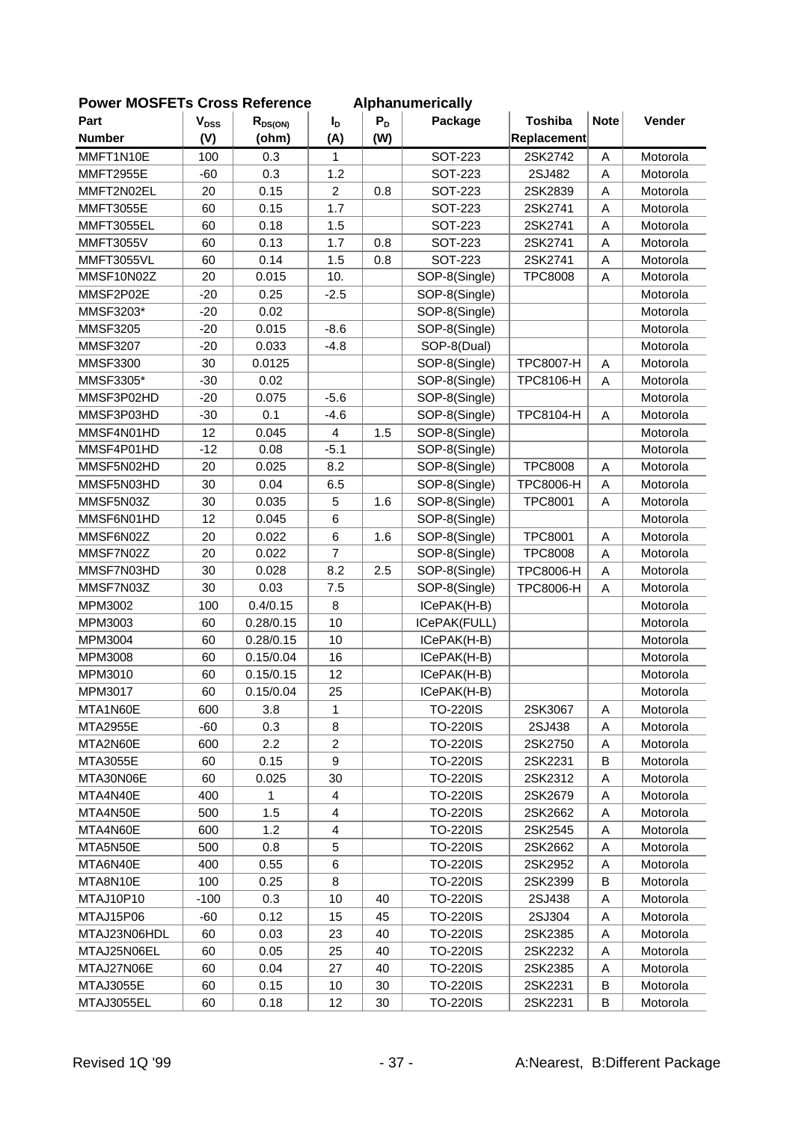| LOMEL MOOLLIS CLOSS VEIGLEICE |           |              |                  |       | Alphanum Chuany |                  |             |          |
|-------------------------------|-----------|--------------|------------------|-------|-----------------|------------------|-------------|----------|
| Part                          | $V_{DSS}$ | $R_{DS(ON)}$ | $I_{\text{D}}$   | $P_D$ | Package         | <b>Toshiba</b>   | <b>Note</b> | Vender   |
| <b>Number</b>                 | (V)       | (ohm)        | (A)              | (W)   |                 | Replacement      |             |          |
| MMFT1N10E                     | 100       | 0.3          | 1                |       | <b>SOT-223</b>  | 2SK2742          | A           | Motorola |
| <b>MMFT2955E</b>              | $-60$     | 0.3          | 1.2              |       | <b>SOT-223</b>  | 2SJ482           | A           | Motorola |
| MMFT2N02EL                    | 20        | 0.15         | $\overline{c}$   | 0.8   | SOT-223         | 2SK2839          | A           | Motorola |
| <b>MMFT3055E</b>              | 60        | 0.15         | 1.7              |       | <b>SOT-223</b>  | 2SK2741          | A           | Motorola |
| MMFT3055EL                    | 60        | 0.18         | 1.5              |       | <b>SOT-223</b>  | 2SK2741          | A           | Motorola |
| <b>MMFT3055V</b>              | 60        | 0.13         | 1.7              | 0.8   | SOT-223         | 2SK2741          | A           | Motorola |
| <b>MMFT3055VL</b>             | 60        | 0.14         | 1.5              | 0.8   | <b>SOT-223</b>  | 2SK2741          | A           | Motorola |
| MMSF10N02Z                    | 20        | 0.015        | 10.              |       | SOP-8(Single)   | <b>TPC8008</b>   | A           | Motorola |
| MMSF2P02E                     | $-20$     | 0.25         | $-2.5$           |       | SOP-8(Single)   |                  |             | Motorola |
| MMSF3203*                     | $-20$     | 0.02         |                  |       | SOP-8(Single)   |                  |             | Motorola |
| <b>MMSF3205</b>               | $-20$     | 0.015        | $-8.6$           |       | SOP-8(Single)   |                  |             | Motorola |
| <b>MMSF3207</b>               | $-20$     | 0.033        | $-4.8$           |       | SOP-8(Dual)     |                  |             | Motorola |
| <b>MMSF3300</b>               | 30        | 0.0125       |                  |       | SOP-8(Single)   | <b>TPC8007-H</b> | Α           | Motorola |
| MMSF3305*                     | $-30$     | 0.02         |                  |       | SOP-8(Single)   | TPC8106-H        | A           | Motorola |
| MMSF3P02HD                    | $-20$     | 0.075        | $-5.6$           |       | SOP-8(Single)   |                  |             | Motorola |
| MMSF3P03HD                    | $-30$     | 0.1          | $-4.6$           |       | SOP-8(Single)   | TPC8104-H        | A           | Motorola |
| MMSF4N01HD                    | 12        | 0.045        | $\overline{4}$   | 1.5   | SOP-8(Single)   |                  |             | Motorola |
| MMSF4P01HD                    | $-12$     | 0.08         | $-5.1$           |       | SOP-8(Single)   |                  |             | Motorola |
| MMSF5N02HD                    | 20        | 0.025        | 8.2              |       | SOP-8(Single)   | <b>TPC8008</b>   | Α           | Motorola |
| MMSF5N03HD                    | 30        | 0.04         | 6.5              |       | SOP-8(Single)   | <b>TPC8006-H</b> | A           | Motorola |
| MMSF5N03Z                     | 30        | 0.035        | 5                | 1.6   | SOP-8(Single)   | <b>TPC8001</b>   | A           | Motorola |
| MMSF6N01HD                    | 12        | 0.045        | 6                |       | SOP-8(Single)   |                  |             | Motorola |
| MMSF6N02Z                     | 20        | 0.022        | $6\phantom{1}6$  | 1.6   | SOP-8(Single)   | <b>TPC8001</b>   | A           | Motorola |
| MMSF7N02Z                     | 20        | 0.022        | $\overline{7}$   |       | SOP-8(Single)   | <b>TPC8008</b>   | A           | Motorola |
| MMSF7N03HD                    | 30        | 0.028        | 8.2              | 2.5   | SOP-8(Single)   | <b>TPC8006-H</b> | Α           | Motorola |
| MMSF7N03Z                     | 30        | 0.03         | 7.5              |       | SOP-8(Single)   | <b>TPC8006-H</b> | A           | Motorola |
| MPM3002                       | 100       | 0.4/0.15     | 8                |       | ICePAK(H-B)     |                  |             | Motorola |
| MPM3003                       | 60        | 0.28/0.15    | 10               |       | ICePAK(FULL)    |                  |             | Motorola |
| MPM3004                       | 60        | 0.28/0.15    | 10               |       | ICePAK(H-B)     |                  |             | Motorola |
| MPM3008                       | 60        | 0.15/0.04    | 16               |       | ICePAK(H-B)     |                  |             | Motorola |
| MPM3010                       | 60        | 0.15/0.15    | 12               |       | ICePAK(H-B)     |                  |             | Motorola |
| MPM3017                       | 60        | 0.15/0.04    | 25               |       | ICePAK(H-B)     |                  |             | Motorola |
| MTA1N60E                      | 600       | 3.8          | 1                |       | <b>TO-220IS</b> | 2SK3067          | A           | Motorola |
| <b>MTA2955E</b>               | -60       | 0.3          | 8                |       | <b>TO-220IS</b> | 2SJ438           | A           | Motorola |
| MTA2N60E                      | 600       | 2.2          | 2                |       | <b>TO-220IS</b> | 2SK2750          | Α           | Motorola |
| MTA3055E                      | 60        | 0.15         | $\boldsymbol{9}$ |       | <b>TO-220IS</b> | 2SK2231          | В           | Motorola |
| MTA30N06E                     | 60        | 0.025        | 30               |       | <b>TO-220IS</b> | 2SK2312          | Α           | Motorola |
| MTA4N40E                      | 400       | 1            | $\overline{4}$   |       | <b>TO-220IS</b> | 2SK2679          | Α           | Motorola |
| MTA4N50E                      | 500       | 1.5          | 4                |       | <b>TO-220IS</b> | 2SK2662          | Α           | Motorola |
| MTA4N60E                      | 600       | 1.2          | 4                |       | <b>TO-220IS</b> | 2SK2545          | Α           | Motorola |
| MTA5N50E                      | 500       | 0.8          | 5                |       | <b>TO-220IS</b> | 2SK2662          | Α           | Motorola |
| MTA6N40E                      | 400       | 0.55         | $\,6$            |       | <b>TO-220IS</b> | 2SK2952          | Α           | Motorola |
| MTA8N10E                      | 100       | 0.25         | 8                |       | <b>TO-220IS</b> | 2SK2399          | B           | Motorola |
| MTAJ10P10                     | $-100$    | 0.3          | 10               | 40    | <b>TO-220IS</b> | 2SJ438           | A           | Motorola |
| MTAJ15P06                     | -60       | 0.12         | 15               | 45    | <b>TO-220IS</b> | 2SJ304           | A           | Motorola |
| MTAJ23N06HDL                  | 60        | 0.03         | 23               | 40    | <b>TO-220IS</b> | 2SK2385          | Α           | Motorola |
| MTAJ25N06EL                   | 60        | 0.05         | 25               | 40    | <b>TO-220IS</b> | 2SK2232          | Α           | Motorola |
| MTAJ27N06E                    | 60        | 0.04         | 27               | 40    | <b>TO-220IS</b> | 2SK2385          | Α           | Motorola |
| MTAJ3055E                     | 60        | 0.15         | 10               | 30    | <b>TO-220IS</b> | 2SK2231          | B           | Motorola |
| MTAJ3055EL                    | 60        | 0.18         | 12               | 30    | <b>TO-220IS</b> | 2SK2231          | B           | Motorola |
|                               |           |              |                  |       |                 |                  |             |          |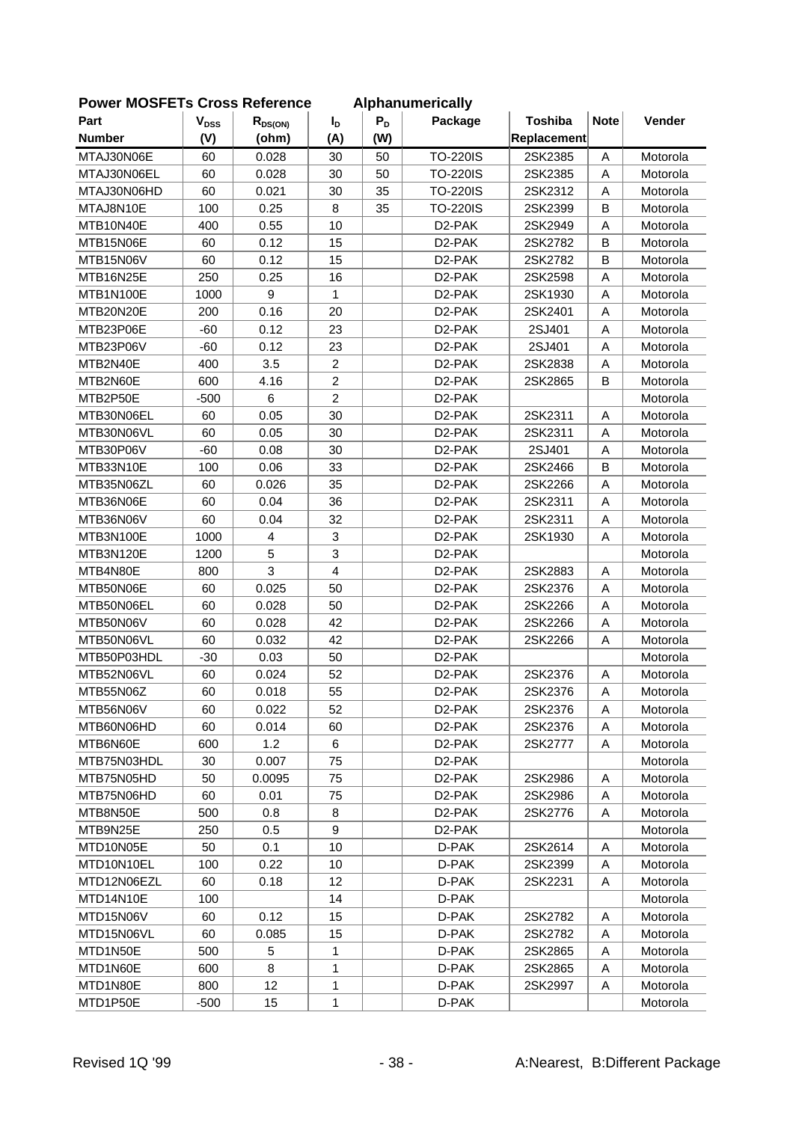| FUWEI MUJELIS UIUSS NEIEIEIIUE |           |                 |                |       | Alphanumchually     |                |             |          |
|--------------------------------|-----------|-----------------|----------------|-------|---------------------|----------------|-------------|----------|
| Part                           | $V_{DSS}$ | $R_{DS(ON)}$    | $I_{D}$        | $P_D$ | Package             | <b>Toshiba</b> | <b>Note</b> | Vender   |
| <b>Number</b>                  | (V)       | (ohm)           | (A)            | (W)   |                     | Replacement    |             |          |
| MTAJ30N06E                     | 60        | 0.028           | 30             | 50    | <b>TO-220IS</b>     | 2SK2385        | A           | Motorola |
| MTAJ30N06EL                    | 60        | 0.028           | 30             | 50    | <b>TO-220IS</b>     | 2SK2385        | A           | Motorola |
| MTAJ30N06HD                    | 60        | 0.021           | 30             | 35    | <b>TO-220IS</b>     | 2SK2312        | A           | Motorola |
| MTAJ8N10E                      | 100       | 0.25            | 8              | 35    | <b>TO-220IS</b>     | 2SK2399        | B           | Motorola |
| MTB10N40E                      | 400       | 0.55            | 10             |       | D <sub>2</sub> -PAK | 2SK2949        | A           | Motorola |
| MTB15N06E                      | 60        | 0.12            | 15             |       | D <sub>2</sub> -PAK | 2SK2782        | B           | Motorola |
| MTB15N06V                      | 60        | 0.12            | 15             |       | D <sub>2</sub> -PAK | 2SK2782        | B           | Motorola |
| MTB16N25E                      | 250       | 0.25            | 16             |       | D <sub>2</sub> -PAK | 2SK2598        | A           | Motorola |
| MTB1N100E                      | 1000      | 9               | 1              |       | D <sub>2</sub> -PAK | 2SK1930        | A           | Motorola |
| MTB20N20E                      | 200       | 0.16            | 20             |       | D <sub>2</sub> -PAK | 2SK2401        | A           | Motorola |
| MTB23P06E                      | $-60$     | 0.12            | 23             |       | D2-PAK              | 2SJ401         | A           | Motorola |
| MTB23P06V                      | $-60$     | 0.12            | 23             |       | D <sub>2</sub> -PAK | 2SJ401         | A           | Motorola |
| MTB2N40E                       | 400       | 3.5             | $\overline{c}$ |       | D2-PAK              | 2SK2838        | A           | Motorola |
| MTB2N60E                       | 600       | 4.16            | $\overline{c}$ |       | D2-PAK              | 2SK2865        | B           | Motorola |
| MTB2P50E                       | $-500$    | 6               | $\overline{2}$ |       | D <sub>2</sub> -PAK |                |             | Motorola |
| MTB30N06EL                     | 60        | 0.05            | 30             |       | D2-PAK              | 2SK2311        | A           | Motorola |
| MTB30N06VL                     | 60        | 0.05            | 30             |       | D <sub>2</sub> -PAK | 2SK2311        | A           | Motorola |
| MTB30P06V                      | $-60$     | 0.08            | 30             |       | D <sub>2</sub> -PAK | 2SJ401         | Α           | Motorola |
| MTB33N10E                      | 100       | 0.06            | 33             |       | D <sub>2</sub> -PAK | 2SK2466        | B           | Motorola |
| MTB35N06ZL                     | 60        | 0.026           | 35             |       | D <sub>2</sub> -PAK | 2SK2266        | A           | Motorola |
| MTB36N06E                      | 60        | 0.04            | 36             |       | D <sub>2</sub> -PAK | 2SK2311        | A           | Motorola |
| MTB36N06V                      | 60        | 0.04            | 32             |       | D2-PAK              | 2SK2311        | A           | Motorola |
| MTB3N100E                      | 1000      | 4               | 3              |       | D <sub>2</sub> -PAK | 2SK1930        | A           | Motorola |
| MTB3N120E                      | 1200      | 5               | 3              |       | D <sub>2</sub> -PAK |                |             | Motorola |
| MTB4N80E                       | 800       | 3               | $\overline{4}$ |       | D <sub>2</sub> -PAK | 2SK2883        | Α           | Motorola |
| MTB50N06E                      | 60        | 0.025           | 50             |       | D <sub>2</sub> -PAK | 2SK2376        | A           | Motorola |
| MTB50N06EL                     | 60        | 0.028           | 50             |       | D2-PAK              | 2SK2266        | A           | Motorola |
| MTB50N06V                      | 60        | 0.028           | 42             |       | D <sub>2</sub> -PAK | 2SK2266        | A           | Motorola |
| MTB50N06VL                     | 60        | 0.032           | 42             |       | D <sub>2</sub> -PAK | 2SK2266        | A           | Motorola |
| MTB50P03HDL                    | $-30$     | 0.03            | 50             |       | D <sub>2</sub> -PAK |                |             | Motorola |
| MTB52N06VL                     | 60        | 0.024           | 52             |       | D <sub>2</sub> -PAK | 2SK2376        | Α           | Motorola |
| MTB55N06Z                      | 60        | 0.018           | 55             |       | D2-PAK              | 2SK2376        | A           | Motorola |
| MTB56N06V                      | 60        | 0.022           | 52             |       | D <sub>2</sub> -PAK | 2SK2376        | A           | Motorola |
| MTB60N06HD                     | 60        | 0.014           | 60             |       | D <sub>2</sub> -PAK | 2SK2376        | A           | Motorola |
| MTB6N60E                       | 600       | 1.2             | 6              |       | D <sub>2</sub> -PAK | 2SK2777        | Α           | Motorola |
| MTB75N03HDL                    | 30        | 0.007           | 75             |       | D <sub>2</sub> -PAK |                |             | Motorola |
| MTB75N05HD                     | 50        | 0.0095          | 75             |       | D <sub>2</sub> -PAK | 2SK2986        | Α           | Motorola |
| MTB75N06HD                     | 60        | 0.01            | 75             |       | D <sub>2</sub> -PAK | 2SK2986        | A           | Motorola |
| MTB8N50E                       | 500       | 0.8             | 8              |       | D <sub>2</sub> -PAK | 2SK2776        | Α           | Motorola |
| MTB9N25E                       | 250       | 0.5             | 9              |       | D <sub>2</sub> -PAK |                |             | Motorola |
| MTD10N05E                      | 50        | 0.1             | 10             |       | D-PAK               | 2SK2614        | Α           | Motorola |
|                                |           |                 |                |       |                     |                |             |          |
| MTD10N10EL                     | 100       | 0.22            | 10             |       | D-PAK               | 2SK2399        | Α           | Motorola |
| MTD12N06EZL                    | 60        | 0.18            | 12             |       | D-PAK               | 2SK2231        | A           | Motorola |
| MTD14N10E                      | 100       |                 | 14             |       | D-PAK               |                |             | Motorola |
| MTD15N06V                      | 60        | 0.12            | 15             |       | D-PAK               | 2SK2782        | A           | Motorola |
| MTD15N06VL                     | 60        | 0.085           | 15             |       | D-PAK               | 2SK2782        | Α           | Motorola |
| MTD1N50E                       | 500       | 5               | 1              |       | D-PAK               | 2SK2865        | Α           | Motorola |
| MTD1N60E                       | 600       | 8               | 1              |       | D-PAK               | 2SK2865        | Α           | Motorola |
| MTD1N80E                       | 800       | 12 <sup>°</sup> | 1              |       | D-PAK               | 2SK2997        | A           | Motorola |
| MTD1P50E                       | $-500$    | 15              | $\mathbf{1}$   |       | D-PAK               |                |             | Motorola |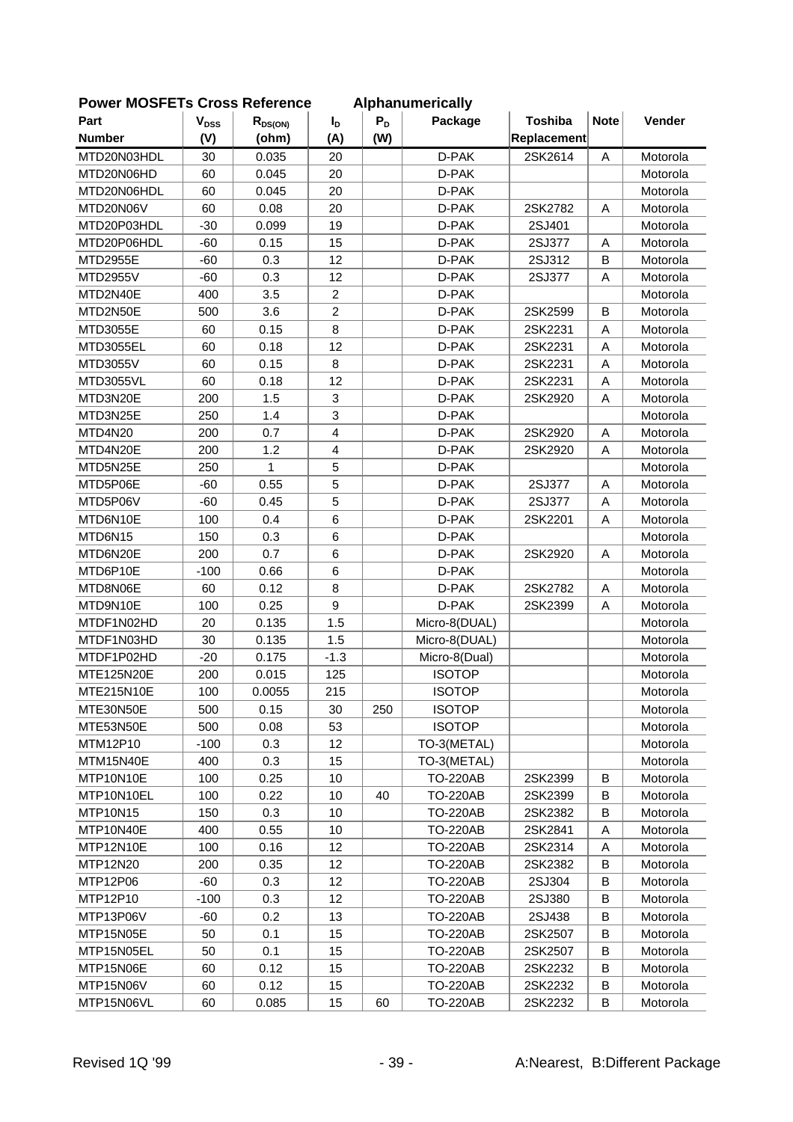| <b>FUWEI INIUSFETS UTUSS REIBIBILG</b> |                           |              |                 |       | Alphanumencally |                |             |          |
|----------------------------------------|---------------------------|--------------|-----------------|-------|-----------------|----------------|-------------|----------|
| Part                                   | $\mathbf{V}_{\text{DSS}}$ | $R_{DS(ON)}$ | $I_{\text{D}}$  | $P_D$ | Package         | <b>Toshiba</b> | <b>Note</b> | Vender   |
| <b>Number</b>                          | (V)                       | (ohm)        | (A)             | (W)   |                 | Replacement    |             |          |
| MTD20N03HDL                            | 30                        | 0.035        | 20              |       | D-PAK           | 2SK2614        | A           | Motorola |
| MTD20N06HD                             | 60                        | 0.045        | 20              |       | D-PAK           |                |             | Motorola |
| MTD20N06HDL                            | 60                        | 0.045        | 20              |       | D-PAK           |                |             | Motorola |
| MTD20N06V                              | 60                        | 0.08         | 20              |       | D-PAK           | 2SK2782        | A           | Motorola |
| MTD20P03HDL                            | $-30$                     | 0.099        | 19              |       | D-PAK           | 2SJ401         |             | Motorola |
| MTD20P06HDL                            | $-60$                     | 0.15         | 15              |       | D-PAK           | 2SJ377         | Α           | Motorola |
| MTD2955E                               | $-60$                     | 0.3          | 12              |       | D-PAK           | 2SJ312         | $\sf B$     | Motorola |
| MTD2955V                               | $-60$                     | 0.3          | 12              |       | D-PAK           | 2SJ377         | A           | Motorola |
| MTD2N40E                               | 400                       | 3.5          | $\overline{2}$  |       | D-PAK           |                |             | Motorola |
| MTD2N50E                               | 500                       | 3.6          | $\overline{2}$  |       | D-PAK           | 2SK2599        | B           | Motorola |
| MTD3055E                               | 60                        | 0.15         | 8               |       | D-PAK           | 2SK2231        | A           | Motorola |
| <b>MTD3055EL</b>                       | 60                        | 0.18         | 12              |       | D-PAK           | 2SK2231        | A           | Motorola |
| MTD3055V                               | 60                        | 0.15         | 8               |       | D-PAK           | 2SK2231        | A           | Motorola |
| MTD3055VL                              | 60                        | 0.18         | 12              |       | D-PAK           | 2SK2231        | A           | Motorola |
| MTD3N20E                               | 200                       | 1.5          | 3               |       | D-PAK           | 2SK2920        | A           | Motorola |
| MTD3N25E                               | 250                       | 1.4          | 3               |       | D-PAK           |                |             | Motorola |
| MTD4N20                                | 200                       | 0.7          | $\overline{4}$  |       | D-PAK           | 2SK2920        | A           | Motorola |
| MTD4N20E                               | 200                       | 1.2          | $\overline{4}$  |       | D-PAK           | 2SK2920        | A           | Motorola |
| MTD5N25E                               | 250                       | 1            | 5               |       | D-PAK           |                |             | Motorola |
| MTD5P06E                               | $-60$                     | 0.55         | 5               |       | D-PAK           | 2SJ377         | A           | Motorola |
| MTD5P06V                               | $-60$                     | 0.45         | 5               |       | D-PAK           | 2SJ377         | A           | Motorola |
| MTD6N10E                               | 100                       | 0.4          | 6               |       | D-PAK           | 2SK2201        | A           | Motorola |
| MTD6N15                                | 150                       | 0.3          | $\,6$           |       | D-PAK           |                |             | Motorola |
| MTD6N20E                               | 200                       | 0.7          | $6\phantom{1}6$ |       | D-PAK           | 2SK2920        | A           | Motorola |
| MTD6P10E                               | $-100$                    | 0.66         | 6               |       | D-PAK           |                |             | Motorola |
| MTD8N06E                               | 60                        | 0.12         | 8               |       | D-PAK           | 2SK2782        | A           | Motorola |
| MTD9N10E                               | 100                       | 0.25         | 9               |       | D-PAK           | 2SK2399        | A           | Motorola |
| MTDF1N02HD                             | 20                        | 0.135        | 1.5             |       | Micro-8(DUAL)   |                |             | Motorola |
| MTDF1N03HD                             | 30                        | 0.135        | 1.5             |       | Micro-8(DUAL)   |                |             | Motorola |
| MTDF1P02HD                             | $-20$                     | 0.175        | $-1.3$          |       | Micro-8(Dual)   |                |             | Motorola |
| MTE125N20E                             | 200                       | 0.015        | 125             |       | <b>ISOTOP</b>   |                |             | Motorola |
| MTE215N10E                             | 100                       | 0.0055       | 215             |       | <b>ISOTOP</b>   |                |             | Motorola |
| MTE30N50E                              | 500                       | 0.15         | 30              | 250   | <b>ISOTOP</b>   |                |             | Motorola |
| MTE53N50E                              | 500                       | 0.08         | 53              |       | <b>ISOTOP</b>   |                |             | Motorola |
| MTM12P10                               | $-100$                    | 0.3          | 12              |       | TO-3(METAL)     |                |             | Motorola |
| MTM15N40E                              | 400                       | 0.3          | 15              |       | TO-3(METAL)     |                |             | Motorola |
| MTP10N10E                              | 100                       | 0.25         | 10              |       | <b>TO-220AB</b> | 2SK2399        | B           | Motorola |
| MTP10N10EL                             | 100                       | 0.22         | 10              | 40    | <b>TO-220AB</b> | 2SK2399        | B           | Motorola |
| MTP10N15                               | 150                       | 0.3          | 10              |       | <b>TO-220AB</b> | 2SK2382        | B           | Motorola |
| MTP10N40E                              | 400                       | 0.55         | 10              |       | <b>TO-220AB</b> | 2SK2841        | Α           | Motorola |
| MTP12N10E                              | 100                       | 0.16         | 12              |       | <b>TO-220AB</b> | 2SK2314        | Α           | Motorola |
| MTP12N20                               | 200                       | 0.35         | 12              |       | <b>TO-220AB</b> | 2SK2382        | B           | Motorola |
| MTP12P06                               | -60                       | 0.3          | 12              |       | <b>TO-220AB</b> | 2SJ304         | B           | Motorola |
| MTP12P10                               | $-100$                    | 0.3          | 12              |       | <b>TO-220AB</b> | 2SJ380         | B           | Motorola |
| MTP13P06V                              | -60                       | 0.2          | 13              |       | <b>TO-220AB</b> | 2SJ438         | $\sf B$     | Motorola |
| MTP15N05E                              | 50                        | 0.1          | 15              |       | <b>TO-220AB</b> | 2SK2507        | В           | Motorola |
| MTP15N05EL                             | 50                        | 0.1          | 15              |       | <b>TO-220AB</b> | 2SK2507        | B           | Motorola |
| MTP15N06E                              | 60                        | 0.12         | 15              |       | <b>TO-220AB</b> | 2SK2232        | В           | Motorola |
| MTP15N06V                              | 60                        | 0.12         | 15              |       | <b>TO-220AB</b> | 2SK2232        | B           | Motorola |
| MTP15N06VL                             | 60                        | 0.085        | 15              | 60    | <b>TO-220AB</b> | 2SK2232        | B           | Motorola |
|                                        |                           |              |                 |       |                 |                |             |          |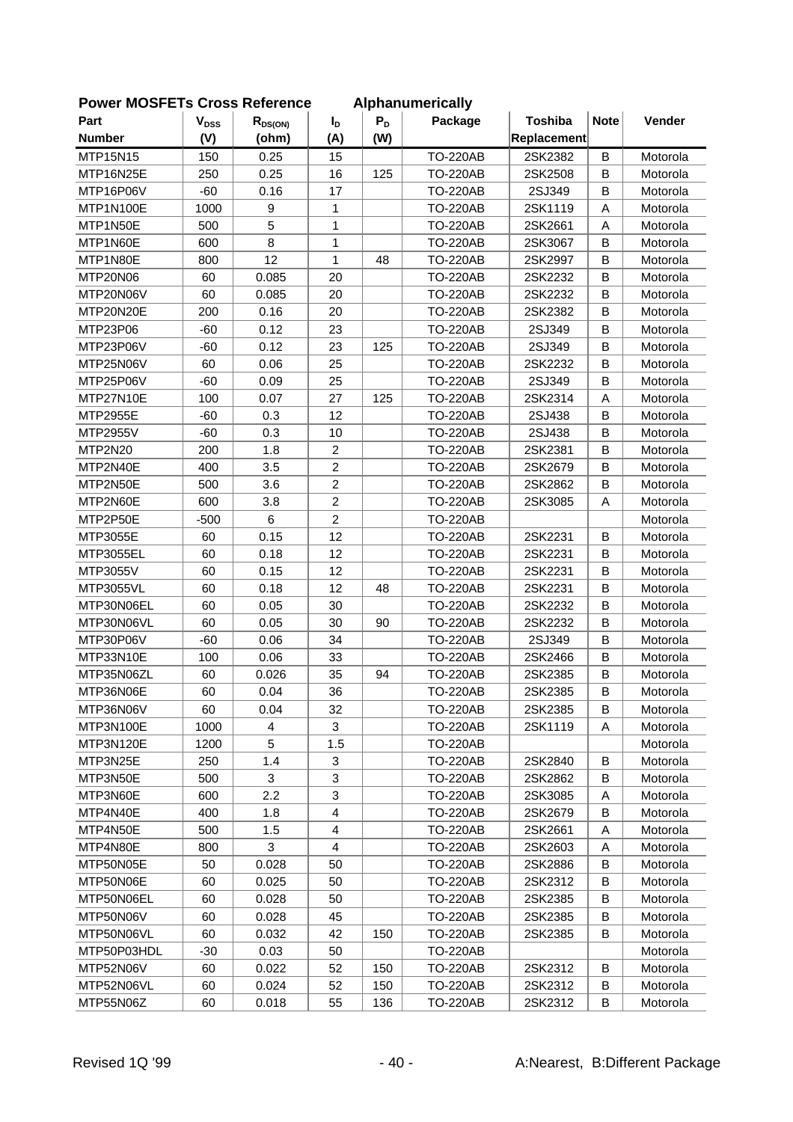| י ויוטשו וס      |                        | <b>OLOSS IVEIGIGILG</b> |                |       | Alphanumchoally |                |             |          |
|------------------|------------------------|-------------------------|----------------|-------|-----------------|----------------|-------------|----------|
| Part             | <b>V<sub>DSS</sub></b> | $R_{DS(ON)}$            | $I_{\text{D}}$ | $P_D$ | Package         | <b>Toshiba</b> | <b>Note</b> | Vender   |
| <b>Number</b>    | (V)                    | (ohm)                   | (A)            | (W)   |                 | Replacement    |             |          |
| MTP15N15         | 150                    | 0.25                    | 15             |       | <b>TO-220AB</b> | 2SK2382        | B           | Motorola |
| MTP16N25E        | 250                    | 0.25                    | 16             | 125   | <b>TO-220AB</b> | 2SK2508        | B           | Motorola |
| MTP16P06V        | $-60$                  | 0.16                    | 17             |       | <b>TO-220AB</b> | 2SJ349         | B           | Motorola |
| MTP1N100E        | 1000                   | 9                       | 1              |       | <b>TO-220AB</b> | 2SK1119        | A           | Motorola |
| MTP1N50E         | 500                    | 5                       | 1              |       | <b>TO-220AB</b> | 2SK2661        | A           | Motorola |
| MTP1N60E         | 600                    | 8                       | 1              |       | <b>TO-220AB</b> | 2SK3067        | B           | Motorola |
| MTP1N80E         | 800                    | 12                      | $\mathbf{1}$   | 48    | <b>TO-220AB</b> | 2SK2997        | B           | Motorola |
| MTP20N06         | 60                     | 0.085                   | 20             |       | <b>TO-220AB</b> | 2SK2232        | B           | Motorola |
| MTP20N06V        | 60                     | 0.085                   | 20             |       | <b>TO-220AB</b> | 2SK2232        | B           | Motorola |
| MTP20N20E        | 200                    | 0.16                    | 20             |       | <b>TO-220AB</b> | 2SK2382        | B           | Motorola |
| MTP23P06         | $-60$                  | 0.12                    | 23             |       | <b>TO-220AB</b> | 2SJ349         | B           | Motorola |
| MTP23P06V        | $-60$                  | 0.12                    | 23             | 125   | <b>TO-220AB</b> | 2SJ349         | B           | Motorola |
| MTP25N06V        | 60                     | 0.06                    | 25             |       | <b>TO-220AB</b> | 2SK2232        | $\sf B$     | Motorola |
| MTP25P06V        | $-60$                  | 0.09                    | 25             |       | <b>TO-220AB</b> | 2SJ349         | B           | Motorola |
| MTP27N10E        | 100                    | 0.07                    | 27             | 125   | <b>TO-220AB</b> | 2SK2314        | A           | Motorola |
| <b>MTP2955E</b>  | $-60$                  | 0.3                     | 12             |       | <b>TO-220AB</b> | 2SJ438         | B           | Motorola |
| MTP2955V         | $-60$                  | 0.3                     | 10             |       | <b>TO-220AB</b> | 2SJ438         | B           | Motorola |
| MTP2N20          | 200                    | 1.8                     | $\overline{c}$ |       | <b>TO-220AB</b> | 2SK2381        | B           | Motorola |
| MTP2N40E         | 400                    | 3.5                     | $\overline{c}$ |       | <b>TO-220AB</b> | 2SK2679        | B           | Motorola |
| MTP2N50E         | 500                    | 3.6                     | $\overline{2}$ |       | <b>TO-220AB</b> | 2SK2862        | B           | Motorola |
| MTP2N60E         | 600                    | 3.8                     | $\overline{c}$ |       | <b>TO-220AB</b> | 2SK3085        | A           | Motorola |
| MTP2P50E         | $-500$                 | 6                       | $\overline{c}$ |       | <b>TO-220AB</b> |                |             | Motorola |
| MTP3055E         | 60                     | 0.15                    | 12             |       | <b>TO-220AB</b> | 2SK2231        | B           | Motorola |
| MTP3055EL        | 60                     | 0.18                    | 12             |       | <b>TO-220AB</b> | 2SK2231        | B           | Motorola |
| MTP3055V         | 60                     | 0.15                    | 12             |       | <b>TO-220AB</b> | 2SK2231        | В           | Motorola |
| <b>MTP3055VL</b> | 60                     | 0.18                    | 12             | 48    | <b>TO-220AB</b> | 2SK2231        | $\sf B$     | Motorola |
| MTP30N06EL       | 60                     | 0.05                    | 30             |       | <b>TO-220AB</b> | 2SK2232        | B           | Motorola |
| MTP30N06VL       | 60                     | 0.05                    | 30             | 90    | <b>TO-220AB</b> | 2SK2232        | B           | Motorola |
| MTP30P06V        | $-60$                  | 0.06                    | 34             |       | <b>TO-220AB</b> | 2SJ349         | B           | Motorola |
| MTP33N10E        | 100                    | 0.06                    | 33             |       | <b>TO-220AB</b> | 2SK2466        | B           | Motorola |
| MTP35N06ZL       | 60                     | 0.026                   | 35             | 94    | <b>TO-220AB</b> | 2SK2385        | B           | Motorola |
| MTP36N06E        | 60                     | 0.04                    | 36             |       | <b>TO-220AB</b> | 2SK2385        | B           | Motorola |
| MTP36N06V        | 60                     | 0.04                    | 32             |       | <b>TO-220AB</b> | 2SK2385        | B           | Motorola |
| MTP3N100E        | 1000                   | 4                       | 3              |       | <b>TO-220AB</b> | 2SK1119        | Α           | Motorola |
| MTP3N120E        | 1200                   | 5                       | 1.5            |       | <b>TO-220AB</b> |                |             | Motorola |
| MTP3N25E         | 250                    | 1.4                     | 3              |       | <b>TO-220AB</b> | 2SK2840        | B           | Motorola |
| MTP3N50E         | 500                    | 3                       | 3              |       | <b>TO-220AB</b> | 2SK2862        | B           | Motorola |
| MTP3N60E         | 600                    | 2.2                     | 3              |       | <b>TO-220AB</b> | 2SK3085        | A           | Motorola |
| MTP4N40E         | 400                    | 1.8                     | $\overline{4}$ |       | <b>TO-220AB</b> | 2SK2679        | B           | Motorola |
| MTP4N50E         | 500                    | 1.5                     | $\overline{4}$ |       | <b>TO-220AB</b> | 2SK2661        | Α           | Motorola |
| MTP4N80E         | 800                    | 3                       | $\overline{4}$ |       | <b>TO-220AB</b> | 2SK2603        | Α           | Motorola |
| MTP50N05E        | 50                     | 0.028                   | 50             |       | <b>TO-220AB</b> | 2SK2886        | B           | Motorola |
| MTP50N06E        | 60                     | 0.025                   | 50             |       | <b>TO-220AB</b> | 2SK2312        | В           | Motorola |
| MTP50N06EL       | 60                     | 0.028                   | 50             |       | <b>TO-220AB</b> | 2SK2385        | B           | Motorola |
| MTP50N06V        | 60                     | 0.028                   | 45             |       | <b>TO-220AB</b> | 2SK2385        | B           | Motorola |
| MTP50N06VL       | 60                     | 0.032                   | 42             | 150   | <b>TO-220AB</b> | 2SK2385        | B           | Motorola |
| MTP50P03HDL      | $-30$                  | 0.03                    | 50             |       | <b>TO-220AB</b> |                |             | Motorola |
| MTP52N06V        | 60                     | 0.022                   | 52             | 150   | <b>TO-220AB</b> | 2SK2312        | B           | Motorola |
| MTP52N06VL       | 60                     | 0.024                   | 52             | 150   | <b>TO-220AB</b> | 2SK2312        | B           | Motorola |
| MTP55N06Z        | 60                     | 0.018                   | 55             | 136   | <b>TO-220AB</b> | 2SK2312        | В           | Motorola |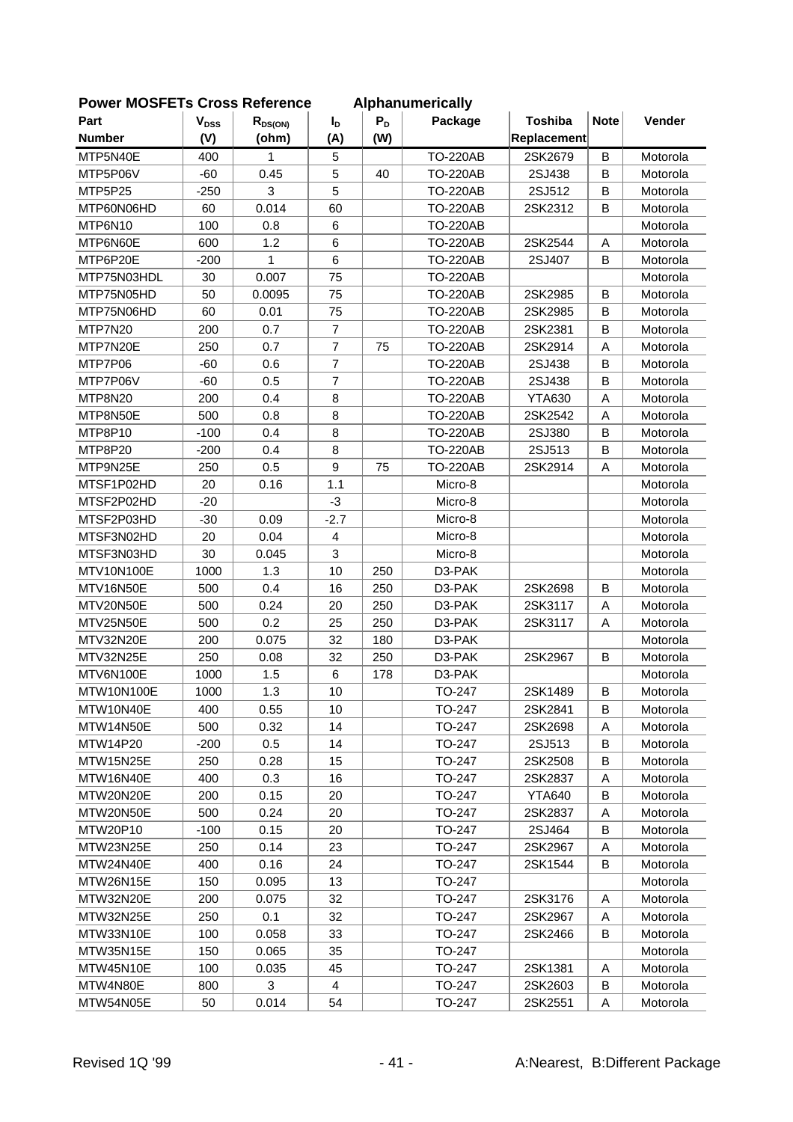| <b>FOWEI INCOFETS CLOSS REIGIGILGE</b> |                           |              |                |       | Alphanumencally |                |             |          |
|----------------------------------------|---------------------------|--------------|----------------|-------|-----------------|----------------|-------------|----------|
| Part                                   | $\mathbf{V}_{\text{DSS}}$ | $R_{DS(ON)}$ | $I_D$          | $P_D$ | Package         | <b>Toshiba</b> | <b>Note</b> | Vender   |
| <b>Number</b>                          | (V)                       | (ohm)        | (A)            | (W)   |                 | Replacement    |             |          |
| MTP5N40E                               | 400                       | 1            | 5              |       | <b>TO-220AB</b> | 2SK2679        | $\sf B$     | Motorola |
| MTP5P06V                               | $-60$                     | 0.45         | 5              | 40    | <b>TO-220AB</b> | 2SJ438         | B           | Motorola |
| MTP5P25                                | $-250$                    | 3            | 5              |       | <b>TO-220AB</b> | 2SJ512         | B           | Motorola |
| MTP60N06HD                             | 60                        | 0.014        | 60             |       | <b>TO-220AB</b> | 2SK2312        | B           | Motorola |
| MTP6N10                                | 100                       | 0.8          | 6              |       | <b>TO-220AB</b> |                |             | Motorola |
| MTP6N60E                               | 600                       | 1.2          | 6              |       | <b>TO-220AB</b> | 2SK2544        | Α           | Motorola |
| MTP6P20E                               | $-200$                    | 1            | $\,6$          |       | <b>TO-220AB</b> | 2SJ407         | B           | Motorola |
| MTP75N03HDL                            | 30                        | 0.007        | 75             |       | <b>TO-220AB</b> |                |             | Motorola |
| MTP75N05HD                             | 50                        | 0.0095       | 75             |       | <b>TO-220AB</b> | 2SK2985        | B           | Motorola |
| MTP75N06HD                             | 60                        | 0.01         | 75             |       | <b>TO-220AB</b> | 2SK2985        | B           | Motorola |
| MTP7N20                                | 200                       | 0.7          | $\overline{7}$ |       | <b>TO-220AB</b> | 2SK2381        | B           | Motorola |
| MTP7N20E                               | 250                       | 0.7          | $\overline{7}$ | 75    | <b>TO-220AB</b> | 2SK2914        | A           | Motorola |
| MTP7P06                                | $-60$                     | 0.6          | $\overline{7}$ |       | <b>TO-220AB</b> | 2SJ438         | $\sf B$     | Motorola |
| MTP7P06V                               | $-60$                     | 0.5          | $\overline{7}$ |       | <b>TO-220AB</b> | 2SJ438         | B           | Motorola |
| MTP8N20                                | 200                       | 0.4          | 8              |       | <b>TO-220AB</b> | <b>YTA630</b>  | A           | Motorola |
| MTP8N50E                               | 500                       | 0.8          | 8              |       | <b>TO-220AB</b> | 2SK2542        | A           | Motorola |
| MTP8P10                                | $-100$                    | 0.4          | 8              |       | <b>TO-220AB</b> | 2SJ380         | B           | Motorola |
| MTP8P20                                | $-200$                    | 0.4          | 8              |       | <b>TO-220AB</b> | 2SJ513         | B           | Motorola |
| MTP9N25E                               | 250                       | 0.5          | 9              | 75    | <b>TO-220AB</b> | 2SK2914        | A           | Motorola |
| MTSF1P02HD                             | 20                        | 0.16         | 1.1            |       | Micro-8         |                |             | Motorola |
| MTSF2P02HD                             | $-20$                     |              | $-3$           |       | Micro-8         |                |             | Motorola |
| MTSF2P03HD                             | $-30$                     | 0.09         | $-2.7$         |       | Micro-8         |                |             | Motorola |
| MTSF3N02HD                             | 20                        | 0.04         | $\overline{4}$ |       | Micro-8         |                |             | Motorola |
| MTSF3N03HD                             | 30                        | 0.045        | 3              |       | Micro-8         |                |             | Motorola |
| MTV10N100E                             | 1000                      | 1.3          | 10             | 250   | D3-PAK          |                |             | Motorola |
| MTV16N50E                              | 500                       | 0.4          | 16             | 250   | D3-PAK          | 2SK2698        | $\mathsf B$ | Motorola |
| MTV20N50E                              | 500                       | 0.24         | 20             | 250   | D3-PAK          | 2SK3117        | A           | Motorola |
| MTV25N50E                              | 500                       | 0.2          | 25             | 250   | D3-PAK          | 2SK3117        | A           | Motorola |
| MTV32N20E                              | 200                       | 0.075        | 32             | 180   | D3-PAK          |                |             | Motorola |
| MTV32N25E                              | 250                       | 0.08         | 32             | 250   | D3-PAK          | 2SK2967        | B           | Motorola |
| MTV6N100E                              | 1000                      | 1.5          | 6              | 178   | D3-PAK          |                |             | Motorola |
| MTW10N100E                             | 1000                      | 1.3          | 10             |       | TO-247          | 2SK1489        | B           | Motorola |
| MTW10N40E                              | 400                       | 0.55         | 10             |       | TO-247          | 2SK2841        | B           | Motorola |
| MTW14N50E                              | 500                       | 0.32         | 14             |       | TO-247          | 2SK2698        | Α           | Motorola |
| MTW14P20                               | $-200$                    | 0.5          | 14             |       | TO-247          | 2SJ513         | B           | Motorola |
| MTW15N25E                              | 250                       | 0.28         | 15             |       | TO-247          | 2SK2508        | B           | Motorola |
| MTW16N40E                              | 400                       | 0.3          | 16             |       | TO-247          | 2SK2837        | A           | Motorola |
| MTW20N20E                              | 200                       | 0.15         | 20             |       | TO-247          | <b>YTA640</b>  | B           | Motorola |
| MTW20N50E                              | 500                       | 0.24         | 20             |       | TO-247          | 2SK2837        | Α           | Motorola |
| MTW20P10                               | $-100$                    | 0.15         | 20             |       | TO-247          | 2SJ464         | В           | Motorola |
| MTW23N25E                              | 250                       | 0.14         | 23             |       | TO-247          | 2SK2967        | Α           | Motorola |
| MTW24N40E                              |                           |              |                |       |                 |                |             |          |
|                                        | 400                       | 0.16         | 24             |       | TO-247          | 2SK1544        | B           | Motorola |
| MTW26N15E                              | 150                       | 0.095        | 13             |       | TO-247          |                |             | Motorola |
| MTW32N20E                              | 200                       | 0.075        | 32             |       | TO-247          | 2SK3176        | A           | Motorola |
| MTW32N25E                              | 250                       | 0.1          | 32             |       | TO-247          | 2SK2967        | Α           | Motorola |
| MTW33N10E                              | 100                       | 0.058        | 33             |       | TO-247          | 2SK2466        | В           | Motorola |
| MTW35N15E                              | 150                       | 0.065        | 35             |       | TO-247          |                |             | Motorola |
| MTW45N10E                              | 100                       | 0.035        | 45             |       | TO-247          | 2SK1381        | Α           | Motorola |
| MTW4N80E                               | 800                       | 3            | 4              |       | TO-247          | 2SK2603        | B           | Motorola |
| MTW54N05E                              | 50                        | 0.014        | 54             |       | TO-247          | 2SK2551        | Α           | Motorola |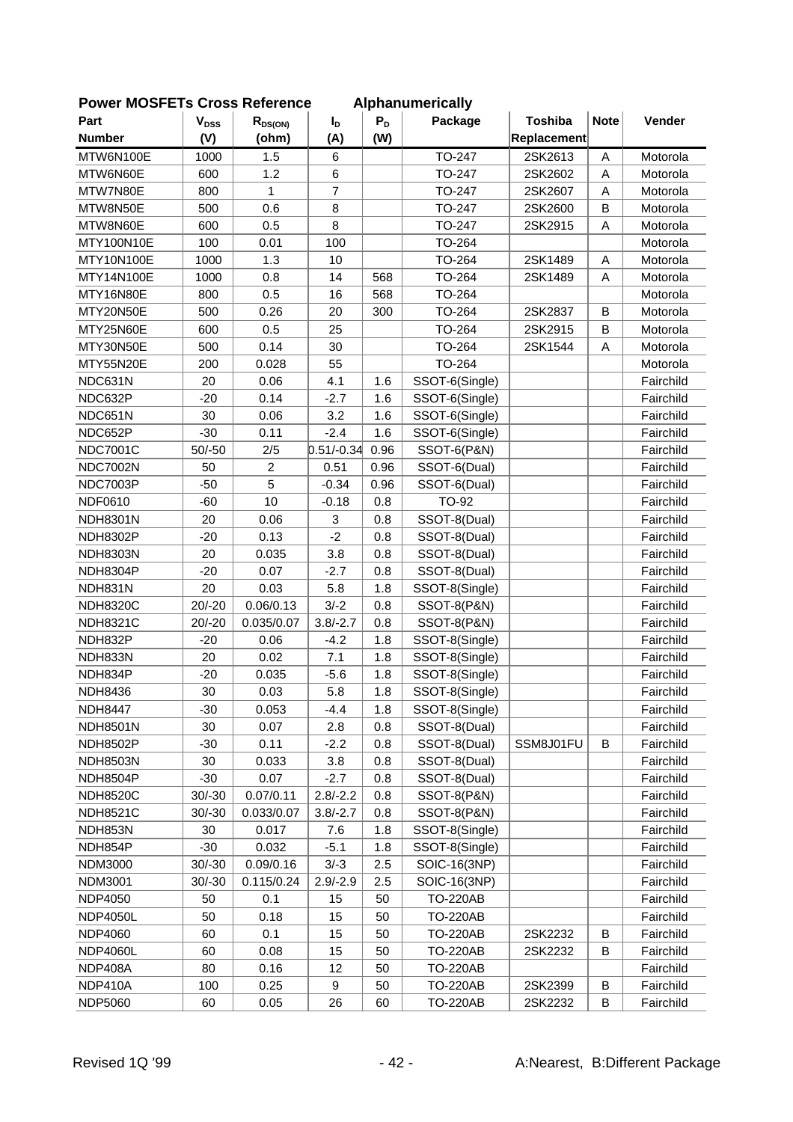| LOMEI IMOOLLIS CIOSS VEIEIEIICE |                           |                |                 |       | Alphanum Chuany        |                |              |           |
|---------------------------------|---------------------------|----------------|-----------------|-------|------------------------|----------------|--------------|-----------|
| Part                            | $\mathbf{V}_{\text{DSS}}$ | $R_{DS(ON)}$   | $I_D$           | $P_D$ | Package                | <b>Toshiba</b> | <b>Note</b>  | Vender    |
| <b>Number</b>                   | (V)                       | (ohm)          | (A)             | (W)   |                        | Replacement    |              |           |
| MTW6N100E                       | 1000                      | 1.5            | $6\phantom{1}6$ |       | TO-247                 | 2SK2613        | $\mathsf{A}$ | Motorola  |
| MTW6N60E                        | 600                       | 1.2            | $\,6$           |       | TO-247                 | 2SK2602        | A            | Motorola  |
| MTW7N80E                        | 800                       | 1              | $\overline{7}$  |       | TO-247                 | 2SK2607        | A            | Motorola  |
| MTW8N50E                        | 500                       | 0.6            | 8               |       | TO-247                 | 2SK2600        | B            | Motorola  |
| MTW8N60E                        | 600                       | 0.5            | 8               |       | TO-247                 | 2SK2915        | A            | Motorola  |
| MTY100N10E                      | 100                       | 0.01           | 100             |       | TO-264                 |                |              | Motorola  |
| MTY10N100E                      | 1000                      | 1.3            | 10              |       | TO-264                 | 2SK1489        | Α            | Motorola  |
| MTY14N100E                      | 1000                      | 0.8            | 14              | 568   | TO-264                 | 2SK1489        | A            | Motorola  |
| MTY16N80E                       | 800                       | 0.5            | 16              | 568   | TO-264                 |                |              | Motorola  |
| MTY20N50E                       | 500                       | 0.26           | 20              | 300   | TO-264                 | 2SK2837        | B            | Motorola  |
| MTY25N60E                       | 600                       | 0.5            | 25              |       | TO-264                 | 2SK2915        | B            | Motorola  |
| MTY30N50E                       | 500                       | 0.14           | 30              |       | TO-264                 | 2SK1544        | A            | Motorola  |
| MTY55N20E                       | 200                       | 0.028          | 55              |       | TO-264                 |                |              | Motorola  |
| NDC631N                         | 20                        | 0.06           | 4.1             | 1.6   | SSOT-6(Single)         |                |              | Fairchild |
| NDC632P                         | $-20$                     | 0.14           | $-2.7$          | 1.6   | SSOT-6(Single)         |                |              | Fairchild |
| NDC651N                         | 30                        | 0.06           | 3.2             | 1.6   | SSOT-6(Single)         |                |              | Fairchild |
| NDC652P                         | $-30$                     | 0.11           | $-2.4$          | 1.6   | SSOT-6(Single)         |                |              | Fairchild |
| <b>NDC7001C</b>                 | $50/-50$                  | 2/5            | $0.51/-0.34$    | 0.96  | SSOT-6(P&N)            |                |              | Fairchild |
| <b>NDC7002N</b>                 | 50                        | $\overline{c}$ | 0.51            | 0.96  | SSOT-6(Dual)           |                |              | Fairchild |
| <b>NDC7003P</b>                 | $-50$                     | 5              | $-0.34$         | 0.96  | SSOT-6(Dual)           |                |              | Fairchild |
| NDF0610                         | $-60$                     | 10             | $-0.18$         | 0.8   | TO-92                  |                |              | Fairchild |
| <b>NDH8301N</b>                 | 20                        | 0.06           | 3               | 0.8   | SSOT-8(Dual)           |                |              | Fairchild |
| <b>NDH8302P</b>                 | $-20$                     | 0.13           | $-2$            | 0.8   | SSOT-8(Dual)           |                |              | Fairchild |
| <b>NDH8303N</b>                 | 20                        | 0.035          | 3.8             | 0.8   | SSOT-8(Dual)           |                |              | Fairchild |
| NDH8304P                        | $-20$                     | 0.07           | $-2.7$          | 0.8   | SSOT-8(Dual)           |                |              | Fairchild |
| NDH831N                         | 20                        | 0.03           | 5.8             | 1.8   | SSOT-8(Single)         |                |              | Fairchild |
| <b>NDH8320C</b>                 | $20/-20$                  | 0.06/0.13      | $3/-2$          | 0.8   | SSOT-8(P&N)            |                |              | Fairchild |
| <b>NDH8321C</b>                 | $20/-20$                  | 0.035/0.07     | $3.8/-2.7$      | 0.8   | <b>SSOT-8(P&amp;N)</b> |                |              | Fairchild |
| NDH832P                         | $-20$                     | 0.06           | $-4.2$          | 1.8   | SSOT-8(Single)         |                |              | Fairchild |
| NDH833N                         | 20                        | 0.02           | 7.1             | 1.8   | SSOT-8(Single)         |                |              | Fairchild |
| NDH834P                         | $-20$                     | 0.035          | $-5.6$          | 1.8   | SSOT-8(Single)         |                |              | Fairchild |
| <b>NDH8436</b>                  | 30                        | 0.03           | 5.8             | 1.8   | SSOT-8(Single)         |                |              | Fairchild |
| <b>NDH8447</b>                  | $-30$                     | 0.053          | $-4.4$          | 1.8   | SSOT-8(Single)         |                |              | Fairchild |
| <b>NDH8501N</b>                 | 30                        | 0.07           | 2.8             | 0.8   | SSOT-8(Dual)           |                |              | Fairchild |
| <b>NDH8502P</b>                 | $-30$                     | 0.11           | $-2.2$          | 0.8   | SSOT-8(Dual)           | SSM8J01FU      | B            | Fairchild |
| <b>NDH8503N</b>                 | 30                        | 0.033          | 3.8             | 0.8   | SSOT-8(Dual)           |                |              | Fairchild |
| <b>NDH8504P</b>                 | $-30$                     | 0.07           | $-2.7$          | 0.8   | SSOT-8(Dual)           |                |              | Fairchild |
| <b>NDH8520C</b>                 | $30/-30$                  | 0.07/0.11      | $2.8/-2.2$      | 0.8   | SSOT-8(P&N)            |                |              | Fairchild |
| <b>NDH8521C</b>                 | $30/-30$                  | 0.033/0.07     | $3.8/-2.7$      | 0.8   | SSOT-8(P&N)            |                |              | Fairchild |
| NDH853N                         | 30                        | 0.017          | 7.6             | 1.8   | SSOT-8(Single)         |                |              | Fairchild |
| NDH854P                         | $-30$                     | 0.032          | $-5.1$          | 1.8   | SSOT-8(Single)         |                |              | Fairchild |
| <b>NDM3000</b>                  | $30/-30$                  | 0.09/0.16      | $3/-3$          | 2.5   | SOIC-16(3NP)           |                |              | Fairchild |
| <b>NDM3001</b>                  | $30/-30$                  | 0.115/0.24     | $2.9/-2.9$      | 2.5   | SOIC-16(3NP)           |                |              | Fairchild |
| <b>NDP4050</b>                  | 50                        | 0.1            | 15              | 50    | <b>TO-220AB</b>        |                |              | Fairchild |
| <b>NDP4050L</b>                 | 50                        | 0.18           | 15              | 50    | <b>TO-220AB</b>        |                |              | Fairchild |
| <b>NDP4060</b>                  | 60                        | 0.1            | 15              | 50    | <b>TO-220AB</b>        | 2SK2232        | B            | Fairchild |
| <b>NDP4060L</b>                 | 60                        | 0.08           | 15              | 50    | <b>TO-220AB</b>        | 2SK2232        | В            | Fairchild |
| NDP408A                         | 80                        | 0.16           | 12              | 50    | <b>TO-220AB</b>        |                |              | Fairchild |
| NDP410A                         | 100                       | 0.25           | 9               | 50    | <b>TO-220AB</b>        | 2SK2399        | B            | Fairchild |
| <b>NDP5060</b>                  | 60                        | 0.05           | 26              | 60    | <b>TO-220AB</b>        | 2SK2232        | В            | Fairchild |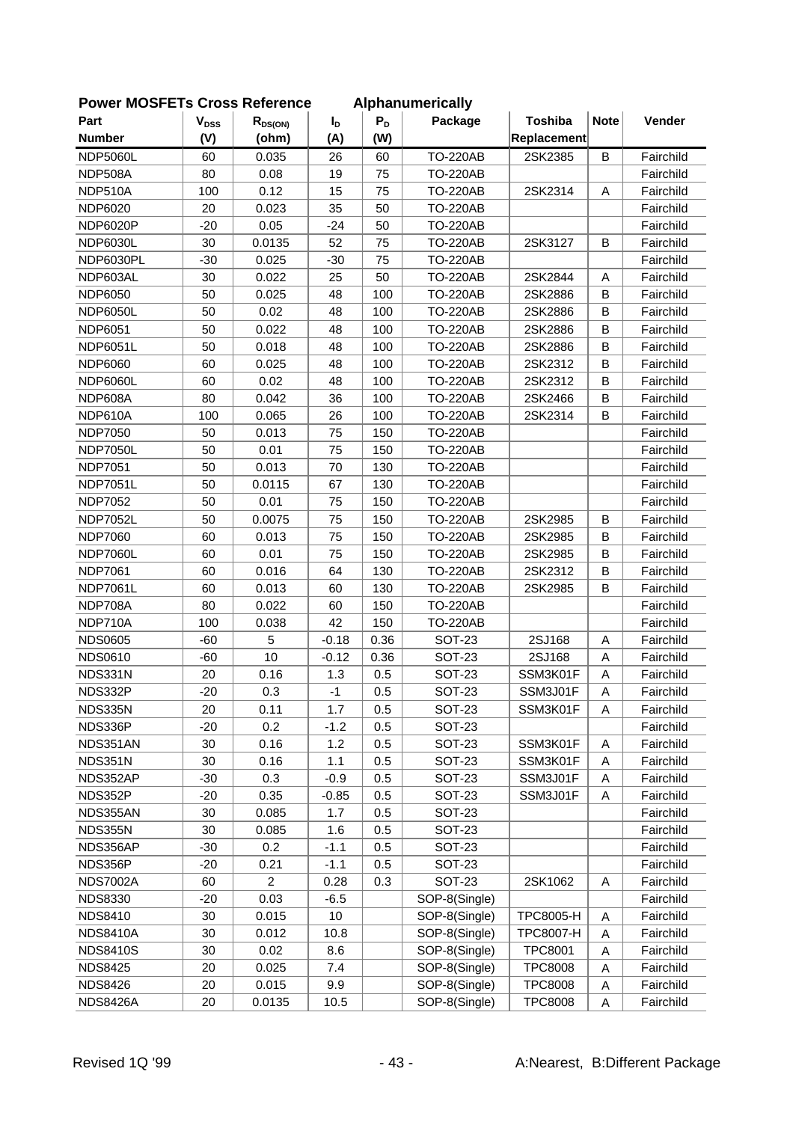| <b>FUWEI INIUSFETS CIUSS REIEIEIICE</b> |                           |                         |                |       | Alphanumencally |                  |             |           |
|-----------------------------------------|---------------------------|-------------------------|----------------|-------|-----------------|------------------|-------------|-----------|
| Part                                    | $\mathbf{V}_{\text{DSS}}$ | $R_{DS(ON)}$            | I <sub>D</sub> | $P_D$ | Package         | <b>Toshiba</b>   | <b>Note</b> | Vender    |
| <b>Number</b>                           | (V)                       | (ohm)                   | (A)            | (W)   |                 | Replacement      |             |           |
| <b>NDP5060L</b>                         | 60                        | 0.035                   | 26             | 60    | <b>TO-220AB</b> | 2SK2385          | B           | Fairchild |
| NDP508A                                 | 80                        | 0.08                    | 19             | 75    | <b>TO-220AB</b> |                  |             | Fairchild |
| NDP510A                                 | 100                       | 0.12                    | 15             | 75    | <b>TO-220AB</b> | 2SK2314          | A           | Fairchild |
| NDP6020                                 | 20                        | 0.023                   | 35             | 50    | <b>TO-220AB</b> |                  |             | Fairchild |
| <b>NDP6020P</b>                         | $-20$                     | 0.05                    | $-24$          | 50    | <b>TO-220AB</b> |                  |             | Fairchild |
| <b>NDP6030L</b>                         | 30                        | 0.0135                  | 52             | 75    | <b>TO-220AB</b> | 2SK3127          | B           | Fairchild |
| NDP6030PL                               | $-30$                     | 0.025                   | $-30$          | 75    | <b>TO-220AB</b> |                  |             | Fairchild |
| NDP603AL                                | 30                        | 0.022                   | 25             | 50    | <b>TO-220AB</b> | 2SK2844          | A           | Fairchild |
| <b>NDP6050</b>                          | 50                        | 0.025                   | 48             | 100   | <b>TO-220AB</b> | 2SK2886          | B           | Fairchild |
| NDP6050L                                | 50                        | 0.02                    | 48             | 100   | <b>TO-220AB</b> | 2SK2886          | B           | Fairchild |
| <b>NDP6051</b>                          | 50                        | 0.022                   | 48             | 100   | <b>TO-220AB</b> | 2SK2886          | B           | Fairchild |
| <b>NDP6051L</b>                         | 50                        | 0.018                   | 48             | 100   | <b>TO-220AB</b> | 2SK2886          | B           | Fairchild |
| <b>NDP6060</b>                          | 60                        | 0.025                   | 48             | 100   | <b>TO-220AB</b> | 2SK2312          | B           | Fairchild |
| NDP6060L                                | 60                        | 0.02                    | 48             | 100   | <b>TO-220AB</b> | 2SK2312          | B           | Fairchild |
| NDP608A                                 | 80                        | 0.042                   | 36             | 100   | <b>TO-220AB</b> | 2SK2466          | B           | Fairchild |
| NDP610A                                 | 100                       | 0.065                   | 26             | 100   | <b>TO-220AB</b> | 2SK2314          | B           | Fairchild |
| <b>NDP7050</b>                          | 50                        | 0.013                   | 75             | 150   | <b>TO-220AB</b> |                  |             | Fairchild |
| <b>NDP7050L</b>                         | 50                        | 0.01                    | 75             | 150   | <b>TO-220AB</b> |                  |             | Fairchild |
| <b>NDP7051</b>                          | 50                        | 0.013                   | 70             | 130   | <b>TO-220AB</b> |                  |             | Fairchild |
| <b>NDP7051L</b>                         | 50                        | 0.0115                  | 67             | 130   | <b>TO-220AB</b> |                  |             | Fairchild |
| <b>NDP7052</b>                          | 50                        | 0.01                    | 75             | 150   | <b>TO-220AB</b> |                  |             | Fairchild |
| <b>NDP7052L</b>                         | 50                        | 0.0075                  | 75             | 150   | <b>TO-220AB</b> | 2SK2985          | B           | Fairchild |
| <b>NDP7060</b>                          | 60                        | 0.013                   | 75             | 150   | <b>TO-220AB</b> | 2SK2985          | B           | Fairchild |
| NDP7060L                                | 60                        | 0.01                    | 75             | 150   | <b>TO-220AB</b> | 2SK2985          | B           | Fairchild |
| <b>NDP7061</b>                          | 60                        | 0.016                   | 64             | 130   | <b>TO-220AB</b> | 2SK2312          | B           | Fairchild |
| <b>NDP7061L</b>                         | 60                        | 0.013                   | 60             | 130   | <b>TO-220AB</b> | 2SK2985          | B           | Fairchild |
| NDP708A                                 | 80                        | 0.022                   | 60             | 150   | <b>TO-220AB</b> |                  |             | Fairchild |
| NDP710A                                 | 100                       | 0.038                   | 42             | 150   | <b>TO-220AB</b> |                  |             | Fairchild |
| <b>NDS0605</b>                          | $-60$                     | 5                       | $-0.18$        | 0.36  | <b>SOT-23</b>   | 2SJ168           | Α           | Fairchild |
| <b>NDS0610</b>                          | $-60$                     | 10                      | $-0.12$        | 0.36  | <b>SOT-23</b>   | 2SJ168           | Α           | Fairchild |
| NDS331N                                 | 20                        | 0.16                    | 1.3            | 0.5   | <b>SOT-23</b>   | SSM3K01F         | Α           | Fairchild |
| NDS332P                                 | $-20$                     | 0.3                     | $-1$           | 0.5   | <b>SOT-23</b>   | SSM3J01F         | Α           | Fairchild |
| NDS335N                                 | 20                        | 0.11                    | 1.7            | 0.5   | <b>SOT-23</b>   | SSM3K01F         | Α           | Fairchild |
| NDS336P                                 | $-20$                     | 0.2                     | $-1.2$         | 0.5   | <b>SOT-23</b>   |                  |             | Fairchild |
| NDS351AN                                | 30                        | 0.16                    | 1.2            | 0.5   | <b>SOT-23</b>   | SSM3K01F         | Α           | Fairchild |
| <b>NDS351N</b>                          | 30                        | 0.16                    | 1.1            | 0.5   | <b>SOT-23</b>   | SSM3K01F         | Α           | Fairchild |
| NDS352AP                                | $-30$                     | 0.3                     | $-0.9$         | 0.5   | <b>SOT-23</b>   | SSM3J01F         | Α           | Fairchild |
| NDS352P                                 | $-20$                     | 0.35                    | $-0.85$        | 0.5   | <b>SOT-23</b>   | SSM3J01F         | Α           | Fairchild |
| NDS355AN                                | 30                        | 0.085                   | 1.7            | 0.5   | <b>SOT-23</b>   |                  |             | Fairchild |
| <b>NDS355N</b>                          | 30                        | 0.085                   | 1.6            | 0.5   | <b>SOT-23</b>   |                  |             | Fairchild |
| NDS356AP                                | $-30$                     | 0.2                     | $-1.1$         | 0.5   | <b>SOT-23</b>   |                  |             | Fairchild |
| NDS356P                                 | $-20$                     | 0.21                    | $-1.1$         | 0.5   | <b>SOT-23</b>   |                  |             | Fairchild |
| <b>NDS7002A</b>                         | 60                        | $\overline{\mathbf{c}}$ | 0.28           | 0.3   | <b>SOT-23</b>   | 2SK1062          | Α           | Fairchild |
| <b>NDS8330</b>                          | $-20$                     | 0.03                    | $-6.5$         |       | SOP-8(Single)   |                  |             | Fairchild |
| <b>NDS8410</b>                          | 30                        | 0.015                   | 10             |       | SOP-8(Single)   | <b>TPC8005-H</b> | A           | Fairchild |
| <b>NDS8410A</b>                         | 30                        | 0.012                   | 10.8           |       | SOP-8(Single)   | <b>TPC8007-H</b> |             | Fairchild |
| <b>NDS8410S</b>                         | 30                        | 0.02                    | 8.6            |       | SOP-8(Single)   | <b>TPC8001</b>   | Α           | Fairchild |
|                                         |                           |                         |                |       |                 |                  | А           |           |
| <b>NDS8425</b>                          | 20                        | 0.025                   | 7.4            |       | SOP-8(Single)   | <b>TPC8008</b>   | Α           | Fairchild |
| <b>NDS8426</b>                          | 20                        | 0.015                   | 9.9            |       | SOP-8(Single)   | <b>TPC8008</b>   | Α           | Fairchild |
| <b>NDS8426A</b>                         | 20                        | 0.0135                  | 10.5           |       | SOP-8(Single)   | <b>TPC8008</b>   | А           | Fairchild |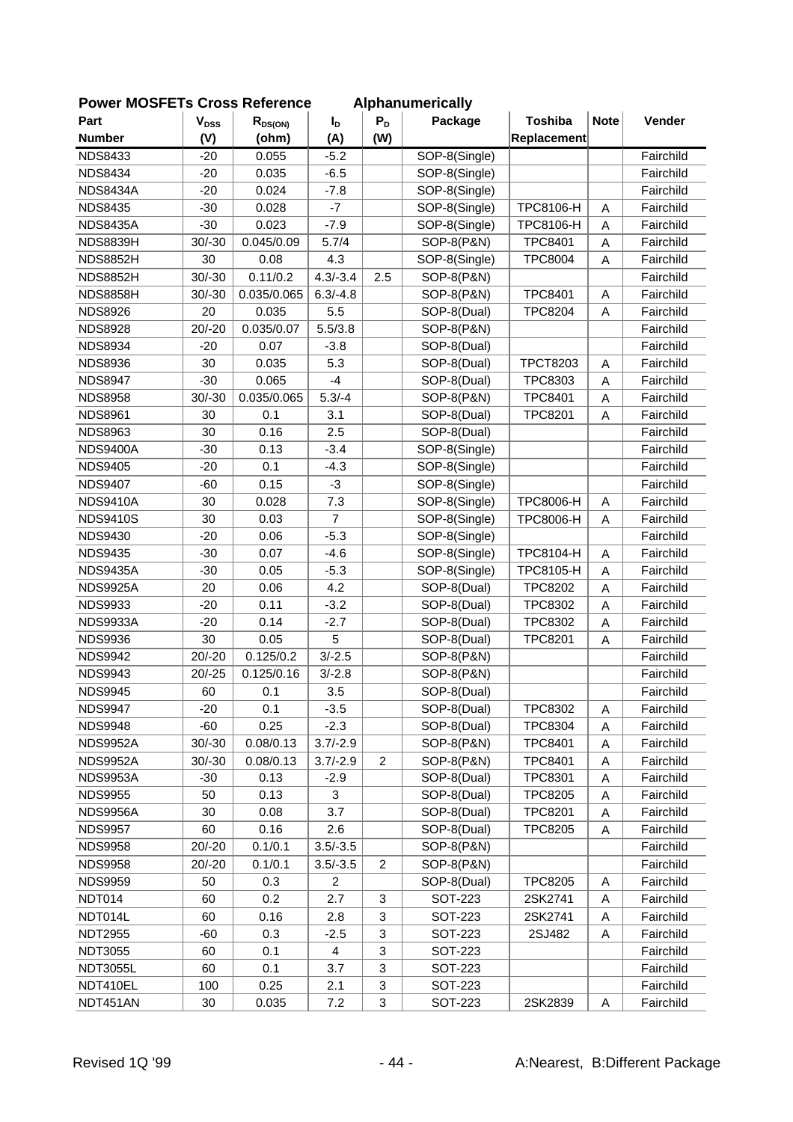| <b>FUWEI MUSFETS CROSS REIGIGILGE</b> |                           |              |                  |                           | Alphanumencally |                  |                         |           |
|---------------------------------------|---------------------------|--------------|------------------|---------------------------|-----------------|------------------|-------------------------|-----------|
| Part                                  | $\mathbf{V}_{\text{DSS}}$ | $R_{DS(ON)}$ | $I_D$            | $P_D$                     | Package         | <b>Toshiba</b>   | <b>Note</b>             | Vender    |
| <b>Number</b>                         | (V)                       | (ohm)        | (A)              | (W)                       |                 | Replacement      |                         |           |
| <b>NDS8433</b>                        | $-20$                     | 0.055        | $-5.2$           |                           | SOP-8(Single)   |                  |                         | Fairchild |
| <b>NDS8434</b>                        | $-20$                     | 0.035        | $-6.5$           |                           | SOP-8(Single)   |                  |                         | Fairchild |
| <b>NDS8434A</b>                       | $-20$                     | 0.024        | $-7.8$           |                           | SOP-8(Single)   |                  |                         | Fairchild |
| <b>NDS8435</b>                        | $-30$                     | 0.028        | $-7$             |                           | SOP-8(Single)   | TPC8106-H        | A                       | Fairchild |
| <b>NDS8435A</b>                       | $-30$                     | 0.023        | $-7.9$           |                           | SOP-8(Single)   | TPC8106-H        | A                       | Fairchild |
| <b>NDS8839H</b>                       | $30/-30$                  | 0.045/0.09   | 5.7/4            |                           | SOP-8(P&N)      | <b>TPC8401</b>   | A                       | Fairchild |
| <b>NDS8852H</b>                       | 30                        | 0.08         | 4.3              |                           | SOP-8(Single)   | <b>TPC8004</b>   | A                       | Fairchild |
| <b>NDS8852H</b>                       | $30/-30$                  | 0.11/0.2     | $4.3/-3.4$       | 2.5                       | SOP-8(P&N)      |                  |                         | Fairchild |
| <b>NDS8858H</b>                       | $30/-30$                  | 0.035/0.065  | $6.3/-4.8$       |                           | SOP-8(P&N)      | <b>TPC8401</b>   | A                       | Fairchild |
| <b>NDS8926</b>                        | 20                        | 0.035        | 5.5              |                           | SOP-8(Dual)     | <b>TPC8204</b>   | A                       | Fairchild |
| <b>NDS8928</b>                        | $20/-20$                  | 0.035/0.07   | 5.5/3.8          |                           | SOP-8(P&N)      |                  |                         | Fairchild |
| <b>NDS8934</b>                        | $-20$                     | 0.07         | $-3.8$           |                           | SOP-8(Dual)     |                  |                         | Fairchild |
| <b>NDS8936</b>                        | 30                        | 0.035        | 5.3              |                           | SOP-8(Dual)     | <b>TPCT8203</b>  | A                       | Fairchild |
| <b>NDS8947</b>                        | $-30$                     | 0.065        | $-4$             |                           | SOP-8(Dual)     | TPC8303          | A                       | Fairchild |
| <b>NDS8958</b>                        | $30/-30$                  | 0.035/0.065  | $5.3/-4$         |                           | SOP-8(P&N)      | <b>TPC8401</b>   | A                       | Fairchild |
| <b>NDS8961</b>                        | 30                        | 0.1          | 3.1              |                           | SOP-8(Dual)     | <b>TPC8201</b>   | A                       | Fairchild |
| <b>NDS8963</b>                        | 30                        | 0.16         | 2.5              |                           | SOP-8(Dual)     |                  |                         | Fairchild |
| <b>NDS9400A</b>                       | $-30$                     | 0.13         | $-3.4$           |                           | SOP-8(Single)   |                  |                         | Fairchild |
| <b>NDS9405</b>                        | $-20$                     | 0.1          | $-4.3$           |                           | SOP-8(Single)   |                  |                         | Fairchild |
| <b>NDS9407</b>                        | $-60$                     | 0.15         | $-3$             |                           | SOP-8(Single)   |                  |                         | Fairchild |
| <b>NDS9410A</b>                       | 30                        | 0.028        | 7.3              |                           | SOP-8(Single)   | <b>TPC8006-H</b> | Α                       | Fairchild |
| <b>NDS9410S</b>                       | 30                        | 0.03         | $\overline{7}$   |                           | SOP-8(Single)   | TPC8006-H        | A                       | Fairchild |
| <b>NDS9430</b>                        | $-20$                     | 0.06         | $-5.3$           |                           | SOP-8(Single)   |                  |                         | Fairchild |
| <b>NDS9435</b>                        | $-30$                     | 0.07         | $-4.6$           |                           | SOP-8(Single)   | TPC8104-H        | A                       | Fairchild |
| <b>NDS9435A</b>                       | $-30$                     | 0.05         | $-5.3$           |                           | SOP-8(Single)   | TPC8105-H        | A                       | Fairchild |
| <b>NDS9925A</b>                       | 20                        | 0.06         | 4.2              |                           | SOP-8(Dual)     | <b>TPC8202</b>   | $\overline{\mathsf{A}}$ | Fairchild |
| <b>NDS9933</b>                        | $-20$                     | 0.11         | $-3.2$           |                           | SOP-8(Dual)     | <b>TPC8302</b>   | A                       | Fairchild |
| <b>NDS9933A</b>                       | $-20$                     | 0.14         | $-2.7$           |                           | SOP-8(Dual)     | TPC8302          | A                       | Fairchild |
| <b>NDS9936</b>                        | 30                        | 0.05         | 5                |                           | SOP-8(Dual)     | <b>TPC8201</b>   | A                       | Fairchild |
| <b>NDS9942</b>                        | $20/-20$                  | 0.125/0.2    | $3/-2.5$         |                           | SOP-8(P&N)      |                  |                         | Fairchild |
| <b>NDS9943</b>                        | $20/-25$                  | 0.125/0.16   | $3/-2.8$         |                           | SOP-8(P&N)      |                  |                         | Fairchild |
| <b>NDS9945</b>                        | 60                        | 0.1          | 3.5              |                           | SOP-8(Dual)     |                  |                         | Fairchild |
| <b>NDS9947</b>                        | $-20$                     | 0.1          | $-3.5$           |                           | SOP-8(Dual)     | TPC8302          | Α                       | Fairchild |
| <b>NDS9948</b>                        | $-60$                     | 0.25         | $-2.3$           |                           | SOP-8(Dual)     | TPC8304          | A                       | Fairchild |
| <b>NDS9952A</b>                       | $30/-30$                  | 0.08/0.13    | $3.7/-2.9$       |                           | SOP-8(P&N)      | <b>TPC8401</b>   | A                       | Fairchild |
| <b>NDS9952A</b>                       | $30/-30$                  | 0.08/0.13    | $3.7/-2.9$       | $\overline{2}$            | SOP-8(P&N)      | <b>TPC8401</b>   | Α                       | Fairchild |
| <b>NDS9953A</b>                       | $-30$                     | 0.13         | $-2.9$           |                           | SOP-8(Dual)     | TPC8301          |                         | Fairchild |
| <b>NDS9955</b>                        | 50                        | 0.13         | 3                |                           | SOP-8(Dual)     | <b>TPC8205</b>   | Α                       | Fairchild |
| <b>NDS9956A</b>                       | 30                        | 0.08         | 3.7              |                           | SOP-8(Dual)     | <b>TPC8201</b>   | A                       | Fairchild |
|                                       | 60                        |              | 2.6              |                           |                 |                  | Α                       |           |
| <b>NDS9957</b>                        |                           | 0.16         |                  |                           | SOP-8(Dual)     | <b>TPC8205</b>   | Α                       | Fairchild |
| <b>NDS9958</b>                        | $20/-20$                  | 0.1/0.1      | $3.5/-3.5$       |                           | SOP-8(P&N)      |                  |                         | Fairchild |
| <b>NDS9958</b>                        | $20/-20$                  | 0.1/0.1      | $3.5/-3.5$       | $\overline{c}$            | SOP-8(P&N)      |                  |                         | Fairchild |
| <b>NDS9959</b>                        | 50                        | 0.3          | $\boldsymbol{2}$ |                           | SOP-8(Dual)     | <b>TPC8205</b>   | Α                       | Fairchild |
| NDT014                                | 60                        | 0.2          | 2.7              | $\ensuremath{\mathsf{3}}$ | <b>SOT-223</b>  | 2SK2741          | A                       | Fairchild |
| NDT014L                               | 60                        | 0.16         | 2.8              | $\ensuremath{\mathsf{3}}$ | <b>SOT-223</b>  | 2SK2741          | Α                       | Fairchild |
| <b>NDT2955</b>                        | $-60$                     | 0.3          | $-2.5$           | $\ensuremath{\mathsf{3}}$ | <b>SOT-223</b>  | 2SJ482           | Α                       | Fairchild |
| <b>NDT3055</b>                        | 60                        | 0.1          | 4                | $\ensuremath{\mathsf{3}}$ | <b>SOT-223</b>  |                  |                         | Fairchild |
| <b>NDT3055L</b>                       | 60                        | 0.1          | 3.7              | $\ensuremath{\mathsf{3}}$ | <b>SOT-223</b>  |                  |                         | Fairchild |
| NDT410EL                              | 100                       | 0.25         | 2.1              | 3                         | <b>SOT-223</b>  |                  |                         | Fairchild |
| NDT451AN                              | $30\,$                    | 0.035        | 7.2              | $\mathbf 3$               | <b>SOT-223</b>  | 2SK2839          | A                       | Fairchild |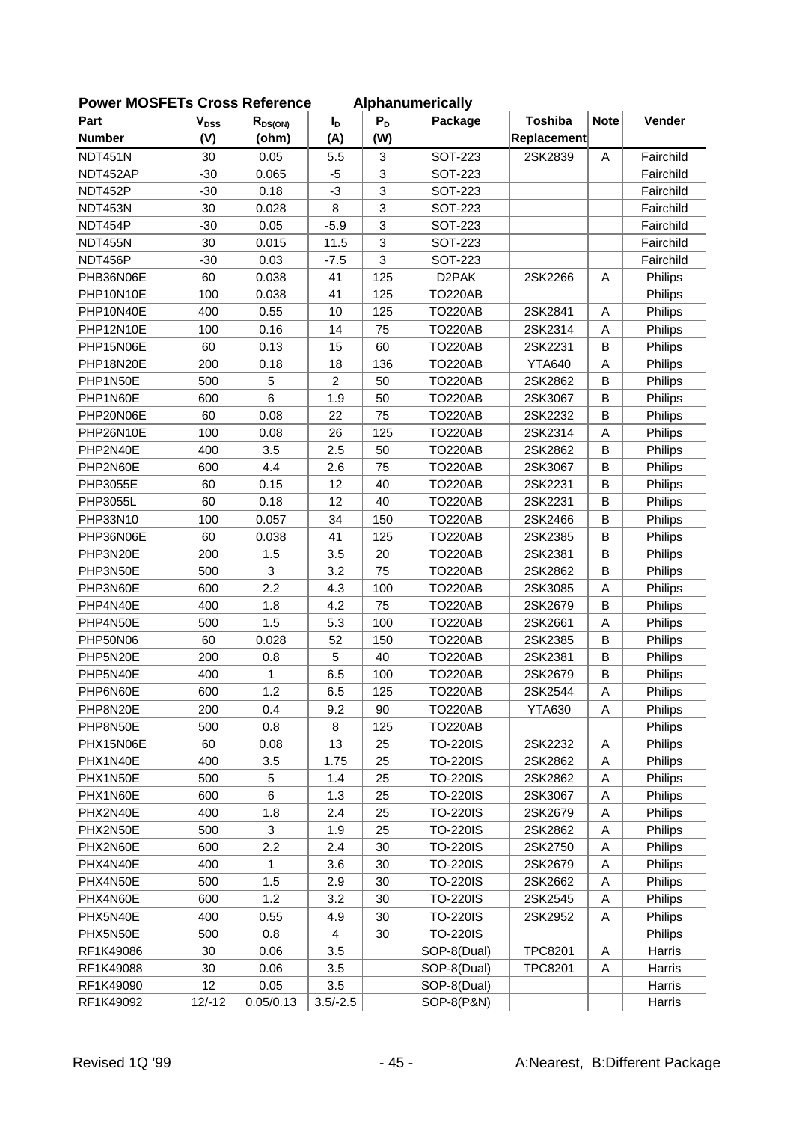| POWER MUSFETS CROSS RETERENCE |                        |              |                |                           | Alphanumerically   |                |             |           |
|-------------------------------|------------------------|--------------|----------------|---------------------------|--------------------|----------------|-------------|-----------|
| Part                          | <b>V<sub>DSS</sub></b> | $R_{DS(ON)}$ | $I_{\text{D}}$ | $P_D$                     | Package            | <b>Toshiba</b> | <b>Note</b> | Vender    |
| <b>Number</b>                 | (V)                    | (ohm)        | (A)            | (W)                       |                    | Replacement    |             |           |
| NDT451N                       | 30                     | 0.05         | 5.5            | 3                         | <b>SOT-223</b>     | 2SK2839        | A           | Fairchild |
| NDT452AP                      | $-30$                  | 0.065        | $-5$           | 3                         | <b>SOT-223</b>     |                |             | Fairchild |
| NDT452P                       | $-30$                  | 0.18         | $-3$           | 3                         | <b>SOT-223</b>     |                |             | Fairchild |
| NDT453N                       | 30                     | 0.028        | 8              | $\ensuremath{\mathsf{3}}$ | SOT-223            |                |             | Fairchild |
| NDT454P                       | $-30$                  | 0.05         | $-5.9$         | 3                         | SOT-223            |                |             | Fairchild |
| NDT455N                       | 30                     | 0.015        | 11.5           | 3                         | SOT-223            |                |             | Fairchild |
| NDT456P                       | $-30$                  | 0.03         | $-7.5$         | 3                         | SOT-223            |                |             | Fairchild |
| PHB36N06E                     | 60                     | 0.038        | 41             | 125                       | D <sub>2</sub> PAK | 2SK2266        | Α           | Philips   |
| PHP10N10E                     | 100                    | 0.038        | 41             | 125                       | <b>TO220AB</b>     |                |             | Philips   |
| PHP10N40E                     | 400                    | 0.55         | 10             | 125                       | <b>TO220AB</b>     | 2SK2841        | Α           | Philips   |
| PHP12N10E                     | 100                    | 0.16         | 14             | 75                        | <b>TO220AB</b>     | 2SK2314        | Α           | Philips   |
| PHP15N06E                     | 60                     | 0.13         | 15             | 60                        | <b>TO220AB</b>     | 2SK2231        | B           | Philips   |
| PHP18N20E                     | 200                    | 0.18         | 18             | 136                       | <b>TO220AB</b>     | <b>YTA640</b>  | A           | Philips   |
| PHP1N50E                      | 500                    | $\mathbf 5$  | $\overline{c}$ | 50                        | <b>TO220AB</b>     | 2SK2862        | B           | Philips   |
| PHP1N60E                      | 600                    | 6            | 1.9            | 50                        | <b>TO220AB</b>     | 2SK3067        | B           | Philips   |
| PHP20N06E                     | 60                     | 0.08         | 22             | 75                        | <b>TO220AB</b>     | 2SK2232        | B           | Philips   |
| PHP26N10E                     | 100                    | 0.08         | 26             | 125                       | <b>TO220AB</b>     | 2SK2314        | A           | Philips   |
| PHP2N40E                      | 400                    | 3.5          | 2.5            | 50                        | <b>TO220AB</b>     | 2SK2862        | $\sf B$     | Philips   |
| PHP2N60E                      | 600                    | 4.4          | 2.6            | 75                        | <b>TO220AB</b>     | 2SK3067        | B           | Philips   |
| <b>PHP3055E</b>               | 60                     | 0.15         | 12             | 40                        | <b>TO220AB</b>     | 2SK2231        | B           | Philips   |
| <b>PHP3055L</b>               | 60                     | 0.18         | 12             | 40                        | <b>TO220AB</b>     | 2SK2231        | B           | Philips   |
| PHP33N10                      | 100                    | 0.057        | 34             | 150                       | <b>TO220AB</b>     | 2SK2466        | B           | Philips   |
| PHP36N06E                     | 60                     | 0.038        | 41             | 125                       | <b>TO220AB</b>     | 2SK2385        | B           | Philips   |
| PHP3N20E                      | 200                    | 1.5          | 3.5            | 20                        | <b>TO220AB</b>     | 2SK2381        | $\sf B$     | Philips   |
| PHP3N50E                      | 500                    | 3            | 3.2            | 75                        | <b>TO220AB</b>     | 2SK2862        | B           | Philips   |
| PHP3N60E                      | 600                    | 2.2          | 4.3            | 100                       | <b>TO220AB</b>     | 2SK3085        | A           | Philips   |
| PHP4N40E                      | 400                    | 1.8          | 4.2            | 75                        | <b>TO220AB</b>     | 2SK2679        | B           | Philips   |
| PHP4N50E                      | 500                    | 1.5          | 5.3            | 100                       | <b>TO220AB</b>     | 2SK2661        | A           | Philips   |
| <b>PHP50N06</b>               | 60                     | 0.028        | 52             | 150                       | <b>TO220AB</b>     | 2SK2385        | B           | Philips   |
| PHP5N20E                      | 200                    | 0.8          | 5              | 40                        | <b>TO220AB</b>     | 2SK2381        | $\sf B$     | Philips   |
| PHP5N40E                      | 400                    | 1            | 6.5            | 100                       | <b>TO220AB</b>     | 2SK2679        | B           | Philips   |
| PHP6N60E                      | 600                    | 1.2          | 6.5            | 125                       | <b>TO220AB</b>     | 2SK2544        | A           | Philips   |
| PHP8N20E                      | 200                    | 0.4          | 9.2            | 90                        | <b>TO220AB</b>     | <b>YTA630</b>  | Α           | Philips   |
| PHP8N50E                      | 500                    | 0.8          | 8              | 125                       | <b>TO220AB</b>     |                |             | Philips   |
| PHX15N06E                     | 60                     | 0.08         | 13             | 25                        | <b>TO-220IS</b>    | 2SK2232        | Α           | Philips   |
| PHX1N40E                      | 400                    | 3.5          | 1.75           | 25                        | <b>TO-220IS</b>    | 2SK2862        | Α           | Philips   |
| PHX1N50E                      | 500                    | 5            | 1.4            | 25                        | <b>TO-220IS</b>    | 2SK2862        | Α           | Philips   |
| PHX1N60E                      | 600                    | 6            | 1.3            | 25                        | <b>TO-220IS</b>    | 2SK3067        | Α           | Philips   |
| PHX2N40E                      | 400                    | 1.8          | 2.4            | 25                        | <b>TO-220IS</b>    | 2SK2679        | Α           | Philips   |
| PHX2N50E                      | 500                    | 3            | 1.9            | 25                        | <b>TO-220IS</b>    | 2SK2862        | A           | Philips   |
| PHX2N60E                      | 600                    | 2.2          | 2.4            | 30                        | <b>TO-220IS</b>    | 2SK2750        | Α           | Philips   |
| PHX4N40E                      | 400                    | 1            | 3.6            | 30                        | <b>TO-220IS</b>    | 2SK2679        | Α           | Philips   |
| PHX4N50E                      | 500                    | 1.5          | 2.9            | 30                        | <b>TO-220IS</b>    | 2SK2662        | Α           | Philips   |
| PHX4N60E                      | 600                    | 1.2          | 3.2            | 30                        | <b>TO-220IS</b>    | 2SK2545        | Α           | Philips   |
| PHX5N40E                      | 400                    | 0.55         | 4.9            | 30                        | <b>TO-220IS</b>    | 2SK2952        | Α           | Philips   |
| PHX5N50E                      | 500                    | 0.8          | 4              | 30                        | <b>TO-220IS</b>    |                |             | Philips   |
| RF1K49086                     | 30                     | 0.06         | 3.5            |                           | SOP-8(Dual)        | TPC8201        | A           | Harris    |
| RF1K49088                     | 30                     | 0.06         | 3.5            |                           | SOP-8(Dual)        | TPC8201        | Α           | Harris    |
| RF1K49090                     | 12                     | 0.05         | 3.5            |                           | SOP-8(Dual)        |                |             | Harris    |
| RF1K49092                     | $12/-12$               | 0.05/0.13    | $3.5/-2.5$     |                           | SOP-8(P&N)         |                |             | Harris    |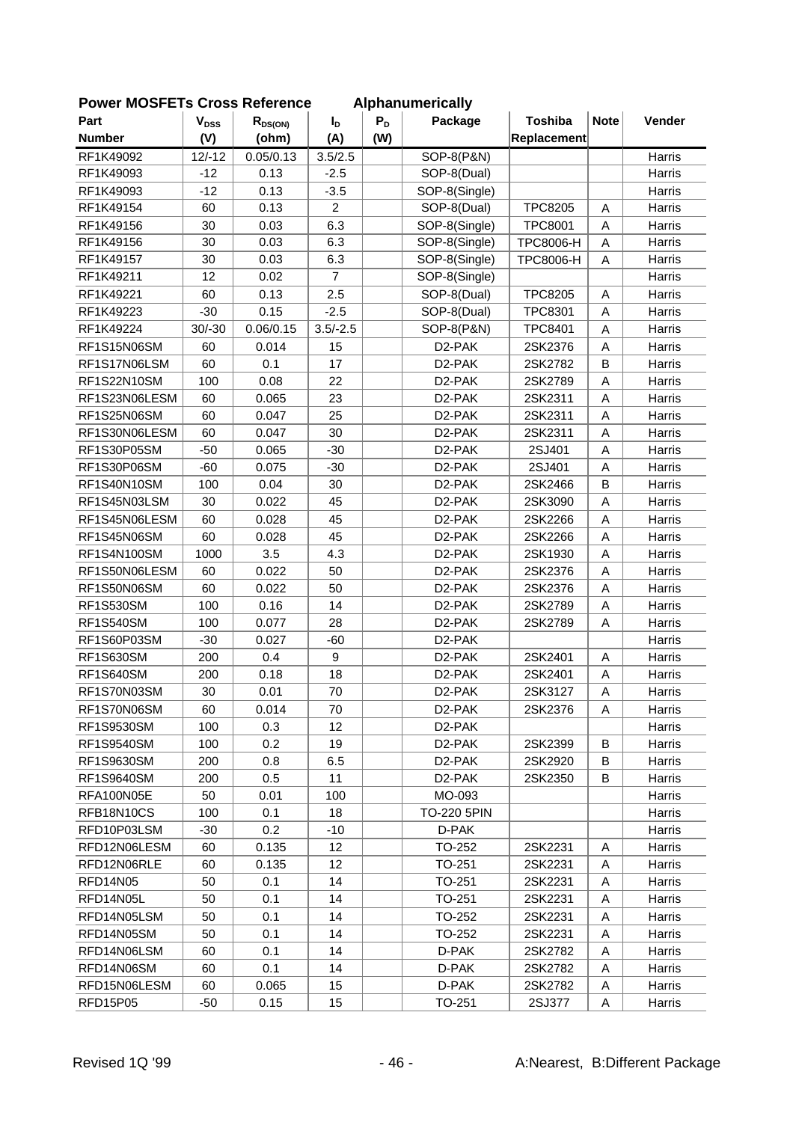| טו⊾ וט∪ווס       |                        | 099 INGIQI GIIVG |                |       | Alphanumuruumy      | <b>Toshiba</b>   | <b>Note</b> |               |
|------------------|------------------------|------------------|----------------|-------|---------------------|------------------|-------------|---------------|
| Part             | <b>V<sub>DSS</sub></b> | $R_{DS(ON)}$     | I <sub>D</sub> | $P_D$ | Package             |                  |             | Vender        |
| <b>Number</b>    | (V)                    | (ohm)            | (A)            | (W)   |                     | Replacement      |             |               |
| RF1K49092        | $12/-12$               | 0.05/0.13        | 3.5/2.5        |       | SOP-8(P&N)          |                  |             | Harris        |
| RF1K49093        | $-12$                  | 0.13             | $-2.5$         |       | SOP-8(Dual)         |                  |             | Harris        |
| RF1K49093        | $-12$                  | 0.13             | $-3.5$         |       | SOP-8(Single)       |                  |             | Harris        |
| RF1K49154        | 60                     | 0.13             | $\overline{2}$ |       | SOP-8(Dual)         | <b>TPC8205</b>   | Α           | Harris        |
| RF1K49156        | 30                     | 0.03             | 6.3            |       | SOP-8(Single)       | <b>TPC8001</b>   | A           | Harris        |
| RF1K49156        | 30                     | 0.03             | 6.3            |       | SOP-8(Single)       | <b>TPC8006-H</b> | Α           | Harris        |
| RF1K49157        | 30                     | 0.03             | 6.3            |       | SOP-8(Single)       | <b>TPC8006-H</b> | Α           | Harris        |
| RF1K49211        | 12                     | 0.02             | $\overline{7}$ |       | SOP-8(Single)       |                  |             | Harris        |
| RF1K49221        | 60                     | 0.13             | 2.5            |       | SOP-8(Dual)         | <b>TPC8205</b>   | Α           | Harris        |
| RF1K49223        | $-30$                  | 0.15             | $-2.5$         |       | SOP-8(Dual)         | <b>TPC8301</b>   | Α           | Harris        |
| RF1K49224        | $30/-30$               | 0.06/0.15        | $3.5/-2.5$     |       | SOP-8(P&N)          | <b>TPC8401</b>   | A           | Harris        |
| RF1S15N06SM      | 60                     | 0.014            | 15             |       | D <sub>2</sub> -PAK | 2SK2376          | Α           | Harris        |
| RF1S17N06LSM     | 60                     | 0.1              | 17             |       | D <sub>2</sub> -PAK | 2SK2782          | B           | Harris        |
| RF1S22N10SM      | 100                    | 0.08             | 22             |       | D <sub>2</sub> -PAK | 2SK2789          | Α           | Harris        |
| RF1S23N06LESM    | 60                     | 0.065            | 23             |       | D2-PAK              | 2SK2311          | A           | Harris        |
| RF1S25N06SM      | 60                     | 0.047            | 25             |       | D2-PAK              | 2SK2311          | A           | Harris        |
| RF1S30N06LESM    | 60                     | 0.047            | 30             |       | D2-PAK              | 2SK2311          | A           | Harris        |
| RF1S30P05SM      | $-50$                  | 0.065            | $-30$          |       | D2-PAK              | 2SJ401           | A           | Harris        |
| RF1S30P06SM      | $-60$                  | 0.075            | $-30$          |       | D <sub>2</sub> -PAK | 2SJ401           | Α           | Harris        |
| RF1S40N10SM      | 100                    | 0.04             | 30             |       | D2-PAK              | 2SK2466          | B           | Harris        |
| RF1S45N03LSM     | 30                     | 0.022            | 45             |       | D2-PAK              | 2SK3090          | A           | Harris        |
| RF1S45N06LESM    | 60                     | 0.028            | 45             |       | D <sub>2</sub> -PAK | 2SK2266          | Α           | Harris        |
| RF1S45N06SM      | 60                     | 0.028            | 45             |       | D <sub>2</sub> -PAK | 2SK2266          | A           | Harris        |
| RF1S4N100SM      | 1000                   | 3.5              | 4.3            |       | D <sub>2</sub> -PAK | 2SK1930          | A           | Harris        |
| RF1S50N06LESM    | 60                     | 0.022            | 50             |       | D <sub>2</sub> -PAK | 2SK2376          | A           | Harris        |
| RF1S50N06SM      | 60                     | 0.022            | 50             |       | D2-PAK              | 2SK2376          | Α           | Harris        |
| <b>RF1S530SM</b> | 100                    | 0.16             | 14             |       | D2-PAK              | 2SK2789          | A           | Harris        |
| <b>RF1S540SM</b> | 100                    | 0.077            | 28             |       | D2-PAK              | 2SK2789          | A           | Harris        |
| RF1S60P03SM      | $-30$                  | 0.027            | $-60$          |       | D <sub>2</sub> -PAK |                  |             | Harris        |
| RF1S630SM        | 200                    | 0.4              | 9              |       | D <sub>2</sub> -PAK | 2SK2401          | Α           | Harris        |
| <b>RF1S640SM</b> | 200                    | 0.18             | 18             |       | D <sub>2</sub> -PAK | 2SK2401          | Α           | <b>Harris</b> |
| RF1S70N03SM      | 30                     | 0.01             | 70             |       | D <sub>2</sub> -PAK | 2SK3127          | Α           | Harris        |
| RF1S70N06SM      | 60                     | 0.014            | 70             |       | D <sub>2</sub> -PAK | 2SK2376          | A           | Harris        |
| RF1S9530SM       | 100                    | 0.3              | 12             |       | D <sub>2</sub> -PAK |                  |             | Harris        |
| RF1S9540SM       | 100                    | 0.2              | 19             |       | D <sub>2</sub> -PAK | 2SK2399          | B           | Harris        |
| RF1S9630SM       | 200                    | 0.8              | 6.5            |       | D <sub>2</sub> -PAK | 2SK2920          | B           | Harris        |
| RF1S9640SM       | 200                    | 0.5              | 11             |       | D <sub>2</sub> -PAK | 2SK2350          | В           | Harris        |
| RFA100N05E       | 50                     | 0.01             | 100            |       | MO-093              |                  |             | Harris        |
| RFB18N10CS       | 100                    | 0.1              | 18             |       | <b>TO-220 5PIN</b>  |                  |             | Harris        |
| RFD10P03LSM      | $-30$                  | 0.2              | $-10$          |       | D-PAK               |                  |             | Harris        |
| RFD12N06LESM     | 60                     | 0.135            | 12             |       | TO-252              | 2SK2231          | Α           | Harris        |
| RFD12N06RLE      | 60                     | 0.135            | 12             |       | TO-251              | 2SK2231          | Α           | Harris        |
| RFD14N05         | 50                     | 0.1              | 14             |       | TO-251              | 2SK2231          | Α           | Harris        |
| RFD14N05L        | 50                     | 0.1              | 14             |       | TO-251              | 2SK2231          | Α           | Harris        |
| RFD14N05LSM      | 50                     | 0.1              | 14             |       | TO-252              | 2SK2231          | Α           | Harris        |
| RFD14N05SM       | 50                     | 0.1              | 14             |       | TO-252              | 2SK2231          | Α           | Harris        |
| RFD14N06LSM      | 60                     | 0.1              | 14             |       | D-PAK               | 2SK2782          | Α           | Harris        |
| RFD14N06SM       | 60                     | 0.1              | 14             |       | D-PAK               | 2SK2782          | Α           | Harris        |
|                  |                        |                  |                |       |                     |                  |             |               |
| RFD15N06LESM     | 60                     | 0.065            | 15             |       | D-PAK               | 2SK2782          | Α           | Harris        |
| RFD15P05         | $-50$                  | 0.15             | 15             |       | TO-251              | 2SJ377           | Α           | Harris        |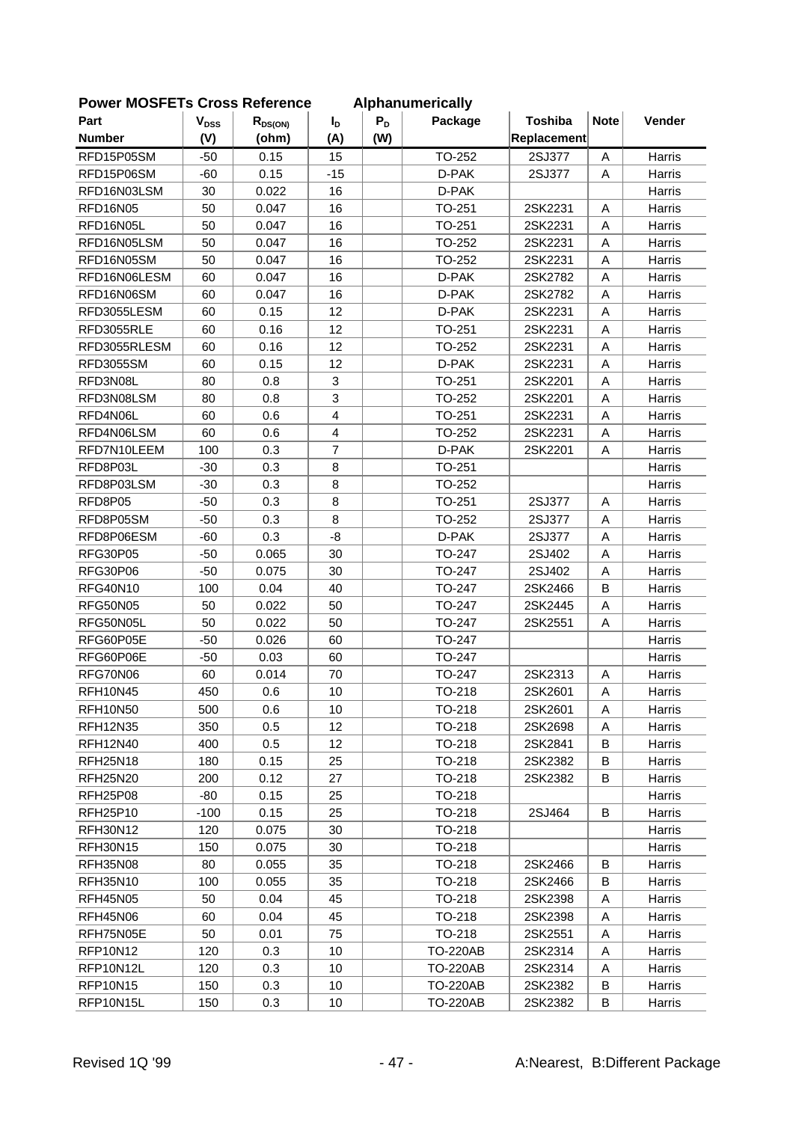| LOMEI INNOLLIS CIOSS VEIEIEIICE |           |              |                |       | Alphanum Chuany |                |             |               |
|---------------------------------|-----------|--------------|----------------|-------|-----------------|----------------|-------------|---------------|
| Part                            | $V_{DSS}$ | $R_{DS(ON)}$ | $I_{D}$        | $P_D$ | Package         | <b>Toshiba</b> | <b>Note</b> | Vender        |
| <b>Number</b>                   | (V)       | (ohm)        | (A)            | (W)   |                 | Replacement    |             |               |
| RFD15P05SM                      | $-50$     | 0.15         | 15             |       | TO-252          | 2SJ377         | A           | Harris        |
| RFD15P06SM                      | $-60$     | 0.15         | $-15$          |       | D-PAK           | 2SJ377         | A           | Harris        |
| RFD16N03LSM                     | 30        | 0.022        | 16             |       | D-PAK           |                |             | Harris        |
| <b>RFD16N05</b>                 | 50        | 0.047        | 16             |       | TO-251          | 2SK2231        | A           | Harris        |
| RFD16N05L                       | 50        | 0.047        | 16             |       | TO-251          | 2SK2231        | Α           | Harris        |
| RFD16N05LSM                     | 50        | 0.047        | 16             |       | TO-252          | 2SK2231        | A           | Harris        |
| RFD16N05SM                      | 50        | 0.047        | 16             |       | TO-252          | 2SK2231        | A           | Harris        |
| RFD16N06LESM                    | 60        | 0.047        | 16             |       | D-PAK           | 2SK2782        | A           | Harris        |
| RFD16N06SM                      | 60        | 0.047        | 16             |       | D-PAK           | 2SK2782        | Α           | Harris        |
| RFD3055LESM                     | 60        | 0.15         | 12             |       | D-PAK           | 2SK2231        | Α           | Harris        |
| RFD3055RLE                      | 60        | 0.16         | 12             |       | TO-251          | 2SK2231        | Α           | Harris        |
| RFD3055RLESM                    | 60        | 0.16         | 12             |       | TO-252          | 2SK2231        | A           | Harris        |
| <b>RFD3055SM</b>                | 60        | 0.15         | 12             |       | D-PAK           | 2SK2231        | A           | Harris        |
| RFD3N08L                        | 80        | 0.8          | $\sqrt{3}$     |       | TO-251          | 2SK2201        | A           | Harris        |
| RFD3N08LSM                      | 80        | 0.8          | 3              |       | TO-252          | 2SK2201        | A           | Harris        |
| RFD4N06L                        | 60        | 0.6          | $\overline{4}$ |       | TO-251          | 2SK2231        | A           | Harris        |
| RFD4N06LSM                      | 60        | 0.6          | $\overline{4}$ |       | TO-252          | 2SK2231        | A           | Harris        |
| RFD7N10LEEM                     | 100       | 0.3          | $\overline{7}$ |       | D-PAK           | 2SK2201        | A           | Harris        |
| RFD8P03L                        | $-30$     | 0.3          | 8              |       | TO-251          |                |             | Harris        |
| RFD8P03LSM                      | $-30$     | 0.3          | 8              |       | TO-252          |                |             | Harris        |
| RFD8P05                         | $-50$     | 0.3          | 8              |       | TO-251          | 2SJ377         | A           | Harris        |
| RFD8P05SM                       | $-50$     | 0.3          | 8              |       | TO-252          | 2SJ377         | A           | Harris        |
| RFD8P06ESM                      | $-60$     | 0.3          | -8             |       | D-PAK           | 2SJ377         | A           | Harris        |
| <b>RFG30P05</b>                 | $-50$     | 0.065        | 30             |       | TO-247          | 2SJ402         | Α           | Harris        |
| <b>RFG30P06</b>                 | $-50$     | 0.075        | 30             |       | TO-247          | 2SJ402         | A           | Harris        |
| <b>RFG40N10</b>                 | 100       | 0.04         | 40             |       | TO-247          | 2SK2466        | B           | Harris        |
| <b>RFG50N05</b>                 | 50        | 0.022        | 50             |       | TO-247          | 2SK2445        | A           | Harris        |
| RFG50N05L                       | 50        | 0.022        | 50             |       | TO-247          | 2SK2551        | A           | <b>Harris</b> |
| RFG60P05E                       | $-50$     | 0.026        | 60             |       | TO-247          |                |             | Harris        |
| RFG60P06E                       | $-50$     | 0.03         | 60             |       | TO-247          |                |             | Harris        |
| RFG70N06                        | 60        | 0.014        | 70             |       | TO-247          | 2SK2313        | A           | Harris        |
| <b>RFH10N45</b>                 | 450       | 0.6          | 10             |       | TO-218          | 2SK2601        | A           | Harris        |
| <b>RFH10N50</b>                 | 500       | 0.6          | 10             |       | TO-218          | 2SK2601        | A           | Harris        |
| <b>RFH12N35</b>                 | 350       | 0.5          | 12             |       | TO-218          | 2SK2698        | A           | Harris        |
| <b>RFH12N40</b>                 | 400       | 0.5          | 12             |       | TO-218          | 2SK2841        | B           | Harris        |
| <b>RFH25N18</b>                 | 180       | 0.15         | 25             |       | TO-218          | 2SK2382        | В           | Harris        |
| <b>RFH25N20</b>                 | 200       | 0.12         | 27             |       | TO-218          | 2SK2382        | B           | Harris        |
| RFH25P08                        | -80       | 0.15         | 25             |       | TO-218          |                |             | Harris        |
| <b>RFH25P10</b>                 | $-100$    | 0.15         | 25             |       | TO-218          | 2SJ464         | B           | <b>Harris</b> |
| RFH30N12                        | 120       | 0.075        | 30             |       | TO-218          |                |             | Harris        |
| <b>RFH30N15</b>                 | 150       | 0.075        | 30             |       | TO-218          |                |             | Harris        |
| <b>RFH35N08</b>                 | 80        | 0.055        | 35             |       | TO-218          | 2SK2466        | В           | Harris        |
| RFH35N10                        | 100       | 0.055        | 35             |       | TO-218          | 2SK2466        | В           | Harris        |
| <b>RFH45N05</b>                 | 50        | 0.04         | 45             |       | TO-218          | 2SK2398        | Α           | Harris        |
| <b>RFH45N06</b>                 | 60        | 0.04         | 45             |       | TO-218          | 2SK2398        | A           | Harris        |
| RFH75N05E                       | 50        | 0.01         | 75             |       | TO-218          | 2SK2551        | Α           | Harris        |
| <b>RFP10N12</b>                 | 120       | 0.3          | 10             |       | <b>TO-220AB</b> | 2SK2314        | Α           | Harris        |
| RFP10N12L                       | 120       | 0.3          | 10             |       | <b>TO-220AB</b> | 2SK2314        | Α           | Harris        |
| RFP10N15                        | 150       | 0.3          | 10             |       | <b>TO-220AB</b> | 2SK2382        | В           | Harris        |
| RFP10N15L                       | 150       | 0.3          | 10             |       | <b>TO-220AB</b> | 2SK2382        | B           | Harris        |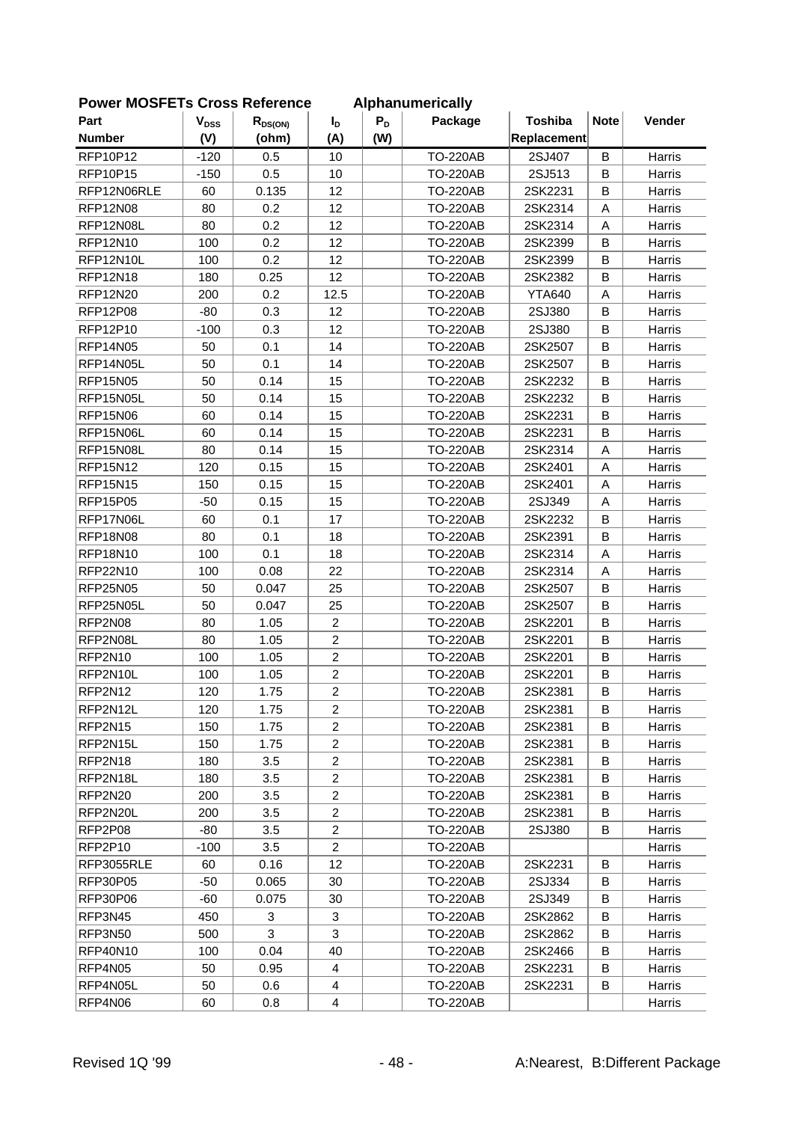| Part            | <b>V<sub>DSS</sub></b> |              |                  | $P_D$ | Alphanamonoally<br>Package | <b>Toshiba</b> | <b>Note</b> | Vender        |
|-----------------|------------------------|--------------|------------------|-------|----------------------------|----------------|-------------|---------------|
| <b>Number</b>   |                        | $R_{DS(ON)}$ | I <sub>D</sub>   |       |                            |                |             |               |
|                 | (V)                    | (ohm)        | (A)              | (W)   |                            | Replacement    |             |               |
| RFP10P12        | $-120$                 | 0.5          | 10               |       | <b>TO-220AB</b>            | 2SJ407         | B           | Harris        |
| <b>RFP10P15</b> | $-150$                 | 0.5          | 10               |       | <b>TO-220AB</b>            | 2SJ513         | B           | Harris        |
| RFP12N06RLE     | 60                     | 0.135        | 12               |       | <b>TO-220AB</b>            | 2SK2231        | B           | Harris        |
| <b>RFP12N08</b> | 80                     | 0.2          | 12               |       | <b>TO-220AB</b>            | 2SK2314        | A           | Harris        |
| RFP12N08L       | 80                     | 0.2          | 12               |       | <b>TO-220AB</b>            | 2SK2314        | A           | Harris        |
| <b>RFP12N10</b> | 100                    | 0.2          | 12               |       | <b>TO-220AB</b>            | 2SK2399        | B           | Harris        |
| RFP12N10L       | 100                    | 0.2          | 12               |       | <b>TO-220AB</b>            | 2SK2399        | B           | Harris        |
| <b>RFP12N18</b> | 180                    | 0.25         | 12               |       | <b>TO-220AB</b>            | 2SK2382        | B           | Harris        |
| RFP12N20        | 200                    | 0.2          | 12.5             |       | <b>TO-220AB</b>            | <b>YTA640</b>  | A           | Harris        |
| <b>RFP12P08</b> | $-80$                  | 0.3          | 12               |       | <b>TO-220AB</b>            | 2SJ380         | B           | Harris        |
| RFP12P10        | $-100$                 | 0.3          | 12               |       | <b>TO-220AB</b>            | 2SJ380         | B           | Harris        |
| RFP14N05        | 50                     | 0.1          | 14               |       | <b>TO-220AB</b>            | 2SK2507        | B           | Harris        |
| RFP14N05L       | 50                     | 0.1          | 14               |       | <b>TO-220AB</b>            | 2SK2507        | B           | Harris        |
| <b>RFP15N05</b> | 50                     | 0.14         | 15               |       | <b>TO-220AB</b>            | 2SK2232        | B           | Harris        |
| RFP15N05L       | 50                     | 0.14         | 15               |       | <b>TO-220AB</b>            | 2SK2232        | B           | Harris        |
| <b>RFP15N06</b> | 60                     | 0.14         | 15               |       | <b>TO-220AB</b>            | 2SK2231        | B           | Harris        |
| RFP15N06L       | 60                     | 0.14         | 15               |       | <b>TO-220AB</b>            | 2SK2231        | B           | Harris        |
| RFP15N08L       | 80                     | 0.14         | 15               |       | <b>TO-220AB</b>            | 2SK2314        | A           | Harris        |
| <b>RFP15N12</b> | 120                    | 0.15         | 15               |       | <b>TO-220AB</b>            | 2SK2401        | A           | Harris        |
| <b>RFP15N15</b> | 150                    | 0.15         | 15               |       | <b>TO-220AB</b>            | 2SK2401        | Α           | Harris        |
| <b>RFP15P05</b> | $-50$                  | 0.15         | 15               |       | <b>TO-220AB</b>            | 2SJ349         | A           | Harris        |
| RFP17N06L       | 60                     | 0.1          | 17               |       | <b>TO-220AB</b>            | 2SK2232        | B           | Harris        |
| <b>RFP18N08</b> | 80                     | 0.1          | 18               |       | <b>TO-220AB</b>            | 2SK2391        | B           | Harris        |
| <b>RFP18N10</b> | 100                    | 0.1          | 18               |       | <b>TO-220AB</b>            | 2SK2314        | A           | Harris        |
| RFP22N10        | 100                    | 0.08         | 22               |       | <b>TO-220AB</b>            | 2SK2314        | A           | Harris        |
| <b>RFP25N05</b> | 50                     | 0.047        | 25               |       | <b>TO-220AB</b>            | 2SK2507        | В           | Harris        |
| RFP25N05L       | 50                     | 0.047        | 25               |       | <b>TO-220AB</b>            | 2SK2507        | B           | Harris        |
| RFP2N08         | 80                     | 1.05         | $\overline{c}$   |       | <b>TO-220AB</b>            | 2SK2201        | B           | Harris        |
| RFP2N08L        | 80                     | 1.05         | $\overline{c}$   |       | <b>TO-220AB</b>            | 2SK2201        | B           | Harris        |
| RFP2N10         | 100                    | 1.05         | $\overline{c}$   |       | <b>TO-220AB</b>            | 2SK2201        | B           | Harris        |
| RFP2N10L        | 100                    | 1.05         | $\boldsymbol{2}$ |       | <b>TO-220AB</b>            | 2SK2201        | B           | Harris        |
| RFP2N12         | 120                    | 1.75         | $\overline{2}$   |       | <b>TO-220AB</b>            | 2SK2381        | В           | Harris        |
| RFP2N12L        | 120                    | 1.75         | $\overline{2}$   |       | <b>TO-220AB</b>            | 2SK2381        | B           | Harris        |
| RFP2N15         | 150                    | 1.75         | $\overline{2}$   |       | <b>TO-220AB</b>            | 2SK2381        | B           | Harris        |
| RFP2N15L        | 150                    | 1.75         | $\overline{2}$   |       | <b>TO-220AB</b>            | 2SK2381        | В           | Harris        |
| RFP2N18         | 180                    | 3.5          | $\overline{2}$   |       | <b>TO-220AB</b>            | 2SK2381        | В           | Harris        |
| RFP2N18L        | 180                    | 3.5          | $\overline{c}$   |       | <b>TO-220AB</b>            | 2SK2381        | В           | Harris        |
| RFP2N20         | 200                    | 3.5          | $\overline{c}$   |       | <b>TO-220AB</b>            | 2SK2381        | B           | Harris        |
| RFP2N20L        | 200                    | 3.5          | $\overline{2}$   |       | <b>TO-220AB</b>            | 2SK2381        | В           | <b>Harris</b> |
| RFP2P08         | -80                    | 3.5          | $\overline{2}$   |       | <b>TO-220AB</b>            | 2SJ380         | В           | Harris        |
| RFP2P10         | $-100$                 | 3.5          | $\overline{2}$   |       | <b>TO-220AB</b>            |                |             | Harris        |
| RFP3055RLE      | 60                     | 0.16         | 12               |       | <b>TO-220AB</b>            | 2SK2231        | B           | Harris        |
| <b>RFP30P05</b> | -50                    | 0.065        | 30               |       | <b>TO-220AB</b>            | 2SJ334         | В           | Harris        |
| RFP30P06        | -60                    | 0.075        | 30               |       | <b>TO-220AB</b>            | 2SJ349         | B           | Harris        |
| RFP3N45         | 450                    | 3            | 3                |       | <b>TO-220AB</b>            | 2SK2862        | B           | Harris        |
| RFP3N50         | 500                    | 3            | 3                |       | <b>TO-220AB</b>            | 2SK2862        | В           | Harris        |
| RFP40N10        | 100                    | 0.04         | 40               |       | <b>TO-220AB</b>            | 2SK2466        | В           | Harris        |
| RFP4N05         | 50                     | 0.95         | $\overline{4}$   |       | <b>TO-220AB</b>            | 2SK2231        | В           | Harris        |
| RFP4N05L        | 50                     | 0.6          | 4                |       | <b>TO-220AB</b>            | 2SK2231        | В           | Harris        |
| RFP4N06         | 60                     | 0.8          | 4                |       | <b>TO-220AB</b>            |                |             | Harris        |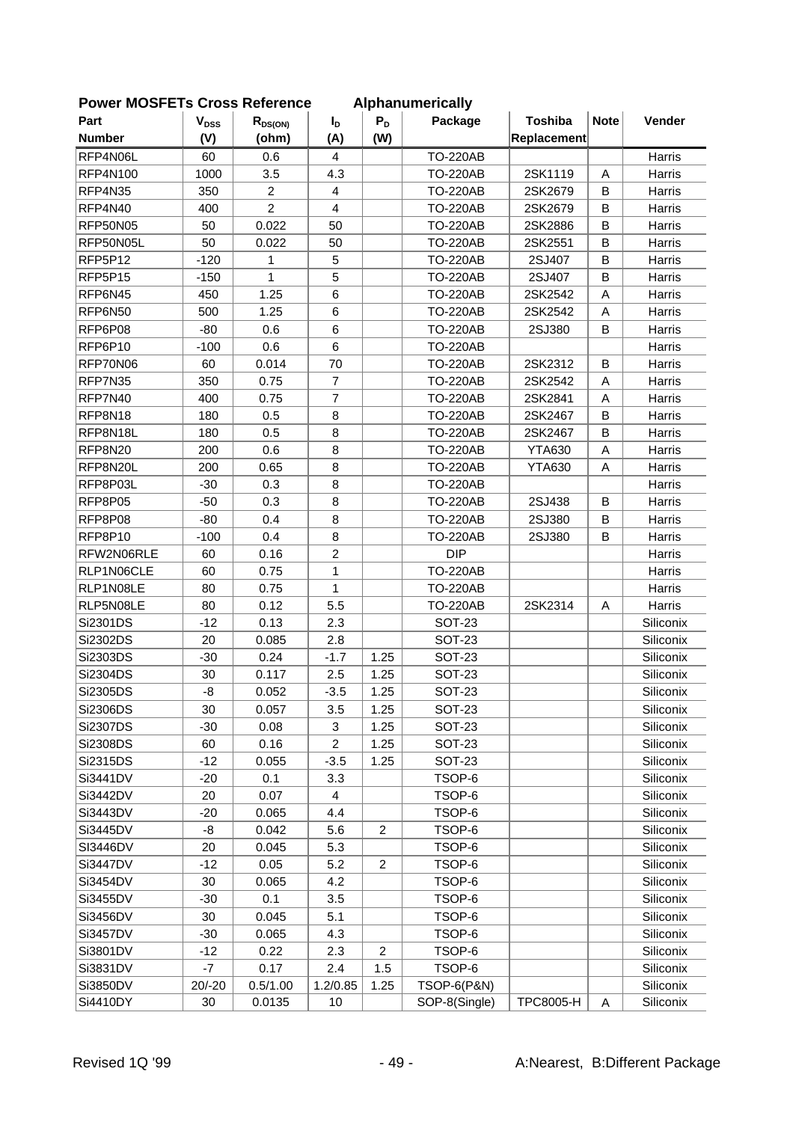| <b>FUWEI INIUSFETS CIUSS REIEIEIICE</b> |                           |                |                |                  | <b>Alphanumentically</b> |                  |             |           |
|-----------------------------------------|---------------------------|----------------|----------------|------------------|--------------------------|------------------|-------------|-----------|
| Part                                    | $\mathbf{V}_{\text{DSS}}$ | $R_{DS(ON)}$   | $I_{\text{D}}$ | $P_D$            | Package                  | <b>Toshiba</b>   | <b>Note</b> | Vender    |
| <b>Number</b>                           | (V)                       | (ohm)          | (A)            | (W)              |                          | Replacement      |             |           |
| RFP4N06L                                | 60                        | 0.6            | 4              |                  | <b>TO-220AB</b>          |                  |             | Harris    |
| <b>RFP4N100</b>                         | 1000                      | 3.5            | 4.3            |                  | <b>TO-220AB</b>          | 2SK1119          | A           | Harris    |
| RFP4N35                                 | 350                       | $\overline{2}$ | $\overline{4}$ |                  | <b>TO-220AB</b>          | 2SK2679          | B           | Harris    |
| RFP4N40                                 | 400                       | $\overline{2}$ | $\overline{4}$ |                  | <b>TO-220AB</b>          | 2SK2679          | B           | Harris    |
| RFP50N05                                | 50                        | 0.022          | 50             |                  | <b>TO-220AB</b>          | 2SK2886          | B           | Harris    |
| RFP50N05L                               | 50                        | 0.022          | 50             |                  | <b>TO-220AB</b>          | 2SK2551          | B           | Harris    |
| RFP5P12                                 | $-120$                    | 1              | 5              |                  | <b>TO-220AB</b>          | 2SJ407           | B           | Harris    |
| RFP5P15                                 | $-150$                    | 1              | 5              |                  | <b>TO-220AB</b>          | 2SJ407           | B           | Harris    |
| RFP6N45                                 | 450                       | 1.25           | 6              |                  | <b>TO-220AB</b>          | 2SK2542          | Α           | Harris    |
| RFP6N50                                 | 500                       | 1.25           | 6              |                  | <b>TO-220AB</b>          | 2SK2542          | A           | Harris    |
| RFP6P08                                 | $-80$                     | 0.6            | 6              |                  | <b>TO-220AB</b>          | 2SJ380           | B           | Harris    |
| RFP6P10                                 | $-100$                    | 0.6            | 6              |                  | <b>TO-220AB</b>          |                  |             | Harris    |
| RFP70N06                                | 60                        | 0.014          | 70             |                  | <b>TO-220AB</b>          | 2SK2312          | B           | Harris    |
| RFP7N35                                 | 350                       | 0.75           | $\overline{7}$ |                  | <b>TO-220AB</b>          | 2SK2542          | A           | Harris    |
| RFP7N40                                 | 400                       | 0.75           | $\overline{7}$ |                  | <b>TO-220AB</b>          | 2SK2841          | Α           | Harris    |
| RFP8N18                                 | 180                       | 0.5            | 8              |                  | <b>TO-220AB</b>          | 2SK2467          | B           | Harris    |
| RFP8N18L                                | 180                       | 0.5            | 8              |                  | <b>TO-220AB</b>          | 2SK2467          | B           | Harris    |
| RFP8N20                                 | 200                       | 0.6            | 8              |                  | <b>TO-220AB</b>          | <b>YTA630</b>    | A           | Harris    |
| RFP8N20L                                | 200                       | 0.65           | 8              |                  | <b>TO-220AB</b>          | <b>YTA630</b>    | A           | Harris    |
| RFP8P03L                                | $-30$                     | 0.3            | 8              |                  | <b>TO-220AB</b>          |                  |             | Harris    |
| RFP8P05                                 | $-50$                     | 0.3            | 8              |                  | <b>TO-220AB</b>          | 2SJ438           | B           | Harris    |
| RFP8P08                                 | $-80$                     | 0.4            | 8              |                  | <b>TO-220AB</b>          | 2SJ380           | B           | Harris    |
| RFP8P10                                 | $-100$                    | 0.4            | 8              |                  | <b>TO-220AB</b>          | 2SJ380           | B           | Harris    |
| RFW2N06RLE                              | 60                        | 0.16           | $\overline{c}$ |                  | <b>DIP</b>               |                  |             | Harris    |
| RLP1N06CLE                              | 60                        | 0.75           | $\mathbf{1}$   |                  | <b>TO-220AB</b>          |                  |             | Harris    |
| RLP1N08LE                               | 80                        | 0.75           | 1              |                  | <b>TO-220AB</b>          |                  |             | Harris    |
| RLP5N08LE                               | 80                        | 0.12           | 5.5            |                  | <b>TO-220AB</b>          | 2SK2314          | Α           | Harris    |
| Si2301DS                                | $-12$                     | 0.13           | 2.3            |                  | <b>SOT-23</b>            |                  |             | Siliconix |
| Si2302DS                                | 20                        | 0.085          | 2.8            |                  | <b>SOT-23</b>            |                  |             | Siliconix |
| Si2303DS                                | $-30$                     | 0.24           | $-1.7$         | 1.25             | <b>SOT-23</b>            |                  |             | Siliconix |
| Si2304DS                                | 30                        | 0.117          | 2.5            | 1.25             | <b>SOT-23</b>            |                  |             | Siliconix |
| Si2305DS                                | -8                        | 0.052          | $-3.5$         | 1.25             | <b>SOT-23</b>            |                  |             | Siliconix |
| Si2306DS                                | 30                        | 0.057          | 3.5            | 1.25             | <b>SOT-23</b>            |                  |             | Siliconix |
| Si2307DS                                | $-30$                     | 0.08           | 3              | 1.25             | <b>SOT-23</b>            |                  |             | Siliconix |
| Si2308DS                                | 60                        | 0.16           | $\overline{c}$ | 1.25             | <b>SOT-23</b>            |                  |             | Siliconix |
| Si2315DS                                | $-12$                     | 0.055          | $-3.5$         | 1.25             | <b>SOT-23</b>            |                  |             | Siliconix |
| Si3441DV                                | $-20$                     | 0.1            | 3.3            |                  | TSOP-6                   |                  |             | Siliconix |
| Si3442DV                                | 20                        | 0.07           | 4              |                  | TSOP-6                   |                  |             | Siliconix |
| Si3443DV                                | $-20$                     | 0.065          | 4.4            |                  | TSOP-6                   |                  |             | Siliconix |
| Si3445DV                                | -8                        | 0.042          | 5.6            | $\overline{2}$   | TSOP-6                   |                  |             | Siliconix |
| SI3446DV                                | 20                        | 0.045          | 5.3            |                  | TSOP-6                   |                  |             | Siliconix |
| Si3447DV                                | $-12$                     | 0.05           | 5.2            | $\overline{c}$   | TSOP-6                   |                  |             | Siliconix |
| Si3454DV                                | 30                        | 0.065          | 4.2            |                  | TSOP-6                   |                  |             | Siliconix |
| Si3455DV                                | $-30$                     | 0.1            | 3.5            |                  | TSOP-6                   |                  |             | Siliconix |
| Si3456DV                                | 30                        | 0.045          | 5.1            |                  | TSOP-6                   |                  |             | Siliconix |
| Si3457DV                                | $-30$                     | 0.065          | 4.3            |                  | TSOP-6                   |                  |             | Siliconix |
| Si3801DV                                | $-12$                     | 0.22           | 2.3            | $\boldsymbol{2}$ | TSOP-6                   |                  |             | Siliconix |
| Si3831DV                                | -7                        | 0.17           | 2.4            | 1.5              | TSOP-6                   |                  |             | Siliconix |
| Si3850DV                                | $20/-20$                  | 0.5/1.00       | 1.2/0.85       | 1.25             | <b>TSOP-6(P&amp;N)</b>   |                  |             | Siliconix |
| Si4410DY                                | $30\,$                    | 0.0135         | 10             |                  | SOP-8(Single)            | <b>TPC8005-H</b> | Α           | Siliconix |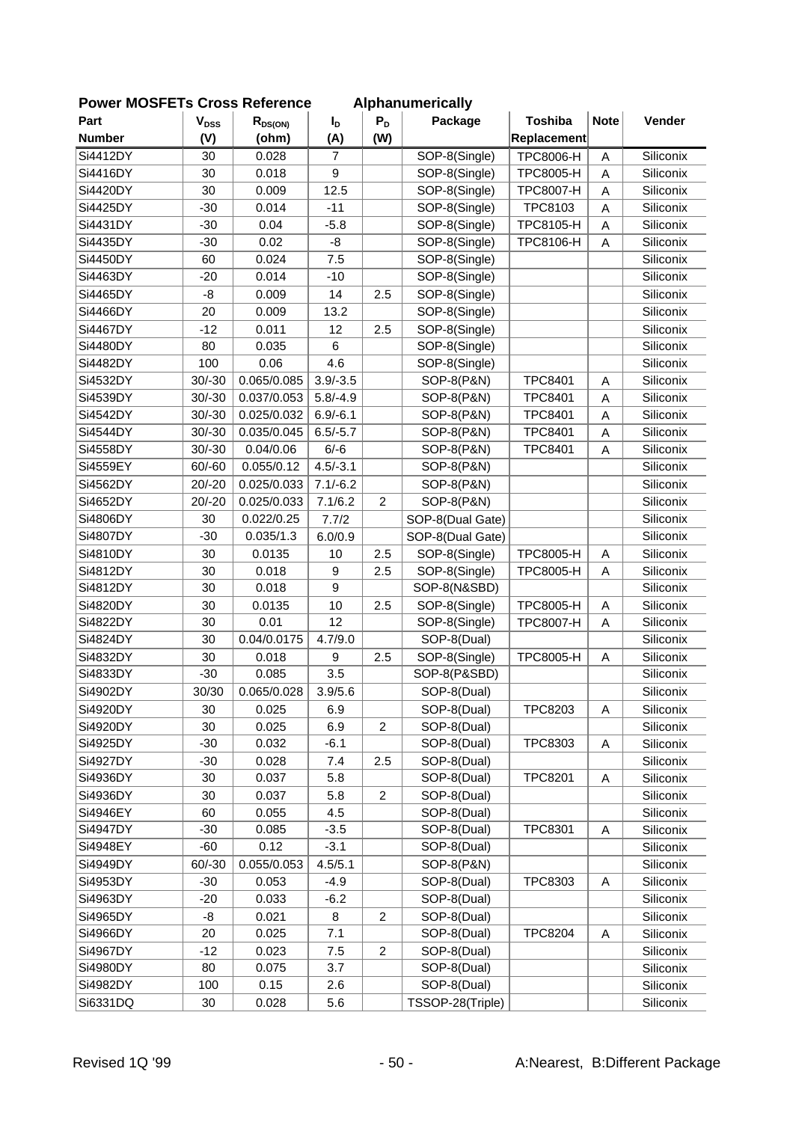| <b>POWER MUSFETS URDSS REIGHTENCE</b> |                        |              |                |                | Alphanumerically      |                  |             |           |
|---------------------------------------|------------------------|--------------|----------------|----------------|-----------------------|------------------|-------------|-----------|
| Part                                  | <b>V<sub>DSS</sub></b> | $R_{DS(ON)}$ | $I_{\text{D}}$ | $P_D$          | Package               | <b>Toshiba</b>   | <b>Note</b> | Vender    |
| <b>Number</b>                         | (V)                    | (ohm)        | (A)            | (W)            |                       | Replacement      |             |           |
| Si4412DY                              | 30                     | 0.028        | $\overline{7}$ |                | SOP-8(Single)         | TPC8006-H        | A           | Siliconix |
| Si4416DY                              | 30                     | 0.018        | 9              |                | SOP-8(Single)         | <b>TPC8005-H</b> | A           | Siliconix |
| Si4420DY                              | 30                     | 0.009        | 12.5           |                | SOP-8(Single)         | TPC8007-H        | A           | Siliconix |
| Si4425DY                              | $-30$                  | 0.014        | $-11$          |                | SOP-8(Single)         | TPC8103          | A           | Siliconix |
| Si4431DY                              | $-30$                  | 0.04         | $-5.8$         |                | SOP-8(Single)         | TPC8105-H        | A           | Siliconix |
| Si4435DY                              | $-30$                  | 0.02         | -8             |                | SOP-8(Single)         | TPC8106-H        | A           | Siliconix |
| Si4450DY                              | 60                     | 0.024        | 7.5            |                | SOP-8(Single)         |                  |             | Siliconix |
| Si4463DY                              | $-20$                  | 0.014        | $-10$          |                | SOP-8(Single)         |                  |             | Siliconix |
| Si4465DY                              | -8                     | 0.009        | 14             | 2.5            | SOP-8(Single)         |                  |             | Siliconix |
| Si4466DY                              | 20                     | 0.009        | 13.2           |                | SOP-8(Single)         |                  |             | Siliconix |
| Si4467DY                              | $-12$                  | 0.011        | 12             | 2.5            | SOP-8(Single)         |                  |             | Siliconix |
| Si4480DY                              | 80                     | 0.035        | 6              |                | SOP-8(Single)         |                  |             | Siliconix |
| Si4482DY                              | 100                    | 0.06         | 4.6            |                | SOP-8(Single)         |                  |             | Siliconix |
| Si4532DY                              | $30/-30$               | 0.065/0.085  | $3.9/-3.5$     |                | SOP-8(P&N)            | <b>TPC8401</b>   | A           | Siliconix |
| Si4539DY                              | $30/-30$               | 0.037/0.053  | $5.8/-4.9$     |                | SOP-8(P&N)            | <b>TPC8401</b>   | A           | Siliconix |
| Si4542DY                              | $30/-30$               | 0.025/0.032  | $6.9/-6.1$     |                | SOP-8(P&N)            | <b>TPC8401</b>   | A           | Siliconix |
| Si4544DY                              | $30/-30$               | 0.035/0.045  | $6.5/-5.7$     |                | <b>SOP-8(P&amp;N)</b> | <b>TPC8401</b>   | A           | Siliconix |
| Si4558DY                              | $30/-30$               | 0.04/0.06    | $6/-6$         |                | SOP-8(P&N)            | <b>TPC8401</b>   | A           | Siliconix |
| Si4559EY                              | $60/-60$               | 0.055/0.12   | $4.5/-3.1$     |                | SOP-8(P&N)            |                  |             | Siliconix |
| Si4562DY                              | $20/-20$               | 0.025/0.033  | $7.1/-6.2$     |                | SOP-8(P&N)            |                  |             | Siliconix |
| Si4652DY                              | $20/-20$               | 0.025/0.033  | 7.1/6.2        | $\overline{c}$ | SOP-8(P&N)            |                  |             | Siliconix |
| Si4806DY                              | 30                     | 0.022/0.25   | 7.7/2          |                | SOP-8(Dual Gate)      |                  |             | Siliconix |
| Si4807DY                              | $-30$                  | 0.035/1.3    | 6.0/0.9        |                | SOP-8(Dual Gate)      |                  |             | Siliconix |
| Si4810DY                              | 30                     | 0.0135       | 10             | 2.5            | SOP-8(Single)         | TPC8005-H        | Α           | Siliconix |
| Si4812DY                              | 30                     | 0.018        | 9              | 2.5            | SOP-8(Single)         | <b>TPC8005-H</b> | A           | Siliconix |
| Si4812DY                              | 30                     | 0.018        | 9              |                | SOP-8(N&SBD)          |                  |             | Siliconix |
| Si4820DY                              | 30                     | 0.0135       | 10             | 2.5            | SOP-8(Single)         | TPC8005-H        | A           | Siliconix |
| Si4822DY                              | 30                     | 0.01         | 12             |                | SOP-8(Single)         | <b>TPC8007-H</b> | A           | Siliconix |
| Si4824DY                              | 30                     | 0.04/0.0175  | 4.7/9.0        |                | SOP-8(Dual)           |                  |             | Siliconix |
| Si4832DY                              | 30                     | 0.018        | 9              | 2.5            | SOP-8(Single)         | <b>TPC8005-H</b> | Α           | Siliconix |
| Si4833DY                              | $-30$                  | 0.085        | 3.5            |                | SOP-8(P&SBD)          |                  |             | Siliconix |
| Si4902DY                              | 30/30                  | 0.065/0.028  | 3.9/5.6        |                | SOP-8(Dual)           |                  |             | Siliconix |
| Si4920DY                              | 30                     | 0.025        | 6.9            |                | SOP-8(Dual)           | TPC8203          | Α           | Siliconix |
| Si4920DY                              | 30                     | 0.025        | 6.9            | $\overline{2}$ | SOP-8(Dual)           |                  |             | Siliconix |
| Si4925DY                              | $-30$                  | 0.032        | $-6.1$         |                | SOP-8(Dual)           | TPC8303          | A           | Siliconix |
| Si4927DY                              | $-30$                  | 0.028        | 7.4            | 2.5            | SOP-8(Dual)           |                  |             | Siliconix |
| Si4936DY                              | 30                     | 0.037        | 5.8            |                | SOP-8(Dual)           | <b>TPC8201</b>   | Α           | Siliconix |
| Si4936DY                              | 30                     | 0.037        |                | $\overline{c}$ |                       |                  |             | Siliconix |
|                                       |                        |              | 5.8            |                | SOP-8(Dual)           |                  |             |           |
| Si4946EY                              | 60                     | 0.055        | 4.5            |                | SOP-8(Dual)           |                  |             | Siliconix |
| Si4947DY                              | $-30$                  | 0.085        | $-3.5$         |                | SOP-8(Dual)           | <b>TPC8301</b>   | Α           | Siliconix |
| Si4948EY                              | $-60$                  | 0.12         | $-3.1$         |                | SOP-8(Dual)           |                  |             | Siliconix |
| Si4949DY                              | $60/-30$               | 0.055/0.053  | 4.5/5.1        |                | SOP-8(P&N)            |                  |             | Siliconix |
| Si4953DY                              | $-30$                  | 0.053        | $-4.9$         |                | SOP-8(Dual)           | TPC8303          | Α           | Siliconix |
| Si4963DY                              | $-20$                  | 0.033        | $-6.2$         |                | SOP-8(Dual)           |                  |             | Siliconix |
| Si4965DY                              | -8                     | 0.021        | 8              | $\overline{c}$ | SOP-8(Dual)           |                  |             | Siliconix |
| Si4966DY                              | 20                     | 0.025        | 7.1            |                | SOP-8(Dual)           | <b>TPC8204</b>   | A           | Siliconix |
| Si4967DY                              | $-12$                  | 0.023        | 7.5            | $\overline{c}$ | SOP-8(Dual)           |                  |             | Siliconix |
| Si4980DY                              | 80                     | 0.075        | 3.7            |                | SOP-8(Dual)           |                  |             | Siliconix |
| Si4982DY                              | 100                    | 0.15         | 2.6            |                | SOP-8(Dual)           |                  |             | Siliconix |
| Si6331DQ                              | 30                     | 0.028        | 5.6            |                | TSSOP-28(Triple)      |                  |             | Siliconix |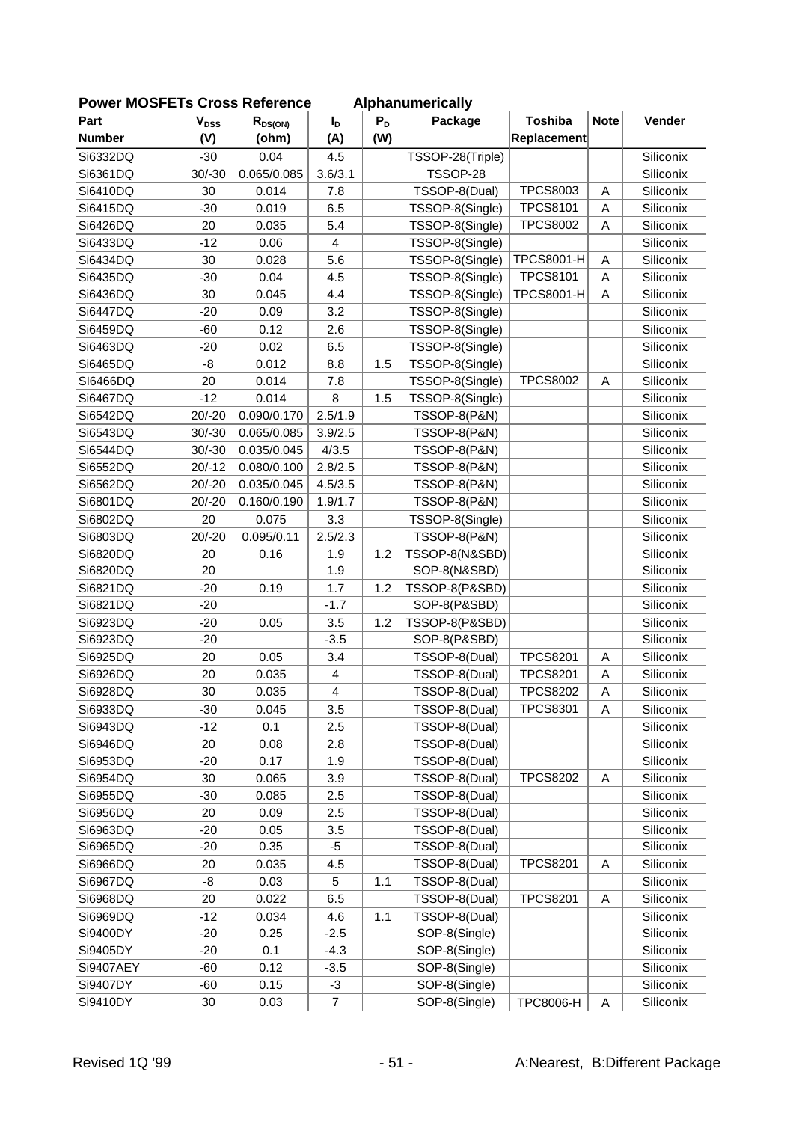| <b>FUWEI INIUSFETS CIUSS REIEIEIICE</b> |                           |              |                         |       | Alphanumencally         |                   |             |           |
|-----------------------------------------|---------------------------|--------------|-------------------------|-------|-------------------------|-------------------|-------------|-----------|
| Part                                    | $\mathbf{V}_{\text{DSS}}$ | $R_{DS(ON)}$ | $I_D$                   | $P_D$ | Package                 | <b>Toshiba</b>    | <b>Note</b> | Vender    |
| <b>Number</b>                           | (V)                       | (ohm)        | (A)                     | (W)   |                         | Replacement       |             |           |
| Si6332DQ                                | $-30$                     | 0.04         | 4.5                     |       | TSSOP-28(Triple)        |                   |             | Siliconix |
| Si6361DQ                                | $30/-30$                  | 0.065/0.085  | 3.6/3.1                 |       | TSSOP-28                |                   |             | Siliconix |
| Si6410DQ                                | 30                        | 0.014        | 7.8                     |       | TSSOP-8(Dual)           | <b>TPCS8003</b>   | A           | Siliconix |
| Si6415DQ                                | $-30$                     | 0.019        | 6.5                     |       | TSSOP-8(Single)         | <b>TPCS8101</b>   | A           | Siliconix |
| Si6426DQ                                | 20                        | 0.035        | 5.4                     |       | TSSOP-8(Single)         | <b>TPCS8002</b>   | A           | Siliconix |
| Si6433DQ                                | $-12$                     | 0.06         | $\overline{4}$          |       | TSSOP-8(Single)         |                   |             | Siliconix |
| Si6434DQ                                | 30                        | 0.028        | 5.6                     |       | TSSOP-8(Single)         | <b>TPCS8001-H</b> | A           | Siliconix |
| Si6435DQ                                | $-30$                     | 0.04         | 4.5                     |       | TSSOP-8(Single)         | <b>TPCS8101</b>   | A           | Siliconix |
| Si6436DQ                                | 30                        | 0.045        | 4.4                     |       | TSSOP-8(Single)         | <b>TPCS8001-H</b> | A           | Siliconix |
| Si6447DQ                                | $-20$                     | 0.09         | 3.2                     |       | TSSOP-8(Single)         |                   |             | Siliconix |
| Si6459DQ                                | $-60$                     | 0.12         | 2.6                     |       | TSSOP-8(Single)         |                   |             | Siliconix |
| Si6463DQ                                | $-20$                     | 0.02         | 6.5                     |       | TSSOP-8(Single)         |                   |             | Siliconix |
| Si6465DQ                                | -8                        | 0.012        | 8.8                     | 1.5   | TSSOP-8(Single)         |                   |             | Siliconix |
| SI6466DQ                                | 20                        | 0.014        | 7.8                     |       | TSSOP-8(Single)         | <b>TPCS8002</b>   | A           | Siliconix |
| Si6467DQ                                | $-12$                     | 0.014        | 8                       | 1.5   | TSSOP-8(Single)         |                   |             | Siliconix |
| Si6542DQ                                | $20/-20$                  | 0.090/0.170  | 2.5/1.9                 |       | TSSOP-8(P&N)            |                   |             | Siliconix |
| Si6543DQ                                | $30/-30$                  | 0.065/0.085  | 3.9/2.5                 |       | TSSOP-8(P&N)            |                   |             | Siliconix |
| Si6544DQ                                | $30/-30$                  | 0.035/0.045  | 4/3.5                   |       | <b>TSSOP-8(P&amp;N)</b> |                   |             | Siliconix |
| Si6552DQ                                | $20/-12$                  | 0.080/0.100  | 2.8/2.5                 |       | TSSOP-8(P&N)            |                   |             | Siliconix |
| Si6562DQ                                | $20/-20$                  | 0.035/0.045  | 4.5/3.5                 |       | TSSOP-8(P&N)            |                   |             | Siliconix |
| Si6801DQ                                | $20/-20$                  | 0.160/0.190  | 1.9/1.7                 |       | <b>TSSOP-8(P&amp;N)</b> |                   |             | Siliconix |
| Si6802DQ                                | 20                        | 0.075        | 3.3                     |       | TSSOP-8(Single)         |                   |             | Siliconix |
| Si6803DQ                                | $20/-20$                  | 0.095/0.11   | 2.5/2.3                 |       | <b>TSSOP-8(P&amp;N)</b> |                   |             | Siliconix |
| Si6820DQ                                | 20                        | 0.16         | 1.9                     | 1.2   | TSSOP-8(N&SBD)          |                   |             | Siliconix |
| Si6820DQ                                | 20                        |              | 1.9                     |       | SOP-8(N&SBD)            |                   |             | Siliconix |
| Si6821DQ                                | $-20$                     | 0.19         | 1.7                     | 1.2   | TSSOP-8(P&SBD)          |                   |             | Siliconix |
| Si6821DQ                                | $-20$                     |              | $-1.7$                  |       | SOP-8(P&SBD)            |                   |             | Siliconix |
| Si6923DQ                                | $-20$                     | 0.05         | 3.5                     | 1.2   | TSSOP-8(P&SBD)          |                   |             | Siliconix |
| Si6923DQ                                | $-20$                     |              | $-3.5$                  |       | SOP-8(P&SBD)            |                   |             | Siliconix |
| Si6925DQ                                | 20                        | 0.05         | 3.4                     |       | TSSOP-8(Dual)           | <b>TPCS8201</b>   | Α           | Siliconix |
| Si6926DQ                                | 20                        | 0.035        | 4                       |       | TSSOP-8(Dual)           | <b>TPCS8201</b>   | Α           | Siliconix |
| Si6928DQ                                | 30                        | 0.035        | $\overline{\mathbf{4}}$ |       | TSSOP-8(Dual)           | <b>TPCS8202</b>   | A           | Siliconix |
| Si6933DQ                                | $-30$                     | 0.045        | 3.5                     |       | TSSOP-8(Dual)           | <b>TPCS8301</b>   | Α           | Siliconix |
| Si6943DQ                                | $-12$                     | 0.1          | 2.5                     |       | TSSOP-8(Dual)           |                   |             | Siliconix |
| Si6946DQ                                | 20                        | 0.08         | 2.8                     |       | TSSOP-8(Dual)           |                   |             | Siliconix |
| Si6953DQ                                | $-20$                     | 0.17         | 1.9                     |       | TSSOP-8(Dual)           |                   |             | Siliconix |
| Si6954DQ                                | 30                        | 0.065        | 3.9                     |       | TSSOP-8(Dual)           | <b>TPCS8202</b>   | Α           | Siliconix |
| Si6955DQ                                | $-30$                     | 0.085        | 2.5                     |       | TSSOP-8(Dual)           |                   |             | Siliconix |
| Si6956DQ                                | 20                        | 0.09         | 2.5                     |       | TSSOP-8(Dual)           |                   |             | Siliconix |
| Si6963DQ                                | $-20$                     | 0.05         | 3.5                     |       | TSSOP-8(Dual)           |                   |             | Siliconix |
| Si6965DQ                                | $-20$                     | 0.35         | -5                      |       | TSSOP-8(Dual)           |                   |             | Siliconix |
| Si6966DQ                                | 20                        | 0.035        | 4.5                     |       | TSSOP-8(Dual)           | <b>TPCS8201</b>   | A           | Siliconix |
| Si6967DQ                                | -8                        | 0.03         | 5                       | 1.1   | TSSOP-8(Dual)           |                   |             | Siliconix |
| Si6968DQ                                | 20                        | 0.022        | 6.5                     |       | TSSOP-8(Dual)           | <b>TPCS8201</b>   | A           | Siliconix |
| Si6969DQ                                | $-12$                     | 0.034        | 4.6                     | 1.1   | TSSOP-8(Dual)           |                   |             | Siliconix |
| Si9400DY                                | $-20$                     | 0.25         | $-2.5$                  |       | SOP-8(Single)           |                   |             | Siliconix |
| Si9405DY                                | $-20$                     | 0.1          | $-4.3$                  |       | SOP-8(Single)           |                   |             | Siliconix |
| Si9407AEY                               | $-60$                     | 0.12         | $-3.5$                  |       | SOP-8(Single)           |                   |             | Siliconix |
| Si9407DY                                | $-60$                     | 0.15         | $-3$                    |       | SOP-8(Single)           |                   |             | Siliconix |
| Si9410DY                                | 30                        | 0.03         | $\overline{7}$          |       | SOP-8(Single)           | <b>TPC8006-H</b>  | Α           | Siliconix |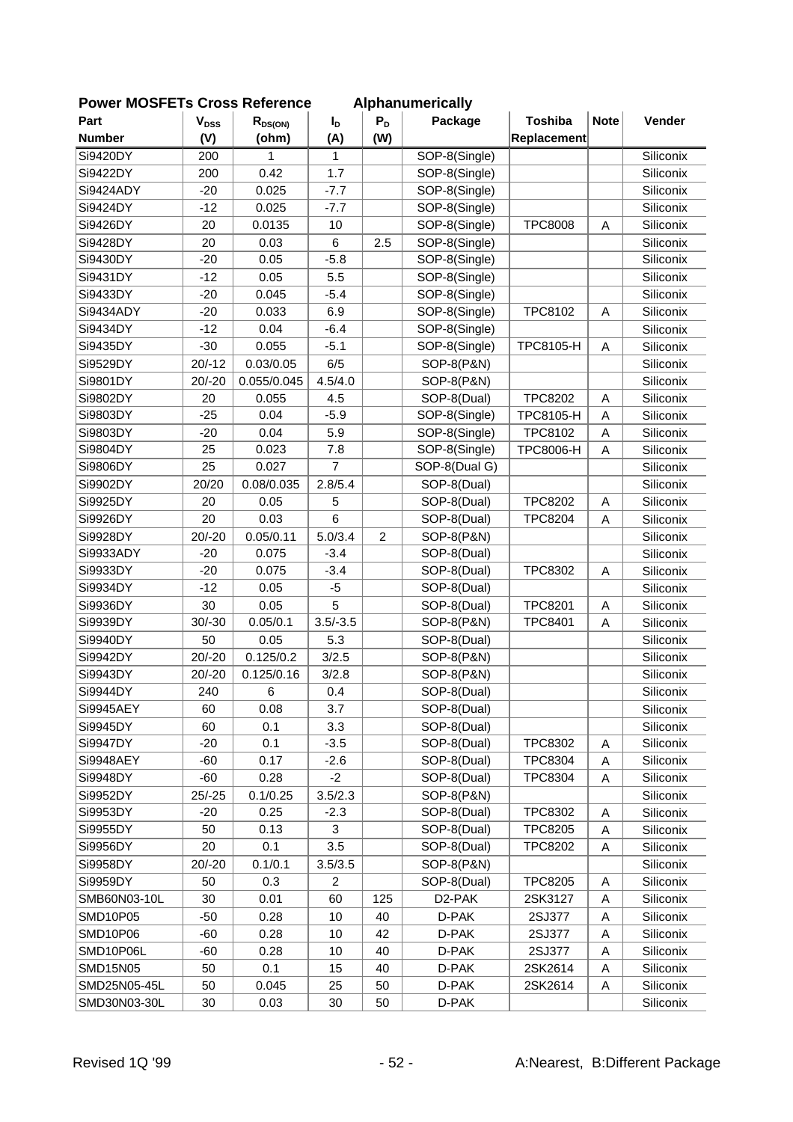| <b>POWER MUSFETS URDSS REIGHTENCE</b> |                        |              |                |                | Alphanumerically    |                  |             |           |
|---------------------------------------|------------------------|--------------|----------------|----------------|---------------------|------------------|-------------|-----------|
| Part                                  | <b>V<sub>DSS</sub></b> | $R_{DS(ON)}$ | $I_{\text{D}}$ | $P_D$          | Package             | <b>Toshiba</b>   | <b>Note</b> | Vender    |
| <b>Number</b>                         | (V)                    | (ohm)        | (A)            | (W)            |                     | Replacement      |             |           |
| Si9420DY                              | 200                    | 1            | 1              |                | SOP-8(Single)       |                  |             | Siliconix |
| Si9422DY                              | 200                    | 0.42         | 1.7            |                | SOP-8(Single)       |                  |             | Siliconix |
| Si9424ADY                             | $-20$                  | 0.025        | $-7.7$         |                | SOP-8(Single)       |                  |             | Siliconix |
| Si9424DY                              | $-12$                  | 0.025        | $-7.7$         |                | SOP-8(Single)       |                  |             | Siliconix |
| Si9426DY                              | 20                     | 0.0135       | 10             |                | SOP-8(Single)       | <b>TPC8008</b>   | A           | Siliconix |
| Si9428DY                              | 20                     | 0.03         | 6              | 2.5            | SOP-8(Single)       |                  |             | Siliconix |
| Si9430DY                              | $-20$                  | 0.05         | $-5.8$         |                | SOP-8(Single)       |                  |             | Siliconix |
| Si9431DY                              | $-12$                  | 0.05         | 5.5            |                | SOP-8(Single)       |                  |             | Siliconix |
| Si9433DY                              | $-20$                  | 0.045        | $-5.4$         |                | SOP-8(Single)       |                  |             | Siliconix |
| Si9434ADY                             | $-20$                  | 0.033        | 6.9            |                | SOP-8(Single)       | TPC8102          | A           | Siliconix |
| Si9434DY                              | $-12$                  | 0.04         | $-6.4$         |                | SOP-8(Single)       |                  |             | Siliconix |
| Si9435DY                              | $-30$                  | 0.055        | $-5.1$         |                | SOP-8(Single)       | TPC8105-H        | A           | Siliconix |
| Si9529DY                              | $20/-12$               | 0.03/0.05    | 6/5            |                | SOP-8(P&N)          |                  |             | Siliconix |
| Si9801DY                              | $20/-20$               | 0.055/0.045  | 4.5/4.0        |                | SOP-8(P&N)          |                  |             | Siliconix |
| Si9802DY                              | 20                     | 0.055        | 4.5            |                | SOP-8(Dual)         | <b>TPC8202</b>   | A           | Siliconix |
| Si9803DY                              | $-25$                  | 0.04         | $-5.9$         |                | SOP-8(Single)       | TPC8105-H        | A           | Siliconix |
| Si9803DY                              | $-20$                  | 0.04         | 5.9            |                | SOP-8(Single)       | TPC8102          | A           | Siliconix |
| Si9804DY                              | 25                     | 0.023        | 7.8            |                | SOP-8(Single)       | <b>TPC8006-H</b> | A           | Siliconix |
| Si9806DY                              | 25                     | 0.027        | $\overline{7}$ |                | SOP-8(Dual G)       |                  |             | Siliconix |
| Si9902DY                              | 20/20                  | 0.08/0.035   | 2.8/5.4        |                | SOP-8(Dual)         |                  |             | Siliconix |
| Si9925DY                              | 20                     | 0.05         | 5              |                | SOP-8(Dual)         | <b>TPC8202</b>   | A           | Siliconix |
| Si9926DY                              | 20                     | 0.03         | 6              |                | SOP-8(Dual)         | <b>TPC8204</b>   | A           | Siliconix |
| Si9928DY                              | $20/-20$               | 0.05/0.11    | 5.0/3.4        | $\overline{c}$ | SOP-8(P&N)          |                  |             | Siliconix |
| Si9933ADY                             | $-20$                  | 0.075        | $-3.4$         |                | SOP-8(Dual)         |                  |             | Siliconix |
| Si9933DY                              | $-20$                  | 0.075        | $-3.4$         |                | SOP-8(Dual)         | <b>TPC8302</b>   | A           | Siliconix |
| Si9934DY                              | $-12$                  | 0.05         | $-5$           |                | SOP-8(Dual)         |                  |             | Siliconix |
| Si9936DY                              | 30                     | 0.05         | 5              |                | SOP-8(Dual)         | <b>TPC8201</b>   | A           | Siliconix |
| Si9939DY                              | $30/-30$               | 0.05/0.1     | $3.5/-3.5$     |                | SOP-8(P&N)          | <b>TPC8401</b>   | A           | Siliconix |
| Si9940DY                              | 50                     | 0.05         | 5.3            |                | SOP-8(Dual)         |                  |             | Siliconix |
| Si9942DY                              | $20/-20$               | 0.125/0.2    | 3/2.5          |                | SOP-8(P&N)          |                  |             | Siliconix |
| Si9943DY                              | $20/-20$               | 0.125/0.16   | 3/2.8          |                | SOP-8(P&N)          |                  |             | Siliconix |
| Si9944DY                              | 240                    | $\,6$        | 0.4            |                | SOP-8(Dual)         |                  |             | Siliconix |
| Si9945AEY                             | 60                     | 0.08         | 3.7            |                | SOP-8(Dual)         |                  |             | Siliconix |
| Si9945DY                              | 60                     | 0.1          | 3.3            |                | SOP-8(Dual)         |                  |             | Siliconix |
| Si9947DY                              | $-20$                  | 0.1          | $-3.5$         |                | SOP-8(Dual)         | TPC8302          | Α           | Siliconix |
| Si9948AEY                             | $-60$                  | 0.17         | $-2.6$         |                | SOP-8(Dual)         | <b>TPC8304</b>   | Α           | Siliconix |
| Si9948DY                              | $-60$                  | 0.28         | $-2$           |                | SOP-8(Dual)         | <b>TPC8304</b>   | Α           | Siliconix |
| Si9952DY                              | $25/-25$               | 0.1/0.25     | 3.5/2.3        |                | SOP-8(P&N)          |                  |             | Siliconix |
| Si9953DY                              | $-20$                  | 0.25         | $-2.3$         |                | SOP-8(Dual)         | <b>TPC8302</b>   | Α           | Siliconix |
| Si9955DY                              | 50                     | 0.13         | 3              |                | SOP-8(Dual)         | <b>TPC8205</b>   | A           | Siliconix |
| Si9956DY                              | 20                     | 0.1          | 3.5            |                | SOP-8(Dual)         | <b>TPC8202</b>   | Α           | Siliconix |
| Si9958DY                              | $20/-20$               | 0.1/0.1      | 3.5/3.5        |                | SOP-8(P&N)          |                  |             | Siliconix |
| Si9959DY                              | 50                     | 0.3          | $\overline{c}$ |                | SOP-8(Dual)         | <b>TPC8205</b>   | Α           | Siliconix |
| SMB60N03-10L                          | 30                     | 0.01         | 60             | 125            | D <sub>2</sub> -PAK | 2SK3127          | Α           | Siliconix |
| SMD10P05                              | $-50$                  | 0.28         | 10             | 40             | D-PAK               | 2SJ377           | A           | Siliconix |
| SMD10P06                              | $-60$                  | 0.28         | 10             | 42             | D-PAK               | 2SJ377           | A           | Siliconix |
| SMD10P06L                             | $-60$                  | 0.28         | 10             | 40             | D-PAK               | 2SJ377           | Α           | Siliconix |
| SMD15N05                              | 50                     | 0.1          | 15             | 40             | D-PAK               | 2SK2614          | A           | Siliconix |
| SMD25N05-45L                          | 50                     | 0.045        | 25             | 50             | D-PAK               | 2SK2614          | Α           | Siliconix |
| SMD30N03-30L                          | $30\,$                 | 0.03         | $30\,$         | 50             | D-PAK               |                  |             | Siliconix |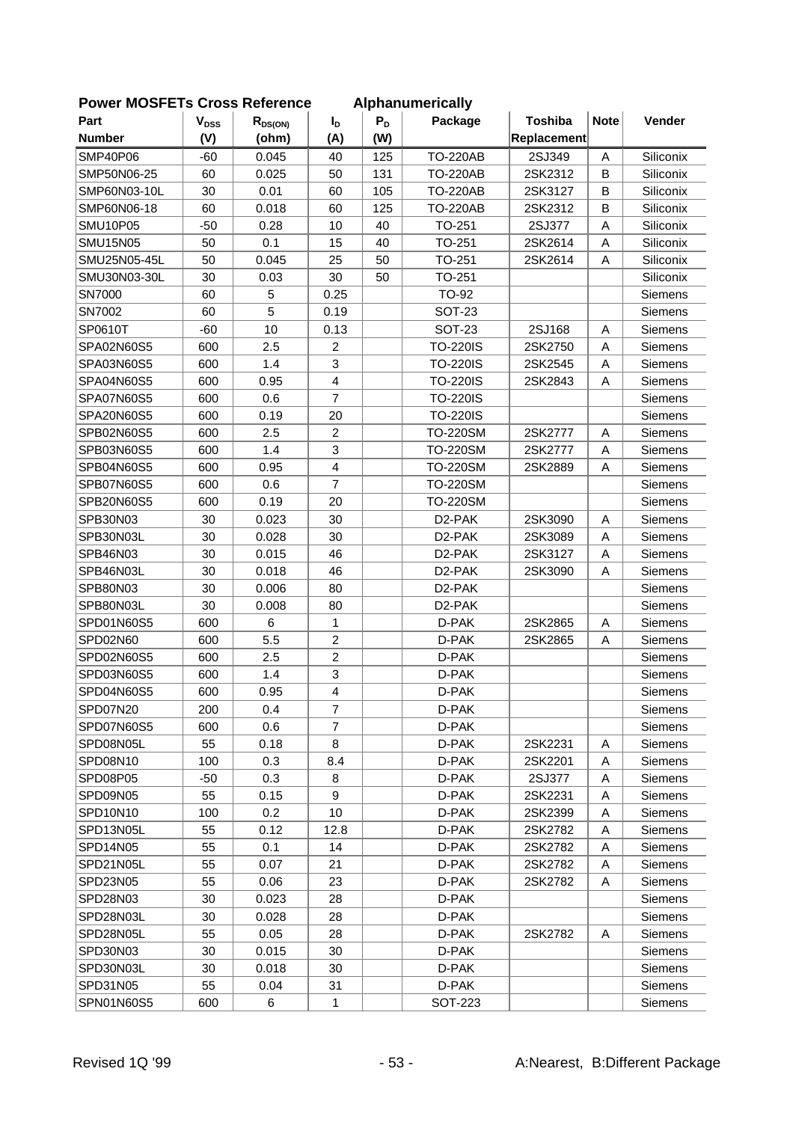| LOMEI INNOLLIS CIOSS VEIEIEIICE |           |              |                |       | <b>Alphanumchoally</b> |                |             |                |
|---------------------------------|-----------|--------------|----------------|-------|------------------------|----------------|-------------|----------------|
| Part                            | $V_{DSS}$ | $R_{DS(ON)}$ | $I_D$          | $P_D$ | Package                | <b>Toshiba</b> | <b>Note</b> | Vender         |
| <b>Number</b>                   | (V)       | (ohm)        | (A)            | (W)   |                        | Replacement    |             |                |
| <b>SMP40P06</b>                 | $-60$     | 0.045        | 40             | 125   | <b>TO-220AB</b>        | 2SJ349         | A           | Siliconix      |
| SMP50N06-25                     | 60        | 0.025        | 50             | 131   | <b>TO-220AB</b>        | 2SK2312        | B           | Siliconix      |
| SMP60N03-10L                    | 30        | 0.01         | 60             | 105   | <b>TO-220AB</b>        | 2SK3127        | B           | Siliconix      |
| SMP60N06-18                     | 60        | 0.018        | 60             | 125   | <b>TO-220AB</b>        | 2SK2312        | B           | Siliconix      |
| <b>SMU10P05</b>                 | $-50$     | 0.28         | 10             | 40    | TO-251                 | 2SJ377         | A           | Siliconix      |
| <b>SMU15N05</b>                 | 50        | 0.1          | 15             | 40    | TO-251                 | 2SK2614        | A           | Siliconix      |
| SMU25N05-45L                    | 50        | 0.045        | 25             | 50    | TO-251                 | 2SK2614        | A           | Siliconix      |
| SMU30N03-30L                    | 30        | 0.03         | 30             | 50    | TO-251                 |                |             | Siliconix      |
| SN7000                          | 60        | 5            | 0.25           |       | TO-92                  |                |             | Siemens        |
| SN7002                          | 60        | 5            | 0.19           |       | <b>SOT-23</b>          |                |             | Siemens        |
| SP0610T                         | $-60$     | 10           | 0.13           |       | <b>SOT-23</b>          | 2SJ168         | Α           | Siemens        |
| SPA02N60S5                      | 600       | 2.5          | $\overline{c}$ |       | <b>TO-220IS</b>        | 2SK2750        | A           | Siemens        |
| SPA03N60S5                      | 600       | 1.4          | 3              |       | <b>TO-220IS</b>        | 2SK2545        | A           | Siemens        |
| SPA04N60S5                      | 600       | 0.95         | $\overline{4}$ |       | <b>TO-220IS</b>        | 2SK2843        | A           | Siemens        |
| SPA07N60S5                      | 600       | 0.6          | $\overline{7}$ |       | <b>TO-220IS</b>        |                |             | Siemens        |
| SPA20N60S5                      | 600       | 0.19         | 20             |       | <b>TO-220IS</b>        |                |             | Siemens        |
| SPB02N60S5                      | 600       | 2.5          | $\overline{c}$ |       | <b>TO-220SM</b>        | 2SK2777        | A           | Siemens        |
| SPB03N60S5                      | 600       | 1.4          | 3              |       | <b>TO-220SM</b>        | 2SK2777        | Α           | <b>Siemens</b> |
| SPB04N60S5                      | 600       | 0.95         | $\overline{4}$ |       | <b>TO-220SM</b>        | 2SK2889        | A           | Siemens        |
| SPB07N60S5                      | 600       | 0.6          | $\overline{7}$ |       | <b>TO-220SM</b>        |                |             | Siemens        |
| SPB20N60S5                      | 600       | 0.19         | 20             |       | <b>TO-220SM</b>        |                |             | Siemens        |
| SPB30N03                        | 30        | 0.023        | 30             |       | D2-PAK                 | 2SK3090        | Α           | Siemens        |
| SPB30N03L                       | 30        | 0.028        | 30             |       | D2-PAK                 | 2SK3089        | A           | Siemens        |
| SPB46N03                        | 30        | 0.015        | 46             |       | D <sub>2</sub> -PAK    | 2SK3127        | A           | Siemens        |
| SPB46N03L                       | 30        | 0.018        | 46             |       | D <sub>2</sub> -PAK    | 2SK3090        | Α           | Siemens        |
| SPB80N03                        | 30        | 0.006        | 80             |       | D <sub>2</sub> -PAK    |                |             | Siemens        |
| SPB80N03L                       | 30        | 0.008        | 80             |       | D2-PAK                 |                |             | Siemens        |
| SPD01N60S5                      | 600       | 6            | 1              |       | D-PAK                  | 2SK2865        | Α           | Siemens        |
| SPD02N60                        | 600       | 5.5          | $\overline{2}$ |       | D-PAK                  | 2SK2865        | A           | Siemens        |
| SPD02N60S5                      | 600       | 2.5          | $\overline{c}$ |       | D-PAK                  |                |             | Siemens        |
| SPD03N60S5                      | 600       | 1.4          | 3              |       | D-PAK                  |                |             | Siemens        |
| SPD04N60S5                      | 600       | 0.95         | $\overline{4}$ |       | D-PAK                  |                |             | Siemens        |
| SPD07N20                        | 200       | 0.4          | $\overline{7}$ |       | D-PAK                  |                |             | Siemens        |
| SPD07N60S5                      | 600       | 0.6          | $\overline{7}$ |       | D-PAK                  |                |             | Siemens        |
| SPD08N05L                       | 55        | 0.18         | 8              |       | D-PAK                  | 2SK2231        | A           | Siemens        |
| SPD08N10                        | 100       | 0.3          | 8.4            |       | D-PAK                  | 2SK2201        | Α           | Siemens        |
| SPD08P05                        | $-50$     | 0.3          | 8              |       | D-PAK                  | 2SJ377         | Α           | <b>Siemens</b> |
| SPD09N05                        | 55        | 0.15         | 9              |       | D-PAK                  | 2SK2231        | A           | <b>Siemens</b> |
| SPD10N10                        | 100       | 0.2          | 10             |       | D-PAK                  | 2SK2399        | Α           | <b>Siemens</b> |
| SPD13N05L                       | 55        | 0.12         | 12.8           |       | D-PAK                  | 2SK2782        | Α           | Siemens        |
| SPD14N05                        | 55        | 0.1          | 14             |       | D-PAK                  | 2SK2782        | Α           | Siemens        |
| SPD21N05L                       | 55        | 0.07         | 21             |       | D-PAK                  | 2SK2782        | Α           | <b>Siemens</b> |
| SPD23N05                        | 55        | 0.06         | 23             |       | D-PAK                  | 2SK2782        | Α           | Siemens        |
| SPD28N03                        | 30        | 0.023        | 28             |       | D-PAK                  |                |             | Siemens        |
| SPD28N03L                       | 30        | 0.028        | 28             |       | D-PAK                  |                |             | Siemens        |
| SPD28N05L                       | 55        | 0.05         | 28             |       | D-PAK                  | 2SK2782        | Α           | Siemens        |
| SPD30N03                        | 30        | 0.015        | 30             |       | D-PAK                  |                |             | Siemens        |
| SPD30N03L                       | 30        | 0.018        | 30             |       | D-PAK                  |                |             | Siemens        |
| SPD31N05                        | 55        | 0.04         | 31             |       | D-PAK                  |                |             | Siemens        |
| SPN01N60S5                      | 600       | 6            | $\mathbf{1}$   |       | <b>SOT-223</b>         |                |             | Siemens        |
|                                 |           |              |                |       |                        |                |             |                |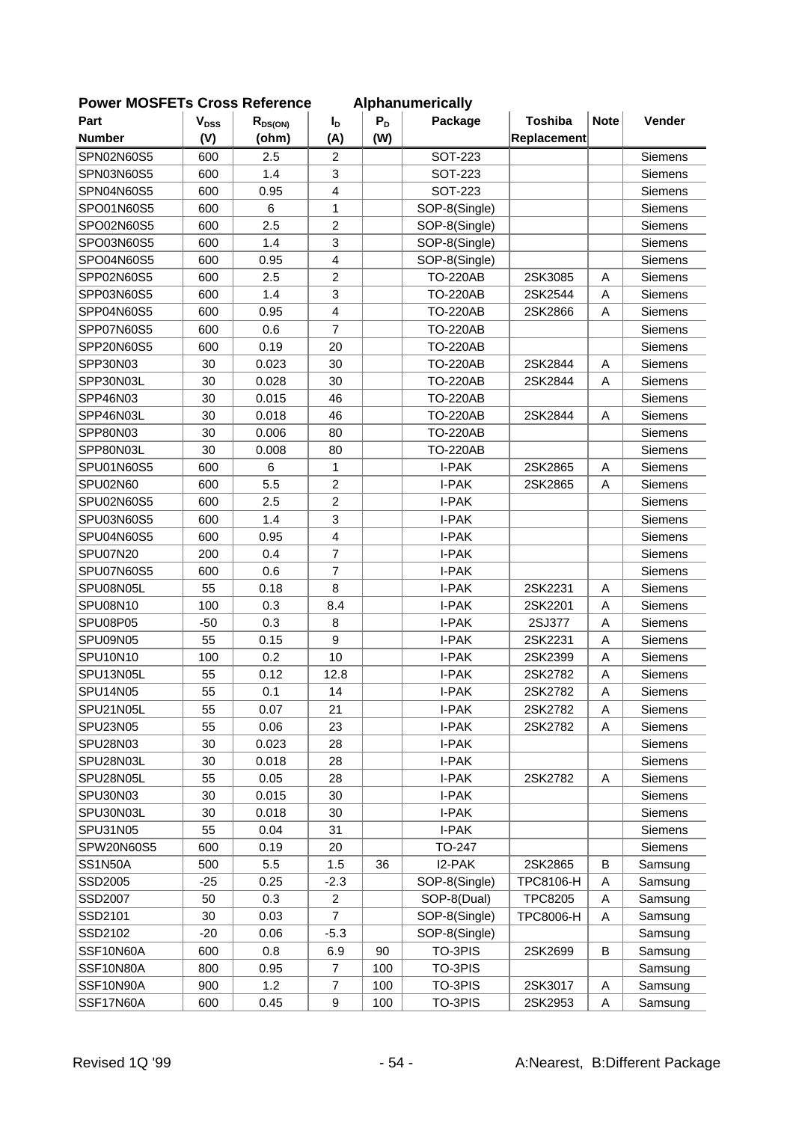| POWER MUSFETS URDSS RETERENCE |                        |              |                         |       | Alphanumerically |                  |             |                |
|-------------------------------|------------------------|--------------|-------------------------|-------|------------------|------------------|-------------|----------------|
| Part                          | <b>V<sub>DSS</sub></b> | $R_{DS(ON)}$ | $I_{\text{D}}$          | $P_D$ | Package          | <b>Toshiba</b>   | <b>Note</b> | Vender         |
| <b>Number</b>                 | (V)                    | (ohm)        | (A)                     | (W)   |                  | Replacement      |             |                |
| SPN02N60S5                    | 600                    | 2.5          | 2                       |       | <b>SOT-223</b>   |                  |             | Siemens        |
| SPN03N60S5                    | 600                    | 1.4          | 3                       |       | <b>SOT-223</b>   |                  |             | Siemens        |
| SPN04N60S5                    | 600                    | 0.95         | 4                       |       | <b>SOT-223</b>   |                  |             | Siemens        |
| SPO01N60S5                    | 600                    | 6            | 1                       |       | SOP-8(Single)    |                  |             | Siemens        |
| SPO02N60S5                    | 600                    | 2.5          | $\overline{2}$          |       | SOP-8(Single)    |                  |             | Siemens        |
| SPO03N60S5                    | 600                    | 1.4          | 3                       |       | SOP-8(Single)    |                  |             | Siemens        |
| SPO04N60S5                    | 600                    | 0.95         | $\overline{4}$          |       | SOP-8(Single)    |                  |             | Siemens        |
| SPP02N60S5                    | 600                    | 2.5          | $\overline{c}$          |       | <b>TO-220AB</b>  | 2SK3085          | Α           | Siemens        |
| SPP03N60S5                    | 600                    | 1.4          | 3                       |       | <b>TO-220AB</b>  | 2SK2544          | A           | Siemens        |
| SPP04N60S5                    | 600                    | 0.95         | $\overline{\mathbf{4}}$ |       | <b>TO-220AB</b>  | 2SK2866          | Α           | Siemens        |
| SPP07N60S5                    | 600                    | 0.6          | $\overline{7}$          |       | <b>TO-220AB</b>  |                  |             | Siemens        |
| SPP20N60S5                    | 600                    | 0.19         | 20                      |       | <b>TO-220AB</b>  |                  |             | Siemens        |
| SPP30N03                      | 30                     | 0.023        | 30                      |       | <b>TO-220AB</b>  | 2SK2844          | A           | Siemens        |
| SPP30N03L                     | 30                     | 0.028        | 30                      |       | <b>TO-220AB</b>  | 2SK2844          | A           | Siemens        |
| SPP46N03                      | 30                     | 0.015        | 46                      |       | <b>TO-220AB</b>  |                  |             | Siemens        |
| SPP46N03L                     | 30                     | 0.018        | 46                      |       | <b>TO-220AB</b>  | 2SK2844          | Α           | Siemens        |
| SPP80N03                      | 30                     | 0.006        | 80                      |       | <b>TO-220AB</b>  |                  |             | Siemens        |
| SPP80N03L                     | 30                     | 0.008        | 80                      |       | <b>TO-220AB</b>  |                  |             | Siemens        |
| SPU01N60S5                    | 600                    | 6            | $\mathbf{1}$            |       | I-PAK            | 2SK2865          | A           | Siemens        |
| SPU02N60                      | 600                    | 5.5          | $\overline{c}$          |       | I-PAK            | 2SK2865          | A           | Siemens        |
| SPU02N60S5                    | 600                    | 2.5          | $\overline{2}$          |       | I-PAK            |                  |             | Siemens        |
| SPU03N60S5                    | 600                    | 1.4          | 3                       |       | I-PAK            |                  |             | Siemens        |
| SPU04N60S5                    | 600                    | 0.95         | $\overline{4}$          |       | I-PAK            |                  |             | Siemens        |
| SPU07N20                      | 200                    | 0.4          | $\overline{7}$          |       | I-PAK            |                  |             | Siemens        |
| SPU07N60S5                    | 600                    | 0.6          | $\overline{7}$          |       | I-PAK            |                  |             | Siemens        |
| SPU08N05L                     | 55                     | 0.18         | 8                       |       | I-PAK            | 2SK2231          | A           | Siemens        |
| SPU08N10                      | 100                    | 0.3          | 8.4                     |       | I-PAK            | 2SK2201          | A           | Siemens        |
| SPU08P05                      | $-50$                  | 0.3          | 8                       |       | I-PAK            | 2SJ377           | Α           | Siemens        |
| SPU09N05                      | 55                     | 0.15         | 9                       |       | I-PAK            | 2SK2231          | A           | Siemens        |
| SPU10N10                      | 100                    | 0.2          | 10                      |       | I-PAK            | 2SK2399          | Α           | <b>Siemens</b> |
| SPU13N05L                     | 55                     | 0.12         | 12.8                    |       | I-PAK            | 2SK2782          | Α           | Siemens        |
| <b>SPU14N05</b>               | 55                     | 0.1          | 14                      |       | I-PAK            | 2SK2782          | Α           | Siemens        |
| SPU21N05L                     | 55                     | 0.07         | 21                      |       | I-PAK            | 2SK2782          | Α           | Siemens        |
| SPU23N05                      | 55                     | 0.06         | 23                      |       | I-PAK            | 2SK2782          | Α           | Siemens        |
| SPU28N03                      | 30                     | 0.023        | 28                      |       | I-PAK            |                  |             | Siemens        |
| SPU28N03L                     | 30                     | 0.018        | 28                      |       | I-PAK            |                  |             | Siemens        |
| SPU28N05L                     | 55                     | 0.05         | 28                      |       | I-PAK            | 2SK2782          | Α           | Siemens        |
| SPU30N03                      | 30                     | 0.015        | 30                      |       | I-PAK            |                  |             | Siemens        |
| SPU30N03L                     | 30                     | 0.018        | 30                      |       | I-PAK            |                  |             | Siemens        |
| SPU31N05                      | 55                     | 0.04         | 31                      |       | I-PAK            |                  |             | Siemens        |
| SPW20N60S5                    | 600                    | 0.19         | 20                      |       | TO-247           |                  |             | Siemens        |
| <b>SS1N50A</b>                | 500                    | 5.5          | 1.5                     | 36    | I2-PAK           | 2SK2865          | B           | Samsung        |
| SSD2005                       | $-25$                  | 0.25         | $-2.3$                  |       | SOP-8(Single)    | TPC8106-H        | Α           | Samsung        |
| SSD2007                       | 50                     | 0.3          | $\overline{2}$          |       | SOP-8(Dual)      | <b>TPC8205</b>   | Α           | Samsung        |
| SSD2101                       | 30                     | 0.03         | $\overline{7}$          |       | SOP-8(Single)    | <b>TPC8006-H</b> | Α           | Samsung        |
| SSD2102                       | $-20$                  | 0.06         | $-5.3$                  |       | SOP-8(Single)    |                  |             | Samsung        |
| SSF10N60A                     | 600                    | 0.8          | 6.9                     | 90    | TO-3PIS          | 2SK2699          | B           | Samsung        |
| SSF10N80A                     | 800                    | 0.95         | $\overline{7}$          | 100   | TO-3PIS          |                  |             | Samsung        |
| SSF10N90A                     | 900                    | 1.2          | $\overline{7}$          | 100   | TO-3PIS          | 2SK3017          | Α           | Samsung        |
| SSF17N60A                     | 600                    | 0.45         | $\boldsymbol{9}$        | 100   | TO-3PIS          | 2SK2953          | Α           | Samsung        |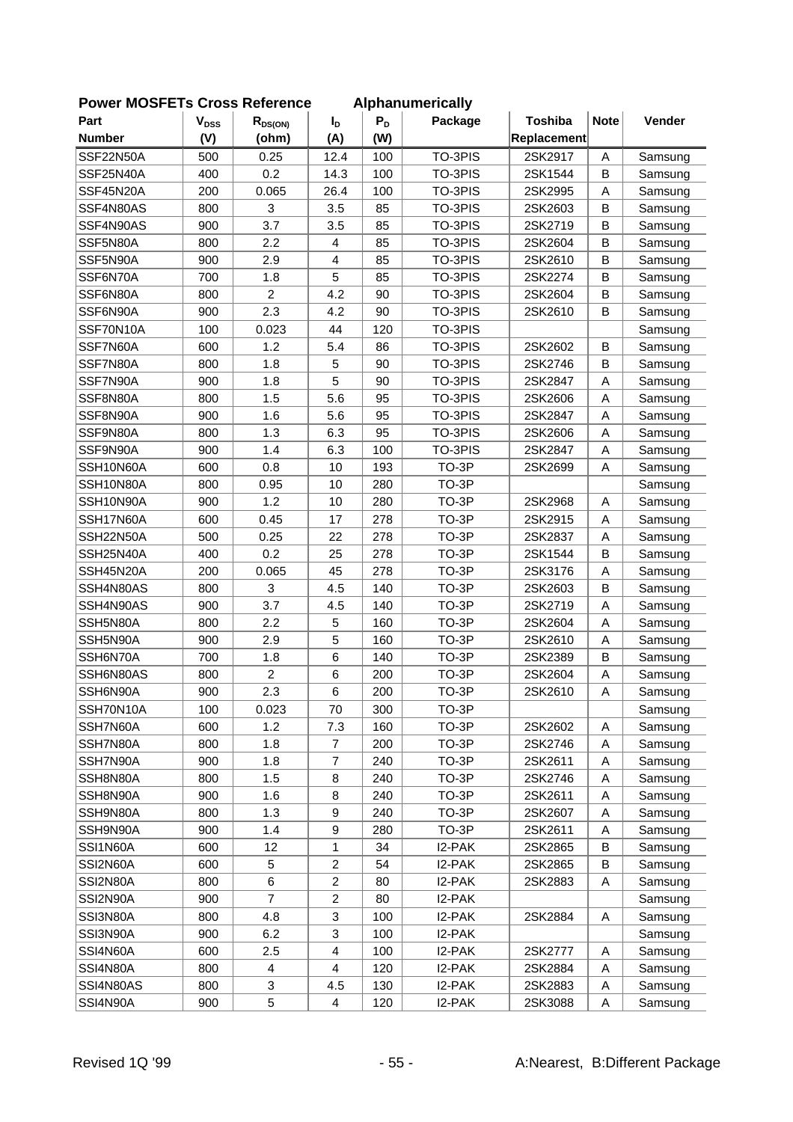| יכו ויו∪טו ∟ו |                        | <b>UI USS INGIGIGIIUG</b> |                  |       | Alphanum i Ivally |                |             |         |
|---------------|------------------------|---------------------------|------------------|-------|-------------------|----------------|-------------|---------|
| Part          | <b>V<sub>DSS</sub></b> | $R_{DS(ON)}$              | I <sub>D</sub>   | $P_D$ | Package           | <b>Toshiba</b> | <b>Note</b> | Vender  |
| <b>Number</b> | (V)                    | (ohm)                     | (A)              | (W)   |                   | Replacement    |             |         |
| SSF22N50A     | 500                    | 0.25                      | 12.4             | 100   | TO-3PIS           | 2SK2917        | A           | Samsung |
| SSF25N40A     | 400                    | 0.2                       | 14.3             | 100   | TO-3PIS           | 2SK1544        | B           | Samsung |
| SSF45N20A     | 200                    | 0.065                     | 26.4             | 100   | TO-3PIS           | 2SK2995        | A           | Samsung |
| SSF4N80AS     | 800                    | 3                         | 3.5              | 85    | TO-3PIS           | 2SK2603        | B           | Samsung |
| SSF4N90AS     | 900                    | 3.7                       | 3.5              | 85    | TO-3PIS           | 2SK2719        | B           | Samsung |
| SSF5N80A      | 800                    | 2.2                       | 4                | 85    | TO-3PIS           | 2SK2604        | B           | Samsung |
| SSF5N90A      | 900                    | 2.9                       | $\overline{4}$   | 85    | TO-3PIS           | 2SK2610        | B           | Samsung |
| SSF6N70A      | 700                    | 1.8                       | 5                | 85    | TO-3PIS           | 2SK2274        | B           | Samsung |
| SSF6N80A      | 800                    | $\overline{2}$            | 4.2              | 90    | TO-3PIS           | 2SK2604        | B           | Samsung |
| SSF6N90A      | 900                    | 2.3                       | 4.2              | 90    | TO-3PIS           | 2SK2610        | В           | Samsung |
| SSF70N10A     | 100                    | 0.023                     | 44               | 120   | TO-3PIS           |                |             | Samsung |
| SSF7N60A      | 600                    | 1.2                       | 5.4              | 86    | TO-3PIS           | 2SK2602        | B           | Samsung |
| SSF7N80A      | 800                    | 1.8                       | 5                | 90    | TO-3PIS           | 2SK2746        | B           | Samsung |
| SSF7N90A      | 900                    | 1.8                       | 5                | 90    | TO-3PIS           | 2SK2847        | A           | Samsung |
| SSF8N80A      | 800                    | 1.5                       | 5.6              | 95    | TO-3PIS           | 2SK2606        | A           | Samsung |
| SSF8N90A      | 900                    | 1.6                       | 5.6              | 95    | TO-3PIS           | 2SK2847        | Α           | Samsung |
| SSF9N80A      | 800                    | 1.3                       | 6.3              | 95    | TO-3PIS           | 2SK2606        | A           | Samsung |
| SSF9N90A      | 900                    | 1.4                       | 6.3              | 100   | TO-3PIS           | 2SK2847        | Α           | Samsung |
| SSH10N60A     | 600                    | 0.8                       | 10               | 193   | TO-3P             | 2SK2699        | Α           | Samsung |
| SSH10N80A     | 800                    | 0.95                      | 10               | 280   | TO-3P             |                |             | Samsung |
| SSH10N90A     | 900                    | 1.2                       | 10               | 280   | TO-3P             | 2SK2968        | A           | Samsung |
| SSH17N60A     | 600                    | 0.45                      | 17               | 278   | TO-3P             | 2SK2915        | A           | Samsung |
| SSH22N50A     | 500                    | 0.25                      | 22               | 278   | TO-3P             | 2SK2837        | A           | Samsung |
| SSH25N40A     | 400                    | 0.2                       | 25               | 278   | TO-3P             | 2SK1544        | B           | Samsung |
| SSH45N20A     | 200                    | 0.065                     | 45               | 278   | TO-3P             | 2SK3176        | A           | Samsung |
| SSH4N80AS     | 800                    | 3                         | 4.5              | 140   | TO-3P             | 2SK2603        | B           | Samsung |
| SSH4N90AS     | 900                    | 3.7                       | 4.5              | 140   | TO-3P             | 2SK2719        | Α           | Samsung |
| SSH5N80A      | 800                    | 2.2                       | 5                | 160   | TO-3P             | 2SK2604        | A           | Samsung |
| SSH5N90A      | 900                    | 2.9                       | 5                | 160   | TO-3P             | 2SK2610        | A           | Samsung |
| SSH6N70A      | 700                    | 1.8                       | 6                | 140   | TO-3P             | 2SK2389        | B           | Samsung |
| SSH6N80AS     | 800                    | $\overline{2}$            | 6                | 200   | TO-3P             | 2SK2604        | Α           | Samsung |
| SSH6N90A      | 900                    | 2.3                       | 6                | 200   | TO-3P             | 2SK2610        | Α           | Samsung |
| SSH70N10A     | 100                    | 0.023                     | 70               | 300   | TO-3P             |                |             | Samsung |
| SSH7N60A      | 600                    | 1.2                       | 7.3              | 160   | TO-3P             | 2SK2602        | A           | Samsung |
| SSH7N80A      | 800                    | 1.8                       | $\overline{7}$   | 200   | TO-3P             | 2SK2746        | Α           | Samsung |
| SSH7N90A      | 900                    | 1.8                       | $\overline{7}$   | 240   | TO-3P             | 2SK2611        | A           | Samsung |
| SSH8N80A      | 800                    | 1.5                       | 8                | 240   | TO-3P             | 2SK2746        | Α           | Samsung |
| SSH8N90A      | 900                    | 1.6                       | 8                | 240   | TO-3P             | 2SK2611        | Α           | Samsung |
| SSH9N80A      | 800                    | 1.3                       | 9                | 240   | TO-3P             | 2SK2607        | Α           | Samsung |
| SSH9N90A      | 900                    | 1.4                       | 9                | 280   | TO-3P             | 2SK2611        | Α           | Samsung |
| SSI1N60A      | 600                    | 12                        | 1                | 34    | I2-PAK            | 2SK2865        | B           | Samsung |
| SSI2N60A      | 600                    | 5                         | $\boldsymbol{2}$ | 54    | I2-PAK            | 2SK2865        | B           | Samsung |
| SSI2N80A      | 800                    | 6                         | $\overline{c}$   | 80    | I2-PAK            | 2SK2883        | Α           | Samsung |
| SSI2N90A      | 900                    | 7                         | $\overline{c}$   | 80    | I2-PAK            |                |             | Samsung |
| SSI3N80A      | 800                    | 4.8                       | 3                | 100   | I2-PAK            | 2SK2884        | A           | Samsung |
| SSI3N90A      | 900                    | 6.2                       | 3                | 100   | I2-PAK            |                |             | Samsung |
| SSI4N60A      | 600                    | 2.5                       | $\overline{4}$   | 100   | I2-PAK            | 2SK2777        | A           | Samsung |
| SSI4N80A      | 800                    | 4                         | 4                | 120   | I2-PAK            | 2SK2884        | Α           | Samsung |
| SSI4N80AS     | 800                    | 3                         | 4.5              | 130   | I2-PAK            | 2SK2883        | Α           | Samsung |
| SSI4N90A      | 900                    | 5                         | 4                | 120   | I2-PAK            | 2SK3088        | Α           | Samsung |
|               |                        |                           |                  |       |                   |                |             |         |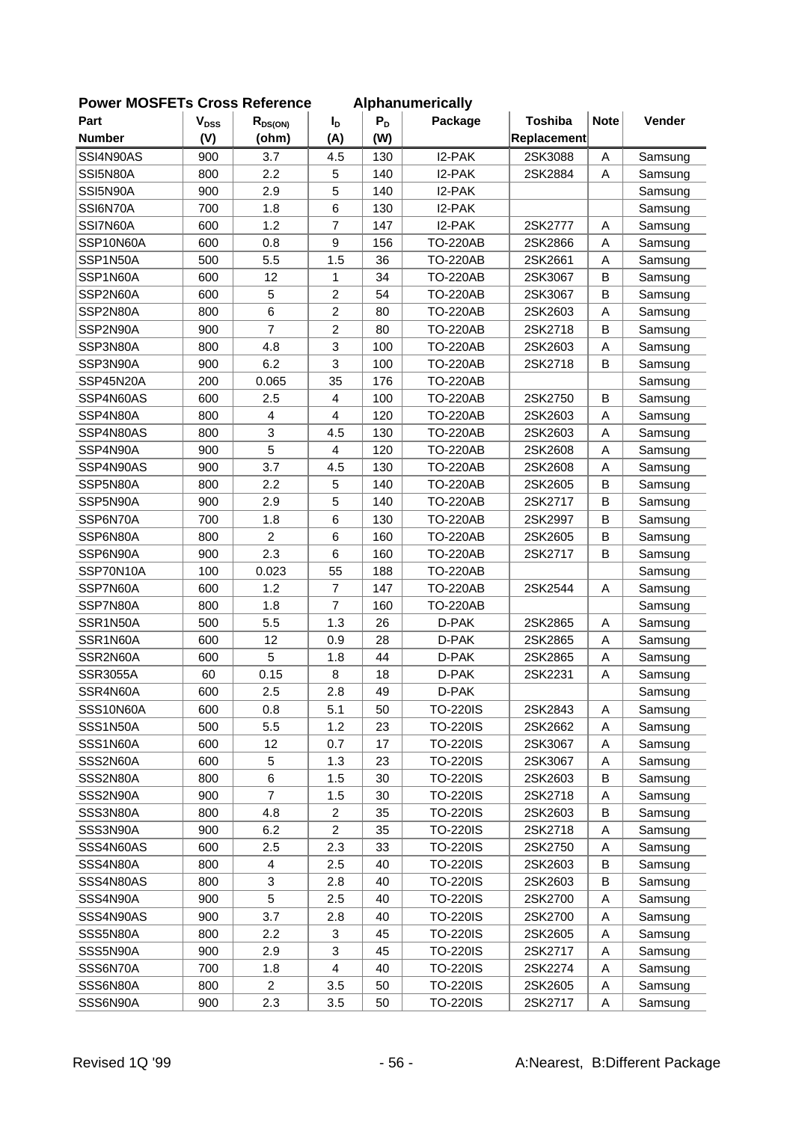| <b>OWEI INCOLLIS CIUSS NEIEIEILE</b> |                        |                |                 |       | <b>Alphanumchoally</b> |                |             |         |
|--------------------------------------|------------------------|----------------|-----------------|-------|------------------------|----------------|-------------|---------|
| Part                                 | <b>V<sub>DSS</sub></b> | $R_{DS(ON)}$   | $I_{\text{D}}$  | $P_D$ | Package                | <b>Toshiba</b> | <b>Note</b> | Vender  |
| <b>Number</b>                        | (V)                    | (ohm)          | (A)             | (W)   |                        | Replacement    |             |         |
| SSI4N90AS                            | 900                    | 3.7            | 4.5             | 130   | I2-PAK                 | 2SK3088        | A           | Samsung |
| SSI5N80A                             | 800                    | 2.2            | 5               | 140   | I2-PAK                 | 2SK2884        | A           | Samsung |
| SSI5N90A                             | 900                    | 2.9            | 5               | 140   | I2-PAK                 |                |             | Samsung |
| SSI6N70A                             | 700                    | 1.8            | 6               | 130   | I2-PAK                 |                |             | Samsung |
| SSI7N60A                             | 600                    | 1.2            | $\overline{7}$  | 147   | I2-PAK                 | 2SK2777        | Α           | Samsung |
| SSP10N60A                            | 600                    | 0.8            | 9               | 156   | <b>TO-220AB</b>        | 2SK2866        | Α           | Samsung |
| SSP1N50A                             | 500                    | 5.5            | 1.5             | 36    | <b>TO-220AB</b>        | 2SK2661        | Α           | Samsung |
| SSP1N60A                             | 600                    | 12             | 1               | 34    | <b>TO-220AB</b>        | 2SK3067        | B           | Samsung |
| SSP2N60A                             | 600                    | 5              | $\overline{c}$  | 54    | <b>TO-220AB</b>        | 2SK3067        | B           | Samsung |
| SSP2N80A                             | 800                    | 6              | $\overline{2}$  | 80    | <b>TO-220AB</b>        | 2SK2603        | A           | Samsung |
| SSP2N90A                             | 900                    | $\overline{7}$ | $\overline{c}$  | 80    | <b>TO-220AB</b>        | 2SK2718        | B           | Samsung |
| SSP3N80A                             | 800                    | 4.8            | 3               | 100   | <b>TO-220AB</b>        | 2SK2603        | A           | Samsung |
| SSP3N90A                             | 900                    | 6.2            | 3               | 100   | <b>TO-220AB</b>        | 2SK2718        | B           | Samsung |
| SSP45N20A                            | 200                    | 0.065          | 35              | 176   | <b>TO-220AB</b>        |                |             | Samsung |
| SSP4N60AS                            | 600                    | 2.5            | $\overline{4}$  | 100   | <b>TO-220AB</b>        | 2SK2750        | $\mathsf B$ | Samsung |
| SSP4N80A                             | 800                    | 4              | $\overline{4}$  | 120   | <b>TO-220AB</b>        | 2SK2603        | A           | Samsung |
| SSP4N80AS                            | 800                    | 3              | 4.5             | 130   | <b>TO-220AB</b>        | 2SK2603        | A           | Samsung |
| SSP4N90A                             | 900                    | 5              | 4               | 120   | <b>TO-220AB</b>        | 2SK2608        | Α           | Samsung |
| SSP4N90AS                            | 900                    | 3.7            | 4.5             | 130   | <b>TO-220AB</b>        | 2SK2608        | Α           | Samsung |
| SSP5N80A                             | 800                    | 2.2            | 5               | 140   | <b>TO-220AB</b>        | 2SK2605        | $\sf B$     | Samsung |
| SSP5N90A                             | 900                    | 2.9            | 5               | 140   | <b>TO-220AB</b>        | 2SK2717        | B           | Samsung |
| SSP6N70A                             | 700                    | 1.8            | 6               | 130   | <b>TO-220AB</b>        | 2SK2997        | B           | Samsung |
| SSP6N80A                             | 800                    | $\overline{c}$ | $6\phantom{1}6$ | 160   | <b>TO-220AB</b>        | 2SK2605        | В           | Samsung |
| SSP6N90A                             | 900                    | 2.3            | 6               | 160   | <b>TO-220AB</b>        | 2SK2717        | B           | Samsung |
| SSP70N10A                            | 100                    | 0.023          | 55              | 188   | <b>TO-220AB</b>        |                |             | Samsung |
| SSP7N60A                             | 600                    | 1.2            | $\overline{7}$  | 147   | <b>TO-220AB</b>        | 2SK2544        | A           | Samsung |
| SSP7N80A                             | 800                    | 1.8            | $\overline{7}$  | 160   | <b>TO-220AB</b>        |                |             | Samsung |
| SSR1N50A                             | 500                    | 5.5            | 1.3             | 26    | D-PAK                  | 2SK2865        | Α           | Samsung |
| SSR1N60A                             | 600                    | 12             | 0.9             | 28    | D-PAK                  | 2SK2865        | A           | Samsung |
| SSR2N60A                             | 600                    | 5              | 1.8             | 44    | D-PAK                  | 2SK2865        | Α           | Samsung |
| <b>SSR3055A</b>                      | 60                     | 0.15           | 8               | 18    | D-PAK                  | 2SK2231        | Α           | Samsung |
| SSR4N60A                             | 600                    | 2.5            | 2.8             | 49    | D-PAK                  |                |             | Samsung |
| SSS10N60A                            | 600                    | 0.8            | 5.1             | 50    | <b>TO-220IS</b>        | 2SK2843        | A           | Samsung |
| SSS1N50A                             | 500                    | 5.5            | 1.2             | 23    | <b>TO-220IS</b>        | 2SK2662        | Α           | Samsung |
| SSS1N60A                             | 600                    | 12             | 0.7             | 17    | <b>TO-220IS</b>        | 2SK3067        | Α           | Samsung |
| SSS2N60A                             | 600                    | 5              | 1.3             | 23    | <b>TO-220IS</b>        | 2SK3067        | Α           | Samsung |
| SSS2N80A                             | 800                    | 6              | 1.5             | 30    | <b>TO-220IS</b>        | 2SK2603        | B           | Samsung |
| SSS2N90A                             | 900                    | 7              | 1.5             | 30    | <b>TO-220IS</b>        | 2SK2718        | A           | Samsung |
| SSS3N80A                             | 800                    | 4.8            | $\overline{c}$  | 35    | <b>TO-220IS</b>        | 2SK2603        | В           |         |
|                                      |                        | 6.2            | $\overline{2}$  |       |                        |                |             | Samsung |
| SSS3N90A                             | 900                    |                |                 | 35    | <b>TO-220IS</b>        | 2SK2718        | Α           | Samsung |
| SSS4N60AS                            | 600                    | 2.5            | 2.3             | 33    | TO-220IS               | 2SK2750        | Α           | Samsung |
| SSS4N80A                             | 800                    | 4              | 2.5             | 40    | <b>TO-220IS</b>        | 2SK2603        | B           | Samsung |
| SSS4N80AS                            | 800                    | 3              | 2.8             | 40    | <b>TO-220IS</b>        | 2SK2603        | B           | Samsung |
| SSS4N90A                             | 900                    | 5              | 2.5             | 40    | <b>TO-220IS</b>        | 2SK2700        | Α           | Samsung |
| SSS4N90AS                            | 900                    | 3.7            | 2.8             | 40    | <b>TO-220IS</b>        | 2SK2700        | Α           | Samsung |
| SSS5N80A                             | 800                    | 2.2            | 3               | 45    | <b>TO-220IS</b>        | 2SK2605        | Α           | Samsung |
| SSS5N90A                             | 900                    | 2.9            | 3               | 45    | <b>TO-220IS</b>        | 2SK2717        | Α           | Samsung |
| SSS6N70A                             | 700                    | 1.8            | $\overline{4}$  | 40    | <b>TO-220IS</b>        | 2SK2274        | Α           | Samsung |
| SSS6N80A                             | 800                    | $\overline{2}$ | 3.5             | 50    | TO-220IS               | 2SK2605        | A           | Samsung |
| SSS6N90A                             | 900                    | 2.3            | 3.5             | 50    | <b>TO-220IS</b>        | 2SK2717        | Α           | Samsung |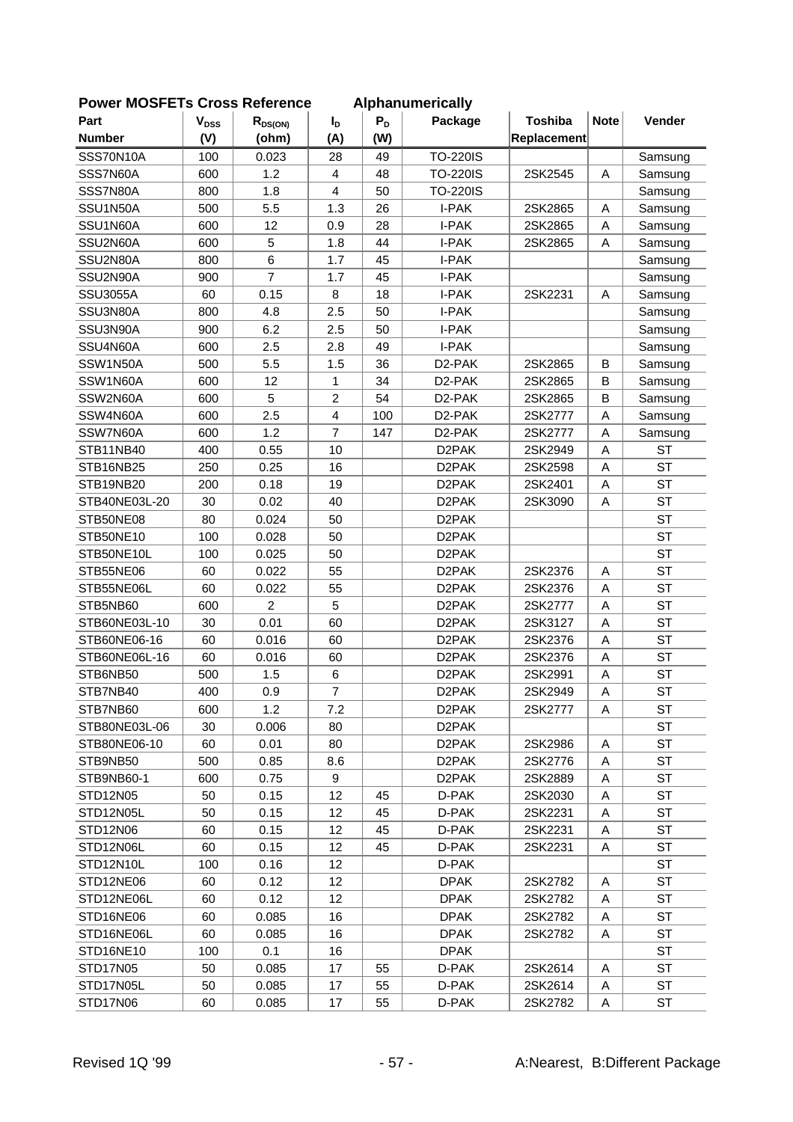| <b>OWEI MOSFLIS CIUSS REIEIEILE</b> |                        |                |                |       | <b>Alphanumentially</b> |                |             |           |
|-------------------------------------|------------------------|----------------|----------------|-------|-------------------------|----------------|-------------|-----------|
| Part                                | <b>V<sub>DSS</sub></b> | $R_{DS(ON)}$   | $I_{\text{D}}$ | $P_D$ | Package                 | <b>Toshiba</b> | <b>Note</b> | Vender    |
| <b>Number</b>                       | (V)                    | (ohm)          | (A)            | (W)   |                         | Replacement    |             |           |
| SSS70N10A                           | 100                    | 0.023          | 28             | 49    | <b>TO-220IS</b>         |                |             | Samsung   |
| SSS7N60A                            | 600                    | 1.2            | $\overline{4}$ | 48    | <b>TO-220IS</b>         | 2SK2545        | Α           | Samsung   |
| SSS7N80A                            | 800                    | 1.8            | $\overline{4}$ | 50    | <b>TO-220IS</b>         |                |             | Samsung   |
| SSU1N50A                            | 500                    | 5.5            | 1.3            | 26    | I-PAK                   | 2SK2865        | Α           | Samsung   |
| SSU1N60A                            | 600                    | 12             | 0.9            | 28    | I-PAK                   | 2SK2865        | A           | Samsung   |
| SSU2N60A                            | 600                    | 5              | 1.8            | 44    | I-PAK                   | 2SK2865        | A           | Samsung   |
| SSU2N80A                            | 800                    | 6              | 1.7            | 45    | I-PAK                   |                |             | Samsung   |
| SSU2N90A                            | 900                    | $\overline{7}$ | 1.7            | 45    | I-PAK                   |                |             | Samsung   |
| <b>SSU3055A</b>                     | 60                     | 0.15           | 8              | 18    | I-PAK                   | 2SK2231        | Α           | Samsung   |
| SSU3N80A                            | 800                    | 4.8            | 2.5            | 50    | I-PAK                   |                |             | Samsung   |
| SSU3N90A                            | 900                    | 6.2            | 2.5            | 50    | I-PAK                   |                |             | Samsung   |
| SSU4N60A                            | 600                    | 2.5            | 2.8            | 49    | I-PAK                   |                |             | Samsung   |
| SSW1N50A                            | 500                    | 5.5            | 1.5            | 36    | D2-PAK                  | 2SK2865        | В           | Samsung   |
| SSW1N60A                            | 600                    | 12             | 1              | 34    | D <sub>2</sub> -PAK     | 2SK2865        | B           | Samsung   |
| SSW2N60A                            | 600                    | 5              | $\overline{2}$ | 54    | D <sub>2</sub> -PAK     | 2SK2865        | B           | Samsung   |
| SSW4N60A                            | 600                    | 2.5            | $\overline{4}$ | 100   | D2-PAK                  | 2SK2777        | A           | Samsung   |
| SSW7N60A                            | 600                    | 1.2            | $\overline{7}$ | 147   | D <sub>2</sub> -PAK     | 2SK2777        | A           | Samsung   |
| STB11NB40                           | 400                    | 0.55           | 10             |       | D <sub>2</sub> PAK      | 2SK2949        | A           | <b>ST</b> |
| STB16NB25                           | 250                    | 0.25           | 16             |       | D <sub>2</sub> PAK      | 2SK2598        | Α           | <b>ST</b> |
| STB19NB20                           | 200                    | 0.18           | 19             |       | D <sub>2</sub> PAK      | 2SK2401        | A           | <b>ST</b> |
| STB40NE03L-20                       | 30                     | 0.02           | 40             |       | D <sub>2</sub> PAK      | 2SK3090        | Α           | <b>ST</b> |
| STB50NE08                           | 80                     | 0.024          | 50             |       | D <sub>2</sub> PAK      |                |             | <b>ST</b> |
| STB50NE10                           | 100                    | 0.028          | 50             |       | D <sub>2</sub> PAK      |                |             | <b>ST</b> |
| STB50NE10L                          | 100                    | 0.025          | 50             |       | D <sub>2</sub> PAK      |                |             | <b>ST</b> |
| STB55NE06                           | 60                     | 0.022          | 55             |       | D <sub>2</sub> PAK      | 2SK2376        | Α           | <b>ST</b> |
| STB55NE06L                          | 60                     | 0.022          | 55             |       | D <sub>2</sub> PAK      | 2SK2376        | A           | <b>ST</b> |
| STB5NB60                            | 600                    | $\overline{2}$ | 5              |       | D <sub>2</sub> PAK      | 2SK2777        | A           | <b>ST</b> |
| STB60NE03L-10                       | 30                     | 0.01           | 60             |       | D <sub>2</sub> PAK      | 2SK3127        | Α           | <b>ST</b> |
| STB60NE06-16                        | 60                     | 0.016          | 60             |       | D <sub>2</sub> PAK      | 2SK2376        | Α           | <b>ST</b> |
| STB60NE06L-16                       | 60                     | 0.016          | 60             |       | D <sub>2</sub> PAK      | 2SK2376        | Α           | <b>ST</b> |
| STB6NB50                            | 500                    | 1.5            | 6              |       | D <sub>2</sub> PAK      | 2SK2991        | Α           | <b>ST</b> |
| STB7NB40                            | 400                    | 0.9            | $\overline{7}$ |       | D <sub>2</sub> PAK      | 2SK2949        | A           | <b>ST</b> |
| STB7NB60                            | 600                    | 1.2            | 7.2            |       | D <sub>2</sub> PAK      | 2SK2777        | A           | ST        |
| STB80NE03L-06                       | 30                     | 0.006          | 80             |       | D2PAK                   |                |             | <b>ST</b> |
| STB80NE06-10                        | 60                     | 0.01           | 80             |       | D2PAK                   | 2SK2986        | A           | <b>ST</b> |
| STB9NB50                            | 500                    | 0.85           | 8.6            |       | D <sub>2</sub> PAK      | 2SK2776        | Α           | <b>ST</b> |
| STB9NB60-1                          | 600                    | 0.75           | 9              |       | D2PAK                   | 2SK2889        | Α           | <b>ST</b> |
| STD12N05                            | 50                     | 0.15           | 12             | 45    | D-PAK                   | 2SK2030        | Α           | <b>ST</b> |
| STD12N05L                           | 50                     | 0.15           | 12             | 45    | D-PAK                   | 2SK2231        | Α           | <b>ST</b> |
| STD12N06                            | 60                     | 0.15           | 12             | 45    | D-PAK                   | 2SK2231        | Α           | <b>ST</b> |
| STD12N06L                           | 60                     | 0.15           | 12             | 45    | D-PAK                   | 2SK2231        | Α           | <b>ST</b> |
| STD12N10L                           | 100                    | 0.16           | 12             |       | D-PAK                   |                |             | <b>ST</b> |
| STD12NE06                           | 60                     | 0.12           | 12             |       | <b>DPAK</b>             | 2SK2782        | A           | ST        |
| STD12NE06L                          | 60                     | 0.12           | 12             |       | <b>DPAK</b>             | 2SK2782        | Α           | ST        |
| STD16NE06                           | 60                     | 0.085          | 16             |       | <b>DPAK</b>             | 2SK2782        | Α           | ST        |
| STD16NE06L                          | 60                     | 0.085          | 16             |       | <b>DPAK</b>             | 2SK2782        | Α           | <b>ST</b> |
| STD16NE10                           | 100                    | 0.1            | 16             |       | <b>DPAK</b>             |                |             | <b>ST</b> |
| STD17N05                            | 50                     | 0.085          | 17             | 55    | D-PAK                   | 2SK2614        | Α           | <b>ST</b> |
| STD17N05L                           | 50                     | 0.085          | 17             | 55    | D-PAK                   | 2SK2614        | A           | <b>ST</b> |
| STD17N06                            | 60                     | 0.085          | 17             | 55    | D-PAK                   | 2SK2782        | Α           | <b>ST</b> |
|                                     |                        |                |                |       |                         |                |             |           |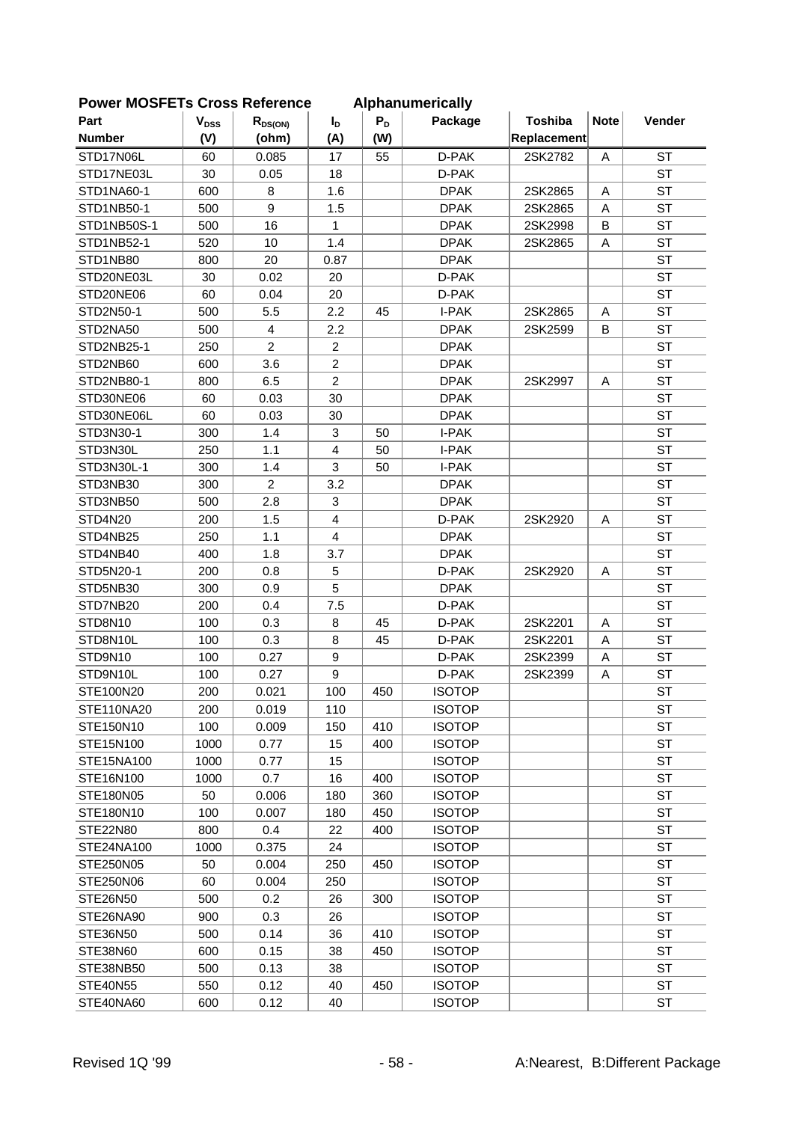| <b>FUWEI MUSFLIS CIUSS NEIEICHE</b> |           |                |                |       | Alphanumencally |                |             |           |
|-------------------------------------|-----------|----------------|----------------|-------|-----------------|----------------|-------------|-----------|
| Part                                | $V_{DSS}$ | $R_{DS(ON)}$   | $I_D$          | $P_D$ | Package         | <b>Toshiba</b> | <b>Note</b> | Vender    |
| <b>Number</b>                       | (V)       | (ohm)          | (A)            | (W)   |                 | Replacement    |             |           |
| STD17N06L                           | 60        | 0.085          | 17             | 55    | D-PAK           | 2SK2782        | A           | <b>ST</b> |
| STD17NE03L                          | 30        | 0.05           | 18             |       | D-PAK           |                |             | <b>ST</b> |
| STD1NA60-1                          | 600       | 8              | 1.6            |       | <b>DPAK</b>     | 2SK2865        | A           | <b>ST</b> |
| STD1NB50-1                          | 500       | 9              | 1.5            |       | <b>DPAK</b>     | 2SK2865        | A           | <b>ST</b> |
| STD1NB50S-1                         | 500       | 16             | 1              |       | <b>DPAK</b>     | 2SK2998        | B           | <b>ST</b> |
| STD1NB52-1                          | 520       | 10             | 1.4            |       | <b>DPAK</b>     | 2SK2865        | Α           | <b>ST</b> |
| STD1NB80                            | 800       | 20             | 0.87           |       | <b>DPAK</b>     |                |             | <b>ST</b> |
| STD20NE03L                          | 30        | 0.02           | 20             |       | D-PAK           |                |             | <b>ST</b> |
| STD20NE06                           | 60        | 0.04           | 20             |       | D-PAK           |                |             | <b>ST</b> |
| STD2N50-1                           | 500       | 5.5            | 2.2            | 45    | I-PAK           | 2SK2865        | A           | <b>ST</b> |
| STD2NA50                            | 500       | 4              | 2.2            |       | <b>DPAK</b>     | 2SK2599        | B           | <b>ST</b> |
| STD2NB25-1                          | 250       | $\overline{2}$ | $\overline{c}$ |       | <b>DPAK</b>     |                |             | <b>ST</b> |
| STD2NB60                            | 600       | 3.6            | $\overline{2}$ |       | <b>DPAK</b>     |                |             | <b>ST</b> |
| STD2NB80-1                          | 800       | 6.5            | $\overline{2}$ |       | <b>DPAK</b>     | 2SK2997        | A           | <b>ST</b> |
| STD30NE06                           | 60        | 0.03           | 30             |       | <b>DPAK</b>     |                |             | <b>ST</b> |
| STD30NE06L                          | 60        | 0.03           | 30             |       | <b>DPAK</b>     |                |             | <b>ST</b> |
| STD3N30-1                           | 300       | 1.4            | 3              | 50    | I-PAK           |                |             | <b>ST</b> |
| STD3N30L                            | 250       | 1.1            | $\overline{4}$ | 50    | I-PAK           |                |             | <b>ST</b> |
| STD3N30L-1                          | 300       | 1.4            | 3              | 50    | I-PAK           |                |             | <b>ST</b> |
| STD3NB30                            | 300       | $\overline{a}$ | 3.2            |       | <b>DPAK</b>     |                |             | <b>ST</b> |
| STD3NB50                            | 500       | 2.8            | 3              |       | <b>DPAK</b>     |                |             | <b>ST</b> |
| STD4N20                             | 200       | 1.5            | $\overline{4}$ |       | D-PAK           | 2SK2920        | Α           | <b>ST</b> |
| STD4NB25                            | 250       | 1.1            | 4              |       | <b>DPAK</b>     |                |             | <b>ST</b> |
| STD4NB40                            | 400       | 1.8            | 3.7            |       | <b>DPAK</b>     |                |             | <b>ST</b> |
| STD5N20-1                           | 200       | 0.8            | $\mathbf 5$    |       | D-PAK           | 2SK2920        | Α           | <b>ST</b> |
| STD5NB30                            | 300       | 0.9            | 5              |       | <b>DPAK</b>     |                |             | <b>ST</b> |
| STD7NB20                            | 200       | 0.4            | 7.5            |       | D-PAK           |                |             | <b>ST</b> |
| STD8N10                             | 100       | 0.3            | 8              | 45    | D-PAK           | 2SK2201        | A           | <b>ST</b> |
| STD8N10L                            | 100       | 0.3            | 8              | 45    | D-PAK           | 2SK2201        | A           | <b>ST</b> |
| STD9N10                             | 100       | 0.27           | 9              |       | D-PAK           | 2SK2399        | A           | <b>ST</b> |
| STD9N10L                            | 100       | 0.27           | 9              |       | D-PAK           | 2SK2399        | Α           | <b>ST</b> |
| STE100N20                           | 200       | 0.021          | 100            | 450   | <b>ISOTOP</b>   |                |             | <b>ST</b> |
| STE110NA20                          | 200       | 0.019          | 110            |       | <b>ISOTOP</b>   |                |             | <b>ST</b> |
| STE150N10                           | 100       | 0.009          | 150            | 410   | <b>ISOTOP</b>   |                |             | <b>ST</b> |
| STE15N100                           | 1000      | 0.77           | 15             | 400   | <b>ISOTOP</b>   |                |             | <b>ST</b> |
| STE15NA100                          | 1000      | 0.77           | 15             |       | <b>ISOTOP</b>   |                |             | <b>ST</b> |
| STE16N100                           | 1000      | 0.7            | 16             | 400   | <b>ISOTOP</b>   |                |             | <b>ST</b> |
| STE180N05                           | 50        | 0.006          | 180            | 360   | <b>ISOTOP</b>   |                |             | <b>ST</b> |
| STE180N10                           | 100       | 0.007          | 180            | 450   | <b>ISOTOP</b>   |                |             | <b>ST</b> |
| STE22N80                            | 800       | 0.4            | 22             | 400   | <b>ISOTOP</b>   |                |             | <b>ST</b> |
| STE24NA100                          | 1000      | 0.375          | 24             |       | <b>ISOTOP</b>   |                |             | <b>ST</b> |
| STE250N05                           | 50        | 0.004          | 250            | 450   | <b>ISOTOP</b>   |                |             | <b>ST</b> |
| STE250N06                           | 60        | 0.004          | 250            |       | <b>ISOTOP</b>   |                |             | ST        |
| STE26N50                            | 500       | 0.2            | 26             | 300   | <b>ISOTOP</b>   |                |             | <b>ST</b> |
| STE26NA90                           | 900       | 0.3            | 26             |       | <b>ISOTOP</b>   |                |             | <b>ST</b> |
| STE36N50                            | 500       | 0.14           | 36             | 410   | <b>ISOTOP</b>   |                |             | <b>ST</b> |
| STE38N60                            | 600       | 0.15           | 38             | 450   | <b>ISOTOP</b>   |                |             | <b>ST</b> |
| STE38NB50                           | 500       | 0.13           | 38             |       | <b>ISOTOP</b>   |                |             | <b>ST</b> |
| <b>STE40N55</b>                     | 550       | 0.12           | 40             | 450   | <b>ISOTOP</b>   |                |             | ST        |
| STE40NA60                           | 600       | 0.12           | 40             |       | <b>ISOTOP</b>   |                |             | <b>ST</b> |
|                                     |           |                |                |       |                 |                |             |           |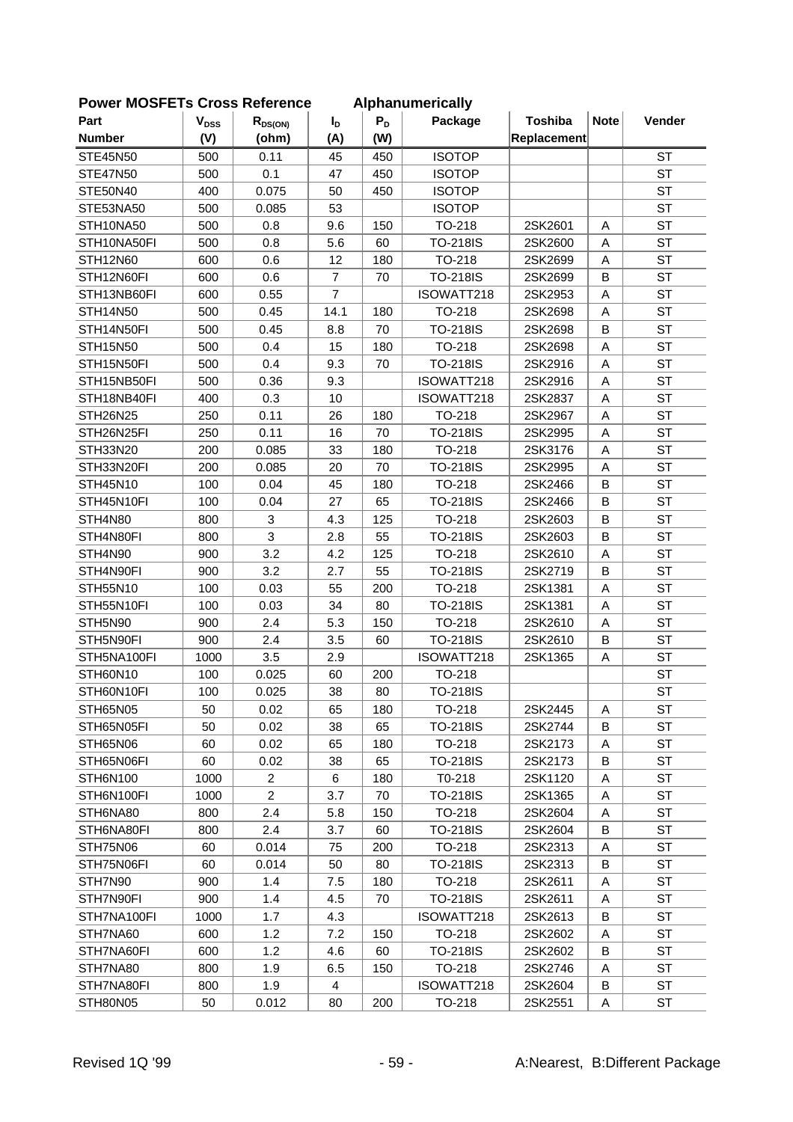| Part                          | $\mathbf{V}_{\text{DSS}}$ | $R_{DS(ON)}$   | I <sub>D</sub>       | $P_D$ | Package                   | <b>Toshiba</b>     | <b>Note</b> | Vender    |
|-------------------------------|---------------------------|----------------|----------------------|-------|---------------------------|--------------------|-------------|-----------|
| <b>Number</b>                 | (V)                       | (ohm)          | (A)                  | (W)   |                           | Replacement        |             |           |
| <b>STE45N50</b>               | 500                       | 0.11           | 45                   | 450   | <b>ISOTOP</b>             |                    |             | <b>ST</b> |
| <b>STE47N50</b>               | 500                       | 0.1            | 47                   | 450   | <b>ISOTOP</b>             |                    |             | <b>ST</b> |
| STE50N40                      | 400                       | 0.075          | 50                   | 450   | <b>ISOTOP</b>             |                    |             | <b>ST</b> |
| STE53NA50                     | 500                       | 0.085          | 53                   |       | <b>ISOTOP</b>             |                    |             | <b>ST</b> |
| STH10NA50                     | 500                       | 0.8            | 9.6                  | 150   | TO-218                    | 2SK2601            | Α           | <b>ST</b> |
| STH10NA50FI                   | 500                       | 0.8            | 5.6                  | 60    | <b>TO-218IS</b>           | 2SK2600            | A           | <b>ST</b> |
|                               | 600                       |                |                      |       |                           |                    |             | <b>ST</b> |
| <b>STH12N60</b><br>STH12N60FI |                           | 0.6            | 12<br>$\overline{7}$ | 180   | TO-218<br><b>TO-218IS</b> | 2SK2699<br>2SK2699 | Α<br>B      | <b>ST</b> |
|                               | 600                       | 0.6            | $\overline{7}$       | 70    |                           |                    |             | <b>ST</b> |
| STH13NB60FI                   | 600                       | 0.55           |                      |       | ISOWATT218<br>TO-218      | 2SK2953            | Α           | <b>ST</b> |
| STH14N50                      | 500                       | 0.45           | 14.1                 | 180   |                           | 2SK2698            | Α           |           |
| STH14N50FI                    | 500                       | 0.45           | 8.8                  | 70    | <b>TO-218IS</b>           | 2SK2698            | B           | <b>ST</b> |
| <b>STH15N50</b>               | 500                       | 0.4            | 15                   | 180   | TO-218                    | 2SK2698            | Α           | <b>ST</b> |
| STH15N50FI                    | 500                       | 0.4            | 9.3                  | 70    | <b>TO-218IS</b>           | 2SK2916            | Α           | <b>ST</b> |
| STH15NB50FI                   | 500                       | 0.36           | 9.3                  |       | ISOWATT218                | 2SK2916            | A           | <b>ST</b> |
| STH18NB40FI                   | 400                       | 0.3            | 10                   |       | ISOWATT218                | 2SK2837            | A           | <b>ST</b> |
| <b>STH26N25</b>               | 250                       | 0.11           | 26                   | 180   | TO-218                    | 2SK2967            | A           | <b>ST</b> |
| STH26N25FI                    | 250                       | 0.11           | 16                   | 70    | <b>TO-218IS</b>           | 2SK2995            | Α           | <b>ST</b> |
| STH33N20                      | 200                       | 0.085          | 33                   | 180   | TO-218                    | 2SK3176            | Α           | <b>ST</b> |
| STH33N20FI                    | 200                       | 0.085          | 20                   | 70    | <b>TO-218IS</b>           | 2SK2995            | Α           | <b>ST</b> |
| STH45N10                      | 100                       | 0.04           | 45                   | 180   | TO-218                    | 2SK2466            | B           | <b>ST</b> |
| STH45N10FI                    | 100                       | 0.04           | 27                   | 65    | TO-218IS                  | 2SK2466            | B           | <b>ST</b> |
| STH4N80                       | 800                       | 3              | 4.3                  | 125   | TO-218                    | 2SK2603            | B           | <b>ST</b> |
| STH4N80FI                     | 800                       | 3              | 2.8                  | 55    | <b>TO-218IS</b>           | 2SK2603            | B           | <b>ST</b> |
| STH4N90                       | 900                       | 3.2            | 4.2                  | 125   | TO-218                    | 2SK2610            | Α           | <b>ST</b> |
| STH4N90FI                     | 900                       | 3.2            | 2.7                  | 55    | <b>TO-218IS</b>           | 2SK2719            | B           | <b>ST</b> |
| STH55N10                      | 100                       | 0.03           | 55                   | 200   | TO-218                    | 2SK1381            | Α           | <b>ST</b> |
| STH55N10FI                    | 100                       | 0.03           | 34                   | 80    | <b>TO-218IS</b>           | 2SK1381            | A           | <b>ST</b> |
| STH5N90                       | 900                       | 2.4            | 5.3                  | 150   | TO-218                    | 2SK2610            | A           | <b>ST</b> |
| STH5N90FI                     | 900                       | 2.4            | 3.5                  | 60    | <b>TO-218IS</b>           | 2SK2610            | B           | <b>ST</b> |
| STH5NA100FI                   | 1000                      | 3.5            | 2.9                  |       | ISOWATT218                | 2SK1365            | Α           | <b>ST</b> |
| STH60N10                      | 100                       | 0.025          | 60                   | 200   | TO-218                    |                    |             | <b>ST</b> |
| STH60N10FI                    | 100                       | 0.025          | 38                   | 80    | <b>TO-218IS</b>           |                    |             | <b>ST</b> |
| STH65N05                      | 50                        | 0.02           | 65                   | 180   | TO-218                    | 2SK2445            | A           | ST        |
| STH65N05FI                    | 50                        | 0.02           | 38                   | 65    | TO-218IS                  | 2SK2744            | B           | <b>ST</b> |
| STH65N06                      | 60                        | 0.02           | 65                   | 180   | TO-218                    | 2SK2173            | Α           | <b>ST</b> |
| STH65N06FI                    | 60                        | 0.02           | 38                   | 65    | TO-218IS                  | 2SK2173            | B           | <b>ST</b> |
| STH6N100                      | 1000                      | $\overline{c}$ | 6                    | 180   | T0-218                    | 2SK1120            | Α           | <b>ST</b> |
| STH6N100FI                    | 1000                      | $\overline{c}$ | 3.7                  | 70    | TO-218IS                  | 2SK1365            | Α           | <b>ST</b> |
| STH6NA80                      | 800                       | 2.4            | 5.8                  | 150   | TO-218                    | 2SK2604            | Α           | ST        |
| STH6NA80FI                    | 800                       | 2.4            | 3.7                  | 60    | TO-218IS                  | 2SK2604            | B           | <b>ST</b> |
| STH75N06                      | 60                        | 0.014          | 75                   | 200   | TO-218                    | 2SK2313            | Α           | <b>ST</b> |
| STH75N06FI                    | 60                        | 0.014          | 50                   | 80    | TO-218IS                  | 2SK2313            | В           | ST        |
| STH7N90                       | 900                       | 1.4            | 7.5                  | 180   | TO-218                    | 2SK2611            | Α           | <b>ST</b> |
| STH7N90FI                     | 900                       | 1.4            | 4.5                  | 70    | TO-218IS                  | 2SK2611            | Α           | <b>ST</b> |
| STH7NA100FI                   | 1000                      | 1.7            | 4.3                  |       | ISOWATT218                | 2SK2613            | B           | ST        |
| STH7NA60                      | 600                       | 1.2            | 7.2                  | 150   | TO-218                    | 2SK2602            | Α           | <b>ST</b> |
| STH7NA60FI                    | 600                       | 1.2            | 4.6                  | 60    | TO-218IS                  | 2SK2602            | B           | <b>ST</b> |
| STH7NA80                      | 800                       | 1.9            | 6.5                  | 150   | TO-218                    | 2SK2746            | Α           | <b>ST</b> |
| STH7NA80FI                    | 800                       | 1.9            | 4                    |       | ISOWATT218                | 2SK2604            | В           | <b>ST</b> |
| STH80N05                      | 50                        | 0.012          | 80                   | 200   | TO-218                    | 2SK2551            | Α           | ST        |
|                               |                           |                |                      |       |                           |                    |             |           |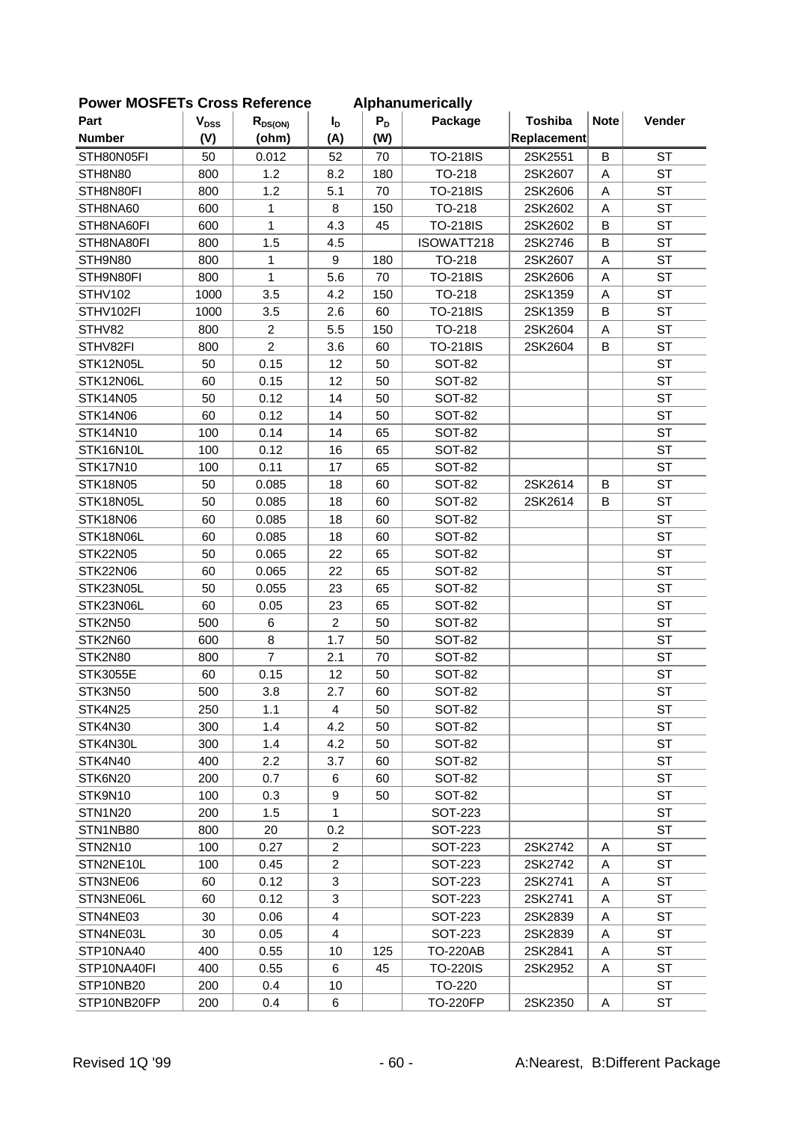| <b>I OWEI INCOI LIS CIOSS REIGIGILE</b> |                        |                |                |       | Alphanum Filiamy |                |             |           |
|-----------------------------------------|------------------------|----------------|----------------|-------|------------------|----------------|-------------|-----------|
| Part                                    | <b>V<sub>DSS</sub></b> | $R_{DS(ON)}$   | I <sub>D</sub> | $P_D$ | Package          | <b>Toshiba</b> | <b>Note</b> | Vender    |
| <b>Number</b>                           | (V)                    | (ohm)          | (A)            | (W)   |                  | Replacement    |             |           |
| STH80N05FI                              | 50                     | 0.012          | 52             | 70    | <b>TO-218IS</b>  | 2SK2551        | $\mathsf B$ | <b>ST</b> |
| STH8N80                                 | 800                    | 1.2            | 8.2            | 180   | TO-218           | 2SK2607        | Α           | <b>ST</b> |
| STH8N80FI                               | 800                    | 1.2            | 5.1            | 70    | <b>TO-218IS</b>  | 2SK2606        | A           | <b>ST</b> |
| STH8NA60                                | 600                    | 1              | 8              | 150   | TO-218           | 2SK2602        | A           | <b>ST</b> |
| STH8NA60FI                              | 600                    | 1              | 4.3            | 45    | <b>TO-218IS</b>  | 2SK2602        | B           | <b>ST</b> |
| STH8NA80FI                              | 800                    | 1.5            | 4.5            |       | ISOWATT218       | 2SK2746        | B           | <b>ST</b> |
| STH9N80                                 | 800                    | 1              | 9              | 180   | TO-218           | 2SK2607        | Α           | <b>ST</b> |
| STH9N80FI                               | 800                    | $\mathbf{1}$   | 5.6            | 70    | <b>TO-218IS</b>  | 2SK2606        | A           | <b>ST</b> |
| STHV102                                 | 1000                   | 3.5            | 4.2            | 150   | TO-218           | 2SK1359        | Α           | <b>ST</b> |
| STHV102FI                               | 1000                   | 3.5            | 2.6            | 60    | <b>TO-218IS</b>  | 2SK1359        | B           | <b>ST</b> |
| STHV82                                  | 800                    | $\overline{c}$ | 5.5            | 150   | TO-218           | 2SK2604        | Α           | <b>ST</b> |
| STHV82FI                                | 800                    | $\overline{2}$ | 3.6            | 60    | <b>TO-218IS</b>  | 2SK2604        | В           | <b>ST</b> |
| STK12N05L                               | 50                     | 0.15           | 12             | 50    | <b>SOT-82</b>    |                |             | <b>ST</b> |
| STK12N06L                               | 60                     | 0.15           | 12             | 50    | <b>SOT-82</b>    |                |             | <b>ST</b> |
| <b>STK14N05</b>                         | 50                     | 0.12           | 14             | 50    | <b>SOT-82</b>    |                |             | <b>ST</b> |
| <b>STK14N06</b>                         | 60                     | 0.12           | 14             | 50    | <b>SOT-82</b>    |                |             | <b>ST</b> |
| STK14N10                                | 100                    | 0.14           | 14             | 65    | <b>SOT-82</b>    |                |             | <b>ST</b> |
| STK16N10L                               | 100                    | 0.12           | 16             | 65    | <b>SOT-82</b>    |                |             | <b>ST</b> |
| <b>STK17N10</b>                         | 100                    | 0.11           | 17             | 65    | <b>SOT-82</b>    |                |             | <b>ST</b> |
| <b>STK18N05</b>                         | 50                     | 0.085          | 18             | 60    | <b>SOT-82</b>    | 2SK2614        | B           | <b>ST</b> |
| STK18N05L                               | 50                     | 0.085          | 18             | 60    | <b>SOT-82</b>    | 2SK2614        | B           | <b>ST</b> |
| <b>STK18N06</b>                         | 60                     | 0.085          | 18             | 60    | <b>SOT-82</b>    |                |             | <b>ST</b> |
| STK18N06L                               | 60                     | 0.085          | 18             | 60    | <b>SOT-82</b>    |                |             | <b>ST</b> |
| <b>STK22N05</b>                         | 50                     | 0.065          | 22             | 65    | <b>SOT-82</b>    |                |             | <b>ST</b> |
| STK22N06                                | 60                     | 0.065          | 22             | 65    | <b>SOT-82</b>    |                |             | <b>ST</b> |
| STK23N05L                               | 50                     | 0.055          | 23             | 65    | <b>SOT-82</b>    |                |             | <b>ST</b> |
| STK23N06L                               | 60                     | 0.05           | 23             | 65    | <b>SOT-82</b>    |                |             | <b>ST</b> |
| STK2N50                                 | 500                    | 6              | $\overline{c}$ | 50    | <b>SOT-82</b>    |                |             | <b>ST</b> |
| STK2N60                                 | 600                    | 8              | 1.7            | 50    | <b>SOT-82</b>    |                |             | <b>ST</b> |
| STK2N80                                 | 800                    | $\overline{7}$ | 2.1            | 70    | <b>SOT-82</b>    |                |             | <b>ST</b> |
| <b>STK3055E</b>                         | 60                     | 0.15           | 12             | 50    | <b>SOT-82</b>    |                |             | <b>ST</b> |
| STK3N50                                 | 500                    | 3.8            | 2.7            | 60    | <b>SOT-82</b>    |                |             | <b>ST</b> |
| STK4N25                                 | 250                    | 1.1            | 4              | 50    | <b>SOT-82</b>    |                |             | <b>ST</b> |
| STK4N30                                 | 300                    | 1.4            | 4.2            | 50    | SOT-82           |                |             | <b>ST</b> |
| STK4N30L                                | 300                    | 1.4            | 4.2            | 50    | SOT-82           |                |             | <b>ST</b> |
| STK4N40                                 | 400                    | 2.2            | 3.7            | 60    | <b>SOT-82</b>    |                |             | <b>ST</b> |
| STK6N20                                 | 200                    | 0.7            | 6              | 60    | <b>SOT-82</b>    |                |             | <b>ST</b> |
| STK9N10                                 | 100                    | 0.3            | 9              | 50    | SOT-82           |                |             | <b>ST</b> |
| <b>STN1N20</b>                          | 200                    | 1.5            | 1              |       | <b>SOT-223</b>   |                |             | <b>ST</b> |
| STN1NB80                                | 800                    | 20             | 0.2            |       | SOT-223          |                |             | <b>ST</b> |
| STN2N10                                 | 100                    | 0.27           | $\overline{c}$ |       | SOT-223          | 2SK2742        | A           | ST        |
| STN2NE10L                               | 100                    | 0.45           | $\overline{c}$ |       | <b>SOT-223</b>   | 2SK2742        | Α           | <b>ST</b> |
| STN3NE06                                | 60                     | 0.12           | 3              |       | <b>SOT-223</b>   | 2SK2741        | A           | <b>ST</b> |
| STN3NE06L                               | 60                     | 0.12           | 3              |       | SOT-223          | 2SK2741        | Α           | ST        |
| STN4NE03                                | 30                     | 0.06           | $\overline{4}$ |       | SOT-223          | 2SK2839        | Α           | <b>ST</b> |
| STN4NE03L                               | 30                     | 0.05           | $\overline{4}$ |       | <b>SOT-223</b>   | 2SK2839        | A           | <b>ST</b> |
| STP10NA40                               | 400                    | 0.55           | 10             | 125   | <b>TO-220AB</b>  | 2SK2841        | Α           | <b>ST</b> |
| STP10NA40FI                             | 400                    | 0.55           | 6              | 45    | <b>TO-220IS</b>  | 2SK2952        | Α           | <b>ST</b> |
| STP10NB20                               | 200                    | 0.4            | 10             |       | TO-220           |                |             | <b>ST</b> |
| STP10NB20FP                             | 200                    | 0.4            | 6              |       | <b>TO-220FP</b>  | 2SK2350        | Α           | ST        |
|                                         |                        |                |                |       |                  |                |             |           |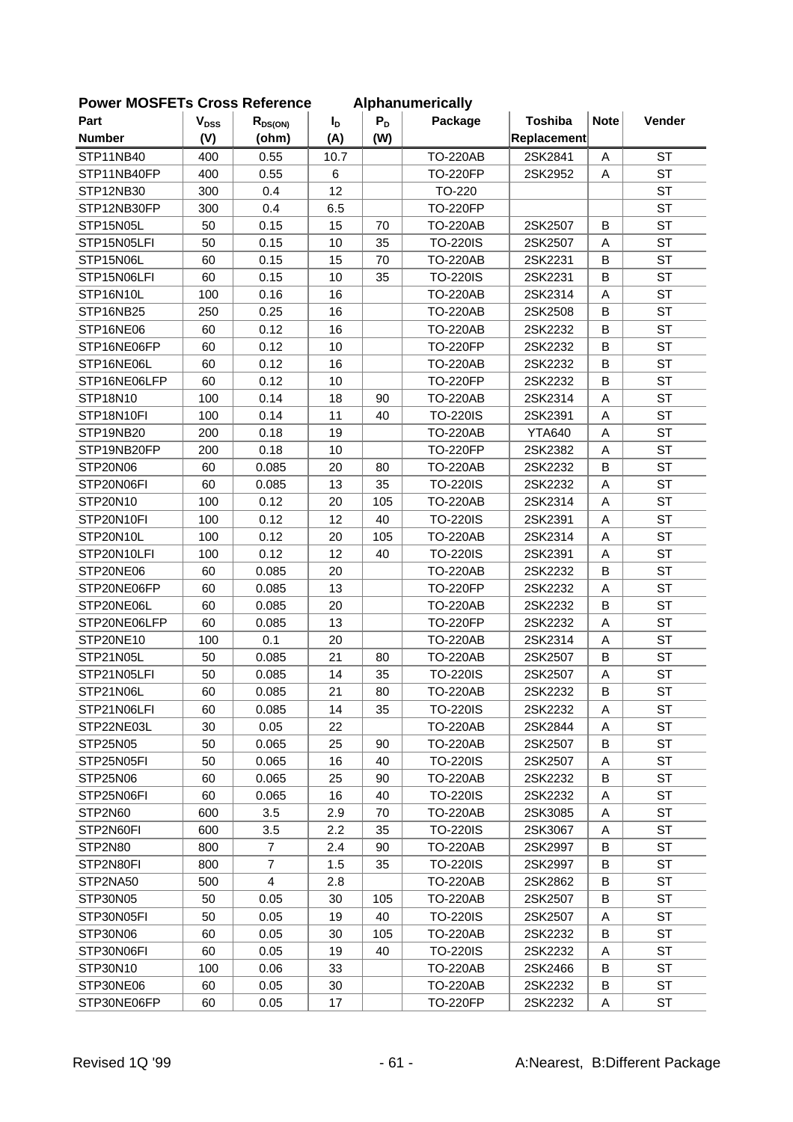| <b>I OWEI INCOI LIS CIOSS REIGIGILE</b> |           |                |                |       | Alphanum Filiamy |                |             |           |
|-----------------------------------------|-----------|----------------|----------------|-------|------------------|----------------|-------------|-----------|
| Part                                    | $V_{DSS}$ | $R_{DS(ON)}$   | I <sub>D</sub> | $P_D$ | Package          | <b>Toshiba</b> | <b>Note</b> | Vender    |
| <b>Number</b>                           | (V)       | (ohm)          | (A)            | (W)   |                  | Replacement    |             |           |
| STP11NB40                               | 400       | 0.55           | 10.7           |       | <b>TO-220AB</b>  | 2SK2841        | A           | <b>ST</b> |
| STP11NB40FP                             | 400       | 0.55           | 6              |       | <b>TO-220FP</b>  | 2SK2952        | A           | <b>ST</b> |
| STP12NB30                               | 300       | 0.4            | 12             |       | TO-220           |                |             | <b>ST</b> |
| STP12NB30FP                             | 300       | 0.4            | 6.5            |       | <b>TO-220FP</b>  |                |             | <b>ST</b> |
| STP15N05L                               | 50        | 0.15           | 15             | 70    | <b>TO-220AB</b>  | 2SK2507        | B           | <b>ST</b> |
| STP15N05LFI                             | 50        | 0.15           | 10             | 35    | <b>TO-220IS</b>  | 2SK2507        | Α           | <b>ST</b> |
| STP15N06L                               | 60        | 0.15           | 15             | 70    | <b>TO-220AB</b>  | 2SK2231        | B           | <b>ST</b> |
| STP15N06LFI                             | 60        | 0.15           | 10             | 35    | <b>TO-220IS</b>  | 2SK2231        | B           | <b>ST</b> |
| STP16N10L                               | 100       | 0.16           | 16             |       | <b>TO-220AB</b>  | 2SK2314        | A           | <b>ST</b> |
| STP16NB25                               | 250       | 0.25           | 16             |       | <b>TO-220AB</b>  | 2SK2508        | B           | <b>ST</b> |
| STP16NE06                               | 60        | 0.12           | 16             |       | <b>TO-220AB</b>  | 2SK2232        | B           | <b>ST</b> |
| STP16NE06FP                             | 60        | 0.12           | 10             |       | <b>TO-220FP</b>  | 2SK2232        | B           | <b>ST</b> |
| STP16NE06L                              | 60        | 0.12           | 16             |       | <b>TO-220AB</b>  | 2SK2232        | B           | <b>ST</b> |
| STP16NE06LFP                            | 60        | 0.12           | 10             |       | <b>TO-220FP</b>  | 2SK2232        | B           | <b>ST</b> |
| STP18N10                                | 100       | 0.14           | 18             | 90    | <b>TO-220AB</b>  | 2SK2314        | A           | <b>ST</b> |
| STP18N10FI                              | 100       | 0.14           | 11             | 40    | <b>TO-220IS</b>  | 2SK2391        | A           | <b>ST</b> |
| STP19NB20                               | 200       | 0.18           | 19             |       | <b>TO-220AB</b>  | <b>YTA640</b>  | A           | <b>ST</b> |
| STP19NB20FP                             | 200       | 0.18           | 10             |       | <b>TO-220FP</b>  | 2SK2382        | A           | <b>ST</b> |
| STP20N06                                | 60        | 0.085          | 20             | 80    | <b>TO-220AB</b>  | 2SK2232        | B           | <b>ST</b> |
| STP20N06FI                              | 60        | 0.085          | 13             | 35    | <b>TO-220IS</b>  | 2SK2232        | A           | <b>ST</b> |
| STP20N10                                | 100       | 0.12           | 20             | 105   | <b>TO-220AB</b>  | 2SK2314        | A           | <b>ST</b> |
| STP20N10FI                              | 100       | 0.12           | 12             | 40    | <b>TO-220IS</b>  | 2SK2391        | A           | <b>ST</b> |
| STP20N10L                               | 100       | 0.12           | 20             | 105   | <b>TO-220AB</b>  | 2SK2314        | A           | <b>ST</b> |
| STP20N10LFI                             | 100       | 0.12           | 12             | 40    | <b>TO-220IS</b>  | 2SK2391        | A           | <b>ST</b> |
| STP20NE06                               | 60        | 0.085          | 20             |       | <b>TO-220AB</b>  | 2SK2232        | B           | <b>ST</b> |
| STP20NE06FP                             | 60        | 0.085          | 13             |       | <b>TO-220FP</b>  | 2SK2232        | A           | <b>ST</b> |
| STP20NE06L                              | 60        | 0.085          | 20             |       | <b>TO-220AB</b>  | 2SK2232        | B           | <b>ST</b> |
| STP20NE06LFP                            | 60        | 0.085          | 13             |       | <b>TO-220FP</b>  | 2SK2232        | A           | <b>ST</b> |
| STP20NE10                               | 100       | 0.1            | 20             |       | <b>TO-220AB</b>  | 2SK2314        | A           | <b>ST</b> |
| STP21N05L                               | 50        | 0.085          | 21             | 80    | <b>TO-220AB</b>  | 2SK2507        | B           | <b>ST</b> |
| STP21N05LFI                             | 50        | 0.085          | 14             | 35    | <b>TO-220IS</b>  | 2SK2507        | Α           | <b>ST</b> |
| STP21N06L                               | 60        | 0.085          | 21             | 80    | <b>TO-220AB</b>  | 2SK2232        | B           | <b>ST</b> |
| STP21N06LFI                             | 60        | 0.085          | 14             | 35    | <b>TO-220IS</b>  | 2SK2232        | A           | <b>ST</b> |
| STP22NE03L                              | 30        | 0.05           | 22             |       | <b>TO-220AB</b>  | 2SK2844        | Α           | <b>ST</b> |
| STP25N05                                | 50        | 0.065          | 25             | 90    | <b>TO-220AB</b>  | 2SK2507        | B           | <b>ST</b> |
| STP25N05FI                              | 50        | 0.065          | 16             | 40    | <b>TO-220IS</b>  | 2SK2507        | Α           | <b>ST</b> |
| STP25N06                                | 60        | 0.065          | 25             | 90    | <b>TO-220AB</b>  | 2SK2232        | B           | <b>ST</b> |
| STP25N06FI                              | 60        | 0.065          | 16             | 40    | <b>TO-220IS</b>  | 2SK2232        | Α           | <b>ST</b> |
| STP2N60                                 | 600       | 3.5            | 2.9            | 70    | <b>TO-220AB</b>  | 2SK3085        | A           | <b>ST</b> |
| STP2N60FI                               | 600       | 3.5            | 2.2            | 35    | <b>TO-220IS</b>  | 2SK3067        | Α           | <b>ST</b> |
| STP2N80                                 | 800       | 7              | 2.4            | 90    | TO-220AB         | 2SK2997        | B           | <b>ST</b> |
| STP2N80FI                               | 800       | $\overline{7}$ | 1.5            | 35    | <b>TO-220IS</b>  | 2SK2997        | В           | <b>ST</b> |
| STP2NA50                                | 500       | 4              | 2.8            |       | TO-220AB         | 2SK2862        | B           | <b>ST</b> |
| STP30N05                                | 50        | 0.05           | 30             | 105   | <b>TO-220AB</b>  | 2SK2507        | B           | <b>ST</b> |
| STP30N05FI                              | 50        | 0.05           | 19             | 40    | <b>TO-220IS</b>  | 2SK2507        | Α           | <b>ST</b> |
| STP30N06                                | 60        | 0.05           | 30             | 105   | <b>TO-220AB</b>  | 2SK2232        | B           | <b>ST</b> |
| STP30N06FI                              | 60        | 0.05           | 19             | 40    | <b>TO-220IS</b>  | 2SK2232        | Α           | <b>ST</b> |
| STP30N10                                | 100       | 0.06           | 33             |       | <b>TO-220AB</b>  | 2SK2466        | B           | <b>ST</b> |
| STP30NE06                               | 60        | 0.05           | 30             |       | <b>TO-220AB</b>  | 2SK2232        | B           | ST        |
| STP30NE06FP                             | 60        | 0.05           | 17             |       | <b>TO-220FP</b>  | 2SK2232        | Α           | ST        |
|                                         |           |                |                |       |                  |                |             |           |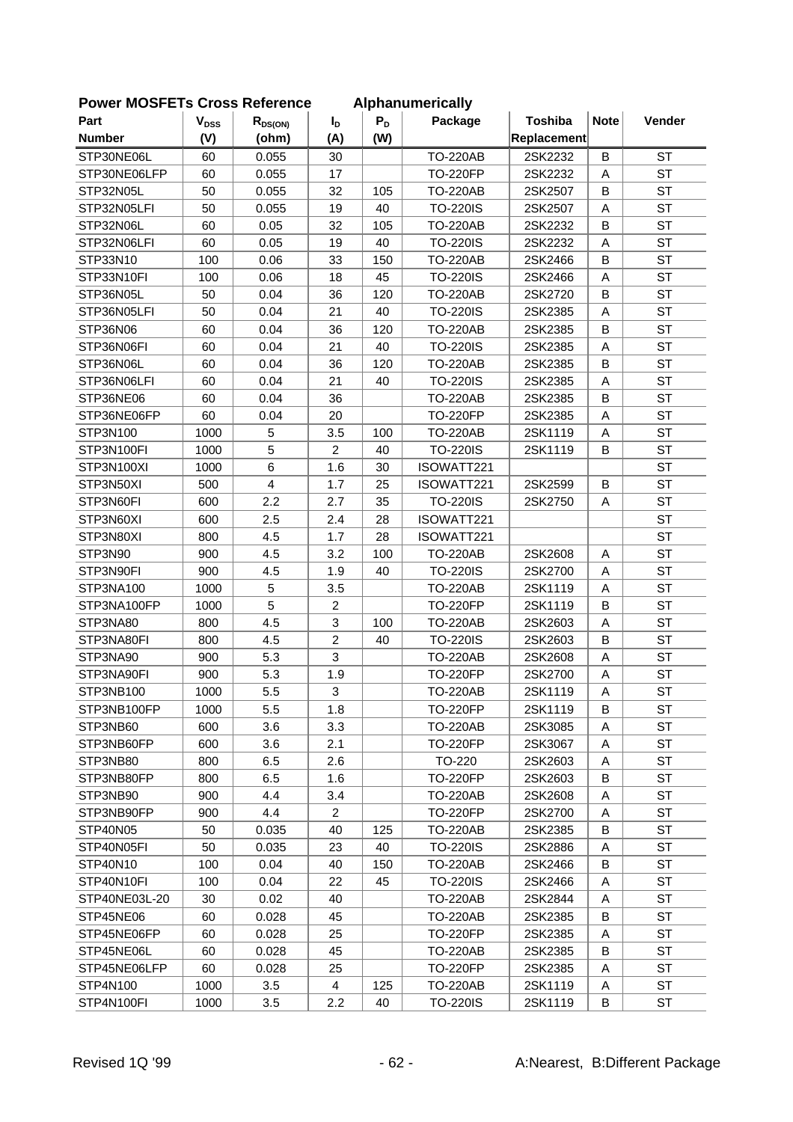| ום וטשוויסו   | o.<br>וטו טכטוט        | 0110         |                |       | Alphanumonoally |                |             |           |
|---------------|------------------------|--------------|----------------|-------|-----------------|----------------|-------------|-----------|
| Part          | <b>V<sub>DSS</sub></b> | $R_{DS(ON)}$ | I <sub>D</sub> | $P_D$ | Package         | <b>Toshiba</b> | <b>Note</b> | Vender    |
| <b>Number</b> | (V)                    | (ohm)        | (A)            | (W)   |                 | Replacement    |             |           |
| STP30NE06L    | 60                     | 0.055        | 30             |       | <b>TO-220AB</b> | 2SK2232        | B           | <b>ST</b> |
| STP30NE06LFP  | 60                     | 0.055        | 17             |       | <b>TO-220FP</b> | 2SK2232        | A           | <b>ST</b> |
| STP32N05L     | 50                     | 0.055        | 32             | 105   | <b>TO-220AB</b> | 2SK2507        | B           | <b>ST</b> |
| STP32N05LFI   | 50                     | 0.055        | 19             | 40    | <b>TO-220IS</b> | 2SK2507        | Α           | <b>ST</b> |
| STP32N06L     | 60                     | 0.05         | 32             | 105   | <b>TO-220AB</b> | 2SK2232        | B           | <b>ST</b> |
| STP32N06LFI   | 60                     | 0.05         | 19             | 40    | <b>TO-220IS</b> | 2SK2232        | Α           | <b>ST</b> |
| STP33N10      | 100                    | 0.06         | 33             | 150   | <b>TO-220AB</b> | 2SK2466        | B           | <b>ST</b> |
| STP33N10FI    | 100                    | 0.06         | 18             | 45    | <b>TO-220IS</b> | 2SK2466        | A           | <b>ST</b> |
| STP36N05L     | 50                     | 0.04         | 36             | 120   | <b>TO-220AB</b> | 2SK2720        | B           | <b>ST</b> |
| STP36N05LFI   | 50                     | 0.04         | 21             | 40    | <b>TO-220IS</b> | 2SK2385        | Α           | <b>ST</b> |
| STP36N06      | 60                     | 0.04         | 36             | 120   | <b>TO-220AB</b> | 2SK2385        | B           | <b>ST</b> |
| STP36N06FI    | 60                     | 0.04         | 21             | 40    | <b>TO-220IS</b> | 2SK2385        | Α           | <b>ST</b> |
| STP36N06L     | 60                     | 0.04         | 36             | 120   | <b>TO-220AB</b> | 2SK2385        | B           | <b>ST</b> |
| STP36N06LFI   | 60                     | 0.04         | 21             | 40    | <b>TO-220IS</b> | 2SK2385        | Α           | <b>ST</b> |
| STP36NE06     | 60                     | 0.04         | 36             |       | <b>TO-220AB</b> | 2SK2385        | B           | <b>ST</b> |
| STP36NE06FP   | 60                     | 0.04         | 20             |       | <b>TO-220FP</b> | 2SK2385        | Α           | <b>ST</b> |
| STP3N100      | 1000                   | 5            | 3.5            | 100   | <b>TO-220AB</b> | 2SK1119        | A           | <b>ST</b> |
| STP3N100FI    | 1000                   | 5            | $\overline{c}$ | 40    | <b>TO-220IS</b> | 2SK1119        | B           | <b>ST</b> |
| STP3N100XI    | 1000                   | 6            | 1.6            | 30    | ISOWATT221      |                |             | <b>ST</b> |
| STP3N50XI     | 500                    | 4            | 1.7            | 25    | ISOWATT221      | 2SK2599        | B           | <b>ST</b> |
| STP3N60FI     | 600                    | 2.2          | 2.7            | 35    | <b>TO-220IS</b> | 2SK2750        | Α           | <b>ST</b> |
| STP3N60XI     | 600                    | 2.5          | 2.4            | 28    | ISOWATT221      |                |             | <b>ST</b> |
| STP3N80XI     | 800                    | 4.5          | 1.7            | 28    | ISOWATT221      |                |             | <b>ST</b> |
| STP3N90       | 900                    | 4.5          | 3.2            | 100   | <b>TO-220AB</b> | 2SK2608        | A           | <b>ST</b> |
| STP3N90FI     | 900                    | 4.5          | 1.9            | 40    | <b>TO-220IS</b> | 2SK2700        | Α           | <b>ST</b> |
| STP3NA100     | 1000                   | 5            | 3.5            |       | <b>TO-220AB</b> | 2SK1119        | Α           | <b>ST</b> |
| STP3NA100FP   | 1000                   | 5            | $\overline{c}$ |       | <b>TO-220FP</b> | 2SK1119        | B           | <b>ST</b> |
| STP3NA80      | 800                    | 4.5          | 3              | 100   | <b>TO-220AB</b> | 2SK2603        | A           | <b>ST</b> |
| STP3NA80FI    | 800                    | 4.5          | $\overline{c}$ | 40    | <b>TO-220IS</b> | 2SK2603        | B           | <b>ST</b> |
| STP3NA90      | 900                    | 5.3          | 3              |       | <b>TO-220AB</b> | 2SK2608        | A           | <b>ST</b> |
| STP3NA90FI    | 900                    | 5.3          | 1.9            |       | <b>TO-220FP</b> | 2SK2700        | Α           | <b>ST</b> |
| STP3NB100     | 1000                   | 5.5          | 3              |       | <b>TO-220AB</b> | 2SK1119        | Α           | <b>ST</b> |
| STP3NB100FP   | 1000                   | 5.5          | 1.8            |       | <b>TO-220FP</b> | 2SK1119        | B           | <b>ST</b> |
| STP3NB60      | 600                    | 3.6          | 3.3            |       | <b>TO-220AB</b> | 2SK3085        | Α           | <b>ST</b> |
| STP3NB60FP    | 600                    | 3.6          | 2.1            |       | <b>TO-220FP</b> | 2SK3067        | Α           | <b>ST</b> |
| STP3NB80      | 800                    | 6.5          | 2.6            |       | TO-220          | 2SK2603        | Α           | <b>ST</b> |
| STP3NB80FP    | 800                    | 6.5          | 1.6            |       | <b>TO-220FP</b> | 2SK2603        | В           | <b>ST</b> |
| STP3NB90      | 900                    | 4.4          | 3.4            |       | <b>TO-220AB</b> | 2SK2608        | A           | ST        |
| STP3NB90FP    | 900                    | 4.4          | $\overline{2}$ |       | <b>TO-220FP</b> | 2SK2700        | Α           | <b>ST</b> |
| STP40N05      | 50                     | 0.035        | 40             | 125   | <b>TO-220AB</b> | 2SK2385        | B           | <b>ST</b> |
| STP40N05FI    | 50                     | 0.035        | 23             | 40    | <b>TO-220IS</b> | 2SK2886        | Α           | <b>ST</b> |
| STP40N10      | 100                    | 0.04         | 40             | 150   | <b>TO-220AB</b> | 2SK2466        | В           | ST        |
| STP40N10FI    | 100                    | 0.04         | 22             | 45    | <b>TO-220IS</b> | 2SK2466        | Α           | ST        |
| STP40NE03L-20 | 30                     | 0.02         | 40             |       | <b>TO-220AB</b> | 2SK2844        | Α           | ST        |
| STP45NE06     | 60                     | 0.028        | 45             |       | <b>TO-220AB</b> | 2SK2385        | В           | <b>ST</b> |
| STP45NE06FP   | 60                     | 0.028        | 25             |       | <b>TO-220FP</b> | 2SK2385        | Α           | <b>ST</b> |
| STP45NE06L    | 60                     | 0.028        | 45             |       | <b>TO-220AB</b> | 2SK2385        | B           | <b>ST</b> |
| STP45NE06LFP  | 60                     | 0.028        | 25             |       | <b>TO-220FP</b> | 2SK2385        | Α           | <b>ST</b> |
| STP4N100      | 1000                   | 3.5          | 4              | 125   | <b>TO-220AB</b> | 2SK1119        | Α           | ST        |
| STP4N100FI    | 1000                   | 3.5          | 2.2            | 40    | <b>TO-220IS</b> | 2SK1119        | В           | ST        |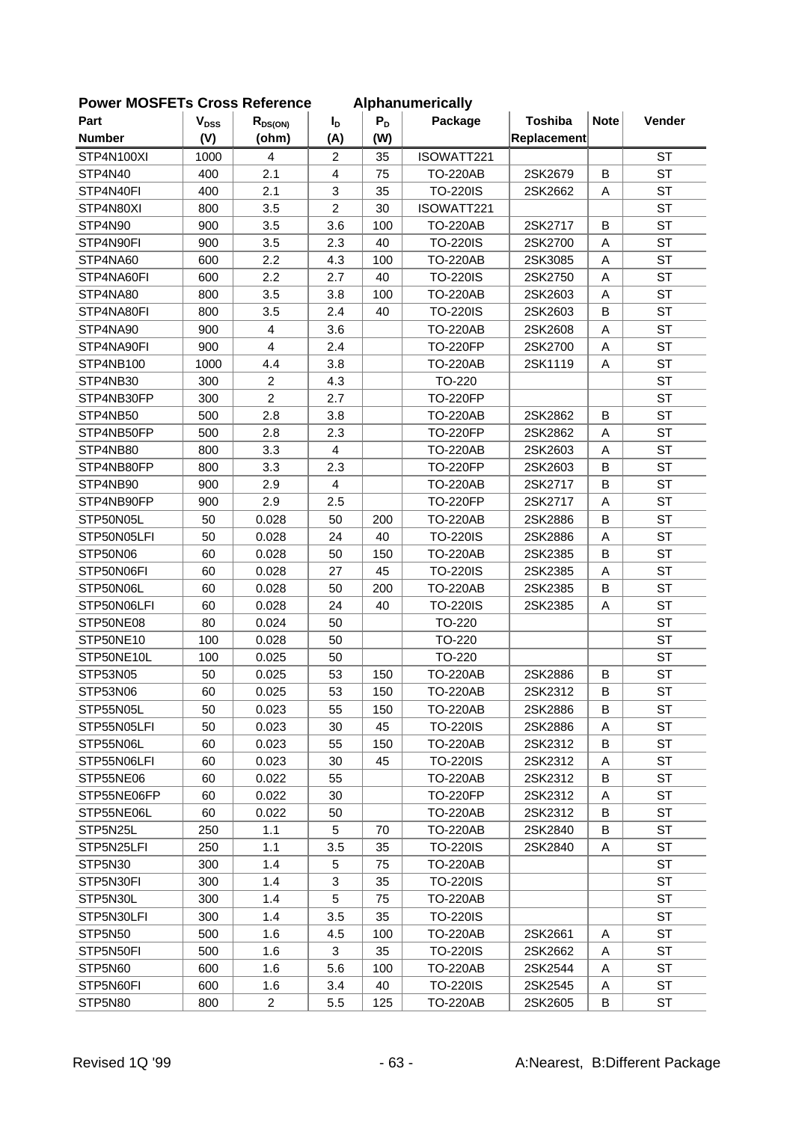| Part          | $\mathbf{V}_{\text{DSS}}$ | $R_{DS(ON)}$   | I <sub>D</sub> | $P_D$ | Package         | <b>Toshiba</b> | <b>Note</b> | Vender    |
|---------------|---------------------------|----------------|----------------|-------|-----------------|----------------|-------------|-----------|
| <b>Number</b> | (V)                       | (ohm)          | (A)            | (W)   |                 | Replacement    |             |           |
| STP4N100XI    | 1000                      | 4              | $\overline{2}$ | 35    | ISOWATT221      |                |             | <b>ST</b> |
| STP4N40       | 400                       | 2.1            | $\overline{4}$ | 75    | <b>TO-220AB</b> | 2SK2679        | B           | <b>ST</b> |
| STP4N40FI     | 400                       | 2.1            | 3              | 35    | <b>TO-220IS</b> | 2SK2662        | A           | <b>ST</b> |
| STP4N80XI     | 800                       | 3.5            | $\overline{2}$ | 30    | ISOWATT221      |                |             | <b>ST</b> |
| STP4N90       | 900                       | 3.5            | 3.6            | 100   | <b>TO-220AB</b> | 2SK2717        | B           | <b>ST</b> |
| STP4N90FI     | 900                       | 3.5            | 2.3            | 40    | <b>TO-220IS</b> | 2SK2700        | A           | <b>ST</b> |
| STP4NA60      | 600                       | 2.2            | 4.3            | 100   | <b>TO-220AB</b> | 2SK3085        | A           | <b>ST</b> |
| STP4NA60FI    | 600                       | 2.2            | 2.7            | 40    | <b>TO-220IS</b> | 2SK2750        | Α           | <b>ST</b> |
| STP4NA80      | 800                       | 3.5            | 3.8            | 100   | <b>TO-220AB</b> | 2SK2603        | A           | <b>ST</b> |
| STP4NA80FI    | 800                       | 3.5            | 2.4            | 40    | <b>TO-220IS</b> | 2SK2603        | B           | <b>ST</b> |
| STP4NA90      | 900                       | 4              | 3.6            |       | <b>TO-220AB</b> | 2SK2608        | A           | <b>ST</b> |
| STP4NA90FI    | 900                       | 4              | 2.4            |       | <b>TO-220FP</b> | 2SK2700        | A           | <b>ST</b> |
| STP4NB100     | 1000                      | 4.4            | 3.8            |       | <b>TO-220AB</b> | 2SK1119        | A           | <b>ST</b> |
| STP4NB30      | 300                       | $\overline{c}$ | 4.3            |       | TO-220          |                |             | <b>ST</b> |
| STP4NB30FP    | 300                       | $\overline{c}$ | 2.7            |       | <b>TO-220FP</b> |                |             | <b>ST</b> |
| STP4NB50      | 500                       | 2.8            | 3.8            |       | <b>TO-220AB</b> | 2SK2862        | B           | <b>ST</b> |
| STP4NB50FP    | 500                       | 2.8            | 2.3            |       | <b>TO-220FP</b> | 2SK2862        | A           | <b>ST</b> |
| STP4NB80      | 800                       | 3.3            | 4              |       | <b>TO-220AB</b> | 2SK2603        | A           | <b>ST</b> |
| STP4NB80FP    | 800                       | 3.3            | 2.3            |       | <b>TO-220FP</b> | 2SK2603        | B           | <b>ST</b> |
| STP4NB90      | 900                       | 2.9            | $\overline{4}$ |       | <b>TO-220AB</b> | 2SK2717        | B           | <b>ST</b> |
| STP4NB90FP    | 900                       | 2.9            | 2.5            |       | <b>TO-220FP</b> | 2SK2717        | Α           | <b>ST</b> |
| STP50N05L     | 50                        | 0.028          | 50             | 200   | <b>TO-220AB</b> | 2SK2886        | B           | <b>ST</b> |
| STP50N05LFI   | 50                        | 0.028          | 24             | 40    | <b>TO-220IS</b> | 2SK2886        | A           | <b>ST</b> |
| STP50N06      | 60                        | 0.028          | 50             | 150   | <b>TO-220AB</b> | 2SK2385        | B           | <b>ST</b> |
| STP50N06FI    | 60                        | 0.028          | 27             | 45    | <b>TO-220IS</b> | 2SK2385        | A           | <b>ST</b> |
| STP50N06L     | 60                        | 0.028          | 50             | 200   | <b>TO-220AB</b> | 2SK2385        | B           | <b>ST</b> |
| STP50N06LFI   | 60                        | 0.028          | 24             | 40    | <b>TO-220IS</b> | 2SK2385        | Α           | <b>ST</b> |
| STP50NE08     | 80                        | 0.024          | 50             |       | TO-220          |                |             | <b>ST</b> |
| STP50NE10     | 100                       | 0.028          | 50             |       | TO-220          |                |             | <b>ST</b> |
| STP50NE10L    | 100                       | 0.025          | 50             |       | TO-220          |                |             | <b>ST</b> |
| STP53N05      | 50                        | 0.025          | 53             | 150   | <b>TO-220AB</b> | 2SK2886        | B           | <b>ST</b> |
| STP53N06      | 60                        | 0.025          | 53             | 150   | <b>TO-220AB</b> | 2SK2312        | B           | <b>ST</b> |
| STP55N05L     | 50                        | 0.023          | 55             | 150   | TO-220AB        | 2SK2886        | В           | SТ        |
| STP55N05LFI   | 50                        | 0.023          | 30             | 45    | <b>TO-220IS</b> | 2SK2886        | A           | ST        |
| STP55N06L     | 60                        | 0.023          | 55             | 150   | <b>TO-220AB</b> | 2SK2312        | B           | <b>ST</b> |
| STP55N06LFI   | 60                        | 0.023          | 30             | 45    | <b>TO-220IS</b> | 2SK2312        | Α           | <b>ST</b> |
| STP55NE06     | 60                        | 0.022          | 55             |       | <b>TO-220AB</b> | 2SK2312        | B           | ST        |
| STP55NE06FP   | 60                        | 0.022          | 30             |       | <b>TO-220FP</b> | 2SK2312        | Α           | <b>ST</b> |
| STP55NE06L    | 60                        | 0.022          | 50             |       | <b>TO-220AB</b> | 2SK2312        | B           | <b>ST</b> |
| STP5N25L      | 250                       | 1.1            | 5              | 70    | <b>TO-220AB</b> | 2SK2840        | B           | ST        |
| STP5N25LFI    | 250                       | 1.1            | 3.5            | 35    | <b>TO-220IS</b> | 2SK2840        | Α           | ST        |
| STP5N30       | 300                       | 1.4            | 5              | 75    | <b>TO-220AB</b> |                |             | <b>ST</b> |
| STP5N30FI     | 300                       | 1.4            | 3              | 35    | <b>TO-220IS</b> |                |             | <b>ST</b> |
| STP5N30L      | 300                       | 1.4            | 5              | 75    | <b>TO-220AB</b> |                |             | <b>ST</b> |
| STP5N30LFI    | 300                       | 1.4            | 3.5            | 35    | <b>TO-220IS</b> |                |             | <b>ST</b> |
| STP5N50       | 500                       | 1.6            | 4.5            | 100   | <b>TO-220AB</b> | 2SK2661        | A           | ST        |
| STP5N50FI     | 500                       | 1.6            | 3              | 35    | <b>TO-220IS</b> | 2SK2662        | Α           | ST        |
| STP5N60       | 600                       | 1.6            | 5.6            | 100   | <b>TO-220AB</b> | 2SK2544        | A           | ST        |
| STP5N60FI     | 600                       | 1.6            | 3.4            | 40    | <b>TO-220IS</b> | 2SK2545        | A           | <b>ST</b> |
| STP5N80       | 800                       | $\overline{a}$ | 5.5            | 125   | <b>TO-220AB</b> | 2SK2605        | В           | ST        |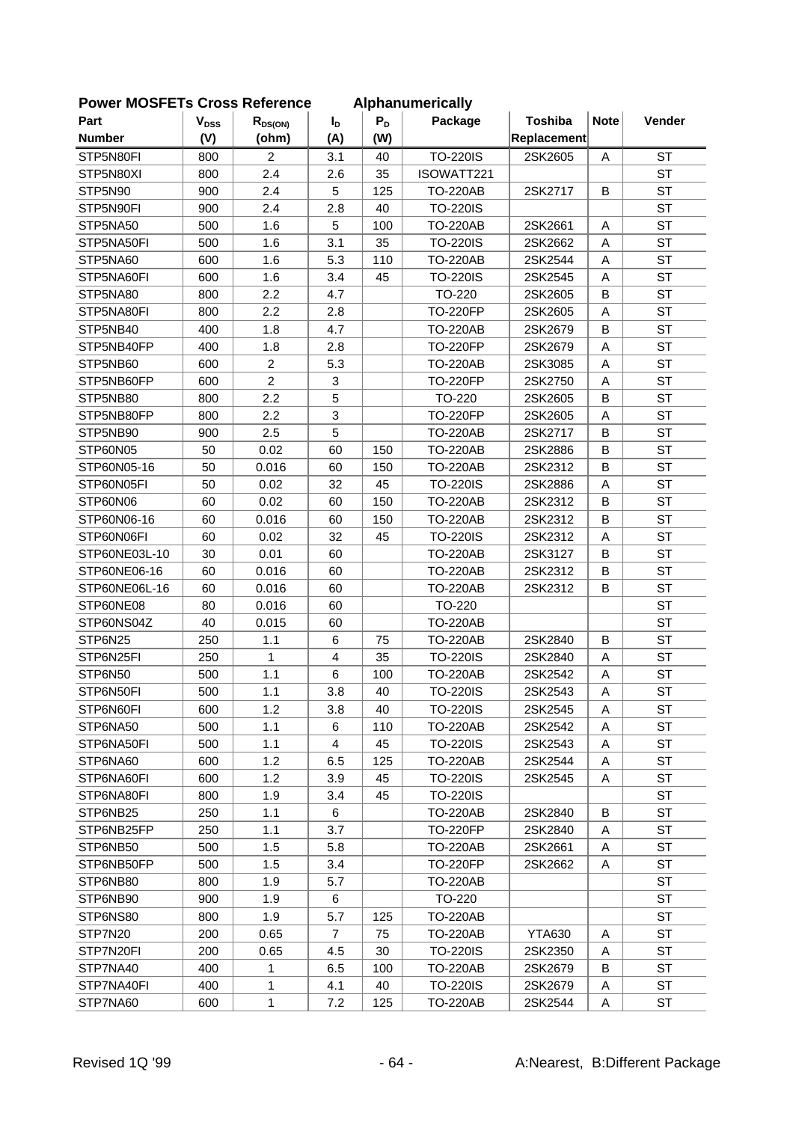| Part          | <b>V<sub>DSS</sub></b> | $R_{DS(ON)}$   | I <sub>D</sub> | $P_D$ | Package         | <b>Toshiba</b> | <b>Note</b> | Vender    |
|---------------|------------------------|----------------|----------------|-------|-----------------|----------------|-------------|-----------|
| <b>Number</b> | (V)                    | (ohm)          | (A)            | (W)   |                 | Replacement    |             |           |
| STP5N80FI     | 800                    | 2              | 3.1            | 40    | <b>TO-220IS</b> | 2SK2605        | Α           | <b>ST</b> |
| STP5N80XI     | 800                    | 2.4            | 2.6            | 35    | ISOWATT221      |                |             | <b>ST</b> |
| STP5N90       | 900                    | 2.4            | 5              | 125   | <b>TO-220AB</b> | 2SK2717        | B           | <b>ST</b> |
| STP5N90FI     | 900                    | 2.4            | 2.8            | 40    | <b>TO-220IS</b> |                |             | <b>ST</b> |
| STP5NA50      | 500                    | 1.6            | 5              | 100   | <b>TO-220AB</b> | 2SK2661        | Α           | <b>ST</b> |
| STP5NA50FI    | 500                    | 1.6            | 3.1            | 35    | <b>TO-220IS</b> | 2SK2662        | A           | <b>ST</b> |
| STP5NA60      | 600                    | 1.6            | 5.3            | 110   | <b>TO-220AB</b> | 2SK2544        | Α           | <b>ST</b> |
| STP5NA60FI    | 600                    | 1.6            | 3.4            | 45    | <b>TO-220IS</b> | 2SK2545        | A           | <b>ST</b> |
| STP5NA80      | 800                    | 2.2            | 4.7            |       | TO-220          | 2SK2605        | B           | <b>ST</b> |
| STP5NA80FI    | 800                    | 2.2            | 2.8            |       | <b>TO-220FP</b> | 2SK2605        | A           | <b>ST</b> |
| STP5NB40      | 400                    | 1.8            | 4.7            |       | <b>TO-220AB</b> | 2SK2679        | B           | <b>ST</b> |
| STP5NB40FP    |                        |                |                |       |                 |                |             | <b>ST</b> |
|               | 400                    | 1.8            | 2.8            |       | <b>TO-220FP</b> | 2SK2679        | Α           |           |
| STP5NB60      | 600                    | $\overline{c}$ | 5.3            |       | <b>TO-220AB</b> | 2SK3085        | Α           | <b>ST</b> |
| STP5NB60FP    | 600                    | $\overline{c}$ | 3              |       | <b>TO-220FP</b> | 2SK2750        | A           | <b>ST</b> |
| STP5NB80      | 800                    | 2.2            | 5              |       | TO-220          | 2SK2605        | B           | <b>ST</b> |
| STP5NB80FP    | 800                    | 2.2            | 3              |       | <b>TO-220FP</b> | 2SK2605        | A           | <b>ST</b> |
| STP5NB90      | 900                    | 2.5            | 5              |       | <b>TO-220AB</b> | 2SK2717        | B           | <b>ST</b> |
| STP60N05      | 50                     | 0.02           | 60             | 150   | <b>TO-220AB</b> | 2SK2886        | B           | <b>ST</b> |
| STP60N05-16   | 50                     | 0.016          | 60             | 150   | <b>TO-220AB</b> | 2SK2312        | B           | <b>ST</b> |
| STP60N05FI    | 50                     | 0.02           | 32             | 45    | <b>TO-220IS</b> | 2SK2886        | Α           | <b>ST</b> |
| STP60N06      | 60                     | 0.02           | 60             | 150   | <b>TO-220AB</b> | 2SK2312        | B           | <b>ST</b> |
| STP60N06-16   | 60                     | 0.016          | 60             | 150   | <b>TO-220AB</b> | 2SK2312        | B           | <b>ST</b> |
| STP60N06FI    | 60                     | 0.02           | 32             | 45    | <b>TO-220IS</b> | 2SK2312        | Α           | <b>ST</b> |
| STP60NE03L-10 | 30                     | 0.01           | 60             |       | <b>TO-220AB</b> | 2SK3127        | B           | <b>ST</b> |
| STP60NE06-16  | 60                     | 0.016          | 60             |       | <b>TO-220AB</b> | 2SK2312        | B           | <b>ST</b> |
| STP60NE06L-16 | 60                     | 0.016          | 60             |       | <b>TO-220AB</b> | 2SK2312        | B           | <b>ST</b> |
| STP60NE08     | 80                     | 0.016          | 60             |       | TO-220          |                |             | <b>ST</b> |
| STP60NS04Z    | 40                     | 0.015          | 60             |       | <b>TO-220AB</b> |                |             | <b>ST</b> |
| STP6N25       | 250                    | 1.1            | $\,6$          | 75    | <b>TO-220AB</b> | 2SK2840        | B           | <b>ST</b> |
| STP6N25FI     | 250                    | 1              | $\overline{4}$ | 35    | <b>TO-220IS</b> | 2SK2840        | Α           | <b>ST</b> |
| STP6N50       | 500                    | 1.1            | 6              | 100   | <b>TO-220AB</b> | 2SK2542        | A           | <b>ST</b> |
| STP6N50FI     | 500                    | 1.1            | 3.8            | 40    | <b>TO-220IS</b> | 2SK2543        | Α           | <b>ST</b> |
| STP6N60FI     | 600                    | 1.2            | 3.8            | 40    | TO-220IS        | 2SK2545        | Α           | ST        |
| STP6NA50      | 500                    | 1.1            | 6              | 110   | <b>TO-220AB</b> | 2SK2542        | Α           | <b>ST</b> |
| STP6NA50FI    | 500                    | 1.1            | $\overline{4}$ | 45    | <b>TO-220IS</b> | 2SK2543        | Α           | <b>ST</b> |
| STP6NA60      | 600                    | 1.2            | 6.5            | 125   | <b>TO-220AB</b> | 2SK2544        | Α           | <b>ST</b> |
| STP6NA60FI    | 600                    | 1.2            | 3.9            | 45    | <b>TO-220IS</b> | 2SK2545        | Α           | <b>ST</b> |
| STP6NA80FI    | 800                    | 1.9            | 3.4            | 45    | <b>TO-220IS</b> |                |             | <b>ST</b> |
| STP6NB25      | 250                    | 1.1            | 6              |       | <b>TO-220AB</b> | 2SK2840        | B           | ST        |
| STP6NB25FP    | 250                    | 1.1            | 3.7            |       | <b>TO-220FP</b> | 2SK2840        | Α           | <b>ST</b> |
| STP6NB50      | 500                    | 1.5            | 5.8            |       | <b>TO-220AB</b> | 2SK2661        | Α           | <b>ST</b> |
| STP6NB50FP    | 500                    | 1.5            | 3.4            |       | <b>TO-220FP</b> | 2SK2662        | Α           | <b>ST</b> |
| STP6NB80      | 800                    | 1.9            | 5.7            |       | <b>TO-220AB</b> |                |             | <b>ST</b> |
| STP6NB90      | 900                    | 1.9            | 6              |       | TO-220          |                |             | ST        |
| STP6NS80      | 800                    | 1.9            | 5.7            | 125   | <b>TO-220AB</b> |                |             | <b>ST</b> |
| STP7N20       | 200                    | 0.65           | $\overline{7}$ | 75    | <b>TO-220AB</b> | <b>YTA630</b>  | Α           | <b>ST</b> |
| STP7N20FI     | 200                    | 0.65           | 4.5            | 30    | <b>TO-220IS</b> | 2SK2350        | A           | <b>ST</b> |
| STP7NA40      | 400                    | 1              | 6.5            | 100   | <b>TO-220AB</b> | 2SK2679        | В           | <b>ST</b> |
| STP7NA40FI    | 400                    | $\mathbf{1}$   | 4.1            | 40    | <b>TO-220IS</b> | 2SK2679        | А           | <b>ST</b> |
| STP7NA60      | 600                    | 1              | 7.2            | 125   | <b>TO-220AB</b> | 2SK2544        | Α           | ST        |
|               |                        |                |                |       |                 |                |             |           |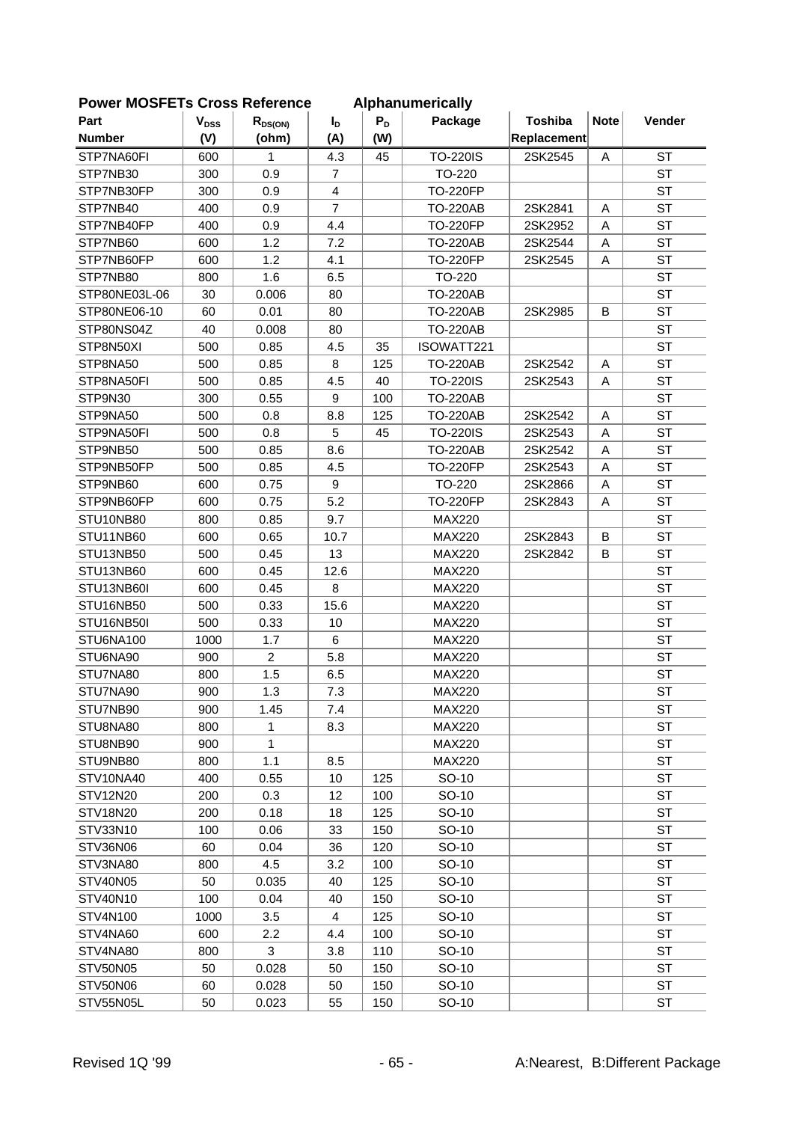| <b>FUWEI INIUSFETS CIUSS REIEIEILE</b> |                        |                |                |       | Alphanumencally |                |             |           |
|----------------------------------------|------------------------|----------------|----------------|-------|-----------------|----------------|-------------|-----------|
| Part                                   | <b>V<sub>DSS</sub></b> | $R_{DS(ON)}$   | $I_{\text{D}}$ | $P_D$ | Package         | <b>Toshiba</b> | <b>Note</b> | Vender    |
| <b>Number</b>                          | (V)                    | (ohm)          | (A)            | (W)   |                 | Replacement    |             |           |
| STP7NA60FI                             | 600                    | 1              | 4.3            | 45    | <b>TO-220IS</b> | 2SK2545        | A           | <b>ST</b> |
| STP7NB30                               | 300                    | 0.9            | $\overline{7}$ |       | TO-220          |                |             | <b>ST</b> |
| STP7NB30FP                             | 300                    | 0.9            | $\overline{4}$ |       | <b>TO-220FP</b> |                |             | <b>ST</b> |
| STP7NB40                               | 400                    | 0.9            | $\overline{7}$ |       | <b>TO-220AB</b> | 2SK2841        | A           | <b>ST</b> |
| STP7NB40FP                             | 400                    | 0.9            | 4.4            |       | <b>TO-220FP</b> | 2SK2952        | Α           | <b>ST</b> |
| STP7NB60                               | 600                    | 1.2            | 7.2            |       | <b>TO-220AB</b> | 2SK2544        | A           | <b>ST</b> |
| STP7NB60FP                             | 600                    | 1.2            | 4.1            |       | <b>TO-220FP</b> | 2SK2545        | A           | <b>ST</b> |
| STP7NB80                               | 800                    | 1.6            | 6.5            |       | TO-220          |                |             | <b>ST</b> |
| STP80NE03L-06                          | 30                     | 0.006          | 80             |       | <b>TO-220AB</b> |                |             | <b>ST</b> |
| STP80NE06-10                           | 60                     | 0.01           | 80             |       | <b>TO-220AB</b> | 2SK2985        | B           | <b>ST</b> |
| STP80NS04Z                             | 40                     | 0.008          | 80             |       | <b>TO-220AB</b> |                |             | <b>ST</b> |
| STP8N50XI                              | 500                    | 0.85           | 4.5            | 35    | ISOWATT221      |                |             | <b>ST</b> |
| STP8NA50                               | 500                    | 0.85           | 8              | 125   | <b>TO-220AB</b> | 2SK2542        | A           | <b>ST</b> |
| STP8NA50FI                             | 500                    | 0.85           | 4.5            | 40    | <b>TO-220IS</b> | 2SK2543        | A           | <b>ST</b> |
| STP9N30                                | 300                    | 0.55           | 9              | 100   | <b>TO-220AB</b> |                |             | <b>ST</b> |
| STP9NA50                               | 500                    | 0.8            | 8.8            | 125   | <b>TO-220AB</b> | 2SK2542        | A           | <b>ST</b> |
| STP9NA50FI                             | 500                    | 0.8            | 5              | 45    | <b>TO-220IS</b> | 2SK2543        | A           | <b>ST</b> |
| STP9NB50                               | 500                    | 0.85           | 8.6            |       | <b>TO-220AB</b> | 2SK2542        | A           | <b>ST</b> |
| STP9NB50FP                             | 500                    | 0.85           | 4.5            |       | <b>TO-220FP</b> | 2SK2543        | A           | <b>ST</b> |
| STP9NB60                               | 600                    | 0.75           | 9              |       | TO-220          | 2SK2866        | A           | <b>ST</b> |
| STP9NB60FP                             | 600                    | 0.75           | 5.2            |       | <b>TO-220FP</b> | 2SK2843        | A           | <b>ST</b> |
| STU10NB80                              | 800                    | 0.85           | 9.7            |       | <b>MAX220</b>   |                |             | <b>ST</b> |
| STU11NB60                              | 600                    | 0.65           | 10.7           |       | <b>MAX220</b>   | 2SK2843        | B           | <b>ST</b> |
| STU13NB50                              | 500                    | 0.45           | 13             |       | <b>MAX220</b>   | 2SK2842        | B           | <b>ST</b> |
| STU13NB60                              | 600                    | 0.45           | 12.6           |       | <b>MAX220</b>   |                |             | <b>ST</b> |
| STU13NB60I                             | 600                    | 0.45           | 8              |       | <b>MAX220</b>   |                |             | <b>ST</b> |
| STU16NB50                              | 500                    | 0.33           | 15.6           |       | <b>MAX220</b>   |                |             | <b>ST</b> |
| STU16NB50I                             | 500                    | 0.33           | 10             |       | <b>MAX220</b>   |                |             | <b>ST</b> |
| STU6NA100                              | 1000                   | 1.7            | 6              |       | <b>MAX220</b>   |                |             | <b>ST</b> |
| STU6NA90                               | 900                    | $\overline{2}$ | 5.8            |       | <b>MAX220</b>   |                |             | <b>ST</b> |
| STU7NA80                               | 800                    | 1.5            | 6.5            |       | <b>MAX220</b>   |                |             | <b>ST</b> |
| STU7NA90                               | 900                    | 1.3            | 7.3            |       | <b>MAX220</b>   |                |             | <b>ST</b> |
| STU7NB90                               | 900                    | 1.45           | 7.4            |       | <b>MAX220</b>   |                |             | <b>ST</b> |
| STU8NA80                               | 800                    | 1              | 8.3            |       | <b>MAX220</b>   |                |             | <b>ST</b> |
| STU8NB90                               | 900                    | 1              |                |       | <b>MAX220</b>   |                |             | <b>ST</b> |
| STU9NB80                               | 800                    | 1.1            | 8.5            |       | <b>MAX220</b>   |                |             | <b>ST</b> |
| STV10NA40                              | 400                    | 0.55           | 10             | 125   | SO-10           |                |             | <b>ST</b> |
| STV12N20                               | 200                    | 0.3            | 12             | 100   | SO-10           |                |             | <b>ST</b> |
| STV18N20                               | 200                    | 0.18           | 18             | 125   | SO-10           |                |             | <b>ST</b> |
| STV33N10                               | 100                    | 0.06           | 33             | 150   | SO-10           |                |             | <b>ST</b> |
| STV36N06                               | 60                     | 0.04           | 36             | 120   | SO-10           |                |             | <b>ST</b> |
| STV3NA80                               | 800                    | 4.5            | 3.2            | 100   | SO-10           |                |             | <b>ST</b> |
| STV40N05                               | 50                     | 0.035          | 40             | 125   | SO-10           |                |             | <b>ST</b> |
| STV40N10                               | 100                    | 0.04           | 40             | 150   | SO-10           |                |             | <b>ST</b> |
| STV4N100                               | 1000                   | 3.5            | $\overline{4}$ | 125   | SO-10           |                |             | <b>ST</b> |
| STV4NA60                               | 600                    | 2.2            | 4.4            | 100   | SO-10           |                |             | <b>ST</b> |
| STV4NA80                               | 800                    | 3              | 3.8            | 110   | SO-10           |                |             | <b>ST</b> |
| STV50N05                               | 50                     | 0.028          | 50             | 150   | SO-10           |                |             | <b>ST</b> |
| STV50N06                               | 60                     | 0.028          | 50             | 150   | SO-10           |                |             | ST        |
| STV55N05L                              | 50                     | 0.023          | 55             | 150   | SO-10           |                |             | <b>ST</b> |
|                                        |                        |                |                |       |                 |                |             |           |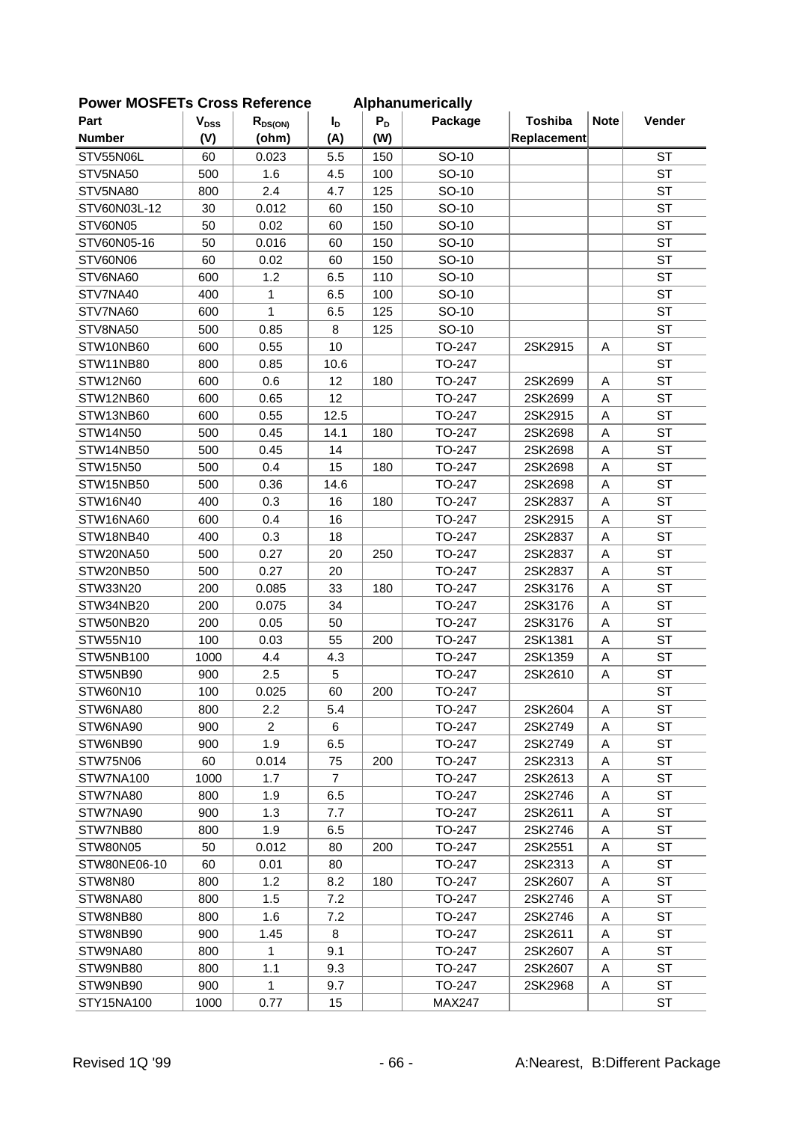| יים וטשווט    | וטו ככטוט              | 9911919        |                |       | <b>Alphanumuluu</b> |                |             |           |
|---------------|------------------------|----------------|----------------|-------|---------------------|----------------|-------------|-----------|
| Part          | <b>V<sub>DSS</sub></b> | $R_{DS(ON)}$   | I <sub>D</sub> | $P_D$ | Package             | <b>Toshiba</b> | <b>Note</b> | Vender    |
| <b>Number</b> | (V)                    | (ohm)          | (A)            | (W)   |                     | Replacement    |             |           |
| STV55N06L     | 60                     | 0.023          | 5.5            | 150   | SO-10               |                |             | <b>ST</b> |
| STV5NA50      | 500                    | 1.6            | 4.5            | 100   | SO-10               |                |             | <b>ST</b> |
| STV5NA80      | 800                    | 2.4            | 4.7            | 125   | SO-10               |                |             | <b>ST</b> |
| STV60N03L-12  | 30                     | 0.012          | 60             | 150   | SO-10               |                |             | <b>ST</b> |
| STV60N05      | 50                     | 0.02           | 60             | 150   | SO-10               |                |             | <b>ST</b> |
| STV60N05-16   | 50                     | 0.016          | 60             | 150   | SO-10               |                |             | <b>ST</b> |
| STV60N06      | 60                     | 0.02           | 60             | 150   | SO-10               |                |             | <b>ST</b> |
| STV6NA60      | 600                    | 1.2            | 6.5            | 110   | SO-10               |                |             | <b>ST</b> |
| STV7NA40      | 400                    | 1              | 6.5            | 100   | SO-10               |                |             | <b>ST</b> |
| STV7NA60      | 600                    | 1              | 6.5            | 125   | SO-10               |                |             | <b>ST</b> |
| STV8NA50      | 500                    | 0.85           | 8              | 125   | SO-10               |                |             | <b>ST</b> |
| STW10NB60     | 600                    | 0.55           | 10             |       | TO-247              | 2SK2915        | A           | <b>ST</b> |
| STW11NB80     | 800                    | 0.85           | 10.6           |       | TO-247              |                |             | <b>ST</b> |
| STW12N60      | 600                    | 0.6            | 12             | 180   | TO-247              | 2SK2699        | A           | <b>ST</b> |
| STW12NB60     | 600                    | 0.65           | 12             |       | TO-247              | 2SK2699        | A           | <b>ST</b> |
| STW13NB60     | 600                    | 0.55           | 12.5           |       | TO-247              | 2SK2915        | A           | <b>ST</b> |
| STW14N50      | 500                    | 0.45           | 14.1           | 180   | TO-247              | 2SK2698        | A           | <b>ST</b> |
| STW14NB50     | 500                    | 0.45           | 14             |       | TO-247              | 2SK2698        | Α           | <b>ST</b> |
| STW15N50      | 500                    | 0.4            | 15             | 180   | TO-247              | 2SK2698        | A           | <b>ST</b> |
| STW15NB50     | 500                    | 0.36           | 14.6           |       | TO-247              | 2SK2698        | A           | <b>ST</b> |
| STW16N40      | 400                    | 0.3            | 16             | 180   | TO-247              | 2SK2837        | A           | <b>ST</b> |
| STW16NA60     | 600                    | 0.4            | 16             |       | TO-247              | 2SK2915        | A           | <b>ST</b> |
| STW18NB40     | 400                    | 0.3            | 18             |       | TO-247              | 2SK2837        | A           | <b>ST</b> |
| STW20NA50     | 500                    | 0.27           | 20             | 250   | TO-247              | 2SK2837        | A           | <b>ST</b> |
| STW20NB50     | 500                    | 0.27           | 20             |       | TO-247              | 2SK2837        | Α           | <b>ST</b> |
| STW33N20      | 200                    | 0.085          | 33             | 180   | TO-247              | 2SK3176        | A           | <b>ST</b> |
| STW34NB20     | 200                    | 0.075          | 34             |       | TO-247              | 2SK3176        | A           | <b>ST</b> |
| STW50NB20     | 200                    | 0.05           | 50             |       | TO-247              | 2SK3176        | A           | <b>ST</b> |
| STW55N10      | 100                    | 0.03           | 55             | 200   | TO-247              | 2SK1381        | A           | <b>ST</b> |
| STW5NB100     | 1000                   | 4.4            | 4.3            |       | TO-247              | 2SK1359        | A           | <b>ST</b> |
| STW5NB90      | 900                    | 2.5            | 5              |       | TO-247              | 2SK2610        | A           | <b>ST</b> |
| STW60N10      | 100                    | 0.025          | 60             | 200   | TO-247              |                |             | <b>ST</b> |
| STW6NA80      | 800                    | 2.2            | 5.4            |       | TO-247              | 2SK2604        | A           | <b>ST</b> |
| STW6NA90      | 900                    | $\overline{2}$ | 6              |       | TO-247              | 2SK2749        | A           | <b>ST</b> |
| STW6NB90      | 900                    | 1.9            | 6.5            |       | TO-247              | 2SK2749        | A           | <b>ST</b> |
| STW75N06      | 60                     | 0.014          | 75             | 200   | TO-247              | 2SK2313        | A           | <b>ST</b> |
| STW7NA100     | 1000                   | 1.7            | 7              |       | TO-247              | 2SK2613        | A           | ST        |
| STW7NA80      | 800                    | 1.9            | 6.5            |       | TO-247              | 2SK2746        | A           | ST        |
| STW7NA90      | 900                    | 1.3            | 7.7            |       | TO-247              | 2SK2611        | Α           | ST        |
| STW7NB80      | 800                    | 1.9            | 6.5            |       | TO-247              | 2SK2746        | Α           | <b>ST</b> |
| STW80N05      | 50                     | 0.012          | 80             | 200   | TO-247              | 2SK2551        | Α           | <b>ST</b> |
| STW80NE06-10  | 60                     | 0.01           | 80             |       | TO-247              | 2SK2313        | Α           | <b>ST</b> |
| STW8N80       | 800                    | 1.2            | 8.2            | 180   | TO-247              | 2SK2607        | Α           | <b>ST</b> |
| STW8NA80      | 800                    | 1.5            | 7.2            |       | TO-247              | 2SK2746        | A           | ST        |
| STW8NB80      | 800                    | 1.6            | 7.2            |       | TO-247              | 2SK2746        | A           | ST        |
| STW8NB90      | 900                    | 1.45           | 8              |       | TO-247              | 2SK2611        | Α           | <b>ST</b> |
| STW9NA80      | 800                    | 1              | 9.1            |       | TO-247              | 2SK2607        | Α           | <b>ST</b> |
| STW9NB80      | 800                    | 1.1            | 9.3            |       | TO-247              | 2SK2607        | A           | <b>ST</b> |
| STW9NB90      | 900                    | 1              | 9.7            |       | TO-247              | 2SK2968        | Α           | ST        |
| STY15NA100    | 1000                   | 0.77           | 15             |       | <b>MAX247</b>       |                |             | ST        |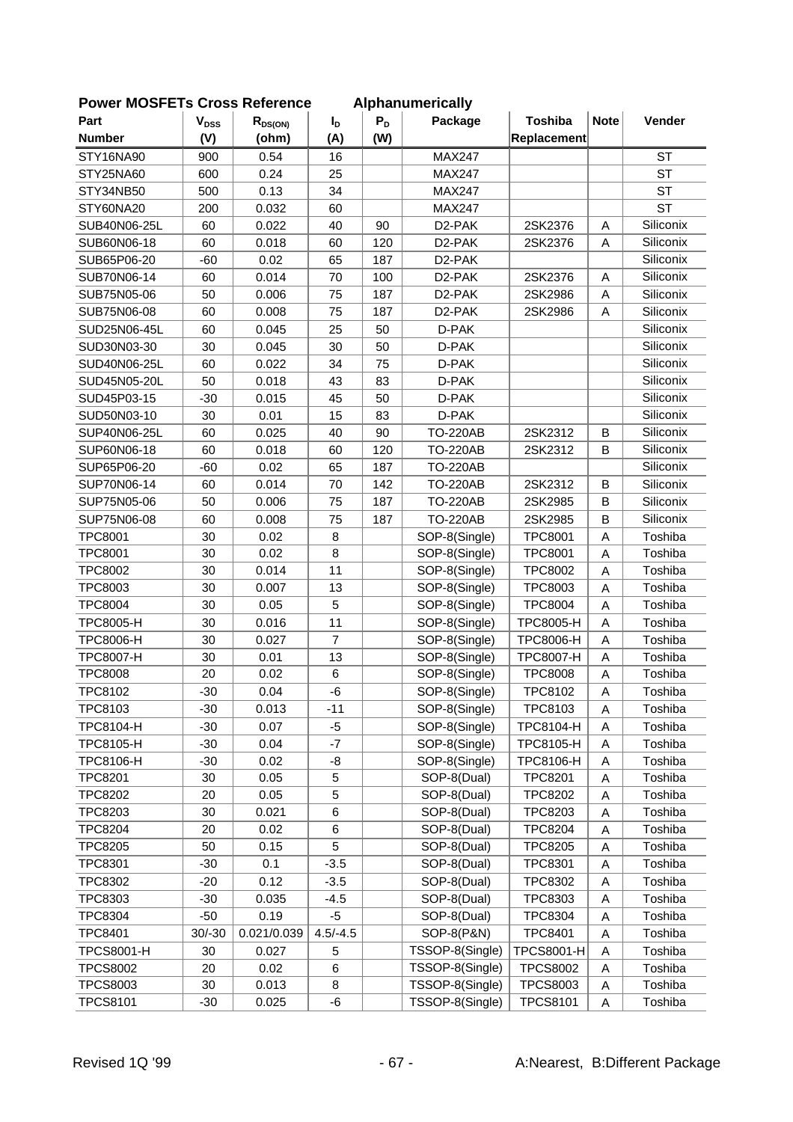| <b>FUWEI INIUSFETS CIUSS REIEIEIICE</b> |                           |              |                |       | Alphanumencally     |                   |             |           |
|-----------------------------------------|---------------------------|--------------|----------------|-------|---------------------|-------------------|-------------|-----------|
| Part                                    | $\mathbf{V}_{\text{DSS}}$ | $R_{DS(ON)}$ | I <sub>D</sub> | $P_D$ | Package             | <b>Toshiba</b>    | <b>Note</b> | Vender    |
| <b>Number</b>                           | (V)                       | (ohm)        | (A)            | (W)   |                     | Replacement       |             |           |
| STY16NA90                               | 900                       | 0.54         | 16             |       | <b>MAX247</b>       |                   |             | <b>ST</b> |
| STY25NA60                               | 600                       | 0.24         | 25             |       | <b>MAX247</b>       |                   |             | <b>ST</b> |
| STY34NB50                               | 500                       | 0.13         | 34             |       | <b>MAX247</b>       |                   |             | <b>ST</b> |
| STY60NA20                               | 200                       | 0.032        | 60             |       | <b>MAX247</b>       |                   |             | <b>ST</b> |
| SUB40N06-25L                            | 60                        | 0.022        | 40             | 90    | D <sub>2</sub> -PAK | 2SK2376           | Α           | Siliconix |
| SUB60N06-18                             | 60                        | 0.018        | 60             | 120   | D2-PAK              | 2SK2376           | Α           | Siliconix |
| SUB65P06-20                             | $-60$                     | 0.02         | 65             | 187   | D2-PAK              |                   |             | Siliconix |
| SUB70N06-14                             | 60                        | 0.014        | 70             | 100   | D <sub>2</sub> -PAK | 2SK2376           | A           | Siliconix |
| SUB75N05-06                             | 50                        | 0.006        | 75             | 187   | D <sub>2</sub> -PAK | 2SK2986           | A           | Siliconix |
| SUB75N06-08                             | 60                        | 0.008        | 75             | 187   | D <sub>2</sub> -PAK | 2SK2986           | A           | Siliconix |
| SUD25N06-45L                            | 60                        | 0.045        | 25             | 50    | D-PAK               |                   |             | Siliconix |
| SUD30N03-30                             | 30                        | 0.045        | 30             | 50    | D-PAK               |                   |             | Siliconix |
| SUD40N06-25L                            | 60                        | 0.022        | 34             | 75    | D-PAK               |                   |             | Siliconix |
| SUD45N05-20L                            | 50                        | 0.018        | 43             | 83    | D-PAK               |                   |             | Siliconix |
| SUD45P03-15                             | $-30$                     | 0.015        | 45             | 50    | D-PAK               |                   |             | Siliconix |
| SUD50N03-10                             | 30                        | 0.01         | 15             | 83    | D-PAK               |                   |             | Siliconix |
| SUP40N06-25L                            | 60                        | 0.025        | 40             | 90    | <b>TO-220AB</b>     | 2SK2312           | B           | Siliconix |
| SUP60N06-18                             | 60                        | 0.018        | 60             | 120   | <b>TO-220AB</b>     | 2SK2312           | В           | Siliconix |
| SUP65P06-20                             | $-60$                     | 0.02         | 65             | 187   | <b>TO-220AB</b>     |                   |             | Siliconix |
| SUP70N06-14                             | 60                        | 0.014        | 70             | 142   | <b>TO-220AB</b>     | 2SK2312           | B           | Siliconix |
| SUP75N05-06                             | 50                        | 0.006        | 75             | 187   | <b>TO-220AB</b>     | 2SK2985           | B           | Siliconix |
| SUP75N06-08                             | 60                        | 0.008        | 75             | 187   | <b>TO-220AB</b>     | 2SK2985           | B           | Siliconix |
| <b>TPC8001</b>                          | 30                        | 0.02         | 8              |       | SOP-8(Single)       | <b>TPC8001</b>    | A           | Toshiba   |
| <b>TPC8001</b>                          | 30                        | 0.02         | 8              |       | SOP-8(Single)       | <b>TPC8001</b>    | A           | Toshiba   |
| <b>TPC8002</b>                          | 30                        | 0.014        | 11             |       | SOP-8(Single)       | <b>TPC8002</b>    | A           | Toshiba   |
| TPC8003                                 | 30                        | 0.007        | 13             |       | SOP-8(Single)       | TPC8003           | A           | Toshiba   |
| <b>TPC8004</b>                          | 30                        | 0.05         | 5              |       | SOP-8(Single)       | <b>TPC8004</b>    | A           | Toshiba   |
| <b>TPC8005-H</b>                        | 30                        | 0.016        | 11             |       | SOP-8(Single)       | <b>TPC8005-H</b>  | A           | Toshiba   |
| TPC8006-H                               | 30                        | 0.027        | $\overline{7}$ |       | SOP-8(Single)       | <b>TPC8006-H</b>  | A           | Toshiba   |
| <b>TPC8007-H</b>                        | 30                        | 0.01         | 13             |       | SOP-8(Single)       | <b>TPC8007-H</b>  | Α           | Toshiba   |
| <b>TPC8008</b>                          | 20                        | 0.02         | 6              |       | SOP-8(Single)       | <b>TPC8008</b>    | Α           | Toshiba   |
| TPC8102                                 | $-30$                     | 0.04         | -6             |       | SOP-8(Single)       | TPC8102           | A           | Toshiba   |
| TPC8103                                 | $-30$                     | 0.013        | $-11$          |       | SOP-8(Single)       | TPC8103           | Α           | Toshiba   |
| <b>TPC8104-H</b>                        | $-30$                     | 0.07         | $-5$           |       | SOP-8(Single)       | TPC8104-H         | A           | Toshiba   |
| TPC8105-H                               | $-30$                     | 0.04         | $-7$           |       | SOP-8(Single)       | TPC8105-H         | A           | Toshiba   |
| <b>TPC8106-H</b>                        | -30                       | 0.02         | -8             |       | SOP-8(Single)       | TPC8106-H         | Α           | Toshiba   |
| <b>TPC8201</b>                          | 30                        | 0.05         | 5              |       | SOP-8(Dual)         | TPC8201           | Α           | Toshiba   |
| <b>TPC8202</b>                          | 20                        | 0.05         | 5              |       | SOP-8(Dual)         | <b>TPC8202</b>    | A           | Toshiba   |
| <b>TPC8203</b>                          | 30                        | 0.021        | $\,6$          |       | SOP-8(Dual)         | TPC8203           | Α           | Toshiba   |
| <b>TPC8204</b>                          | 20                        | 0.02         | 6              |       | SOP-8(Dual)         | <b>TPC8204</b>    | A           | Toshiba   |
| <b>TPC8205</b>                          | 50                        | 0.15         | 5              |       | SOP-8(Dual)         | <b>TPC8205</b>    | Α           | Toshiba   |
| <b>TPC8301</b>                          | $-30$                     | 0.1          | $-3.5$         |       | SOP-8(Dual)         | TPC8301           | A           | Toshiba   |
| TPC8302                                 | $-20$                     | 0.12         | $-3.5$         |       | SOP-8(Dual)         | TPC8302           | Α           | Toshiba   |
| TPC8303                                 | $-30$                     | 0.035        | $-4.5$         |       | SOP-8(Dual)         | TPC8303           | A           | Toshiba   |
| <b>TPC8304</b>                          | $-50$                     | 0.19         | $-5$           |       | SOP-8(Dual)         | <b>TPC8304</b>    | $\mathsf A$ | Toshiba   |
| <b>TPC8401</b>                          | $30/-30$                  | 0.021/0.039  | $4.5/-4.5$     |       | SOP-8(P&N)          | TPC8401           | A           | Toshiba   |
| <b>TPCS8001-H</b>                       | 30                        | 0.027        | 5              |       | TSSOP-8(Single)     | <b>TPCS8001-H</b> | A           | Toshiba   |
| <b>TPCS8002</b>                         | 20                        | 0.02         | 6              |       | TSSOP-8(Single)     | <b>TPCS8002</b>   | Α           | Toshiba   |
| <b>TPCS8003</b>                         | 30                        | 0.013        | 8              |       | TSSOP-8(Single)     | <b>TPCS8003</b>   | Α           | Toshiba   |
| <b>TPCS8101</b>                         | $-30$                     | 0.025        | -6             |       | TSSOP-8(Single)     | <b>TPCS8101</b>   | A           | Toshiba   |